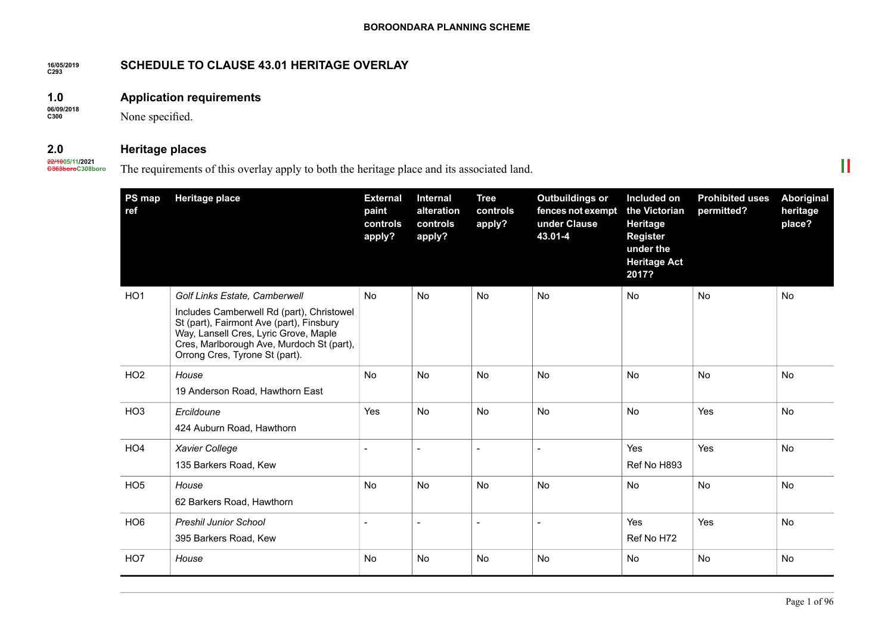#### **16/05/2019 C293 SCHEDULE TO CLAUSE 43.01 HERITAGE OVERLAY**

#### **1.0 Application requirements**

**06/09/2018 C300**

None specified.

#### **2.0 Heritage places**

**22/1005/11/2021 C363boroC308boro**

# The requirements of this overlay apply to both the heritage place and its associated land.

| PS map<br>ref   | <b>Heritage place</b>                                                                                                                                                                                                                          | <b>External</b><br>paint<br>controls<br>apply? | <b>Internal</b><br>alteration<br>controls<br>apply? | <b>Tree</b><br>controls<br>apply? | <b>Outbuildings or</b><br>fences not exempt<br>under Clause<br>43.01-4 | Included on<br>the Victorian<br>Heritage<br><b>Register</b><br>under the<br><b>Heritage Act</b><br>2017? | <b>Prohibited uses</b><br>permitted? | Aboriginal<br>heritage<br>place? |
|-----------------|------------------------------------------------------------------------------------------------------------------------------------------------------------------------------------------------------------------------------------------------|------------------------------------------------|-----------------------------------------------------|-----------------------------------|------------------------------------------------------------------------|----------------------------------------------------------------------------------------------------------|--------------------------------------|----------------------------------|
| HO <sub>1</sub> | Golf Links Estate, Camberwell<br>Includes Camberwell Rd (part), Christowel<br>St (part), Fairmont Ave (part), Finsbury<br>Way, Lansell Cres, Lyric Grove, Maple<br>Cres, Marlborough Ave, Murdoch St (part),<br>Orrong Cres, Tyrone St (part). | <b>No</b>                                      | No                                                  | No                                | No                                                                     | No                                                                                                       | <b>No</b>                            | No                               |
| HO <sub>2</sub> | House<br>19 Anderson Road, Hawthorn East                                                                                                                                                                                                       | <b>No</b>                                      | <b>No</b>                                           | <b>No</b>                         | <b>No</b>                                                              | No                                                                                                       | <b>No</b>                            | <b>No</b>                        |
| HO <sub>3</sub> | Ercildoune<br>424 Auburn Road, Hawthorn                                                                                                                                                                                                        | Yes                                            | No                                                  | No                                | No                                                                     | <b>No</b>                                                                                                | Yes                                  | No                               |
| HO <sub>4</sub> | Xavier College<br>135 Barkers Road, Kew                                                                                                                                                                                                        |                                                |                                                     | $\overline{a}$                    |                                                                        | Yes<br>Ref No H893                                                                                       | Yes                                  | No                               |
| HO <sub>5</sub> | House<br>62 Barkers Road, Hawthorn                                                                                                                                                                                                             | <b>No</b>                                      | No                                                  | No                                | No                                                                     | No                                                                                                       | No                                   | No                               |
| HO <sub>6</sub> | <b>Preshil Junior School</b><br>395 Barkers Road, Kew                                                                                                                                                                                          |                                                |                                                     |                                   |                                                                        | Yes<br>Ref No H72                                                                                        | Yes                                  | <b>No</b>                        |
| HO7             | House                                                                                                                                                                                                                                          | No                                             | No                                                  | No                                | No                                                                     | No                                                                                                       | No                                   | No                               |

 $\mathbb{H}$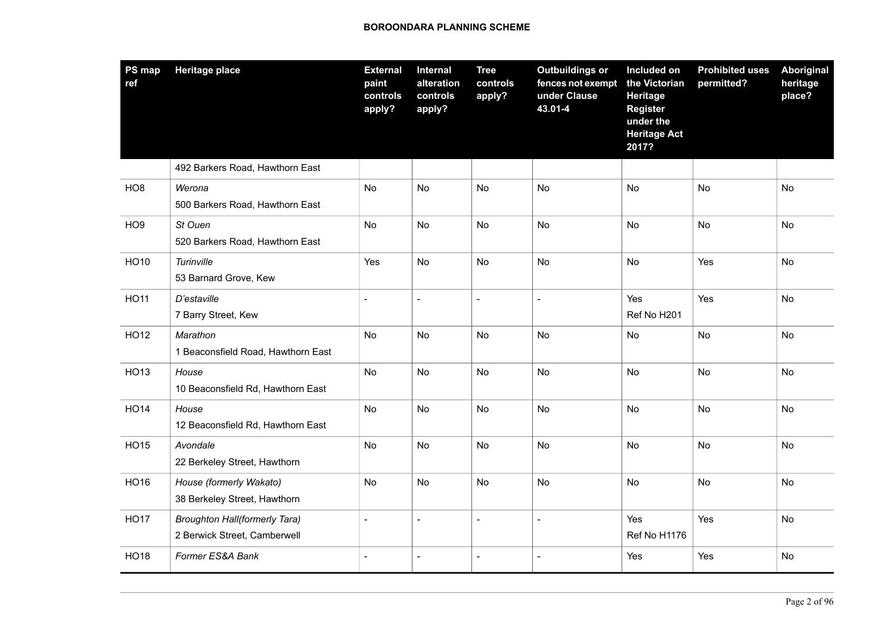| PS map<br>ref   | <b>Heritage place</b>                                                | <b>External</b><br>paint<br>controls<br>apply? | Internal<br>alteration<br>controls<br>apply? | <b>Tree</b><br>controls<br>apply? | <b>Outbuildings or</b><br>fences not exempt<br>under Clause<br>43.01-4 | Included on<br>the Victorian<br><b>Heritage</b><br><b>Register</b><br>under the<br><b>Heritage Act</b><br>2017? | <b>Prohibited uses</b><br>permitted? | <b>Aboriginal</b><br>heritage<br>place? |
|-----------------|----------------------------------------------------------------------|------------------------------------------------|----------------------------------------------|-----------------------------------|------------------------------------------------------------------------|-----------------------------------------------------------------------------------------------------------------|--------------------------------------|-----------------------------------------|
|                 | 492 Barkers Road, Hawthorn East                                      |                                                |                                              |                                   |                                                                        |                                                                                                                 |                                      |                                         |
| HO <sub>8</sub> | Werona<br>500 Barkers Road, Hawthorn East                            | No                                             | No                                           | No                                | <b>No</b>                                                              | No                                                                                                              | No                                   | No                                      |
| HO <sub>9</sub> | St Ouen<br>520 Barkers Road, Hawthorn East                           | No                                             | No                                           | No                                | No                                                                     | No                                                                                                              | <b>No</b>                            | No                                      |
| <b>HO10</b>     | Turinville<br>53 Barnard Grove, Kew                                  | Yes                                            | No                                           | No                                | <b>No</b>                                                              | No                                                                                                              | Yes                                  | No                                      |
| <b>HO11</b>     | D'estaville<br>7 Barry Street, Kew                                   | $\mathbf{r}$                                   | $\sim$                                       | $\sim$                            | $\overline{a}$                                                         | Yes<br>Ref No H201                                                                                              | Yes                                  | No                                      |
| <b>HO12</b>     | Marathon<br>1 Beaconsfield Road, Hawthorn East                       | No                                             | No                                           | No                                | No                                                                     | <b>No</b>                                                                                                       | <b>No</b>                            | No                                      |
| <b>HO13</b>     | House<br>10 Beaconsfield Rd, Hawthorn East                           | No                                             | No                                           | No                                | <b>No</b>                                                              | No                                                                                                              | No                                   | No                                      |
| <b>HO14</b>     | House<br>12 Beaconsfield Rd, Hawthorn East                           | No                                             | No                                           | No                                | No                                                                     | No                                                                                                              | No                                   | No                                      |
| <b>HO15</b>     | Avondale<br>22 Berkeley Street, Hawthorn                             | No                                             | No                                           | No                                | No                                                                     | No                                                                                                              | No                                   | No                                      |
| <b>HO16</b>     | House (formerly Wakato)<br>38 Berkeley Street, Hawthorn              | No                                             | No                                           | No                                | No                                                                     | No                                                                                                              | No                                   | No                                      |
| <b>HO17</b>     | <b>Broughton Hall(formerly Tara)</b><br>2 Berwick Street, Camberwell |                                                | $\overline{a}$                               | $\sim$                            | $\blacksquare$                                                         | Yes<br>Ref No H1176                                                                                             | Yes                                  | No                                      |
| <b>HO18</b>     | Former ES&A Bank                                                     |                                                | L,                                           | $\overline{a}$                    | $\overline{\phantom{a}}$                                               | Yes                                                                                                             | Yes                                  | No                                      |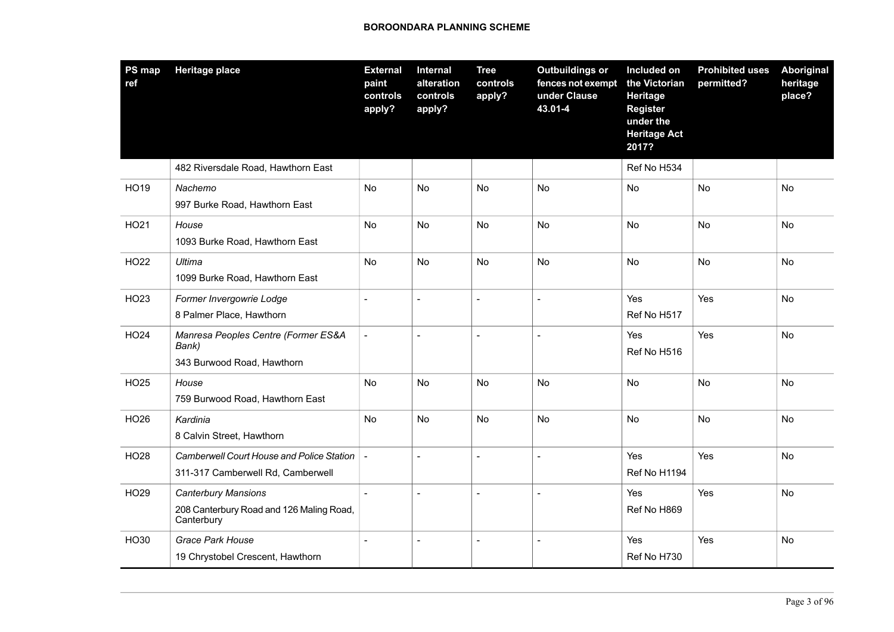| PS map<br>ref | <b>Heritage place</b>                                                                | <b>External</b><br>paint<br>controls<br>apply? | Internal<br>alteration<br>controls<br>apply? | <b>Tree</b><br>controls<br>apply? | <b>Outbuildings or</b><br>fences not exempt<br>under Clause<br>43.01-4 | Included on<br>the Victorian<br><b>Heritage</b><br>Register<br>under the<br><b>Heritage Act</b><br>2017? | <b>Prohibited uses</b><br>permitted? | Aboriginal<br>heritage<br>place? |
|---------------|--------------------------------------------------------------------------------------|------------------------------------------------|----------------------------------------------|-----------------------------------|------------------------------------------------------------------------|----------------------------------------------------------------------------------------------------------|--------------------------------------|----------------------------------|
|               | 482 Riversdale Road, Hawthorn East                                                   |                                                |                                              |                                   |                                                                        | Ref No H534                                                                                              |                                      |                                  |
| HO19          | Nachemo<br>997 Burke Road, Hawthorn East                                             | <b>No</b>                                      | <b>No</b>                                    | <b>No</b>                         | <b>No</b>                                                              | <b>No</b>                                                                                                | <b>No</b>                            | <b>No</b>                        |
| HO21          | House<br>1093 Burke Road, Hawthorn East                                              | <b>No</b>                                      | No                                           | No                                | <b>No</b>                                                              | <b>No</b>                                                                                                | <b>No</b>                            | <b>No</b>                        |
| <b>HO22</b>   | Ultima<br>1099 Burke Road, Hawthorn East                                             | No                                             | No                                           | No                                | <b>No</b>                                                              | <b>No</b>                                                                                                | No                                   | <b>No</b>                        |
| HO23          | Former Invergowrie Lodge<br>8 Palmer Place, Hawthorn                                 |                                                | ÷,                                           | $\overline{a}$                    | $\overline{a}$                                                         | Yes<br>Ref No H517                                                                                       | Yes                                  | <b>No</b>                        |
| <b>HO24</b>   | Manresa Peoples Centre (Former ES&A<br>Bank)<br>343 Burwood Road, Hawthorn           | $\blacksquare$                                 | $\sim$                                       | $\sim$                            | $\overline{a}$                                                         | Yes<br>Ref No H516                                                                                       | Yes                                  | No                               |
| HO25          | House<br>759 Burwood Road, Hawthorn East                                             | No                                             | No                                           | No                                | No                                                                     | No                                                                                                       | No                                   | No                               |
| <b>HO26</b>   | Kardinia<br>8 Calvin Street, Hawthorn                                                | No                                             | No                                           | No                                | <b>No</b>                                                              | <b>No</b>                                                                                                | <b>No</b>                            | <b>No</b>                        |
| <b>HO28</b>   | Camberwell Court House and Police Station<br>311-317 Camberwell Rd, Camberwell       |                                                | $\overline{a}$                               | $\overline{a}$                    |                                                                        | Yes<br>Ref No H1194                                                                                      | Yes                                  | <b>No</b>                        |
| HO29          | <b>Canterbury Mansions</b><br>208 Canterbury Road and 126 Maling Road,<br>Canterbury | $\overline{a}$                                 | $\overline{a}$                               | $\overline{a}$                    |                                                                        | Yes<br>Ref No H869                                                                                       | Yes                                  | <b>No</b>                        |
| HO30          | Grace Park House<br>19 Chrystobel Crescent, Hawthorn                                 |                                                | $\sim$                                       | $\sim$                            | $\overline{a}$                                                         | Yes<br>Ref No H730                                                                                       | Yes                                  | No                               |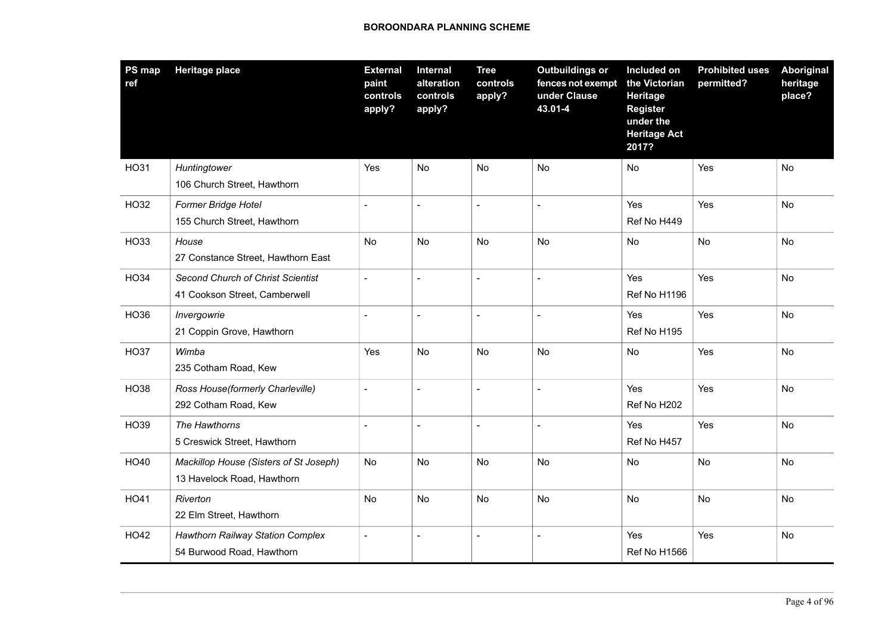| PS map<br>ref | <b>Heritage place</b>                                                | <b>External</b><br>paint<br>controls<br>apply? | <b>Internal</b><br>alteration<br>controls<br>apply? | <b>Tree</b><br>controls<br>apply? | <b>Outbuildings or</b><br>fences not exempt<br>under Clause<br>43.01-4 | Included on<br>the Victorian<br>Heritage<br><b>Register</b><br>under the<br><b>Heritage Act</b><br>2017? | <b>Prohibited uses</b><br>permitted? | Aboriginal<br>heritage<br>place? |
|---------------|----------------------------------------------------------------------|------------------------------------------------|-----------------------------------------------------|-----------------------------------|------------------------------------------------------------------------|----------------------------------------------------------------------------------------------------------|--------------------------------------|----------------------------------|
| <b>HO31</b>   | Huntingtower<br>106 Church Street, Hawthorn                          | Yes                                            | No                                                  | No                                | No                                                                     | No                                                                                                       | Yes                                  | No                               |
| HO32          | Former Bridge Hotel<br>155 Church Street, Hawthorn                   | $\blacksquare$                                 | $\overline{a}$                                      | $\sim$                            | $\overline{a}$                                                         | Yes<br>Ref No H449                                                                                       | Yes                                  | <b>No</b>                        |
| HO33          | House<br>27 Constance Street, Hawthorn East                          | No                                             | No                                                  | <b>No</b>                         | <b>No</b>                                                              | No                                                                                                       | <b>No</b>                            | <b>No</b>                        |
| <b>HO34</b>   | Second Church of Christ Scientist<br>41 Cookson Street, Camberwell   | $\overline{\phantom{a}}$                       | $\overline{a}$                                      | $\overline{\phantom{a}}$          | $\overline{a}$                                                         | Yes<br>Ref No H1196                                                                                      | Yes                                  | No                               |
| HO36          | Invergowrie<br>21 Coppin Grove, Hawthorn                             | $\overline{a}$                                 | $\overline{a}$                                      | $\blacksquare$                    |                                                                        | Yes<br>Ref No H195                                                                                       | Yes                                  | <b>No</b>                        |
| <b>HO37</b>   | Wimba<br>235 Cotham Road, Kew                                        | Yes                                            | No                                                  | No                                | No                                                                     | No                                                                                                       | Yes                                  | <b>No</b>                        |
| <b>HO38</b>   | Ross House(formerly Charleville)<br>292 Cotham Road, Kew             | $\overline{a}$                                 | $\overline{a}$                                      | $\overline{\phantom{a}}$          |                                                                        | Yes<br>Ref No H202                                                                                       | Yes                                  | No                               |
| HO39          | The Hawthorns<br>5 Creswick Street, Hawthorn                         | $\overline{a}$                                 | $\overline{a}$                                      | $\overline{\phantom{a}}$          | $\overline{a}$                                                         | Yes<br>Ref No H457                                                                                       | Yes                                  | <b>No</b>                        |
| HO40          | Mackillop House (Sisters of St Joseph)<br>13 Havelock Road, Hawthorn | <b>No</b>                                      | No                                                  | <b>No</b>                         | No                                                                     | No                                                                                                       | <b>No</b>                            | <b>No</b>                        |
| HO41          | Riverton<br>22 Elm Street, Hawthorn                                  | <b>No</b>                                      | No                                                  | No                                | No                                                                     | No                                                                                                       | No                                   | No                               |
| <b>HO42</b>   | <b>Hawthorn Railway Station Complex</b><br>54 Burwood Road, Hawthorn | $\blacksquare$                                 | $\blacksquare$                                      | $\sim$                            | $\overline{a}$                                                         | Yes<br>Ref No H1566                                                                                      | Yes                                  | <b>No</b>                        |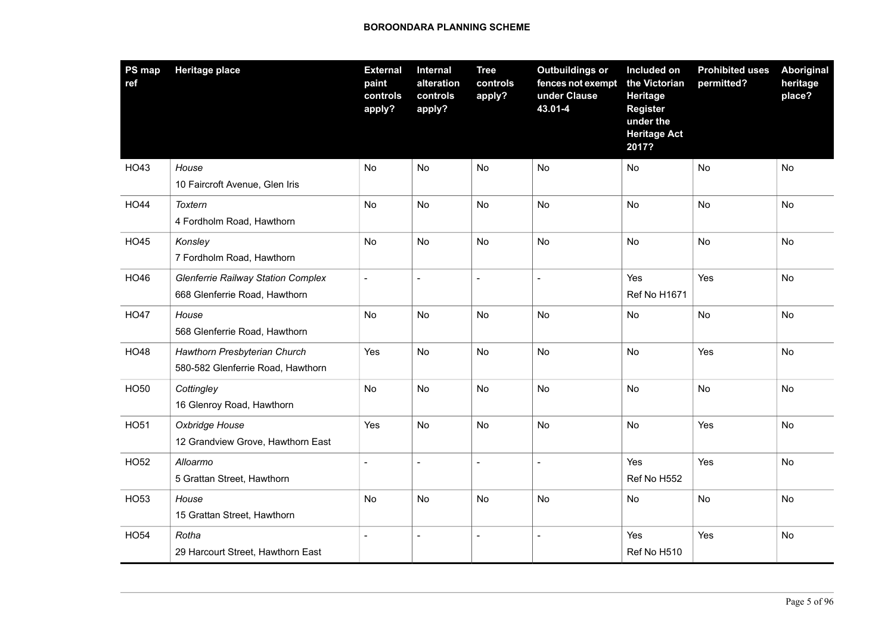| PS map<br>ref | <b>Heritage place</b>                                                      | <b>External</b><br>paint<br>controls<br>apply? | Internal<br>alteration<br>controls<br>apply? | <b>Tree</b><br>controls<br>apply? | <b>Outbuildings or</b><br>fences not exempt<br>under Clause<br>43.01-4 | Included on<br>the Victorian<br><b>Heritage</b><br><b>Register</b><br>under the<br><b>Heritage Act</b><br>2017? | <b>Prohibited uses</b><br>permitted? | Aboriginal<br>heritage<br>place? |
|---------------|----------------------------------------------------------------------------|------------------------------------------------|----------------------------------------------|-----------------------------------|------------------------------------------------------------------------|-----------------------------------------------------------------------------------------------------------------|--------------------------------------|----------------------------------|
| HO43          | House<br>10 Faircroft Avenue, Glen Iris                                    | <b>No</b>                                      | <b>No</b>                                    | No                                | No                                                                     | No                                                                                                              | No                                   | No                               |
| <b>HO44</b>   | Toxtern<br>4 Fordholm Road, Hawthorn                                       | No                                             | No                                           | No                                | No                                                                     | No                                                                                                              | No                                   | No                               |
| <b>HO45</b>   | Konsley<br>7 Fordholm Road, Hawthorn                                       | <b>No</b>                                      | <b>No</b>                                    | <b>No</b>                         | <b>No</b>                                                              | <b>No</b>                                                                                                       | <b>No</b>                            | <b>No</b>                        |
| HO46          | <b>Glenferrie Railway Station Complex</b><br>668 Glenferrie Road, Hawthorn | $\blacksquare$                                 | $\blacksquare$                               | $\overline{a}$                    | $\overline{a}$                                                         | Yes<br><b>Ref No H1671</b>                                                                                      | Yes                                  | No                               |
| <b>HO47</b>   | House<br>568 Glenferrie Road, Hawthorn                                     | No                                             | No                                           | No                                | No                                                                     | No                                                                                                              | <b>No</b>                            | <b>No</b>                        |
| <b>HO48</b>   | Hawthorn Presbyterian Church<br>580-582 Glenferrie Road, Hawthorn          | Yes                                            | No                                           | No                                | No                                                                     | No                                                                                                              | Yes                                  | No                               |
| HO50          | Cottingley<br>16 Glenroy Road, Hawthorn                                    | No                                             | No                                           | <b>No</b>                         | <b>No</b>                                                              | <b>No</b>                                                                                                       | <b>No</b>                            | <b>No</b>                        |
| <b>HO51</b>   | Oxbridge House<br>12 Grandview Grove, Hawthorn East                        | Yes                                            | No                                           | No                                | No                                                                     | No                                                                                                              | Yes                                  | No                               |
| <b>HO52</b>   | Alloarmo<br>5 Grattan Street, Hawthorn                                     |                                                | $\sim$                                       | $\overline{a}$                    |                                                                        | Yes<br>Ref No H552                                                                                              | Yes                                  | No                               |
| HO53          | House<br>15 Grattan Street, Hawthorn                                       | No                                             | No                                           | No                                | No                                                                     | No                                                                                                              | No                                   | No                               |
| <b>HO54</b>   | Rotha<br>29 Harcourt Street, Hawthorn East                                 |                                                |                                              | $\overline{a}$                    |                                                                        | Yes<br>Ref No H510                                                                                              | Yes                                  | No                               |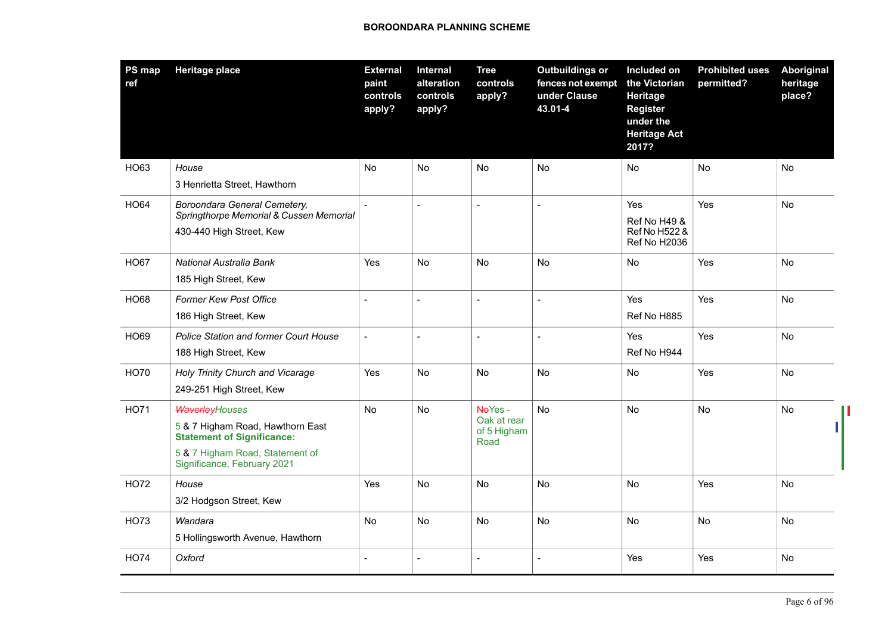| <b>PS map</b><br>ref | <b>Heritage place</b>                                                                                                                                            | <b>External</b><br>paint<br>controls<br>apply? | Internal<br>alteration<br>controls<br>apply? | <b>Tree</b><br>controls<br>apply?             | <b>Outbuildings or</b><br>fences not exempt<br>under Clause<br>43.01-4 | Included on<br>the Victorian<br><b>Heritage</b><br><b>Register</b><br>under the<br><b>Heritage Act</b><br>2017? | <b>Prohibited uses</b><br>permitted? | Aboriginal<br>heritage<br>place? |
|----------------------|------------------------------------------------------------------------------------------------------------------------------------------------------------------|------------------------------------------------|----------------------------------------------|-----------------------------------------------|------------------------------------------------------------------------|-----------------------------------------------------------------------------------------------------------------|--------------------------------------|----------------------------------|
| HO63                 | House<br>3 Henrietta Street, Hawthorn                                                                                                                            | No                                             | No                                           | No                                            | No                                                                     | No.                                                                                                             | No                                   | No                               |
| <b>HO64</b>          | Boroondara General Cemetery,<br>Springthorpe Memorial & Cussen Memorial<br>430-440 High Street, Kew                                                              |                                                |                                              |                                               |                                                                        | Yes<br><b>Ref No H49 &amp;</b><br>Ref No H522 &<br>Ref No H2036                                                 | Yes                                  | <b>No</b>                        |
| <b>HO67</b>          | National Australia Bank<br>185 High Street, Kew                                                                                                                  | <b>Yes</b>                                     | <b>No</b>                                    | <b>No</b>                                     | <b>No</b>                                                              | No                                                                                                              | Yes                                  | <b>No</b>                        |
| <b>HO68</b>          | <b>Former Kew Post Office</b><br>186 High Street, Kew                                                                                                            | $\overline{a}$                                 | $\sim$                                       | $\overline{a}$                                | $\overline{a}$                                                         | Yes<br>Ref No H885                                                                                              | Yes                                  | <b>No</b>                        |
| <b>HO69</b>          | <b>Police Station and former Court House</b><br>188 High Street, Kew                                                                                             | $\blacksquare$                                 |                                              | $\overline{a}$                                | $\overline{a}$                                                         | Yes<br>Ref No H944                                                                                              | Yes                                  | No                               |
| <b>HO70</b>          | Holy Trinity Church and Vicarage<br>249-251 High Street, Kew                                                                                                     | Yes                                            | No                                           | No                                            | No                                                                     | No                                                                                                              | Yes                                  | <b>No</b>                        |
| <b>HO71</b>          | <b>WaverleyHouses</b><br>5 & 7 Higham Road, Hawthorn East<br><b>Statement of Significance:</b><br>5 & 7 Higham Road, Statement of<br>Significance, February 2021 | No                                             | No                                           | NoYes -<br>Oak at rear<br>of 5 Higham<br>Road | <b>No</b>                                                              | No                                                                                                              | No                                   | No                               |
| <b>HO72</b>          | House<br>3/2 Hodgson Street, Kew                                                                                                                                 | Yes                                            | No                                           | No                                            | No                                                                     | No                                                                                                              | Yes                                  | No                               |
| <b>HO73</b>          | Wandara<br>5 Hollingsworth Avenue, Hawthorn                                                                                                                      | <b>No</b>                                      | <b>No</b>                                    | No                                            | <b>No</b>                                                              | <b>No</b>                                                                                                       | <b>No</b>                            | <b>No</b>                        |
| <b>HO74</b>          | Oxford                                                                                                                                                           | $\blacksquare$                                 | $\overline{\phantom{a}}$                     | $\overline{a}$                                | $\overline{a}$                                                         | Yes                                                                                                             | Yes                                  | No                               |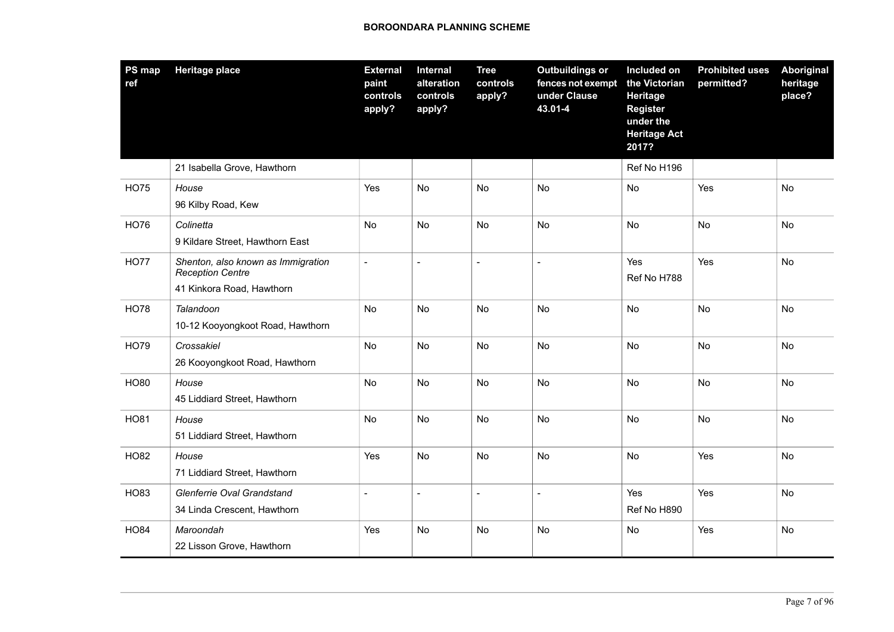| PS map<br>ref | <b>Heritage place</b>                                                                      | <b>External</b><br>paint<br>controls<br>apply? | <b>Internal</b><br>alteration<br>controls<br>apply? | <b>Tree</b><br>controls<br>apply? | <b>Outbuildings or</b><br>fences not exempt<br>under Clause<br>43.01-4 | Included on<br>the Victorian<br>Heritage<br><b>Register</b><br>under the<br><b>Heritage Act</b><br>2017? | <b>Prohibited uses</b><br>permitted? | Aboriginal<br>heritage<br>place? |
|---------------|--------------------------------------------------------------------------------------------|------------------------------------------------|-----------------------------------------------------|-----------------------------------|------------------------------------------------------------------------|----------------------------------------------------------------------------------------------------------|--------------------------------------|----------------------------------|
|               | 21 Isabella Grove, Hawthorn                                                                |                                                |                                                     |                                   |                                                                        | Ref No H196                                                                                              |                                      |                                  |
| <b>HO75</b>   | House<br>96 Kilby Road, Kew                                                                | Yes                                            | No                                                  | No                                | <b>No</b>                                                              | No                                                                                                       | Yes                                  | No                               |
| <b>HO76</b>   | Colinetta<br>9 Kildare Street, Hawthorn East                                               | No                                             | No                                                  | No                                | <b>No</b>                                                              | No                                                                                                       | No                                   | No                               |
| <b>HO77</b>   | Shenton, also known as Immigration<br><b>Reception Centre</b><br>41 Kinkora Road, Hawthorn | $\overline{a}$                                 | $\overline{a}$                                      | $\sim$                            | $\overline{a}$                                                         | Yes<br>Ref No H788                                                                                       | Yes                                  | <b>No</b>                        |
| <b>HO78</b>   | Talandoon<br>10-12 Kooyongkoot Road, Hawthorn                                              | No                                             | No                                                  | No                                | No                                                                     | No                                                                                                       | No                                   | No                               |
| <b>HO79</b>   | Crossakiel<br>26 Kooyongkoot Road, Hawthorn                                                | No                                             | <b>No</b>                                           | <b>No</b>                         | <b>No</b>                                                              | <b>No</b>                                                                                                | <b>No</b>                            | <b>No</b>                        |
| <b>HO80</b>   | House<br>45 Liddiard Street, Hawthorn                                                      | No                                             | <b>No</b>                                           | No                                | <b>No</b>                                                              | <b>No</b>                                                                                                | <b>No</b>                            | No                               |
| <b>HO81</b>   | House<br>51 Liddiard Street, Hawthorn                                                      | No                                             | No                                                  | No                                | No                                                                     | No                                                                                                       | <b>No</b>                            | No                               |
| <b>HO82</b>   | House<br>71 Liddiard Street, Hawthorn                                                      | Yes                                            | <b>No</b>                                           | No                                | No                                                                     | No                                                                                                       | Yes                                  | <b>No</b>                        |
| HO83          | Glenferrie Oval Grandstand<br>34 Linda Crescent, Hawthorn                                  | $\overline{a}$                                 | $\overline{a}$                                      | $\overline{\phantom{a}}$          | $\overline{\phantom{0}}$                                               | Yes<br>Ref No H890                                                                                       | Yes                                  | No                               |
| <b>HO84</b>   | Maroondah<br>22 Lisson Grove, Hawthorn                                                     | Yes                                            | No                                                  | No                                | No                                                                     | No                                                                                                       | Yes                                  | No                               |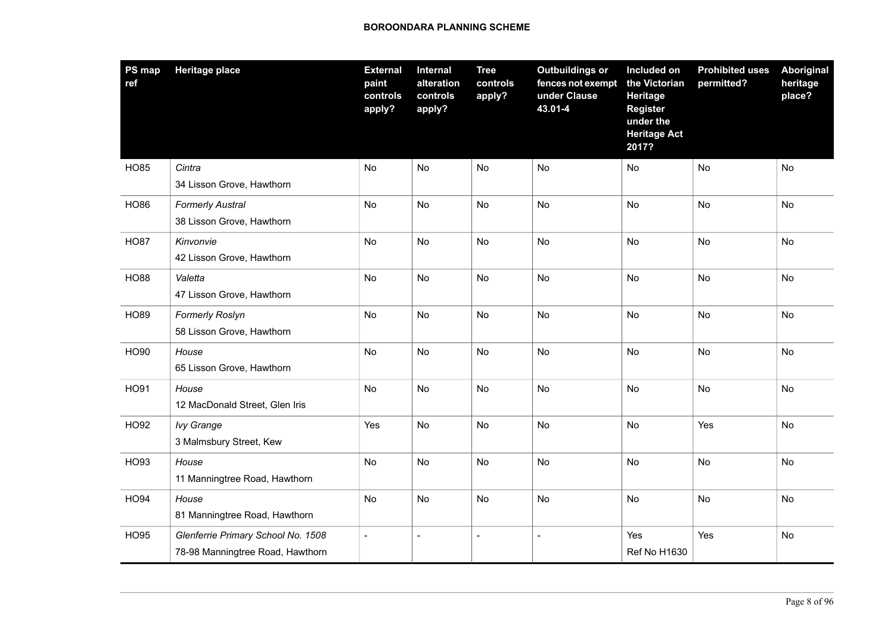| <b>PS map</b><br>ref | <b>Heritage place</b>                                                  | <b>External</b><br>paint<br>controls<br>apply? | Internal<br>alteration<br>controls<br>apply? | <b>Tree</b><br>controls<br>apply? | <b>Outbuildings or</b><br>fences not exempt<br>under Clause<br>43.01-4 | Included on<br>the Victorian<br><b>Heritage</b><br><b>Register</b><br>under the<br><b>Heritage Act</b><br>2017? | <b>Prohibited uses</b><br>permitted? | <b>Aboriginal</b><br>heritage<br>place? |
|----------------------|------------------------------------------------------------------------|------------------------------------------------|----------------------------------------------|-----------------------------------|------------------------------------------------------------------------|-----------------------------------------------------------------------------------------------------------------|--------------------------------------|-----------------------------------------|
| <b>HO85</b>          | Cintra<br>34 Lisson Grove, Hawthorn                                    | No                                             | No                                           | No                                | No                                                                     | No                                                                                                              | No                                   | No                                      |
| <b>HO86</b>          | <b>Formerly Austral</b><br>38 Lisson Grove, Hawthorn                   | No                                             | No                                           | No                                | <b>No</b>                                                              | <b>No</b>                                                                                                       | <b>No</b>                            | <b>No</b>                               |
| <b>HO87</b>          | Kinvonvie<br>42 Lisson Grove, Hawthorn                                 | No                                             | No                                           | No                                | No                                                                     | No                                                                                                              | No                                   | No                                      |
| <b>HO88</b>          | Valetta<br>47 Lisson Grove, Hawthorn                                   | No                                             | No                                           | No                                | No                                                                     | No                                                                                                              | No                                   | No                                      |
| <b>HO89</b>          | Formerly Roslyn<br>58 Lisson Grove, Hawthorn                           | No                                             | No                                           | <b>No</b>                         | <b>No</b>                                                              | No                                                                                                              | <b>No</b>                            | <b>No</b>                               |
| <b>HO90</b>          | House<br>65 Lisson Grove, Hawthorn                                     | No                                             | <b>No</b>                                    | No                                | <b>No</b>                                                              | <b>No</b>                                                                                                       | No                                   | <b>No</b>                               |
| HO91                 | House<br>12 MacDonald Street, Glen Iris                                | No                                             | No                                           | No                                | No                                                                     | No                                                                                                              | No                                   | No                                      |
| <b>HO92</b>          | <b>Ivy Grange</b><br>3 Malmsbury Street, Kew                           | Yes                                            | No                                           | <b>No</b>                         | <b>No</b>                                                              | No                                                                                                              | Yes                                  | <b>No</b>                               |
| HO93                 | House<br>11 Manningtree Road, Hawthorn                                 | No                                             | No                                           | <b>No</b>                         | No                                                                     | No                                                                                                              | <b>No</b>                            | <b>No</b>                               |
| <b>HO94</b>          | House<br>81 Manningtree Road, Hawthorn                                 | No                                             | <b>No</b>                                    | No                                | No                                                                     | No                                                                                                              | No                                   | No                                      |
| <b>HO95</b>          | Glenferrie Primary School No. 1508<br>78-98 Manningtree Road, Hawthorn | $\overline{a}$                                 | $\sim$                                       | $\overline{a}$                    | $\blacksquare$                                                         | Yes<br>Ref No H1630                                                                                             | Yes                                  | <b>No</b>                               |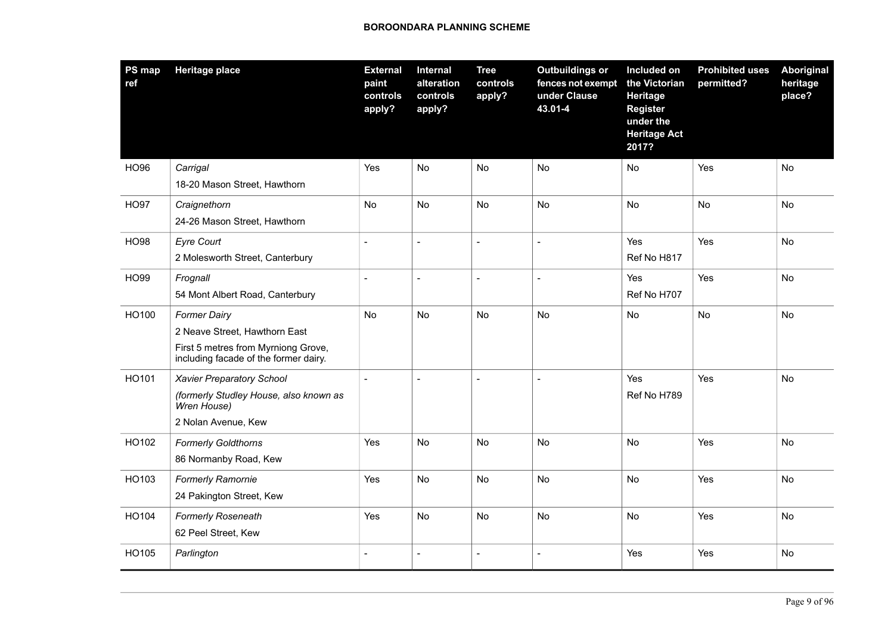| <b>PS map</b><br>ref | <b>Heritage place</b>                                                        | <b>External</b><br>paint<br>controls<br>apply? | Internal<br>alteration<br>controls<br>apply? | <b>Tree</b><br>controls<br>apply? | <b>Outbuildings or</b><br>fences not exempt<br>under Clause<br>43.01-4 | Included on<br>the Victorian<br>Heritage<br><b>Register</b><br>under the<br><b>Heritage Act</b><br>2017? | <b>Prohibited uses</b><br>permitted? | Aboriginal<br>heritage<br>place? |
|----------------------|------------------------------------------------------------------------------|------------------------------------------------|----------------------------------------------|-----------------------------------|------------------------------------------------------------------------|----------------------------------------------------------------------------------------------------------|--------------------------------------|----------------------------------|
| <b>HO96</b>          | Carrigal                                                                     | Yes                                            | No                                           | No                                | No                                                                     | No                                                                                                       | Yes                                  | No                               |
|                      | 18-20 Mason Street, Hawthorn                                                 |                                                |                                              |                                   |                                                                        |                                                                                                          |                                      |                                  |
| <b>HO97</b>          | Craignethorn                                                                 | No                                             | No                                           | No                                | No                                                                     | No                                                                                                       | <b>No</b>                            | No                               |
|                      | 24-26 Mason Street, Hawthorn                                                 |                                                |                                              |                                   |                                                                        |                                                                                                          |                                      |                                  |
| <b>HO98</b>          | <b>Eyre Court</b>                                                            | $\blacksquare$                                 | $\overline{a}$                               | $\sim$                            | $\overline{a}$                                                         | Yes                                                                                                      | Yes                                  | No                               |
|                      | 2 Molesworth Street, Canterbury                                              |                                                |                                              |                                   |                                                                        | Ref No H817                                                                                              |                                      |                                  |
| <b>HO99</b>          | Frognall                                                                     | $\blacksquare$                                 | $\sim$                                       | $\overline{a}$                    |                                                                        | Yes                                                                                                      | Yes                                  | <b>No</b>                        |
|                      | 54 Mont Albert Road, Canterbury                                              |                                                |                                              |                                   |                                                                        | Ref No H707                                                                                              |                                      |                                  |
| HO100                | <b>Former Dairy</b>                                                          | No                                             | No                                           | No                                | No                                                                     | No                                                                                                       | <b>No</b>                            | <b>No</b>                        |
|                      | 2 Neave Street, Hawthorn East                                                |                                                |                                              |                                   |                                                                        |                                                                                                          |                                      |                                  |
|                      | First 5 metres from Myrniong Grove,<br>including facade of the former dairy. |                                                |                                              |                                   |                                                                        |                                                                                                          |                                      |                                  |
| HO101                | <b>Xavier Preparatory School</b>                                             | $\blacksquare$                                 | $\sim$                                       | $\blacksquare$                    | $\overline{a}$                                                         | Yes                                                                                                      | Yes                                  | No                               |
|                      | (formerly Studley House, also known as<br>Wren House)                        |                                                |                                              |                                   |                                                                        | Ref No H789                                                                                              |                                      |                                  |
|                      | 2 Nolan Avenue, Kew                                                          |                                                |                                              |                                   |                                                                        |                                                                                                          |                                      |                                  |
| HO102                | <b>Formerly Goldthorns</b>                                                   | Yes                                            | No                                           | No                                | No                                                                     | No                                                                                                       | Yes                                  | No                               |
|                      | 86 Normanby Road, Kew                                                        |                                                |                                              |                                   |                                                                        |                                                                                                          |                                      |                                  |
| HO103                | <b>Formerly Ramornie</b>                                                     | Yes                                            | <b>No</b>                                    | No                                | <b>No</b>                                                              | <b>No</b>                                                                                                | Yes                                  | No                               |
|                      | 24 Pakington Street, Kew                                                     |                                                |                                              |                                   |                                                                        |                                                                                                          |                                      |                                  |
| HO104                | <b>Formerly Roseneath</b>                                                    | Yes                                            | No                                           | No                                | <b>No</b>                                                              | No                                                                                                       | Yes                                  | No                               |
|                      | 62 Peel Street, Kew                                                          |                                                |                                              |                                   |                                                                        |                                                                                                          |                                      |                                  |
| HO105                | Parlington                                                                   | $\blacksquare$                                 | $\overline{a}$                               | $\blacksquare$                    | $\overline{\phantom{0}}$                                               | Yes                                                                                                      | Yes                                  | No                               |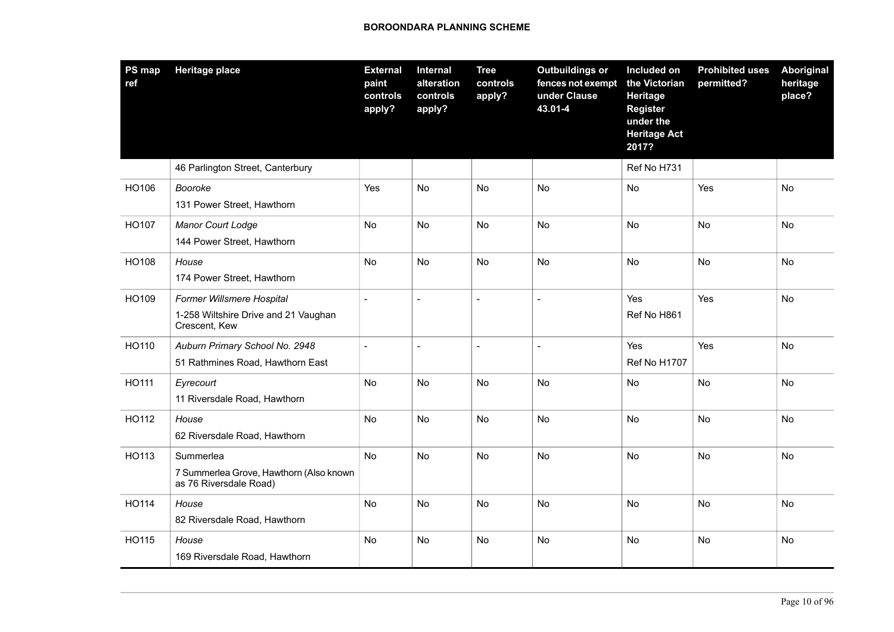| PS map<br>ref | <b>Heritage place</b>                                                              | <b>External</b><br>paint<br>controls<br>apply? | Internal<br>alteration<br>controls<br>apply? | <b>Tree</b><br>controls<br>apply? | <b>Outbuildings or</b><br>fences not exempt<br>under Clause<br>43.01-4 | Included on<br>the Victorian<br>Heritage<br><b>Register</b><br>under the<br><b>Heritage Act</b><br>2017? | <b>Prohibited uses</b><br>permitted? | Aboriginal<br>heritage<br>place? |
|---------------|------------------------------------------------------------------------------------|------------------------------------------------|----------------------------------------------|-----------------------------------|------------------------------------------------------------------------|----------------------------------------------------------------------------------------------------------|--------------------------------------|----------------------------------|
|               | 46 Parlington Street, Canterbury                                                   |                                                |                                              |                                   |                                                                        | Ref No H731                                                                                              |                                      |                                  |
| HO106         | Booroke<br>131 Power Street, Hawthorn                                              | Yes                                            | <b>No</b>                                    | No                                | <b>No</b>                                                              | <b>No</b>                                                                                                | Yes                                  | No                               |
| HO107         | <b>Manor Court Lodge</b><br>144 Power Street, Hawthorn                             | No                                             | No                                           | No                                | No                                                                     | No                                                                                                       | No                                   | <b>No</b>                        |
| HO108         | House<br>174 Power Street, Hawthorn                                                | No                                             | No                                           | No                                | No                                                                     | No                                                                                                       | No                                   | No                               |
| HO109         | Former Willsmere Hospital<br>1-258 Wiltshire Drive and 21 Vaughan<br>Crescent, Kew |                                                |                                              | $\overline{\phantom{a}}$          | $\overline{\phantom{a}}$                                               | Yes<br>Ref No H861                                                                                       | Yes                                  | <b>No</b>                        |
| HO110         | Auburn Primary School No. 2948<br>51 Rathmines Road, Hawthorn East                 |                                                | $\overline{a}$                               | $\overline{a}$                    |                                                                        | Yes<br><b>Ref No H1707</b>                                                                               | Yes                                  | No                               |
| HO111         | Eyrecourt<br>11 Riversdale Road, Hawthorn                                          | No                                             | No                                           | No                                | No                                                                     | No                                                                                                       | No                                   | No                               |
| HO112         | House<br>62 Riversdale Road, Hawthorn                                              | No                                             | No                                           | No                                | <b>No</b>                                                              | <b>No</b>                                                                                                | No                                   | No                               |
| HO113         | Summerlea<br>7 Summerlea Grove, Hawthorn (Also known<br>as 76 Riversdale Road)     | <b>No</b>                                      | No                                           | No                                | <b>No</b>                                                              | <b>No</b>                                                                                                | <b>No</b>                            | <b>No</b>                        |
| HO114         | House<br>82 Riversdale Road, Hawthorn                                              | No                                             | No                                           | No                                | No                                                                     | No                                                                                                       | No                                   | No                               |
| HO115         | House<br>169 Riversdale Road, Hawthorn                                             | No                                             | No                                           | No                                | No                                                                     | No                                                                                                       | No                                   | No                               |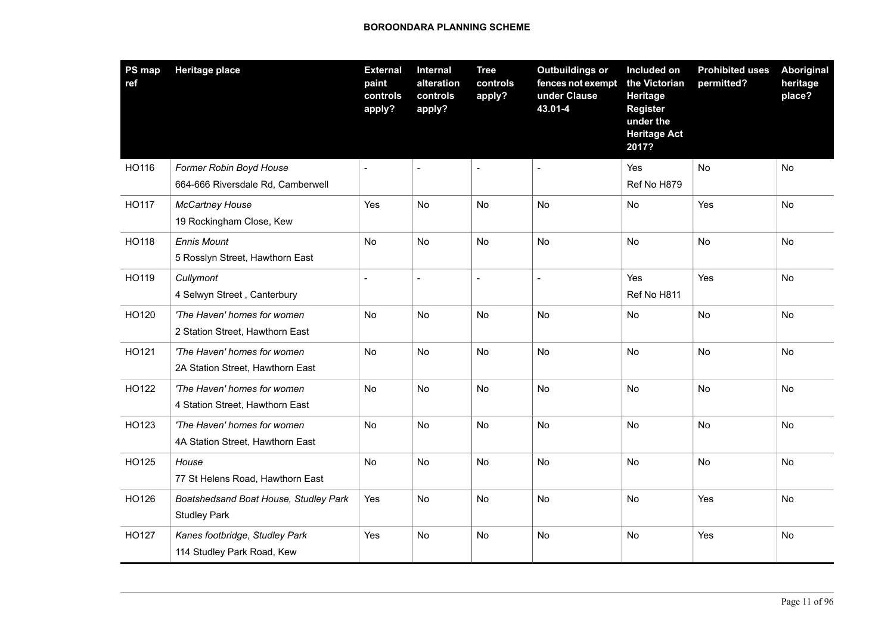| PS map<br>ref | <b>Heritage place</b>                                           | <b>External</b><br>paint<br>controls<br>apply? | Internal<br>alteration<br>controls<br>apply? | <b>Tree</b><br>controls<br>apply? | <b>Outbuildings or</b><br>fences not exempt<br>under Clause<br>43.01-4 | Included on<br>the Victorian<br>Heritage<br><b>Register</b><br>under the<br><b>Heritage Act</b><br>2017? | <b>Prohibited uses</b><br>permitted? | Aboriginal<br>heritage<br>place? |
|---------------|-----------------------------------------------------------------|------------------------------------------------|----------------------------------------------|-----------------------------------|------------------------------------------------------------------------|----------------------------------------------------------------------------------------------------------|--------------------------------------|----------------------------------|
| HO116         | Former Robin Boyd House<br>664-666 Riversdale Rd, Camberwell    |                                                |                                              | $\overline{a}$                    |                                                                        | Yes<br>Ref No H879                                                                                       | No                                   | No                               |
| <b>HO117</b>  | <b>McCartney House</b><br>19 Rockingham Close, Kew              | Yes                                            | <b>No</b>                                    | No                                | <b>No</b>                                                              | No                                                                                                       | Yes                                  | <b>No</b>                        |
| HO118         | <b>Ennis Mount</b><br>5 Rosslyn Street, Hawthorn East           | No                                             | No                                           | <b>No</b>                         | <b>No</b>                                                              | No                                                                                                       | <b>No</b>                            | <b>No</b>                        |
| HO119         | Cullymont<br>4 Selwyn Street, Canterbury                        | $\blacksquare$                                 | $\sim$                                       | $\overline{a}$                    | $\overline{a}$                                                         | Yes<br>Ref No H811                                                                                       | Yes                                  | <b>No</b>                        |
| HO120         | 'The Haven' homes for women<br>2 Station Street, Hawthorn East  | No                                             | No                                           | No                                | No                                                                     | No                                                                                                       | No                                   | No                               |
| HO121         | 'The Haven' homes for women<br>2A Station Street, Hawthorn East | No                                             | <b>No</b>                                    | <b>No</b>                         | <b>No</b>                                                              | <b>No</b>                                                                                                | <b>No</b>                            | <b>No</b>                        |
| HO122         | 'The Haven' homes for women<br>4 Station Street, Hawthorn East  | No                                             | No                                           | No                                | No                                                                     | No                                                                                                       | <b>No</b>                            | No                               |
| HO123         | 'The Haven' homes for women<br>4A Station Street, Hawthorn East | No                                             | <b>No</b>                                    | <b>No</b>                         | <b>No</b>                                                              | <b>No</b>                                                                                                | <b>No</b>                            | <b>No</b>                        |
| HO125         | House<br>77 St Helens Road, Hawthorn East                       | No                                             | No                                           | No                                | No                                                                     | No                                                                                                       | No                                   | No                               |
| HO126         | Boatshedsand Boat House, Studley Park<br><b>Studley Park</b>    | Yes                                            | No                                           | No                                | No                                                                     | No                                                                                                       | Yes                                  | No                               |
| HO127         | Kanes footbridge, Studley Park<br>114 Studley Park Road, Kew    | Yes                                            | No                                           | No                                | No                                                                     | No                                                                                                       | Yes                                  | No                               |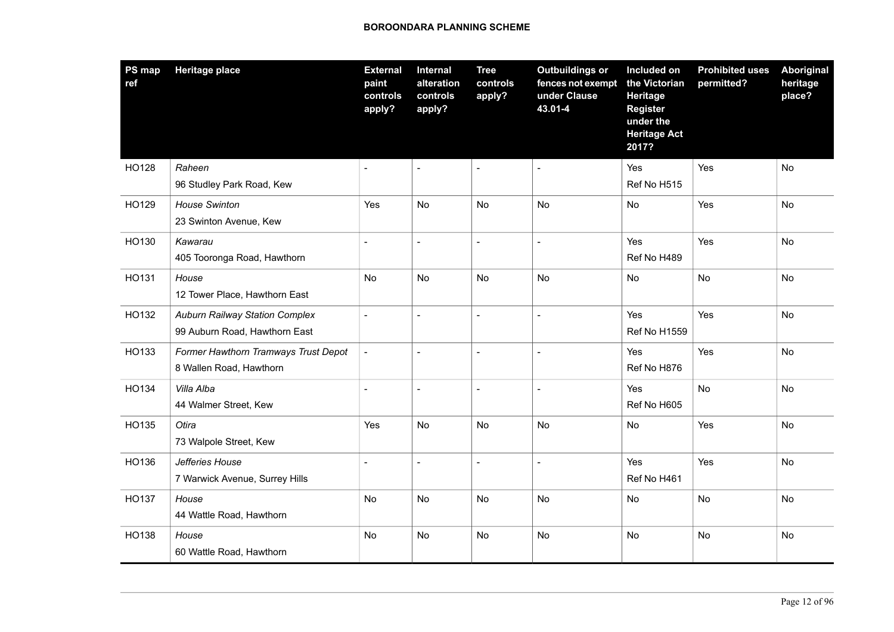| PS map<br>ref | <b>Heritage place</b>                                                  | <b>External</b><br>paint<br>controls<br>apply? | <b>Internal</b><br>alteration<br>controls<br>apply? | <b>Tree</b><br>controls<br>apply? | <b>Outbuildings or</b><br>fences not exempt<br>under Clause<br>43.01-4 | Included on<br>the Victorian<br>Heritage<br><b>Register</b><br>under the<br><b>Heritage Act</b><br>2017? | <b>Prohibited uses</b><br>permitted? | <b>Aboriginal</b><br>heritage<br>place? |
|---------------|------------------------------------------------------------------------|------------------------------------------------|-----------------------------------------------------|-----------------------------------|------------------------------------------------------------------------|----------------------------------------------------------------------------------------------------------|--------------------------------------|-----------------------------------------|
| HO128         | Raheen<br>96 Studley Park Road, Kew                                    |                                                |                                                     | $\sim$                            |                                                                        | Yes<br>Ref No H515                                                                                       | Yes                                  | No                                      |
| HO129         | <b>House Swinton</b><br>23 Swinton Avenue, Kew                         | Yes                                            | No                                                  | No                                | No                                                                     | No                                                                                                       | Yes                                  | No                                      |
| HO130         | Kawarau<br>405 Tooronga Road, Hawthorn                                 |                                                | $\overline{a}$                                      | $\sim$                            |                                                                        | Yes<br>Ref No H489                                                                                       | Yes                                  | <b>No</b>                               |
| HO131         | House<br>12 Tower Place, Hawthorn East                                 | No                                             | No                                                  | No                                | No                                                                     | No                                                                                                       | No                                   | No                                      |
| HO132         | <b>Auburn Railway Station Complex</b><br>99 Auburn Road, Hawthorn East |                                                |                                                     | $\sim$                            |                                                                        | Yes<br><b>Ref No H1559</b>                                                                               | Yes                                  | <b>No</b>                               |
| HO133         | Former Hawthorn Tramways Trust Depot<br>8 Wallen Road, Hawthorn        | $\blacksquare$                                 | $\overline{a}$                                      | $\sim$                            |                                                                        | Yes<br>Ref No H876                                                                                       | Yes                                  | No                                      |
| HO134         | Villa Alba<br>44 Walmer Street, Kew                                    |                                                | $\overline{a}$                                      | $\sim$                            |                                                                        | Yes<br>Ref No H605                                                                                       | <b>No</b>                            | <b>No</b>                               |
| HO135         | Otira<br>73 Walpole Street, Kew                                        | Yes                                            | <b>No</b>                                           | No                                | No                                                                     | No                                                                                                       | Yes                                  | <b>No</b>                               |
| HO136         | Jefferies House<br>7 Warwick Avenue, Surrey Hills                      | $\overline{a}$                                 | $\overline{a}$                                      | $\sim$                            |                                                                        | Yes<br>Ref No H461                                                                                       | Yes                                  | No                                      |
| HO137         | House<br>44 Wattle Road, Hawthorn                                      | No                                             | No                                                  | No                                | No                                                                     | No                                                                                                       | No                                   | No                                      |
| HO138         | House<br>60 Wattle Road, Hawthorn                                      | No                                             | No                                                  | No                                | No                                                                     | No                                                                                                       | <b>No</b>                            | No                                      |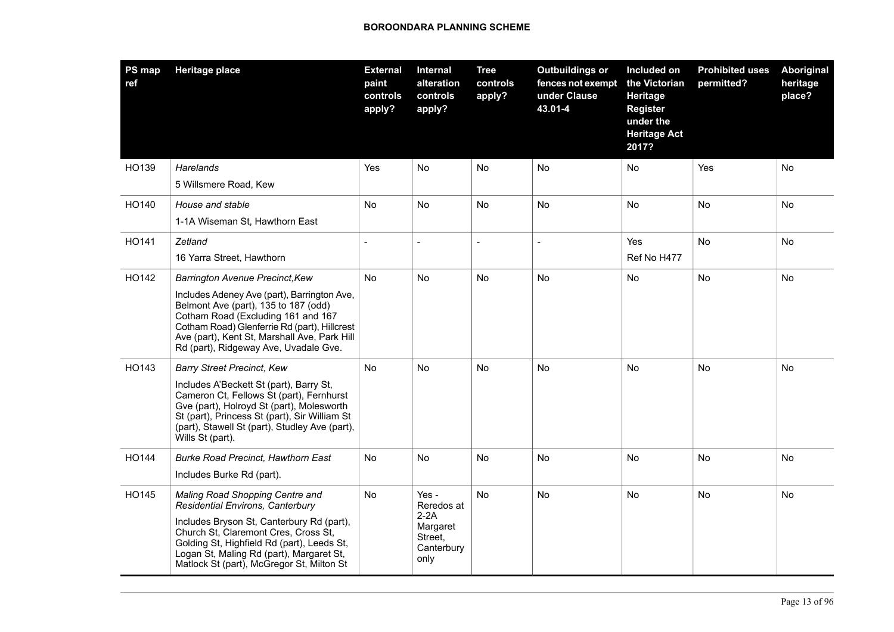| PS map<br>ref | <b>Heritage place</b>                                                                                                                                                                                                                                                                                 | <b>External</b><br>paint<br>controls<br>apply? | Internal<br>alteration<br>controls<br>apply?                               | <b>Tree</b><br>controls<br>apply? | <b>Outbuildings or</b><br>fences not exempt<br>under Clause<br>43.01-4 | Included on<br>the Victorian<br>Heritage<br><b>Register</b><br>under the<br><b>Heritage Act</b><br>2017? | <b>Prohibited uses</b><br>permitted? | Aboriginal<br>heritage<br>place? |
|---------------|-------------------------------------------------------------------------------------------------------------------------------------------------------------------------------------------------------------------------------------------------------------------------------------------------------|------------------------------------------------|----------------------------------------------------------------------------|-----------------------------------|------------------------------------------------------------------------|----------------------------------------------------------------------------------------------------------|--------------------------------------|----------------------------------|
| HO139         | Harelands<br>5 Willsmere Road, Kew                                                                                                                                                                                                                                                                    | Yes                                            | No                                                                         | No                                | <b>No</b>                                                              | No                                                                                                       | Yes                                  | No                               |
| HO140         | House and stable<br>1-1A Wiseman St, Hawthorn East                                                                                                                                                                                                                                                    | <b>No</b>                                      | <b>No</b>                                                                  | <b>No</b>                         | <b>No</b>                                                              | <b>No</b>                                                                                                | <b>No</b>                            | <b>No</b>                        |
| HO141         | Zetland<br>16 Yarra Street, Hawthorn                                                                                                                                                                                                                                                                  | $\overline{a}$                                 |                                                                            | $\overline{a}$                    |                                                                        | Yes<br>Ref No H477                                                                                       | <b>No</b>                            | No                               |
| HO142         | Barrington Avenue Precinct, Kew<br>Includes Adeney Ave (part), Barrington Ave,<br>Belmont Ave (part), 135 to 187 (odd)<br>Cotham Road (Excluding 161 and 167<br>Cotham Road) Glenferrie Rd (part), Hillcrest<br>Ave (part), Kent St, Marshall Ave, Park Hill<br>Rd (part), Ridgeway Ave, Uvadale Gve. | No                                             | <b>No</b>                                                                  | No                                | <b>No</b>                                                              | No                                                                                                       | <b>No</b>                            | No                               |
| HO143         | <b>Barry Street Precinct, Kew</b><br>Includes A'Beckett St (part), Barry St,<br>Cameron Ct, Fellows St (part), Fernhurst<br>Gve (part), Holroyd St (part), Molesworth<br>St (part), Princess St (part), Sir William St<br>(part), Stawell St (part), Studley Ave (part),<br>Wills St (part).          | <b>No</b>                                      | No                                                                         | No                                | No                                                                     | No                                                                                                       | No.                                  | No.                              |
| HO144         | <b>Burke Road Precinct, Hawthorn East</b><br>Includes Burke Rd (part).                                                                                                                                                                                                                                | No                                             | <b>No</b>                                                                  | No                                | No                                                                     | <b>No</b>                                                                                                | <b>No</b>                            | No                               |
| HO145         | Maling Road Shopping Centre and<br>Residential Environs, Canterbury<br>Includes Bryson St, Canterbury Rd (part),<br>Church St, Claremont Cres, Cross St,<br>Golding St, Highfield Rd (part), Leeds St,<br>Logan St, Maling Rd (part), Margaret St,<br>Matlock St (part), McGregor St, Milton St       | No                                             | Yes -<br>Reredos at<br>$2-2A$<br>Margaret<br>Street.<br>Canterbury<br>only | No                                | No                                                                     | <b>No</b>                                                                                                | No                                   | No.                              |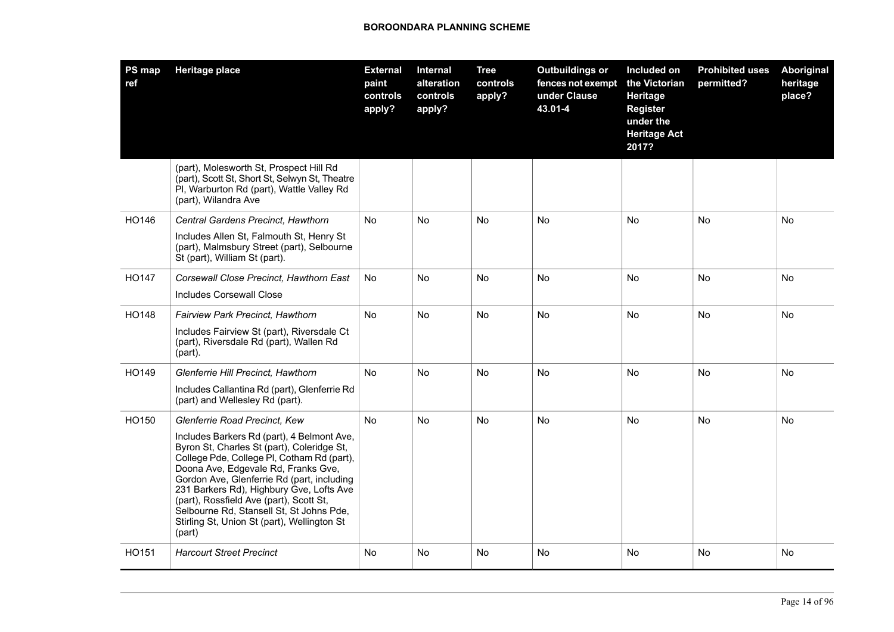| <b>PS map</b><br>ref | <b>Heritage place</b>                                                                                                                                                                                                                                                                                                                                                                                                   | <b>External</b><br>paint<br>controls<br>apply? | Internal<br>alteration<br>controls<br>apply? | <b>Tree</b><br>controls<br>apply? | <b>Outbuildings or</b><br>fences not exempt<br>under Clause<br>43.01-4 | Included on<br>the Victorian<br>Heritage<br><b>Register</b><br>under the<br><b>Heritage Act</b><br>2017? | <b>Prohibited uses</b><br>permitted? | Aboriginal<br>heritage<br>place? |
|----------------------|-------------------------------------------------------------------------------------------------------------------------------------------------------------------------------------------------------------------------------------------------------------------------------------------------------------------------------------------------------------------------------------------------------------------------|------------------------------------------------|----------------------------------------------|-----------------------------------|------------------------------------------------------------------------|----------------------------------------------------------------------------------------------------------|--------------------------------------|----------------------------------|
|                      | (part), Molesworth St, Prospect Hill Rd<br>(part), Scott St, Short St, Selwyn St, Theatre<br>PI, Warburton Rd (part), Wattle Valley Rd<br>(part), Wilandra Ave                                                                                                                                                                                                                                                          |                                                |                                              |                                   |                                                                        |                                                                                                          |                                      |                                  |
| HO146                | Central Gardens Precinct, Hawthorn                                                                                                                                                                                                                                                                                                                                                                                      | <b>No</b>                                      | <b>No</b>                                    | <b>No</b>                         | <b>No</b>                                                              | No                                                                                                       | <b>No</b>                            | <b>No</b>                        |
|                      | Includes Allen St, Falmouth St, Henry St<br>(part), Malmsbury Street (part), Selbourne<br>St (part), William St (part).                                                                                                                                                                                                                                                                                                 |                                                |                                              |                                   |                                                                        |                                                                                                          |                                      |                                  |
| HO147                | Corsewall Close Precinct, Hawthorn East                                                                                                                                                                                                                                                                                                                                                                                 | No.                                            | No.                                          | No                                | No                                                                     | No                                                                                                       | No                                   | No.                              |
|                      | <b>Includes Corsewall Close</b>                                                                                                                                                                                                                                                                                                                                                                                         |                                                |                                              |                                   |                                                                        |                                                                                                          |                                      |                                  |
| HO148                | Fairview Park Precinct, Hawthorn                                                                                                                                                                                                                                                                                                                                                                                        | No                                             | No                                           | No                                | No                                                                     | No                                                                                                       | No                                   | No                               |
|                      | Includes Fairview St (part), Riversdale Ct<br>(part), Riversdale Rd (part), Wallen Rd<br>(part).                                                                                                                                                                                                                                                                                                                        |                                                |                                              |                                   |                                                                        |                                                                                                          |                                      |                                  |
| HO149                | Glenferrie Hill Precinct, Hawthorn                                                                                                                                                                                                                                                                                                                                                                                      | No                                             | No.                                          | <b>No</b>                         | No                                                                     | No                                                                                                       | <b>No</b>                            | No.                              |
|                      | Includes Callantina Rd (part), Glenferrie Rd<br>(part) and Wellesley Rd (part).                                                                                                                                                                                                                                                                                                                                         |                                                |                                              |                                   |                                                                        |                                                                                                          |                                      |                                  |
| HO150                | Glenferrie Road Precinct, Kew                                                                                                                                                                                                                                                                                                                                                                                           | No                                             | No                                           | No                                | No                                                                     | No                                                                                                       | <b>No</b>                            | No                               |
|                      | Includes Barkers Rd (part), 4 Belmont Ave,<br>Byron St, Charles St (part), Coleridge St,<br>College Pde, College PI, Cotham Rd (part),<br>Doona Ave, Edgevale Rd, Franks Gve,<br>Gordon Ave, Glenferrie Rd (part, including<br>231 Barkers Rd), Highbury Gve, Lofts Ave<br>(part), Rossfield Ave (part), Scott St,<br>Selbourne Rd, Stansell St, St Johns Pde,<br>Stirling St, Union St (part), Wellington St<br>(part) |                                                |                                              |                                   |                                                                        |                                                                                                          |                                      |                                  |
| HO151                | <b>Harcourt Street Precinct</b>                                                                                                                                                                                                                                                                                                                                                                                         | No                                             | No                                           | No                                | No                                                                     | No                                                                                                       | No.                                  | No                               |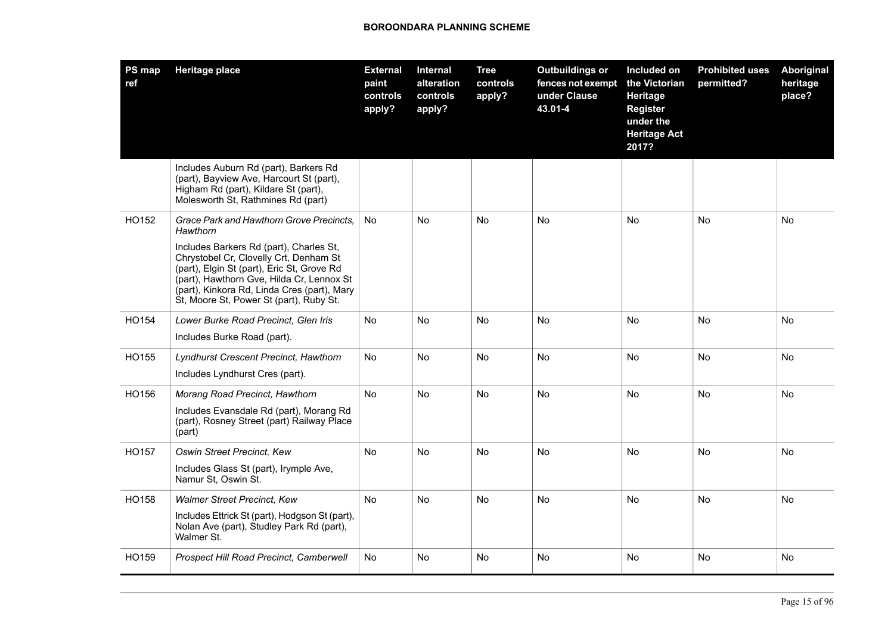| PS map<br>ref | <b>Heritage place</b>                                                                                                                                                                                                                                                                                                          | <b>External</b><br>paint<br>controls<br>apply? | Internal<br>alteration<br>controls<br>apply? | <b>Tree</b><br>controls<br>apply? | <b>Outbuildings or</b><br>fences not exempt<br>under Clause<br>43.01-4 | Included on<br>the Victorian<br>Heritage<br><b>Register</b><br>under the<br><b>Heritage Act</b><br>2017? | <b>Prohibited uses</b><br>permitted? | <b>Aboriginal</b><br>heritage<br>place? |
|---------------|--------------------------------------------------------------------------------------------------------------------------------------------------------------------------------------------------------------------------------------------------------------------------------------------------------------------------------|------------------------------------------------|----------------------------------------------|-----------------------------------|------------------------------------------------------------------------|----------------------------------------------------------------------------------------------------------|--------------------------------------|-----------------------------------------|
|               | Includes Auburn Rd (part), Barkers Rd<br>(part), Bayview Ave, Harcourt St (part),<br>Higham Rd (part), Kildare St (part),<br>Molesworth St, Rathmines Rd (part)                                                                                                                                                                |                                                |                                              |                                   |                                                                        |                                                                                                          |                                      |                                         |
| HO152         | Grace Park and Hawthorn Grove Precincts.<br>Hawthorn<br>Includes Barkers Rd (part), Charles St,<br>Chrystobel Cr, Clovelly Crt, Denham St<br>(part), Elgin St (part), Eric St, Grove Rd<br>(part), Hawthorn Gve, Hilda Cr, Lennox St<br>(part), Kinkora Rd, Linda Cres (part), Mary<br>St, Moore St, Power St (part), Ruby St. | No                                             | No                                           | No                                | <b>No</b>                                                              | <b>No</b>                                                                                                | <b>No</b>                            | <b>No</b>                               |
| HO154         | Lower Burke Road Precinct, Glen Iris<br>Includes Burke Road (part).                                                                                                                                                                                                                                                            | No                                             | No.                                          | No                                | No                                                                     | No                                                                                                       | No                                   | No                                      |
| HO155         | Lyndhurst Crescent Precinct, Hawthorn<br>Includes Lyndhurst Cres (part).                                                                                                                                                                                                                                                       | <b>No</b>                                      | <b>No</b>                                    | <b>No</b>                         | <b>No</b>                                                              | <b>No</b>                                                                                                | <b>No</b>                            | <b>No</b>                               |
| HO156         | Morang Road Precinct, Hawthorn<br>Includes Evansdale Rd (part), Morang Rd<br>(part), Rosney Street (part) Railway Place<br>(part)                                                                                                                                                                                              | No                                             | No                                           | No                                | <b>No</b>                                                              | <b>No</b>                                                                                                | No                                   | No                                      |
| HO157         | Oswin Street Precinct, Kew<br>Includes Glass St (part), Irymple Ave,<br>Namur St, Oswin St.                                                                                                                                                                                                                                    | No                                             | No.                                          | No                                | <b>No</b>                                                              | <b>No</b>                                                                                                | No                                   | No                                      |
| HO158         | <b>Walmer Street Precinct, Kew</b><br>Includes Ettrick St (part), Hodgson St (part),<br>Nolan Ave (part), Studley Park Rd (part),<br>Walmer St.                                                                                                                                                                                | No                                             | No.                                          | No                                | No                                                                     | <b>No</b>                                                                                                | No                                   | No                                      |
| HO159         | Prospect Hill Road Precinct, Camberwell                                                                                                                                                                                                                                                                                        | No                                             | No                                           | No                                | No                                                                     | No                                                                                                       | No                                   | No                                      |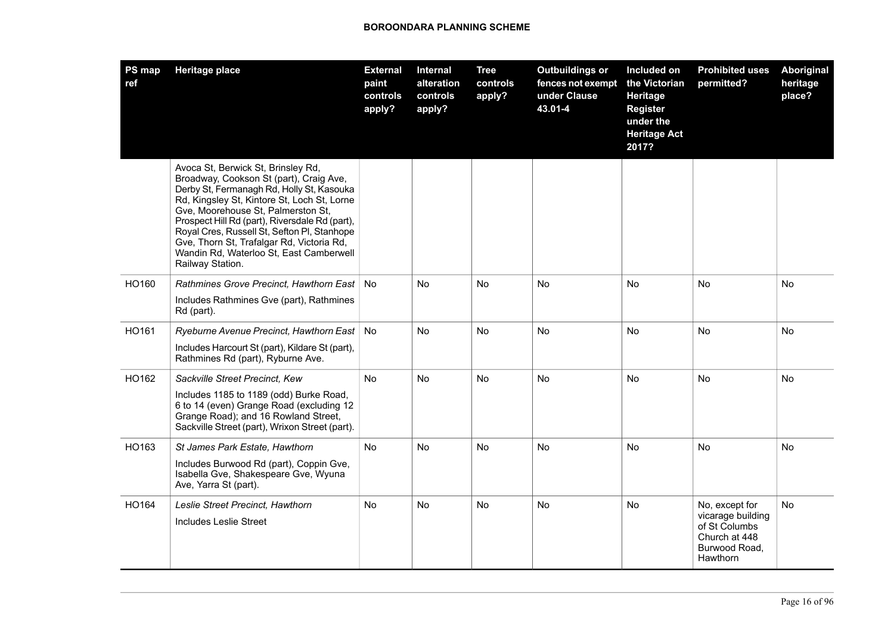| <b>PS map</b><br>ref | <b>Heritage place</b>                                                                                                                                                                                                                                                                                                                                                                                                        | <b>External</b><br>paint<br>controls<br>apply? | Internal<br>alteration<br>controls<br>apply? | <b>Tree</b><br>controls<br>apply? | <b>Outbuildings or</b><br>fences not exempt<br>under Clause<br>43.01-4 | Included on<br>the Victorian<br>Heritage<br><b>Register</b><br>under the<br><b>Heritage Act</b><br>2017? | <b>Prohibited uses</b><br>permitted?                                                               | Aboriginal<br>heritage<br>place? |
|----------------------|------------------------------------------------------------------------------------------------------------------------------------------------------------------------------------------------------------------------------------------------------------------------------------------------------------------------------------------------------------------------------------------------------------------------------|------------------------------------------------|----------------------------------------------|-----------------------------------|------------------------------------------------------------------------|----------------------------------------------------------------------------------------------------------|----------------------------------------------------------------------------------------------------|----------------------------------|
|                      | Avoca St, Berwick St, Brinsley Rd,<br>Broadway, Cookson St (part), Craig Ave,<br>Derby St, Fermanagh Rd, Holly St, Kasouka<br>Rd, Kingsley St, Kintore St, Loch St, Lorne<br>Gve, Moorehouse St, Palmerston St,<br>Prospect Hill Rd (part), Riversdale Rd (part),<br>Royal Cres, Russell St, Sefton Pl, Stanhope<br>Gve, Thorn St, Trafalgar Rd, Victoria Rd,<br>Wandin Rd, Waterloo St, East Camberwell<br>Railway Station. |                                                |                                              |                                   |                                                                        |                                                                                                          |                                                                                                    |                                  |
| HO160                | Rathmines Grove Precinct, Hawthorn East<br>Includes Rathmines Gve (part), Rathmines<br>Rd (part).                                                                                                                                                                                                                                                                                                                            | <b>No</b>                                      | No                                           | No                                | No                                                                     | No                                                                                                       | No                                                                                                 | No                               |
| HO161                | Ryeburne Avenue Precinct, Hawthorn East<br>Includes Harcourt St (part), Kildare St (part),<br>Rathmines Rd (part), Ryburne Ave.                                                                                                                                                                                                                                                                                              | No                                             | No                                           | No                                | No                                                                     | No                                                                                                       | No                                                                                                 | No                               |
| HO162                | Sackville Street Precinct, Kew<br>Includes 1185 to 1189 (odd) Burke Road,<br>6 to 14 (even) Grange Road (excluding 12<br>Grange Road); and 16 Rowland Street,<br>Sackville Street (part), Wrixon Street (part).                                                                                                                                                                                                              | No                                             | No                                           | No                                | No                                                                     | No                                                                                                       | No                                                                                                 | No                               |
| HO163                | St James Park Estate, Hawthorn<br>Includes Burwood Rd (part), Coppin Gve,<br>Isabella Gve, Shakespeare Gve, Wyuna<br>Ave, Yarra St (part).                                                                                                                                                                                                                                                                                   | <b>No</b>                                      | <b>No</b>                                    | <b>No</b>                         | <b>No</b>                                                              | <b>No</b>                                                                                                | <b>No</b>                                                                                          | <b>No</b>                        |
| HO164                | Leslie Street Precinct, Hawthorn<br>Includes Leslie Street                                                                                                                                                                                                                                                                                                                                                                   | <b>No</b>                                      | <b>No</b>                                    | <b>No</b>                         | No.                                                                    | <b>No</b>                                                                                                | No, except for<br>vicarage building<br>of St Columbs<br>Church at 448<br>Burwood Road,<br>Hawthorn | <b>No</b>                        |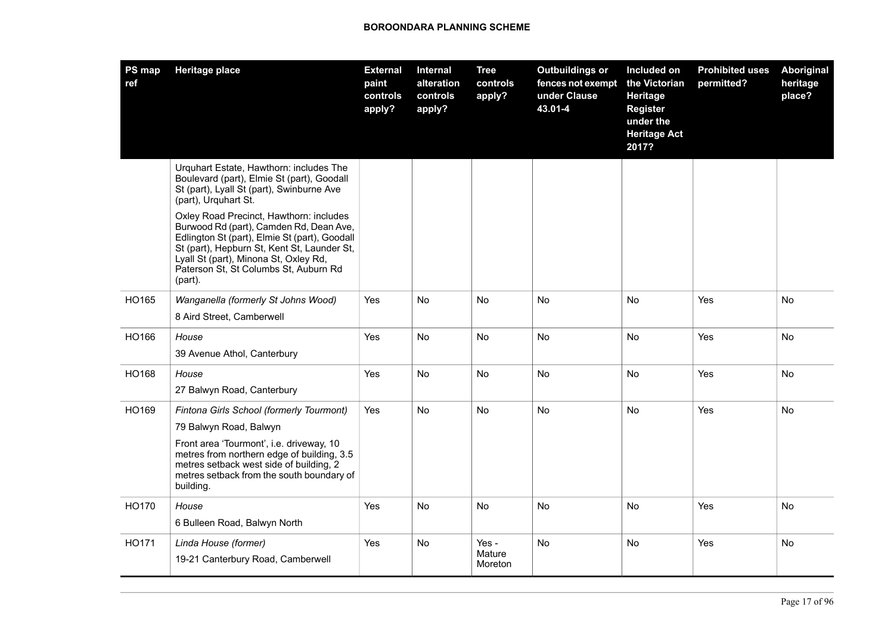| PS map<br>ref | <b>Heritage place</b>                                                                                                                                                                                                                                                           | <b>External</b><br>paint<br>controls<br>apply? | <b>Internal</b><br>alteration<br>controls<br>apply? | <b>Tree</b><br>controls<br>apply? | <b>Outbuildings or</b><br>fences not exempt<br>under Clause<br>43.01-4 | Included on<br>the Victorian<br>Heritage<br><b>Register</b><br>under the<br><b>Heritage Act</b><br>2017? | <b>Prohibited uses</b><br>permitted? | <b>Aboriginal</b><br>heritage<br>place? |
|---------------|---------------------------------------------------------------------------------------------------------------------------------------------------------------------------------------------------------------------------------------------------------------------------------|------------------------------------------------|-----------------------------------------------------|-----------------------------------|------------------------------------------------------------------------|----------------------------------------------------------------------------------------------------------|--------------------------------------|-----------------------------------------|
|               | Urguhart Estate, Hawthorn: includes The<br>Boulevard (part), Elmie St (part), Goodall<br>St (part), Lyall St (part), Swinburne Ave<br>(part), Urquhart St.                                                                                                                      |                                                |                                                     |                                   |                                                                        |                                                                                                          |                                      |                                         |
|               | Oxley Road Precinct, Hawthorn: includes<br>Burwood Rd (part), Camden Rd, Dean Ave,<br>Edlington St (part), Elmie St (part), Goodall<br>St (part), Hepburn St, Kent St, Launder St,<br>Lyall St (part), Minona St, Oxley Rd,<br>Paterson St, St Columbs St, Auburn Rd<br>(part). |                                                |                                                     |                                   |                                                                        |                                                                                                          |                                      |                                         |
| HO165         | Wanganella (formerly St Johns Wood)<br>8 Aird Street, Camberwell                                                                                                                                                                                                                | Yes                                            | <b>No</b>                                           | No                                | <b>No</b>                                                              | No                                                                                                       | Yes                                  | <b>No</b>                               |
| HO166         | House                                                                                                                                                                                                                                                                           | Yes                                            | No                                                  | No                                | No                                                                     | No                                                                                                       | Yes                                  | No                                      |
|               | 39 Avenue Athol, Canterbury                                                                                                                                                                                                                                                     |                                                |                                                     |                                   |                                                                        |                                                                                                          |                                      |                                         |
| HO168         | House<br>27 Balwyn Road, Canterbury                                                                                                                                                                                                                                             | Yes                                            | <b>No</b>                                           | No                                | No                                                                     | No                                                                                                       | Yes                                  | <b>No</b>                               |
| HO169         | Fintona Girls School (formerly Tourmont)<br>79 Balwyn Road, Balwyn<br>Front area 'Tourmont', i.e. driveway, 10<br>metres from northern edge of building, 3.5<br>metres setback west side of building, 2<br>metres setback from the south boundary of<br>building.               | Yes                                            | No                                                  | No                                | No                                                                     | No                                                                                                       | Yes                                  | No                                      |
| HO170         | House<br>6 Bulleen Road, Balwyn North                                                                                                                                                                                                                                           | Yes                                            | No                                                  | No                                | <b>No</b>                                                              | No                                                                                                       | Yes                                  | <b>No</b>                               |
| HO171         | Linda House (former)<br>19-21 Canterbury Road, Camberwell                                                                                                                                                                                                                       | Yes                                            | <b>No</b>                                           | Yes -<br>Mature<br>Moreton        | No                                                                     | No                                                                                                       | Yes                                  | No                                      |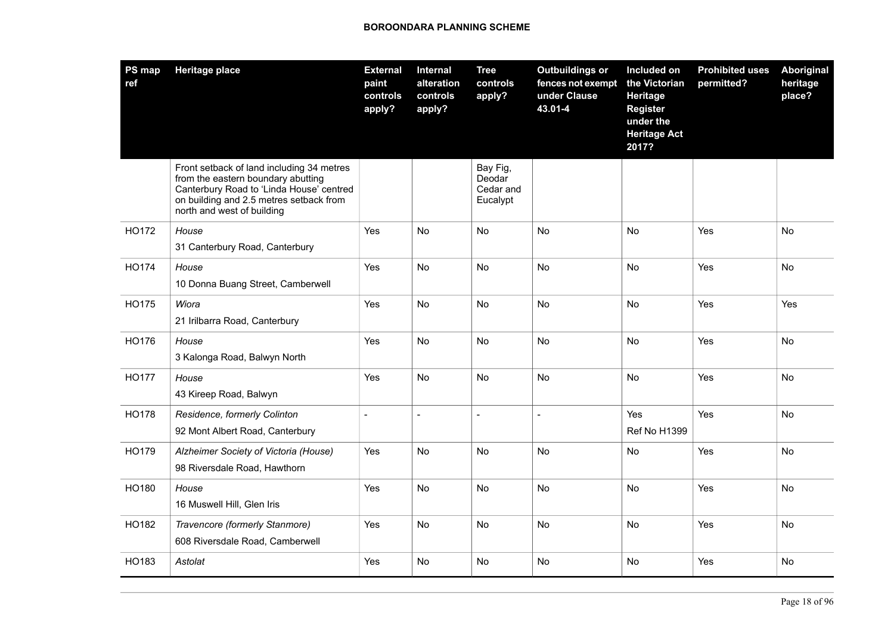| PS map<br>ref | <b>Heritage place</b>                                                                                                                                                                                | <b>External</b><br>paint<br>controls<br>apply? | Internal<br>alteration<br>controls<br>apply? | <b>Tree</b><br>controls<br>apply?           | <b>Outbuildings or</b><br>fences not exempt<br>under Clause<br>43.01-4 | Included on<br>the Victorian<br>Heritage<br><b>Register</b><br>under the<br><b>Heritage Act</b><br>2017? | <b>Prohibited uses</b><br>permitted? | Aboriginal<br>heritage<br>place? |
|---------------|------------------------------------------------------------------------------------------------------------------------------------------------------------------------------------------------------|------------------------------------------------|----------------------------------------------|---------------------------------------------|------------------------------------------------------------------------|----------------------------------------------------------------------------------------------------------|--------------------------------------|----------------------------------|
|               | Front setback of land including 34 metres<br>from the eastern boundary abutting<br>Canterbury Road to 'Linda House' centred<br>on building and 2.5 metres setback from<br>north and west of building |                                                |                                              | Bay Fig,<br>Deodar<br>Cedar and<br>Eucalypt |                                                                        |                                                                                                          |                                      |                                  |
| HO172         | House<br>31 Canterbury Road, Canterbury                                                                                                                                                              | Yes                                            | No.                                          | No                                          | No                                                                     | No                                                                                                       | Yes                                  | No                               |
| HO174         | House<br>10 Donna Buang Street, Camberwell                                                                                                                                                           | Yes                                            | No                                           | No                                          | No                                                                     | No                                                                                                       | Yes                                  | No                               |
| HO175         | Wiora<br>21 Irilbarra Road, Canterbury                                                                                                                                                               | Yes                                            | No                                           | No                                          | <b>No</b>                                                              | No                                                                                                       | Yes                                  | Yes                              |
| HO176         | House<br>3 Kalonga Road, Balwyn North                                                                                                                                                                | Yes                                            | No                                           | No                                          | No                                                                     | No                                                                                                       | Yes                                  | No                               |
| <b>HO177</b>  | House<br>43 Kireep Road, Balwyn                                                                                                                                                                      | Yes                                            | No                                           | No                                          | No                                                                     | No                                                                                                       | Yes                                  | No                               |
| <b>HO178</b>  | Residence, formerly Colinton<br>92 Mont Albert Road, Canterbury                                                                                                                                      |                                                | $\overline{a}$                               | $\overline{a}$                              |                                                                        | Yes<br><b>Ref No H1399</b>                                                                               | Yes                                  | No                               |
| HO179         | Alzheimer Society of Victoria (House)<br>98 Riversdale Road, Hawthorn                                                                                                                                | Yes                                            | No                                           | No                                          | <b>No</b>                                                              | No                                                                                                       | Yes                                  | <b>No</b>                        |
| HO180         | House<br>16 Muswell Hill, Glen Iris                                                                                                                                                                  | Yes                                            | No                                           | No                                          | <b>No</b>                                                              | No                                                                                                       | Yes                                  | No                               |
| HO182         | Travencore (formerly Stanmore)<br>608 Riversdale Road, Camberwell                                                                                                                                    | Yes                                            | No                                           | No                                          | No                                                                     | No                                                                                                       | Yes                                  | No                               |
| HO183         | Astolat                                                                                                                                                                                              | Yes                                            | No                                           | No                                          | <b>No</b>                                                              | No                                                                                                       | Yes                                  | No.                              |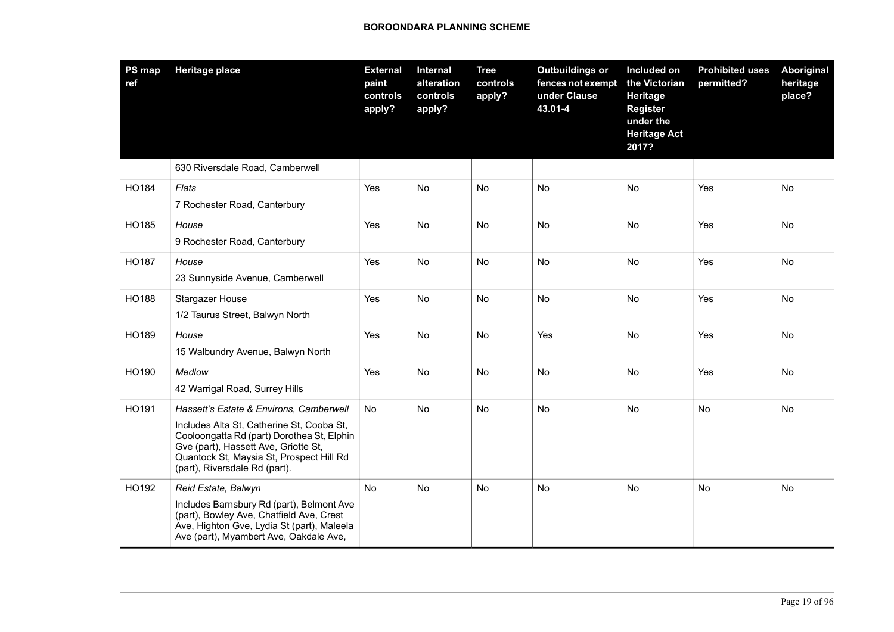| PS map<br>ref | <b>Heritage place</b>                                                                                                                                                                                                                                   | <b>External</b><br>paint<br>controls<br>apply? | Internal<br>alteration<br>controls<br>apply? | <b>Tree</b><br>controls<br>apply? | <b>Outbuildings or</b><br>fences not exempt<br>under Clause<br>43.01-4 | Included on<br>the Victorian<br>Heritage<br><b>Register</b><br>under the<br><b>Heritage Act</b><br>2017? | <b>Prohibited uses</b><br>permitted? | Aboriginal<br>heritage<br>place? |
|---------------|---------------------------------------------------------------------------------------------------------------------------------------------------------------------------------------------------------------------------------------------------------|------------------------------------------------|----------------------------------------------|-----------------------------------|------------------------------------------------------------------------|----------------------------------------------------------------------------------------------------------|--------------------------------------|----------------------------------|
|               | 630 Riversdale Road, Camberwell                                                                                                                                                                                                                         |                                                |                                              |                                   |                                                                        |                                                                                                          |                                      |                                  |
| HO184         | Flats<br>7 Rochester Road, Canterbury                                                                                                                                                                                                                   | Yes                                            | No                                           | No                                | No                                                                     | No                                                                                                       | Yes                                  | No                               |
| HO185         | House<br>9 Rochester Road, Canterbury                                                                                                                                                                                                                   | Yes                                            | No                                           | No                                | <b>No</b>                                                              | No                                                                                                       | Yes                                  | No                               |
| <b>HO187</b>  | House<br>23 Sunnyside Avenue, Camberwell                                                                                                                                                                                                                | Yes                                            | No                                           | No                                | <b>No</b>                                                              | No                                                                                                       | Yes                                  | No                               |
| HO188         | <b>Stargazer House</b><br>1/2 Taurus Street, Balwyn North                                                                                                                                                                                               | Yes                                            | No                                           | No                                | No                                                                     | No                                                                                                       | Yes                                  | No                               |
| HO189         | House<br>15 Walbundry Avenue, Balwyn North                                                                                                                                                                                                              | Yes                                            | No                                           | No                                | Yes                                                                    | No                                                                                                       | Yes                                  | No                               |
| HO190         | Medlow<br>42 Warrigal Road, Surrey Hills                                                                                                                                                                                                                | Yes                                            | No                                           | <b>No</b>                         | <b>No</b>                                                              | No                                                                                                       | Yes                                  | No                               |
| HO191         | Hassett's Estate & Environs, Camberwell<br>Includes Alta St, Catherine St, Cooba St,<br>Cooloongatta Rd (part) Dorothea St, Elphin<br>Gve (part), Hassett Ave, Griotte St,<br>Quantock St, Maysia St, Prospect Hill Rd<br>(part), Riversdale Rd (part). | No                                             | No                                           | No                                | <b>No</b>                                                              | <b>No</b>                                                                                                | No                                   | No                               |
| HO192         | Reid Estate, Balwyn<br>Includes Barnsbury Rd (part), Belmont Ave<br>(part), Bowley Ave, Chatfield Ave, Crest<br>Ave, Highton Gve, Lydia St (part), Maleela<br>Ave (part), Myambert Ave, Oakdale Ave,                                                    | No                                             | No                                           | No                                | No                                                                     | No                                                                                                       | No                                   | No                               |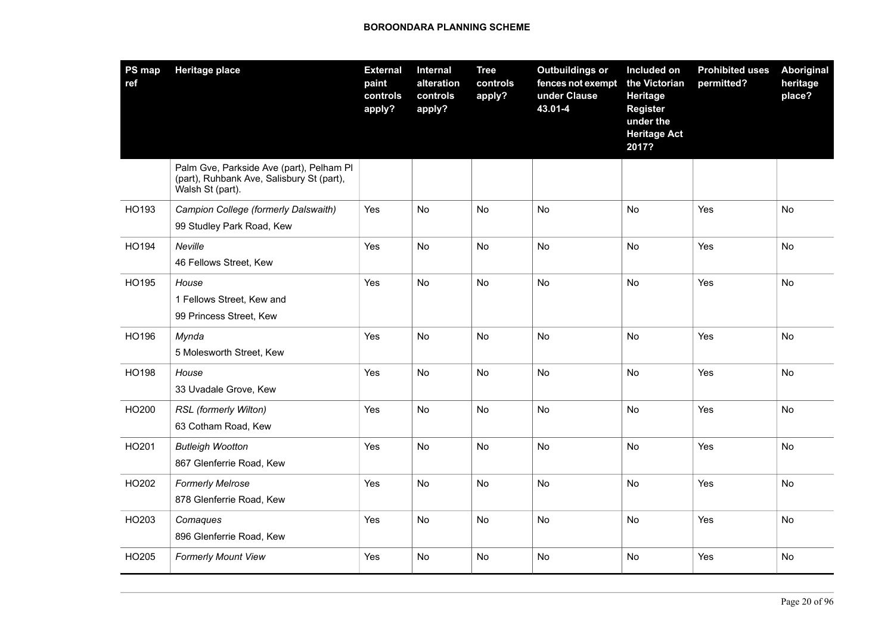| PS map<br>ref | <b>Heritage place</b>                                                                                     | <b>External</b><br>paint<br>controls<br>apply? | Internal<br>alteration<br>controls<br>apply? | <b>Tree</b><br>controls<br>apply? | <b>Outbuildings or</b><br>fences not exempt<br>under Clause<br>43.01-4 | Included on<br>the Victorian<br>Heritage<br><b>Register</b><br>under the<br><b>Heritage Act</b><br>2017? | <b>Prohibited uses</b><br>permitted? | Aboriginal<br>heritage<br>place? |
|---------------|-----------------------------------------------------------------------------------------------------------|------------------------------------------------|----------------------------------------------|-----------------------------------|------------------------------------------------------------------------|----------------------------------------------------------------------------------------------------------|--------------------------------------|----------------------------------|
|               | Palm Gve, Parkside Ave (part), Pelham Pl<br>(part), Ruhbank Ave, Salisbury St (part),<br>Walsh St (part). |                                                |                                              |                                   |                                                                        |                                                                                                          |                                      |                                  |
| HO193         | Campion College (formerly Dalswaith)                                                                      | Yes                                            | No                                           | No                                | <b>No</b>                                                              | No                                                                                                       | Yes                                  | <b>No</b>                        |
|               | 99 Studley Park Road, Kew                                                                                 |                                                |                                              |                                   |                                                                        |                                                                                                          |                                      |                                  |
| HO194         | Neville<br>46 Fellows Street, Kew                                                                         | Yes                                            | No                                           | No                                | No                                                                     | No                                                                                                       | Yes                                  | No                               |
| HO195         | House<br>1 Fellows Street, Kew and<br>99 Princess Street, Kew                                             | Yes                                            | No                                           | No                                | <b>No</b>                                                              | <b>No</b>                                                                                                | Yes                                  | <b>No</b>                        |
| HO196         | Mynda<br>5 Molesworth Street, Kew                                                                         | Yes                                            | No                                           | No                                | No                                                                     | No                                                                                                       | Yes                                  | No                               |
| HO198         | House<br>33 Uvadale Grove, Kew                                                                            | Yes                                            | No                                           | No                                | <b>No</b>                                                              | No                                                                                                       | Yes                                  | No                               |
| HO200         | RSL (formerly Wilton)<br>63 Cotham Road, Kew                                                              | Yes                                            | No                                           | <b>No</b>                         | <b>No</b>                                                              | No                                                                                                       | Yes                                  | No                               |
| HO201         | <b>Butleigh Wootton</b><br>867 Glenferrie Road, Kew                                                       | Yes                                            | No                                           | No                                | No                                                                     | No                                                                                                       | Yes                                  | No                               |
| HO202         | <b>Formerly Melrose</b><br>878 Glenferrie Road, Kew                                                       | Yes                                            | No                                           | No                                | No                                                                     | No                                                                                                       | Yes                                  | No                               |
| HO203         | Comaques<br>896 Glenferrie Road, Kew                                                                      | Yes                                            | No                                           | No                                | <b>No</b>                                                              | <b>No</b>                                                                                                | Yes                                  | No                               |
| HO205         | <b>Formerly Mount View</b>                                                                                | Yes                                            | No                                           | No                                | No                                                                     | No                                                                                                       | Yes                                  | No                               |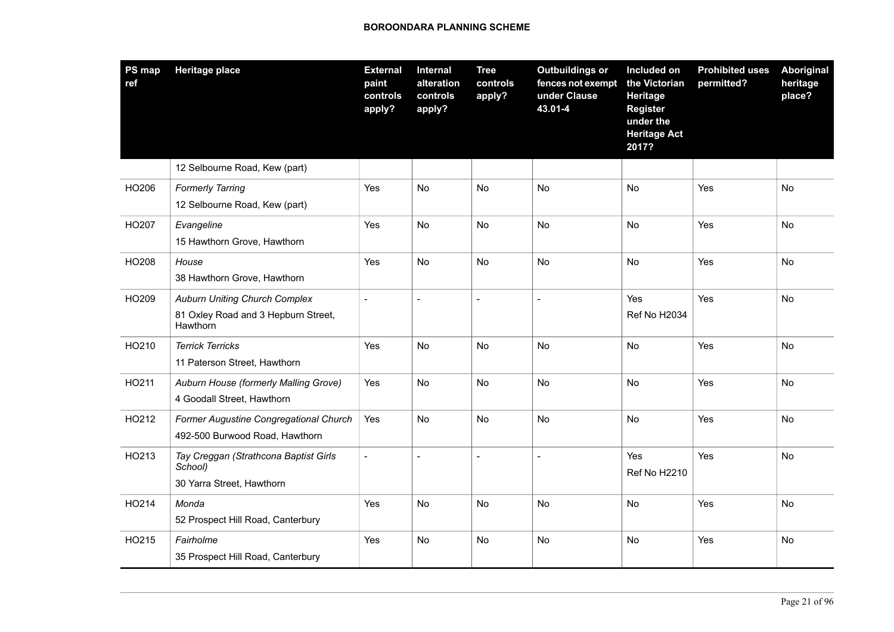| PS map<br>ref | <b>Heritage place</b>                                                                   | <b>External</b><br>paint<br>controls<br>apply? | Internal<br>alteration<br>controls<br>apply? | <b>Tree</b><br>controls<br>apply? | <b>Outbuildings or</b><br>fences not exempt<br>under Clause<br>43.01-4 | Included on<br>the Victorian<br><b>Heritage</b><br><b>Register</b><br>under the<br><b>Heritage Act</b><br>2017? | <b>Prohibited uses</b><br>permitted? | Aboriginal<br>heritage<br>place? |
|---------------|-----------------------------------------------------------------------------------------|------------------------------------------------|----------------------------------------------|-----------------------------------|------------------------------------------------------------------------|-----------------------------------------------------------------------------------------------------------------|--------------------------------------|----------------------------------|
|               | 12 Selbourne Road, Kew (part)                                                           |                                                |                                              |                                   |                                                                        |                                                                                                                 |                                      |                                  |
| HO206         | <b>Formerly Tarring</b><br>12 Selbourne Road, Kew (part)                                | Yes                                            | <b>No</b>                                    | No                                | <b>No</b>                                                              | <b>No</b>                                                                                                       | Yes                                  | <b>No</b>                        |
| HO207         | Evangeline<br>15 Hawthorn Grove, Hawthorn                                               | Yes                                            | No                                           | No                                | No                                                                     | No                                                                                                              | Yes                                  | No                               |
| HO208         | House<br>38 Hawthorn Grove, Hawthorn                                                    | Yes                                            | No                                           | No                                | <b>No</b>                                                              | No                                                                                                              | Yes                                  | No                               |
| HO209         | <b>Auburn Uniting Church Complex</b><br>81 Oxley Road and 3 Hepburn Street,<br>Hawthorn | $\overline{\phantom{0}}$                       | $\overline{a}$                               | $\blacksquare$                    | $\sim$                                                                 | Yes<br><b>Ref No H2034</b>                                                                                      | Yes                                  | <b>No</b>                        |
| HO210         | <b>Terrick Terricks</b><br>11 Paterson Street, Hawthorn                                 | Yes                                            | No                                           | No                                | No                                                                     | No                                                                                                              | Yes                                  | No                               |
| HO211         | Auburn House (formerly Malling Grove)<br>4 Goodall Street, Hawthorn                     | Yes                                            | No                                           | No                                | No                                                                     | No                                                                                                              | Yes                                  | No                               |
| HO212         | Former Augustine Congregational Church<br>492-500 Burwood Road, Hawthorn                | Yes                                            | <b>No</b>                                    | <b>No</b>                         | <b>No</b>                                                              | <b>No</b>                                                                                                       | Yes                                  | No                               |
| HO213         | Tay Creggan (Strathcona Baptist Girls<br>School)<br>30 Yarra Street, Hawthorn           | $\overline{a}$                                 | $\overline{a}$                               | $\overline{a}$                    | $\sim$                                                                 | Yes<br><b>Ref No H2210</b>                                                                                      | Yes                                  | No                               |
| HO214         | Monda<br>52 Prospect Hill Road, Canterbury                                              | Yes                                            | No                                           | No                                | No                                                                     | No                                                                                                              | Yes                                  | No                               |
| HO215         | Fairholme<br>35 Prospect Hill Road, Canterbury                                          | Yes                                            | No                                           | <b>No</b>                         | No                                                                     | No                                                                                                              | Yes                                  | No                               |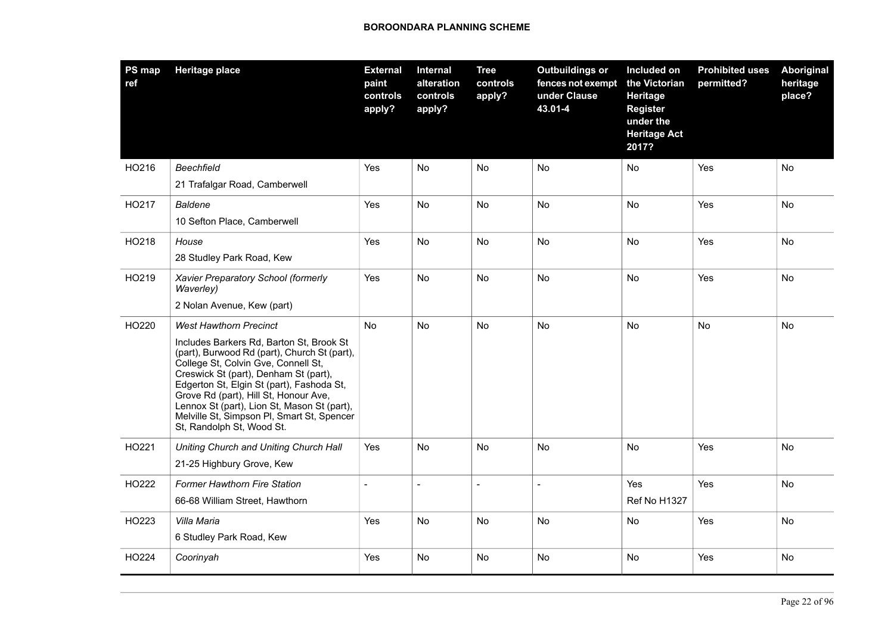| <b>PS map</b><br>ref | <b>Heritage place</b>                                                                                                                                                                                                                                                                                                                                                                                                     | <b>External</b><br>paint<br>controls<br>apply? | <b>Internal</b><br>alteration<br>controls<br>apply? | <b>Tree</b><br>controls<br>apply? | <b>Outbuildings or</b><br>fences not exempt<br>under Clause<br>43.01-4 | Included on<br>the Victorian<br>Heritage<br><b>Register</b><br>under the<br><b>Heritage Act</b><br>2017? | <b>Prohibited uses</b><br>permitted? | <b>Aboriginal</b><br>heritage<br>place? |
|----------------------|---------------------------------------------------------------------------------------------------------------------------------------------------------------------------------------------------------------------------------------------------------------------------------------------------------------------------------------------------------------------------------------------------------------------------|------------------------------------------------|-----------------------------------------------------|-----------------------------------|------------------------------------------------------------------------|----------------------------------------------------------------------------------------------------------|--------------------------------------|-----------------------------------------|
| HO216                | <b>Beechfield</b><br>21 Trafalgar Road, Camberwell                                                                                                                                                                                                                                                                                                                                                                        | Yes                                            | No                                                  | No                                | No                                                                     | No                                                                                                       | Yes                                  | No                                      |
| HO217                | <b>Baldene</b><br>10 Sefton Place, Camberwell                                                                                                                                                                                                                                                                                                                                                                             | Yes                                            | No                                                  | <b>No</b>                         | <b>No</b>                                                              | No.                                                                                                      | Yes                                  | <b>No</b>                               |
| HO218                | House<br>28 Studley Park Road, Kew                                                                                                                                                                                                                                                                                                                                                                                        | Yes                                            | No                                                  | No                                | No                                                                     | No                                                                                                       | Yes                                  | No                                      |
| HO219                | Xavier Preparatory School (formerly<br>Waverley)<br>2 Nolan Avenue, Kew (part)                                                                                                                                                                                                                                                                                                                                            | Yes                                            | No                                                  | No                                | No                                                                     | No                                                                                                       | Yes                                  | No                                      |
| HO220                | <b>West Hawthorn Precinct</b><br>Includes Barkers Rd, Barton St, Brook St<br>(part), Burwood Rd (part), Church St (part),<br>College St, Colvin Gve, Connell St,<br>Creswick St (part), Denham St (part),<br>Edgerton St, Elgin St (part), Fashoda St,<br>Grove Rd (part), Hill St, Honour Ave,<br>Lennox St (part), Lion St, Mason St (part),<br>Melville St, Simpson PI, Smart St, Spencer<br>St, Randolph St, Wood St. | No                                             | No                                                  | No                                | No                                                                     | No                                                                                                       | No                                   | No                                      |
| HO221                | Uniting Church and Uniting Church Hall<br>21-25 Highbury Grove, Kew                                                                                                                                                                                                                                                                                                                                                       | Yes                                            | No                                                  | No                                | No                                                                     | No                                                                                                       | Yes                                  | No                                      |
| HO222                | <b>Former Hawthorn Fire Station</b><br>66-68 William Street, Hawthorn                                                                                                                                                                                                                                                                                                                                                     | $\overline{a}$                                 | $\overline{a}$                                      | $\blacksquare$                    | $\overline{a}$                                                         | Yes<br><b>Ref No H1327</b>                                                                               | Yes                                  | No                                      |
| HO223                | Villa Maria<br>6 Studley Park Road, Kew                                                                                                                                                                                                                                                                                                                                                                                   | Yes                                            | <b>No</b>                                           | <b>No</b>                         | <b>No</b>                                                              | <b>No</b>                                                                                                | Yes                                  | <b>No</b>                               |
| HO224                | Coorinyah                                                                                                                                                                                                                                                                                                                                                                                                                 | Yes                                            | No                                                  | No                                | No                                                                     | No                                                                                                       | Yes                                  | No                                      |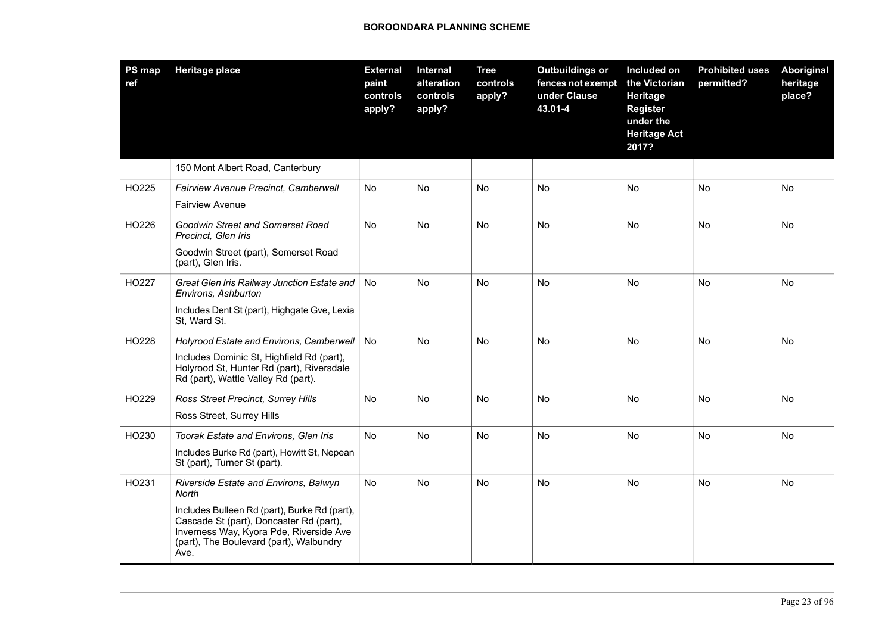| PS map<br>ref | <b>Heritage place</b>                                                                                                                                                                                                                   | <b>External</b><br>paint<br>controls<br>apply? | Internal<br>alteration<br>controls<br>apply? | <b>Tree</b><br>controls<br>apply? | <b>Outbuildings or</b><br>fences not exempt<br>under Clause<br>43.01-4 | Included on<br>the Victorian<br>Heritage<br><b>Register</b><br>under the<br><b>Heritage Act</b><br>2017? | <b>Prohibited uses</b><br>permitted? | <b>Aboriginal</b><br>heritage<br>place? |
|---------------|-----------------------------------------------------------------------------------------------------------------------------------------------------------------------------------------------------------------------------------------|------------------------------------------------|----------------------------------------------|-----------------------------------|------------------------------------------------------------------------|----------------------------------------------------------------------------------------------------------|--------------------------------------|-----------------------------------------|
|               | 150 Mont Albert Road, Canterbury                                                                                                                                                                                                        |                                                |                                              |                                   |                                                                        |                                                                                                          |                                      |                                         |
| HO225         | Fairview Avenue Precinct, Camberwell<br><b>Fairview Avenue</b>                                                                                                                                                                          | No                                             | No                                           | No                                | No                                                                     | <b>No</b>                                                                                                | No                                   | No                                      |
| HO226         | Goodwin Street and Somerset Road<br>Precinct, Glen Iris<br>Goodwin Street (part), Somerset Road<br>(part), Glen Iris.                                                                                                                   | No                                             | No                                           | No                                | No                                                                     | No                                                                                                       | No                                   | No                                      |
| HO227         | Great Glen Iris Railway Junction Estate and<br>Environs, Ashburton<br>Includes Dent St (part), Highgate Gve, Lexia<br>St, Ward St.                                                                                                      | No                                             | No                                           | No                                | No                                                                     | <b>No</b>                                                                                                | No                                   | No                                      |
| HO228         | Holyrood Estate and Environs, Camberwell<br>Includes Dominic St, Highfield Rd (part),<br>Holyrood St, Hunter Rd (part), Riversdale<br>Rd (part), Wattle Valley Rd (part).                                                               | No                                             | <b>No</b>                                    | No                                | <b>No</b>                                                              | <b>No</b>                                                                                                | <b>No</b>                            | <b>No</b>                               |
| HO229         | <b>Ross Street Precinct, Surrey Hills</b><br>Ross Street, Surrey Hills                                                                                                                                                                  | No                                             | No                                           | No                                | No                                                                     | No                                                                                                       | No                                   | No                                      |
| HO230         | Toorak Estate and Environs, Glen Iris<br>Includes Burke Rd (part), Howitt St, Nepean<br>St (part), Turner St (part).                                                                                                                    | No                                             | No                                           | No                                | No                                                                     | <b>No</b>                                                                                                | No                                   | No                                      |
| HO231         | Riverside Estate and Environs, Balwyn<br>North<br>Includes Bulleen Rd (part), Burke Rd (part),<br>Cascade St (part), Doncaster Rd (part),<br>Inverness Way, Kyora Pde, Riverside Ave<br>(part), The Boulevard (part), Walbundry<br>Ave. | No                                             | No                                           | No                                | No                                                                     | <b>No</b>                                                                                                | No                                   | No                                      |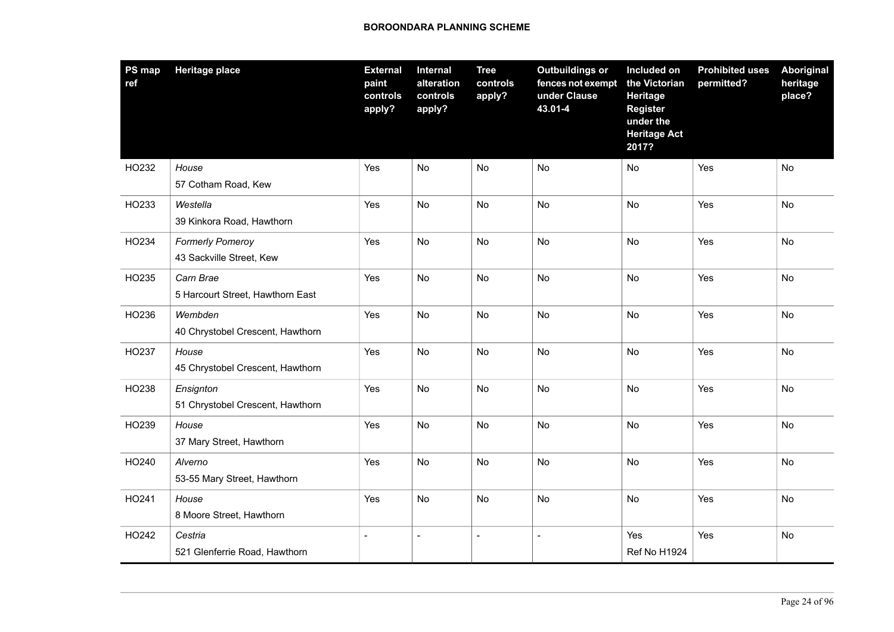| PS map<br>ref | <b>Heritage place</b>                         | <b>External</b><br>paint<br>controls<br>apply? | Internal<br>alteration<br>controls<br>apply? | <b>Tree</b><br>controls<br>apply? | <b>Outbuildings or</b><br>fences not exempt<br>under Clause<br>43.01-4 | Included on<br>the Victorian<br>Heritage<br><b>Register</b><br>under the<br><b>Heritage Act</b><br>2017? | <b>Prohibited uses</b><br>permitted? | Aboriginal<br>heritage<br>place? |
|---------------|-----------------------------------------------|------------------------------------------------|----------------------------------------------|-----------------------------------|------------------------------------------------------------------------|----------------------------------------------------------------------------------------------------------|--------------------------------------|----------------------------------|
| HO232         | House<br>57 Cotham Road, Kew                  | Yes                                            | <b>No</b>                                    | No                                | No                                                                     | No                                                                                                       | Yes                                  | No                               |
| HO233         | Westella<br>39 Kinkora Road, Hawthorn         | Yes                                            | No                                           | No                                | No                                                                     | No                                                                                                       | Yes                                  | No                               |
| HO234         | Formerly Pomeroy<br>43 Sackville Street, Kew  | Yes                                            | <b>No</b>                                    | <b>No</b>                         | <b>No</b>                                                              | <b>No</b>                                                                                                | Yes                                  | <b>No</b>                        |
| HO235         | Carn Brae<br>5 Harcourt Street, Hawthorn East | Yes                                            | No                                           | No                                | No                                                                     | No                                                                                                       | Yes                                  | No                               |
| HO236         | Wembden<br>40 Chrystobel Crescent, Hawthorn   | Yes                                            | No                                           | No                                | <b>No</b>                                                              | <b>No</b>                                                                                                | Yes                                  | No                               |
| HO237         | House<br>45 Chrystobel Crescent, Hawthorn     | Yes                                            | No                                           | No                                | No                                                                     | No                                                                                                       | Yes                                  | No                               |
| HO238         | Ensignton<br>51 Chrystobel Crescent, Hawthorn | Yes                                            | No                                           | No                                | <b>No</b>                                                              | <b>No</b>                                                                                                | Yes                                  | <b>No</b>                        |
| HO239         | House<br>37 Mary Street, Hawthorn             | Yes                                            | No                                           | No                                | No                                                                     | No                                                                                                       | Yes                                  | No                               |
| HO240         | Alverno<br>53-55 Mary Street, Hawthorn        | Yes                                            | No                                           | No                                | No                                                                     | No                                                                                                       | Yes                                  | No                               |
| HO241         | House<br>8 Moore Street, Hawthorn             | Yes                                            | No                                           | No                                | No                                                                     | No                                                                                                       | Yes                                  | No                               |
| HO242         | Cestria<br>521 Glenferrie Road, Hawthorn      |                                                |                                              | $\overline{\phantom{a}}$          |                                                                        | Yes<br>Ref No H1924                                                                                      | Yes                                  | No                               |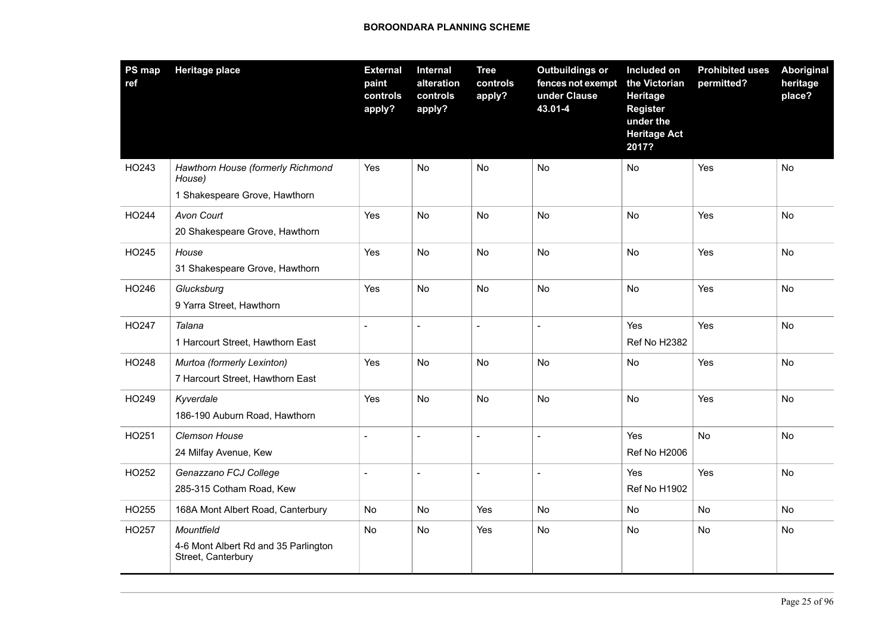| <b>PS map</b><br>ref | <b>Heritage place</b>                                                        | <b>External</b><br>paint<br>controls<br>apply? | <b>Internal</b><br>alteration<br>controls<br>apply? | <b>Tree</b><br>controls<br>apply? | <b>Outbuildings or</b><br>fences not exempt<br>under Clause<br>43.01-4 | Included on<br>the Victorian<br>Heritage<br><b>Register</b><br>under the<br><b>Heritage Act</b><br>2017? | <b>Prohibited uses</b><br>permitted? | Aboriginal<br>heritage<br>place? |
|----------------------|------------------------------------------------------------------------------|------------------------------------------------|-----------------------------------------------------|-----------------------------------|------------------------------------------------------------------------|----------------------------------------------------------------------------------------------------------|--------------------------------------|----------------------------------|
| HO243                | Hawthorn House (formerly Richmond<br>House)<br>1 Shakespeare Grove, Hawthorn | Yes                                            | No                                                  | No                                | No                                                                     | No                                                                                                       | Yes                                  | No                               |
| HO244                | Avon Court<br>20 Shakespeare Grove, Hawthorn                                 | Yes                                            | No                                                  | No                                | No                                                                     | No                                                                                                       | Yes                                  | No                               |
| HO245                | House<br>31 Shakespeare Grove, Hawthorn                                      | Yes                                            | No                                                  | No                                | <b>No</b>                                                              | No                                                                                                       | Yes                                  | No                               |
| HO246                | Glucksburg<br>9 Yarra Street, Hawthorn                                       | Yes                                            | No                                                  | No                                | <b>No</b>                                                              | No                                                                                                       | Yes                                  | <b>No</b>                        |
| HO247                | Talana<br>1 Harcourt Street, Hawthorn East                                   | $\blacksquare$                                 | $\blacksquare$                                      | $\overline{a}$                    | $\overline{a}$                                                         | Yes<br>Ref No H2382                                                                                      | Yes                                  | No                               |
| HO248                | Murtoa (formerly Lexinton)<br>7 Harcourt Street, Hawthorn East               | Yes                                            | No.                                                 | No                                | No                                                                     | No                                                                                                       | Yes                                  | No                               |
| HO249                | Kyverdale<br>186-190 Auburn Road, Hawthorn                                   | Yes                                            | No                                                  | No                                | <b>No</b>                                                              | No                                                                                                       | Yes                                  | No                               |
| HO251                | Clemson House<br>24 Milfay Avenue, Kew                                       | $\blacksquare$                                 | $\sim$                                              | $\blacksquare$                    | $\overline{a}$                                                         | Yes<br>Ref No H2006                                                                                      | No                                   | No                               |
| HO252                | Genazzano FCJ College<br>285-315 Cotham Road, Kew                            |                                                |                                                     | $\blacksquare$                    |                                                                        | Yes<br>Ref No H1902                                                                                      | Yes                                  | No                               |
| HO255                | 168A Mont Albert Road, Canterbury                                            | No                                             | No                                                  | Yes                               | No                                                                     | No                                                                                                       | No                                   | No                               |
| HO257                | Mountfield<br>4-6 Mont Albert Rd and 35 Parlington<br>Street, Canterbury     | No                                             | No                                                  | Yes                               | No                                                                     | No                                                                                                       | No                                   | No                               |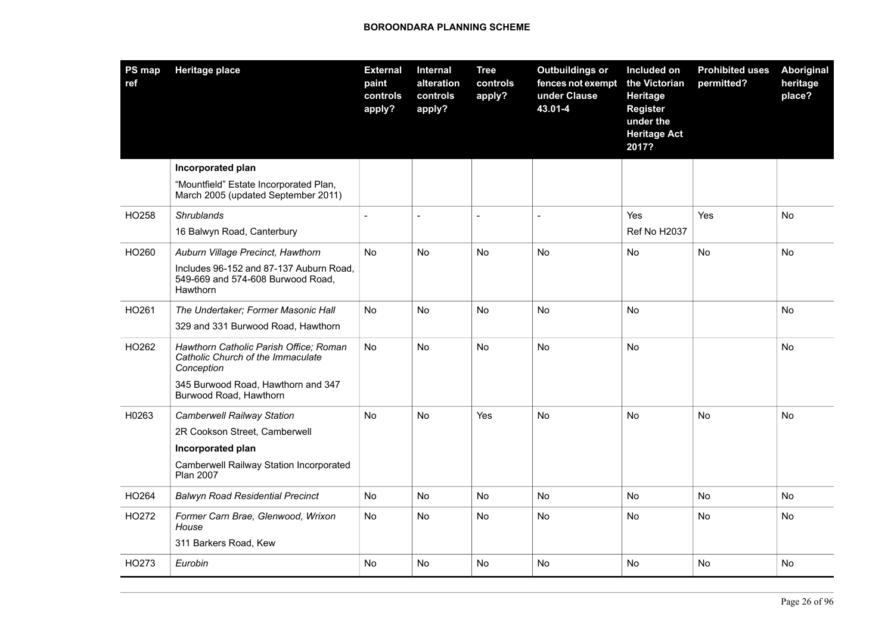| PS map<br>ref | <b>Heritage place</b>                                                                     | <b>External</b><br>paint<br>controls<br>apply? | <b>Internal</b><br>alteration<br>controls<br>apply? | <b>Tree</b><br>controls<br>apply? | <b>Outbuildings or</b><br>fences not exempt<br>under Clause<br>43.01-4 | Included on<br>the Victorian<br>Heritage<br>Register<br>under the<br><b>Heritage Act</b><br>2017? | <b>Prohibited uses</b><br>permitted? | Aboriginal<br>heritage<br>place? |
|---------------|-------------------------------------------------------------------------------------------|------------------------------------------------|-----------------------------------------------------|-----------------------------------|------------------------------------------------------------------------|---------------------------------------------------------------------------------------------------|--------------------------------------|----------------------------------|
|               | Incorporated plan                                                                         |                                                |                                                     |                                   |                                                                        |                                                                                                   |                                      |                                  |
|               | "Mountfield" Estate Incorporated Plan,<br>March 2005 (updated September 2011)             |                                                |                                                     |                                   |                                                                        |                                                                                                   |                                      |                                  |
| HO258         | <b>Shrublands</b>                                                                         | $\frac{1}{2}$                                  | $\overline{\phantom{a}}$                            | $\overline{a}$                    | $\blacksquare$                                                         | Yes                                                                                               | Yes                                  | <b>No</b>                        |
|               | 16 Balwyn Road, Canterbury                                                                |                                                |                                                     |                                   |                                                                        | <b>Ref No H2037</b>                                                                               |                                      |                                  |
| HO260         | Auburn Village Precinct, Hawthorn                                                         | No                                             | No                                                  | No                                | No                                                                     | No                                                                                                | No                                   | No                               |
|               | Includes 96-152 and 87-137 Auburn Road,<br>549-669 and 574-608 Burwood Road,<br>Hawthorn  |                                                |                                                     |                                   |                                                                        |                                                                                                   |                                      |                                  |
| HO261         | The Undertaker; Former Masonic Hall                                                       | No                                             | <b>No</b>                                           | <b>No</b>                         | <b>No</b>                                                              | <b>No</b>                                                                                         |                                      | <b>No</b>                        |
|               | 329 and 331 Burwood Road, Hawthorn                                                        |                                                |                                                     |                                   |                                                                        |                                                                                                   |                                      |                                  |
| HO262         | Hawthorn Catholic Parish Office; Roman<br>Catholic Church of the Immaculate<br>Conception | No                                             | <b>No</b>                                           | <b>No</b>                         | <b>No</b>                                                              | <b>No</b>                                                                                         |                                      | <b>No</b>                        |
|               | 345 Burwood Road, Hawthorn and 347<br>Burwood Road, Hawthorn                              |                                                |                                                     |                                   |                                                                        |                                                                                                   |                                      |                                  |
| H0263         | <b>Camberwell Railway Station</b>                                                         | <b>No</b>                                      | <b>No</b>                                           | Yes                               | <b>No</b>                                                              | <b>No</b>                                                                                         | <b>No</b>                            | <b>No</b>                        |
|               | 2R Cookson Street, Camberwell                                                             |                                                |                                                     |                                   |                                                                        |                                                                                                   |                                      |                                  |
|               | Incorporated plan                                                                         |                                                |                                                     |                                   |                                                                        |                                                                                                   |                                      |                                  |
|               | Camberwell Railway Station Incorporated<br><b>Plan 2007</b>                               |                                                |                                                     |                                   |                                                                        |                                                                                                   |                                      |                                  |
| HO264         | <b>Balwyn Road Residential Precinct</b>                                                   | No                                             | No                                                  | No                                | <b>No</b>                                                              | No                                                                                                | <b>No</b>                            | No                               |
| HO272         | Former Carn Brae, Glenwood, Wrixon<br>House                                               | No                                             | <b>No</b>                                           | No                                | <b>No</b>                                                              | No                                                                                                | <b>No</b>                            | No                               |
|               | 311 Barkers Road, Kew                                                                     |                                                |                                                     |                                   |                                                                        |                                                                                                   |                                      |                                  |
| HO273         | Eurobin                                                                                   | No                                             | No                                                  | No                                | No                                                                     | No                                                                                                | No                                   | No                               |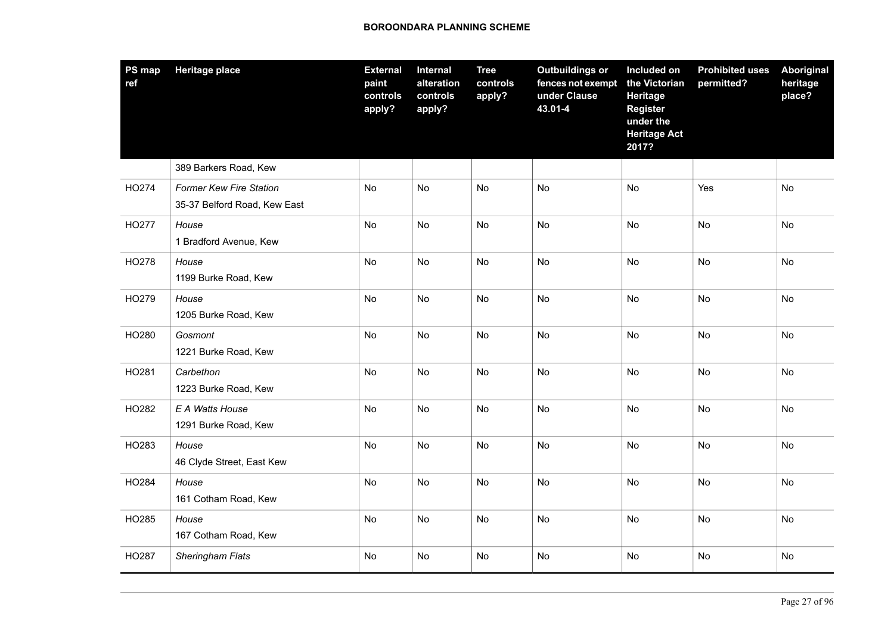| PS map<br>ref | <b>Heritage place</b>                                          | <b>External</b><br>paint<br>controls<br>apply? | Internal<br>alteration<br>controls<br>apply? | <b>Tree</b><br>controls<br>apply? | <b>Outbuildings or</b><br>fences not exempt<br>under Clause<br>43.01-4 | Included on<br>the Victorian<br><b>Heritage</b><br><b>Register</b><br>under the<br><b>Heritage Act</b><br>2017? | <b>Prohibited uses</b><br>permitted? | Aboriginal<br>heritage<br>place? |
|---------------|----------------------------------------------------------------|------------------------------------------------|----------------------------------------------|-----------------------------------|------------------------------------------------------------------------|-----------------------------------------------------------------------------------------------------------------|--------------------------------------|----------------------------------|
|               | 389 Barkers Road, Kew                                          |                                                |                                              |                                   |                                                                        |                                                                                                                 |                                      |                                  |
| HO274         | <b>Former Kew Fire Station</b><br>35-37 Belford Road, Kew East | No                                             | No                                           | No                                | No                                                                     | No                                                                                                              | Yes                                  | No                               |
| HO277         | House<br>1 Bradford Avenue, Kew                                | No                                             | No                                           | <b>No</b>                         | No                                                                     | No                                                                                                              | No                                   | No                               |
| HO278         | House<br>1199 Burke Road, Kew                                  | No                                             | No                                           | <b>No</b>                         | <b>No</b>                                                              | No                                                                                                              | No                                   | No                               |
| HO279         | House<br>1205 Burke Road, Kew                                  | No                                             | No                                           | <b>No</b>                         | No                                                                     | No                                                                                                              | No                                   | No                               |
| HO280         | Gosmont<br>1221 Burke Road, Kew                                | No                                             | No                                           | No                                | No                                                                     | No                                                                                                              | No                                   | No                               |
| HO281         | Carbethon<br>1223 Burke Road, Kew                              | No                                             | <b>No</b>                                    | No                                | <b>No</b>                                                              | No                                                                                                              | No                                   | No                               |
| HO282         | E A Watts House<br>1291 Burke Road, Kew                        | No                                             | No                                           | No                                | No                                                                     | No                                                                                                              | No                                   | No                               |
| HO283         | House<br>46 Clyde Street, East Kew                             | No                                             | No                                           | No                                | No                                                                     | No                                                                                                              | No                                   | No                               |
| HO284         | House<br>161 Cotham Road, Kew                                  | No                                             | No                                           | <b>No</b>                         | <b>No</b>                                                              | No                                                                                                              | No                                   | No                               |
| HO285         | House<br>167 Cotham Road, Kew                                  | No                                             | No                                           | <b>No</b>                         | No                                                                     | No                                                                                                              | No                                   | No                               |
| HO287         | Sheringham Flats                                               | No                                             | No                                           | No                                | No                                                                     | No                                                                                                              | No                                   | No                               |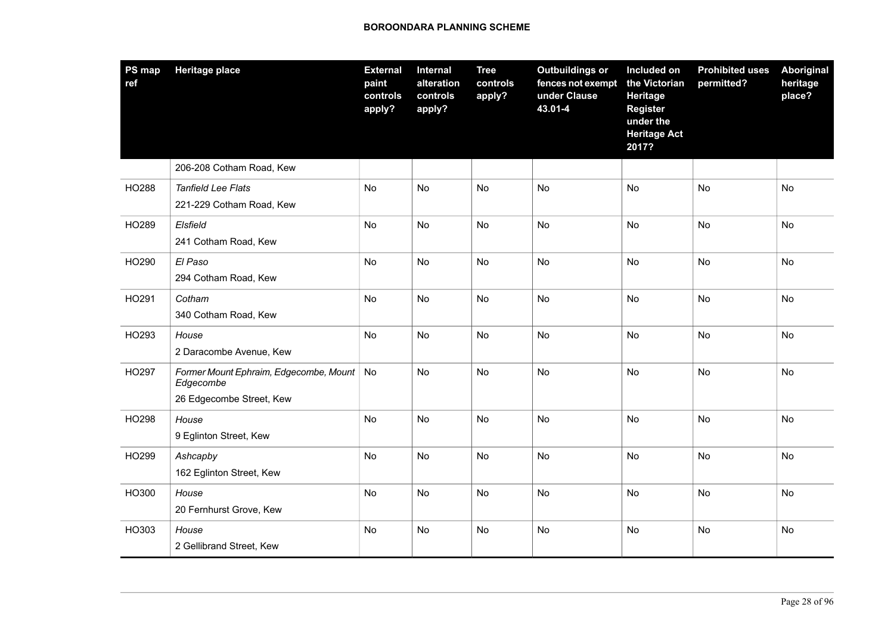| PS map<br>ref | <b>Heritage place</b>                                                           | <b>External</b><br>paint<br>controls<br>apply? | <b>Internal</b><br>alteration<br>controls<br>apply? | <b>Tree</b><br>controls<br>apply? | <b>Outbuildings or</b><br>fences not exempt<br>under Clause<br>43.01-4 | Included on<br>the Victorian<br><b>Heritage</b><br><b>Register</b><br>under the<br><b>Heritage Act</b><br>2017? | <b>Prohibited uses</b><br>permitted? | Aboriginal<br>heritage<br>place? |
|---------------|---------------------------------------------------------------------------------|------------------------------------------------|-----------------------------------------------------|-----------------------------------|------------------------------------------------------------------------|-----------------------------------------------------------------------------------------------------------------|--------------------------------------|----------------------------------|
|               | 206-208 Cotham Road, Kew                                                        |                                                |                                                     |                                   |                                                                        |                                                                                                                 |                                      |                                  |
| HO288         | <b>Tanfield Lee Flats</b><br>221-229 Cotham Road, Kew                           | No                                             | <b>No</b>                                           | <b>No</b>                         | <b>No</b>                                                              | <b>No</b>                                                                                                       | <b>No</b>                            | <b>No</b>                        |
| HO289         | Elsfield<br>241 Cotham Road, Kew                                                | <b>No</b>                                      | <b>No</b>                                           | <b>No</b>                         | <b>No</b>                                                              | <b>No</b>                                                                                                       | <b>No</b>                            | <b>No</b>                        |
| HO290         | El Paso<br>294 Cotham Road, Kew                                                 | No                                             | No                                                  | No                                | <b>No</b>                                                              | No                                                                                                              | No                                   | No                               |
| HO291         | Cotham<br>340 Cotham Road, Kew                                                  | No                                             | No                                                  | <b>No</b>                         | No                                                                     | No                                                                                                              | No                                   | <b>No</b>                        |
| HO293         | House<br>2 Daracombe Avenue, Kew                                                | No                                             | No                                                  | No                                | No                                                                     | No                                                                                                              | No                                   | No                               |
| HO297         | Former Mount Ephraim, Edgecombe, Mount<br>Edgecombe<br>26 Edgecombe Street, Kew | No                                             | No                                                  | No                                | No                                                                     | No                                                                                                              | <b>No</b>                            | No                               |
| HO298         | House<br>9 Eglinton Street, Kew                                                 | No                                             | <b>No</b>                                           | <b>No</b>                         | No                                                                     | <b>No</b>                                                                                                       | No                                   | No                               |
| HO299         | Ashcapby<br>162 Eglinton Street, Kew                                            | No                                             | No                                                  | No                                | No                                                                     | No                                                                                                              | No                                   | No                               |
| HO300         | House<br>20 Fernhurst Grove, Kew                                                | No                                             | No                                                  | No                                | <b>No</b>                                                              | No                                                                                                              | <b>No</b>                            | No                               |
| HO303         | House<br>2 Gellibrand Street, Kew                                               | No                                             | No                                                  | No                                | No                                                                     | No                                                                                                              | <b>No</b>                            | No                               |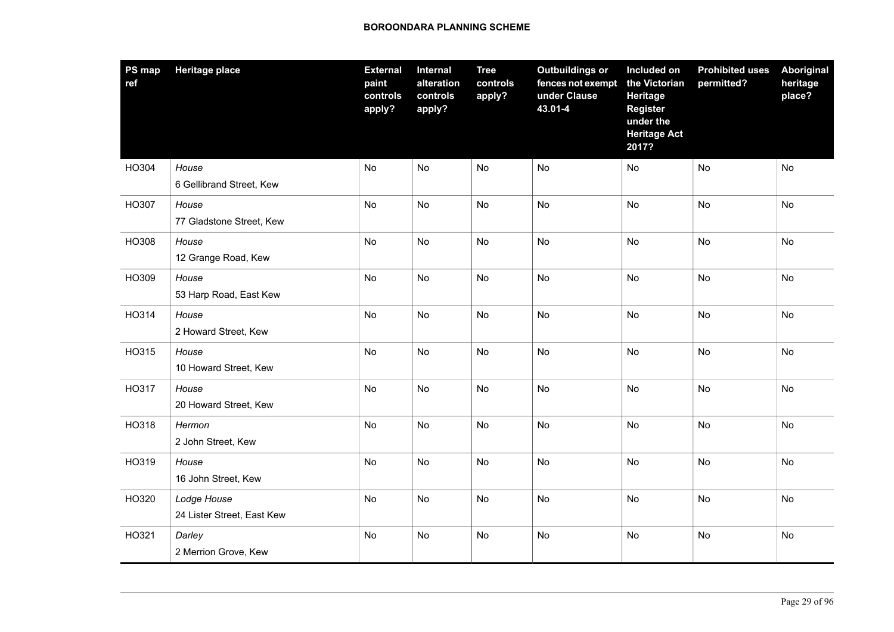| PS map<br>ref | <b>Heritage place</b>                     | <b>External</b><br>paint<br>controls<br>apply? | Internal<br>alteration<br>controls<br>apply? | <b>Tree</b><br>controls<br>apply? | <b>Outbuildings or</b><br>fences not exempt<br>under Clause<br>43.01-4 | Included on<br>the Victorian<br>Heritage<br><b>Register</b><br>under the<br><b>Heritage Act</b><br>2017? | <b>Prohibited uses</b><br>permitted? | Aboriginal<br>heritage<br>place? |
|---------------|-------------------------------------------|------------------------------------------------|----------------------------------------------|-----------------------------------|------------------------------------------------------------------------|----------------------------------------------------------------------------------------------------------|--------------------------------------|----------------------------------|
| HO304         | House<br>6 Gellibrand Street, Kew         | <b>No</b>                                      | No                                           | No                                | No                                                                     | No                                                                                                       | No                                   | <b>No</b>                        |
| HO307         | House<br>77 Gladstone Street, Kew         | No                                             | No                                           | No                                | No                                                                     | No                                                                                                       | No                                   | <b>No</b>                        |
| HO308         | House<br>12 Grange Road, Kew              | <b>No</b>                                      | <b>No</b>                                    | <b>No</b>                         | <b>No</b>                                                              | <b>No</b>                                                                                                | <b>No</b>                            | <b>No</b>                        |
| HO309         | House<br>53 Harp Road, East Kew           | No                                             | No                                           | No                                | No                                                                     | No                                                                                                       | No                                   | <b>No</b>                        |
| HO314         | House<br>2 Howard Street, Kew             | No                                             | No                                           | No                                | <b>No</b>                                                              | <b>No</b>                                                                                                | <b>No</b>                            | <b>No</b>                        |
| HO315         | House<br>10 Howard Street, Kew            | No                                             | No                                           | No                                | No                                                                     | No                                                                                                       | No                                   | <b>No</b>                        |
| HO317         | House<br>20 Howard Street, Kew            | No                                             | No                                           | No                                | <b>No</b>                                                              | <b>No</b>                                                                                                | <b>No</b>                            | <b>No</b>                        |
| HO318         | Hermon<br>2 John Street, Kew              | No                                             | No                                           | No                                | No                                                                     | No                                                                                                       | No                                   | <b>No</b>                        |
| HO319         | House<br>16 John Street, Kew              | No                                             | No                                           | No                                | No                                                                     | No                                                                                                       | No                                   | No                               |
| HO320         | Lodge House<br>24 Lister Street, East Kew | No                                             | No                                           | No                                | No                                                                     | No                                                                                                       | No                                   | No                               |
| HO321         | Darley<br>2 Merrion Grove, Kew            | No                                             | No                                           | No                                | No                                                                     | No                                                                                                       | No                                   | No                               |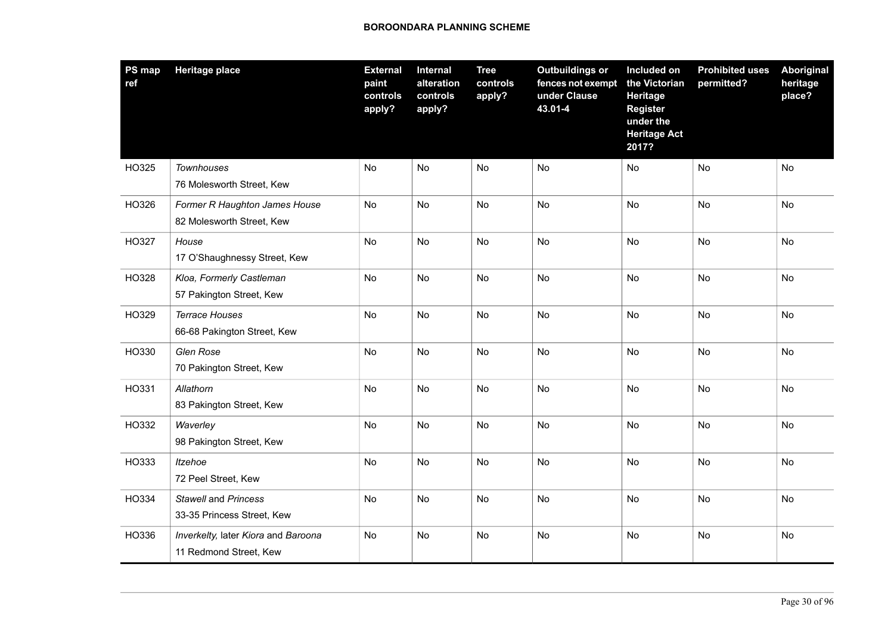| <b>PS</b> map<br>ref | <b>Heritage place</b>                                         | <b>External</b><br>paint<br>controls<br>apply? | Internal<br>alteration<br>controls<br>apply? | <b>Tree</b><br>controls<br>apply? | <b>Outbuildings or</b><br>fences not exempt<br>under Clause<br>43.01-4 | Included on<br>the Victorian<br>Heritage<br><b>Register</b><br>under the<br><b>Heritage Act</b><br>2017? | <b>Prohibited uses</b><br>permitted? | <b>Aboriginal</b><br>heritage<br>place? |
|----------------------|---------------------------------------------------------------|------------------------------------------------|----------------------------------------------|-----------------------------------|------------------------------------------------------------------------|----------------------------------------------------------------------------------------------------------|--------------------------------------|-----------------------------------------|
| HO325                | <b>Townhouses</b><br>76 Molesworth Street, Kew                | No                                             | <b>No</b>                                    | No                                | No                                                                     | No                                                                                                       | No                                   | No                                      |
| HO326                | Former R Haughton James House<br>82 Molesworth Street, Kew    | No                                             | No                                           | No                                | No                                                                     | No                                                                                                       | <b>No</b>                            | No                                      |
| HO327                | House<br>17 O'Shaughnessy Street, Kew                         | <b>No</b>                                      | <b>No</b>                                    | <b>No</b>                         | <b>No</b>                                                              | <b>No</b>                                                                                                | <b>No</b>                            | <b>No</b>                               |
| HO328                | Kloa, Formerly Castleman<br>57 Pakington Street, Kew          | No                                             | No                                           | No                                | No                                                                     | No                                                                                                       | <b>No</b>                            | No                                      |
| HO329                | <b>Terrace Houses</b><br>66-68 Pakington Street, Kew          | No                                             | No                                           | No                                | <b>No</b>                                                              | <b>No</b>                                                                                                | <b>No</b>                            | No                                      |
| HO330                | Glen Rose<br>70 Pakington Street, Kew                         | No                                             | No                                           | No                                | No                                                                     | No                                                                                                       | <b>No</b>                            | No                                      |
| HO331                | Allathorn<br>83 Pakington Street, Kew                         | No                                             | No                                           | No                                | <b>No</b>                                                              | <b>No</b>                                                                                                | <b>No</b>                            | <b>No</b>                               |
| HO332                | Waverley<br>98 Pakington Street, Kew                          | No                                             | No                                           | No                                | No                                                                     | No                                                                                                       | <b>No</b>                            | No                                      |
| HO333                | Itzehoe<br>72 Peel Street, Kew                                | No                                             | No                                           | No                                | No                                                                     | No                                                                                                       | <b>No</b>                            | No                                      |
| HO334                | <b>Stawell and Princess</b><br>33-35 Princess Street, Kew     | No                                             | No                                           | No                                | No                                                                     | No                                                                                                       | No                                   | No                                      |
| HO336                | Inverkelty, later Kiora and Baroona<br>11 Redmond Street, Kew | No                                             | No                                           | No                                | No                                                                     | No                                                                                                       | <b>No</b>                            | No                                      |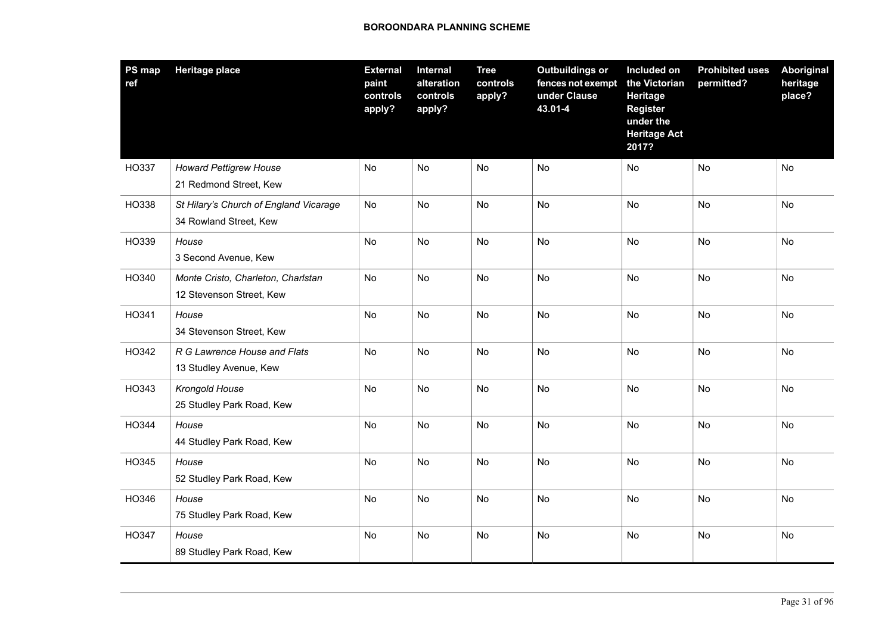| <b>PS map</b><br>ref | <b>Heritage place</b>                                            | <b>External</b><br>paint<br>controls<br>apply? | <b>Internal</b><br>alteration<br>controls<br>apply? | <b>Tree</b><br>controls<br>apply? | <b>Outbuildings or</b><br>fences not exempt<br>under Clause<br>43.01-4 | Included on<br>the Victorian<br>Heritage<br><b>Register</b><br>under the<br><b>Heritage Act</b><br>2017? | <b>Prohibited uses</b><br>permitted? | <b>Aboriginal</b><br>heritage<br>place? |
|----------------------|------------------------------------------------------------------|------------------------------------------------|-----------------------------------------------------|-----------------------------------|------------------------------------------------------------------------|----------------------------------------------------------------------------------------------------------|--------------------------------------|-----------------------------------------|
| HO337                | <b>Howard Pettigrew House</b><br>21 Redmond Street, Kew          | No                                             | <b>No</b>                                           | No                                | No                                                                     | No                                                                                                       | No                                   | No                                      |
| HO338                | St Hilary's Church of England Vicarage<br>34 Rowland Street, Kew | No                                             | No                                                  | No                                | No                                                                     | No                                                                                                       | <b>No</b>                            | No                                      |
| HO339                | House<br>3 Second Avenue, Kew                                    | <b>No</b>                                      | <b>No</b>                                           | <b>No</b>                         | <b>No</b>                                                              | <b>No</b>                                                                                                | <b>No</b>                            | <b>No</b>                               |
| HO340                | Monte Cristo, Charleton, Charlstan<br>12 Stevenson Street, Kew   | No                                             | No                                                  | No                                | No                                                                     | No                                                                                                       | <b>No</b>                            | No                                      |
| HO341                | House<br>34 Stevenson Street, Kew                                | No                                             | No                                                  | No                                | <b>No</b>                                                              | <b>No</b>                                                                                                | <b>No</b>                            | No                                      |
| HO342                | R G Lawrence House and Flats<br>13 Studley Avenue, Kew           | No                                             | No                                                  | No                                | No                                                                     | No                                                                                                       | <b>No</b>                            | No                                      |
| HO343                | Krongold House<br>25 Studley Park Road, Kew                      | No                                             | No                                                  | No                                | <b>No</b>                                                              | <b>No</b>                                                                                                | <b>No</b>                            | <b>No</b>                               |
| HO344                | House<br>44 Studley Park Road, Kew                               | No                                             | No                                                  | No                                | No                                                                     | No                                                                                                       | No                                   | No                                      |
| HO345                | House<br>52 Studley Park Road, Kew                               | No                                             | No                                                  | No                                | No                                                                     | No                                                                                                       | <b>No</b>                            | No                                      |
| HO346                | House<br>75 Studley Park Road, Kew                               | No                                             | No                                                  | No                                | No                                                                     | No                                                                                                       | No                                   | No                                      |
| HO347                | House<br>89 Studley Park Road, Kew                               | No                                             | No                                                  | No                                | No                                                                     | No                                                                                                       | No                                   | No                                      |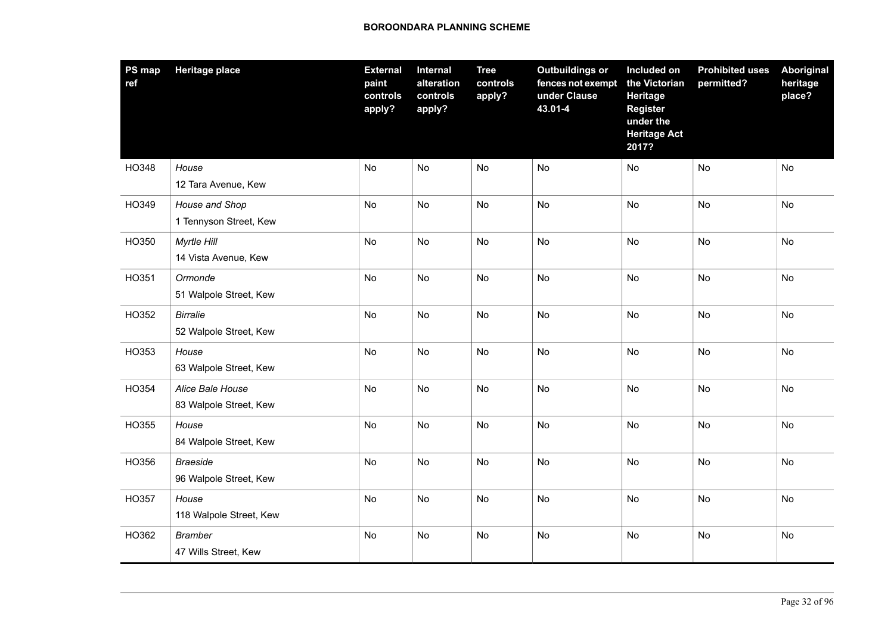| PS map<br>ref | <b>Heritage place</b>                      | <b>External</b><br>paint<br>controls<br>apply? | <b>Internal</b><br>alteration<br>controls<br>apply? | <b>Tree</b><br>controls<br>apply? | <b>Outbuildings or</b><br>fences not exempt<br>under Clause<br>43.01-4 | Included on<br>the Victorian<br><b>Heritage</b><br><b>Register</b><br>under the<br><b>Heritage Act</b><br>2017? | <b>Prohibited uses</b><br>permitted? | Aboriginal<br>heritage<br>place? |
|---------------|--------------------------------------------|------------------------------------------------|-----------------------------------------------------|-----------------------------------|------------------------------------------------------------------------|-----------------------------------------------------------------------------------------------------------------|--------------------------------------|----------------------------------|
| HO348         | House<br>12 Tara Avenue, Kew               | <b>No</b>                                      | No                                                  | No                                | No                                                                     | No                                                                                                              | <b>No</b>                            | No                               |
| HO349         | House and Shop<br>1 Tennyson Street, Kew   | No                                             | No                                                  | No                                | No                                                                     | No                                                                                                              | No                                   | No                               |
| HO350         | Myrtle Hill<br>14 Vista Avenue, Kew        | <b>No</b>                                      | No                                                  | No                                | <b>No</b>                                                              | <b>No</b>                                                                                                       | <b>No</b>                            | <b>No</b>                        |
| HO351         | Ormonde<br>51 Walpole Street, Kew          | No                                             | No                                                  | No                                | No                                                                     | No                                                                                                              | No                                   | No                               |
| HO352         | <b>Birralie</b><br>52 Walpole Street, Kew  | No                                             | No                                                  | No                                | <b>No</b>                                                              | No                                                                                                              | <b>No</b>                            | No                               |
| HO353         | House<br>63 Walpole Street, Kew            | No                                             | No                                                  | No                                | No                                                                     | No                                                                                                              | No                                   | No                               |
| HO354         | Alice Bale House<br>83 Walpole Street, Kew | No                                             | No                                                  | No                                | <b>No</b>                                                              | <b>No</b>                                                                                                       | <b>No</b>                            | No                               |
| HO355         | House<br>84 Walpole Street, Kew            | No                                             | No                                                  | No                                | No                                                                     | No                                                                                                              | No                                   | No                               |
| HO356         | <b>Braeside</b><br>96 Walpole Street, Kew  | No                                             | No                                                  | No                                | No                                                                     | No                                                                                                              | <b>No</b>                            | No                               |
| HO357         | House<br>118 Walpole Street, Kew           | No                                             | No                                                  | No                                | No                                                                     | No                                                                                                              | No                                   | No                               |
| HO362         | <b>Bramber</b><br>47 Wills Street, Kew     | No                                             | No                                                  | No                                | No                                                                     | No                                                                                                              | No                                   | No                               |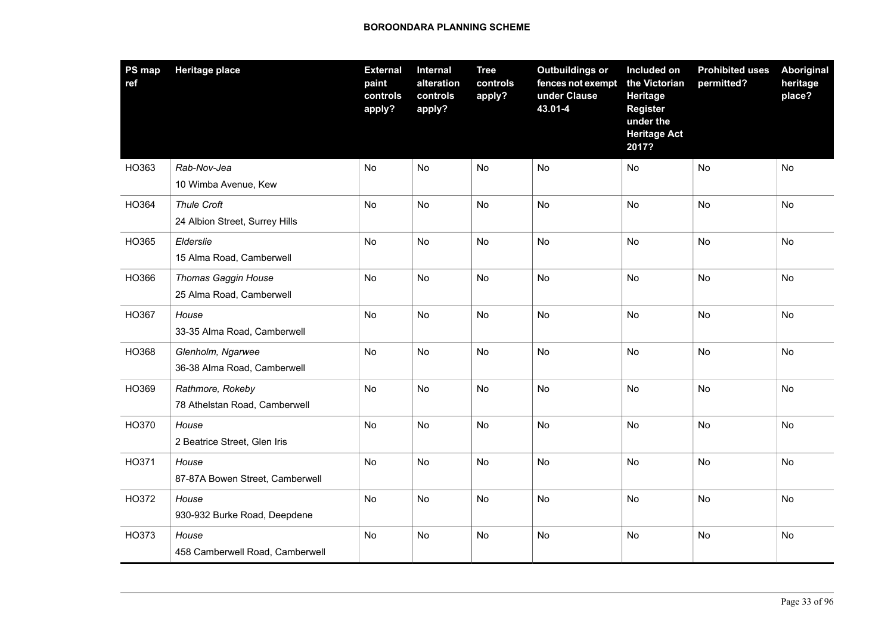| PS map<br>ref | <b>Heritage place</b>                                | <b>External</b><br>paint<br>controls<br>apply? | Internal<br>alteration<br>controls<br>apply? | <b>Tree</b><br>controls<br>apply? | <b>Outbuildings or</b><br>fences not exempt<br>under Clause<br>43.01-4 | Included on<br>the Victorian<br>Heritage<br><b>Register</b><br>under the<br><b>Heritage Act</b><br>2017? | <b>Prohibited uses</b><br>permitted? | <b>Aboriginal</b><br>heritage<br>place? |
|---------------|------------------------------------------------------|------------------------------------------------|----------------------------------------------|-----------------------------------|------------------------------------------------------------------------|----------------------------------------------------------------------------------------------------------|--------------------------------------|-----------------------------------------|
| HO363         | Rab-Nov-Jea<br>10 Wimba Avenue, Kew                  | No                                             | <b>No</b>                                    | No                                | No                                                                     | <b>No</b>                                                                                                | No                                   | No                                      |
| HO364         | <b>Thule Croft</b><br>24 Albion Street, Surrey Hills | No                                             | No                                           | No                                | No                                                                     | No                                                                                                       | No                                   | No                                      |
| HO365         | Elderslie<br>15 Alma Road, Camberwell                | <b>No</b>                                      | <b>No</b>                                    | <b>No</b>                         | <b>No</b>                                                              | <b>No</b>                                                                                                | <b>No</b>                            | <b>No</b>                               |
| HO366         | Thomas Gaggin House<br>25 Alma Road, Camberwell      | No                                             | No                                           | No                                | No                                                                     | No                                                                                                       | No                                   | No                                      |
| HO367         | House<br>33-35 Alma Road, Camberwell                 | <b>No</b>                                      | <b>No</b>                                    | No                                | <b>No</b>                                                              | <b>No</b>                                                                                                | <b>No</b>                            | <b>No</b>                               |
| HO368         | Glenholm, Ngarwee<br>36-38 Alma Road, Camberwell     | No                                             | No                                           | No                                | No                                                                     | No                                                                                                       | <b>No</b>                            | No                                      |
| HO369         | Rathmore, Rokeby<br>78 Athelstan Road, Camberwell    | No                                             | <b>No</b>                                    | <b>No</b>                         | <b>No</b>                                                              | <b>No</b>                                                                                                | <b>No</b>                            | <b>No</b>                               |
| HO370         | House<br>2 Beatrice Street, Glen Iris                | No                                             | No                                           | No                                | No                                                                     | No                                                                                                       | <b>No</b>                            | No                                      |
| HO371         | House<br>87-87A Bowen Street, Camberwell             | No                                             | No                                           | No                                | No                                                                     | No                                                                                                       | <b>No</b>                            | No                                      |
| HO372         | House<br>930-932 Burke Road, Deepdene                | No                                             | No                                           | No                                | No                                                                     | <b>No</b>                                                                                                | No                                   | No                                      |
| HO373         | House<br>458 Camberwell Road, Camberwell             | No                                             | No                                           | No                                | No                                                                     | No                                                                                                       | <b>No</b>                            | No                                      |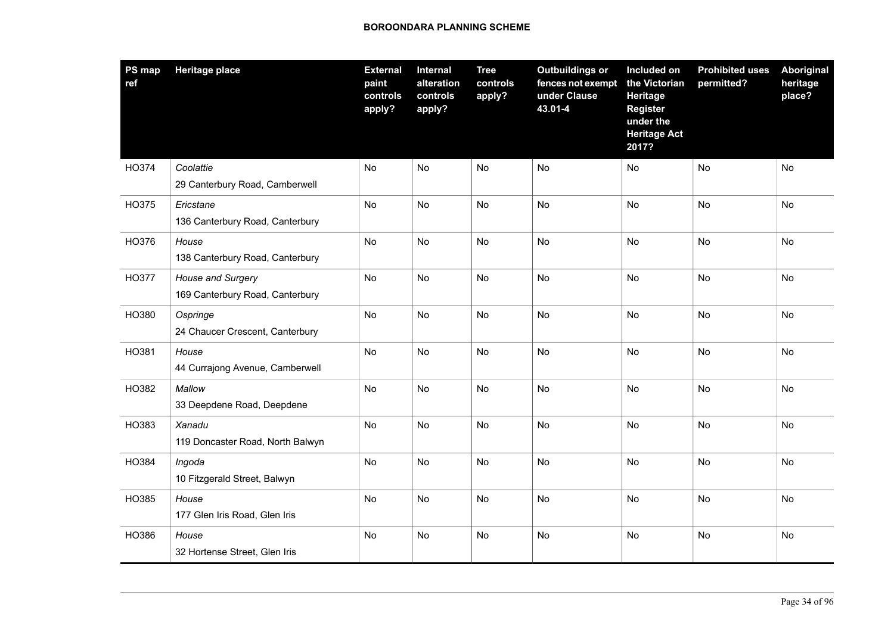| PS map<br>ref | <b>Heritage place</b>                                | <b>External</b><br>paint<br>controls<br>apply? | Internal<br>alteration<br>controls<br>apply? | <b>Tree</b><br>controls<br>apply? | <b>Outbuildings or</b><br>fences not exempt<br>under Clause<br>43.01-4 | Included on<br>the Victorian<br>Heritage<br><b>Register</b><br>under the<br><b>Heritage Act</b><br>2017? | <b>Prohibited uses</b><br>permitted? | <b>Aboriginal</b><br>heritage<br>place? |
|---------------|------------------------------------------------------|------------------------------------------------|----------------------------------------------|-----------------------------------|------------------------------------------------------------------------|----------------------------------------------------------------------------------------------------------|--------------------------------------|-----------------------------------------|
| HO374         | Coolattie<br>29 Canterbury Road, Camberwell          | No                                             | No                                           | No                                | No                                                                     | No                                                                                                       | No                                   | No                                      |
| HO375         | Ericstane<br>136 Canterbury Road, Canterbury         | No                                             | <b>No</b>                                    | No                                | <b>No</b>                                                              | <b>No</b>                                                                                                | <b>No</b>                            | <b>No</b>                               |
| HO376         | House<br>138 Canterbury Road, Canterbury             | No                                             | No                                           | No                                | No                                                                     | No                                                                                                       | <b>No</b>                            | No                                      |
| HO377         | House and Surgery<br>169 Canterbury Road, Canterbury | No                                             | <b>No</b>                                    | <b>No</b>                         | <b>No</b>                                                              | <b>No</b>                                                                                                | <b>No</b>                            | <b>No</b>                               |
| HO380         | Ospringe<br>24 Chaucer Crescent, Canterbury          | No                                             | No                                           | No                                | No                                                                     | No                                                                                                       | No                                   | No                                      |
| HO381         | House<br>44 Currajong Avenue, Camberwell             | No                                             | <b>No</b>                                    | No                                | <b>No</b>                                                              | <b>No</b>                                                                                                | <b>No</b>                            | No                                      |
| HO382         | Mallow<br>33 Deepdene Road, Deepdene                 | No                                             | No                                           | No                                | No                                                                     | No                                                                                                       | No                                   | No                                      |
| HO383         | Xanadu<br>119 Doncaster Road, North Balwyn           | No                                             | No                                           | No                                | <b>No</b>                                                              | <b>No</b>                                                                                                | <b>No</b>                            | <b>No</b>                               |
| HO384         | Ingoda<br>10 Fitzgerald Street, Balwyn               | No                                             | No                                           | No                                | No                                                                     | No                                                                                                       | No                                   | No                                      |
| HO385         | House<br>177 Glen Iris Road, Glen Iris               | No                                             | No                                           | No                                | No                                                                     | No                                                                                                       | $\mathsf{No}$                        | No                                      |
| HO386         | House<br>32 Hortense Street, Glen Iris               | No                                             | No                                           | No                                | No                                                                     | No                                                                                                       | No                                   | No                                      |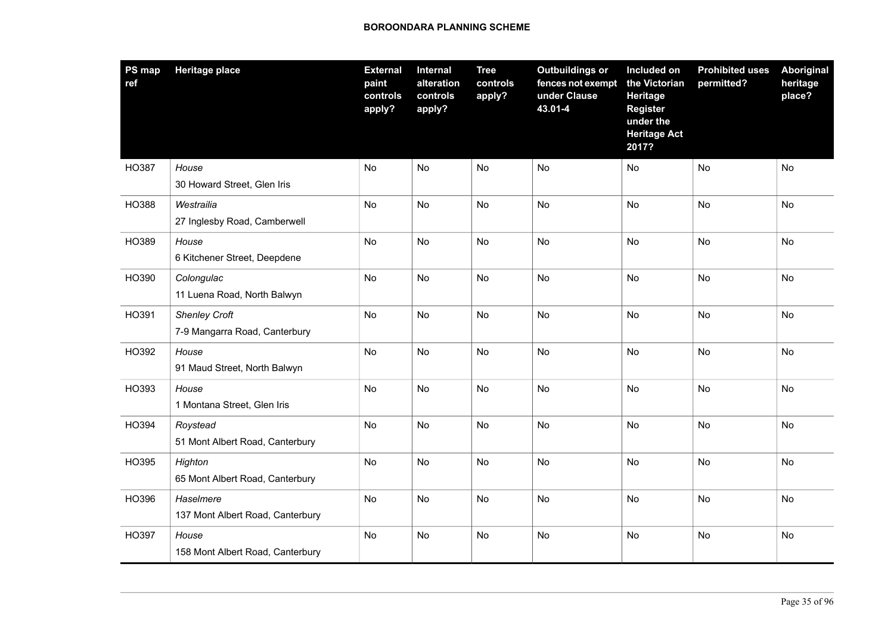| <b>PS</b> map<br>ref | <b>Heritage place</b>                                 | <b>External</b><br>paint<br>controls<br>apply? | Internal<br>alteration<br>controls<br>apply? | <b>Tree</b><br>controls<br>apply? | <b>Outbuildings or</b><br>fences not exempt<br>under Clause<br>43.01-4 | Included on<br>the Victorian<br>Heritage<br><b>Register</b><br>under the<br><b>Heritage Act</b><br>2017? | <b>Prohibited uses</b><br>permitted? | <b>Aboriginal</b><br>heritage<br>place? |
|----------------------|-------------------------------------------------------|------------------------------------------------|----------------------------------------------|-----------------------------------|------------------------------------------------------------------------|----------------------------------------------------------------------------------------------------------|--------------------------------------|-----------------------------------------|
| HO387                | House<br>30 Howard Street, Glen Iris                  | No                                             | <b>No</b>                                    | No                                | No                                                                     | No                                                                                                       | No                                   | No                                      |
| HO388                | Westrailia<br>27 Inglesby Road, Camberwell            | <b>No</b>                                      | <b>No</b>                                    | <b>No</b>                         | <b>No</b>                                                              | <b>No</b>                                                                                                | <b>No</b>                            | <b>No</b>                               |
| HO389                | House<br>6 Kitchener Street, Deepdene                 | <b>No</b>                                      | <b>No</b>                                    | <b>No</b>                         | <b>No</b>                                                              | <b>No</b>                                                                                                | <b>No</b>                            | No                                      |
| HO390                | Colongulac<br>11 Luena Road, North Balwyn             | No                                             | <b>No</b>                                    | <b>No</b>                         | <b>No</b>                                                              | <b>No</b>                                                                                                | <b>No</b>                            | <b>No</b>                               |
| HO391                | <b>Shenley Croft</b><br>7-9 Mangarra Road, Canterbury | No                                             | No                                           | No                                | No                                                                     | No                                                                                                       | No                                   | No                                      |
| HO392                | House<br>91 Maud Street, North Balwyn                 | No                                             | <b>No</b>                                    | <b>No</b>                         | <b>No</b>                                                              | <b>No</b>                                                                                                | <b>No</b>                            | <b>No</b>                               |
| HO393                | House<br>1 Montana Street, Glen Iris                  | No                                             | No                                           | No                                | No                                                                     | No                                                                                                       | <b>No</b>                            | No                                      |
| HO394                | Roystead<br>51 Mont Albert Road, Canterbury           | No                                             | <b>No</b>                                    | <b>No</b>                         | <b>No</b>                                                              | <b>No</b>                                                                                                | <b>No</b>                            | <b>No</b>                               |
| HO395                | Highton<br>65 Mont Albert Road, Canterbury            | No                                             | No                                           | No                                | No                                                                     | No                                                                                                       | No                                   | No                                      |
| HO396                | Haselmere<br>137 Mont Albert Road, Canterbury         | No                                             | <b>No</b>                                    | No                                | No                                                                     | <b>No</b>                                                                                                | <b>No</b>                            | No                                      |
| HO397                | House<br>158 Mont Albert Road, Canterbury             | No                                             | No                                           | No                                | No                                                                     | No                                                                                                       | No                                   | No                                      |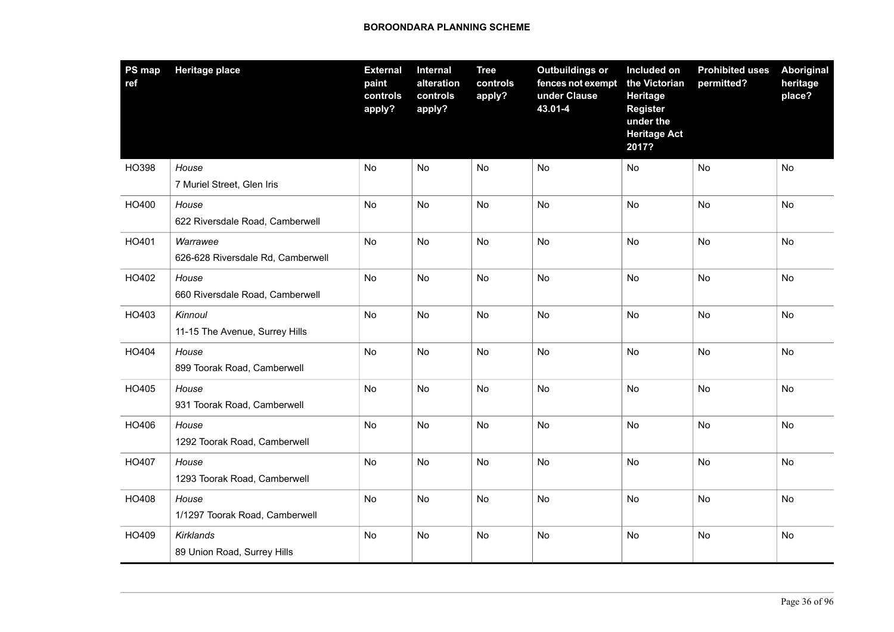| <b>PS map</b><br>ref | <b>Heritage place</b>                         | <b>External</b><br>paint<br>controls<br>apply? | Internal<br>alteration<br>controls<br>apply? | <b>Tree</b><br>controls<br>apply? | <b>Outbuildings or</b><br>fences not exempt<br>under Clause<br>43.01-4 | Included on<br>the Victorian<br>Heritage<br><b>Register</b><br>under the<br><b>Heritage Act</b><br>2017? | <b>Prohibited uses</b><br>permitted? | <b>Aboriginal</b><br>heritage<br>place? |
|----------------------|-----------------------------------------------|------------------------------------------------|----------------------------------------------|-----------------------------------|------------------------------------------------------------------------|----------------------------------------------------------------------------------------------------------|--------------------------------------|-----------------------------------------|
| HO398                | House<br>7 Muriel Street, Glen Iris           | No                                             | <b>No</b>                                    | No                                | No                                                                     | No                                                                                                       | No                                   | No                                      |
| HO400                | House<br>622 Riversdale Road, Camberwell      | No                                             | No                                           | No                                | No                                                                     | No                                                                                                       | No                                   | No                                      |
| HO401                | Warrawee<br>626-628 Riversdale Rd, Camberwell | <b>No</b>                                      | <b>No</b>                                    | <b>No</b>                         | <b>No</b>                                                              | <b>No</b>                                                                                                | <b>No</b>                            | <b>No</b>                               |
| HO402                | House<br>660 Riversdale Road, Camberwell      | No                                             | No                                           | No                                | No                                                                     | No                                                                                                       | No                                   | No                                      |
| HO403                | Kinnoul<br>11-15 The Avenue, Surrey Hills     | No                                             | <b>No</b>                                    | <b>No</b>                         | <b>No</b>                                                              | <b>No</b>                                                                                                | <b>No</b>                            | <b>No</b>                               |
| HO404                | House<br>899 Toorak Road, Camberwell          | No                                             | No                                           | No                                | No                                                                     | No                                                                                                       | No                                   | No                                      |
| HO405                | House<br>931 Toorak Road, Camberwell          | No                                             | <b>No</b>                                    | <b>No</b>                         | <b>No</b>                                                              | <b>No</b>                                                                                                | <b>No</b>                            | <b>No</b>                               |
| HO406                | House<br>1292 Toorak Road, Camberwell         | No                                             | No                                           | No                                | No                                                                     | No                                                                                                       | No                                   | No                                      |
| HO407                | House<br>1293 Toorak Road, Camberwell         | No                                             | No                                           | No                                | No                                                                     | No                                                                                                       | No                                   | No                                      |
| HO408                | House<br>1/1297 Toorak Road, Camberwell       | No                                             | No                                           | No                                | No                                                                     | <b>No</b>                                                                                                | No                                   | No                                      |
| HO409                | Kirklands<br>89 Union Road, Surrey Hills      | No                                             | No                                           | No                                | No                                                                     | No                                                                                                       | No                                   | No                                      |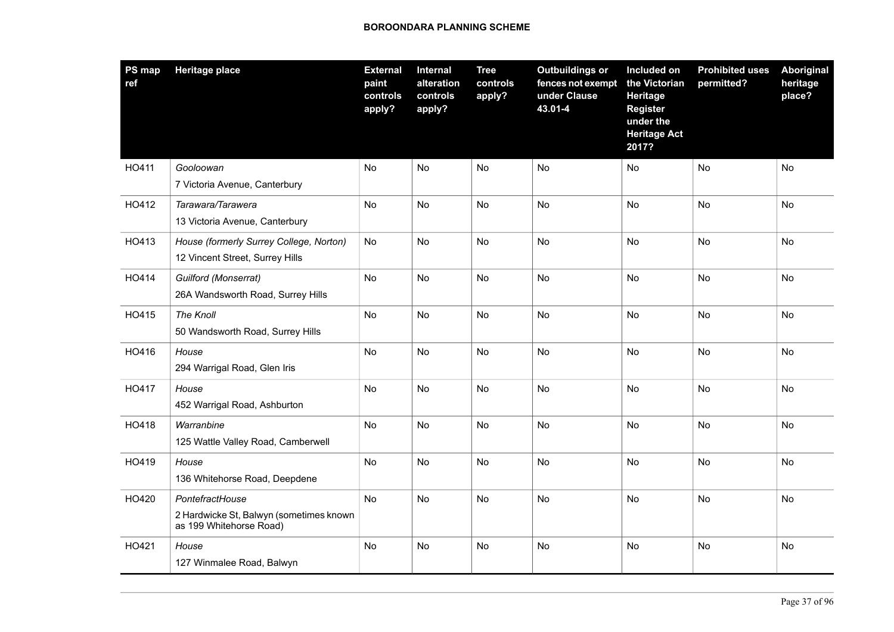| PS map<br>ref | <b>Heritage place</b>                                                                 | <b>External</b><br>paint<br>controls<br>apply? | <b>Internal</b><br>alteration<br>controls<br>apply? | <b>Tree</b><br>controls<br>apply? | <b>Outbuildings or</b><br>fences not exempt<br>under Clause<br>43.01-4 | Included on<br>the Victorian<br>Heritage<br><b>Register</b><br>under the<br><b>Heritage Act</b><br>2017? | <b>Prohibited uses</b><br>permitted? | Aboriginal<br>heritage<br>place? |
|---------------|---------------------------------------------------------------------------------------|------------------------------------------------|-----------------------------------------------------|-----------------------------------|------------------------------------------------------------------------|----------------------------------------------------------------------------------------------------------|--------------------------------------|----------------------------------|
| HO411         | Gooloowan<br>7 Victoria Avenue, Canterbury                                            | No                                             | <b>No</b>                                           | <b>No</b>                         | <b>No</b>                                                              | No                                                                                                       | <b>No</b>                            | <b>No</b>                        |
| HO412         | Tarawara/Tarawera<br>13 Victoria Avenue, Canterbury                                   | No                                             | <b>No</b>                                           | <b>No</b>                         | <b>No</b>                                                              | No                                                                                                       | <b>No</b>                            | <b>No</b>                        |
| HO413         | House (formerly Surrey College, Norton)<br>12 Vincent Street, Surrey Hills            | No                                             | No                                                  | No                                | No                                                                     | No                                                                                                       | No                                   | No                               |
| HO414         | Guilford (Monserrat)<br>26A Wandsworth Road, Surrey Hills                             | No                                             | <b>No</b>                                           | No                                | <b>No</b>                                                              | <b>No</b>                                                                                                | <b>No</b>                            | <b>No</b>                        |
| HO415         | The Knoll<br>50 Wandsworth Road, Surrey Hills                                         | No                                             | <b>No</b>                                           | No                                | No                                                                     | No                                                                                                       | No                                   | No                               |
| HO416         | House<br>294 Warrigal Road, Glen Iris                                                 | No                                             | No                                                  | <b>No</b>                         | No                                                                     | No                                                                                                       | No                                   | <b>No</b>                        |
| HO417         | House<br>452 Warrigal Road, Ashburton                                                 | No                                             | No                                                  | No                                | No                                                                     | No                                                                                                       | <b>No</b>                            | No                               |
| HO418         | Warranbine<br>125 Wattle Valley Road, Camberwell                                      | No                                             | <b>No</b>                                           | <b>No</b>                         | <b>No</b>                                                              | <b>No</b>                                                                                                | <b>No</b>                            | <b>No</b>                        |
| HO419         | House<br>136 Whitehorse Road, Deepdene                                                | No                                             | <b>No</b>                                           | <b>No</b>                         | No                                                                     | No                                                                                                       | No                                   | No                               |
| HO420         | PontefractHouse<br>2 Hardwicke St, Balwyn (sometimes known<br>as 199 Whitehorse Road) | No                                             | No                                                  | <b>No</b>                         | No                                                                     | No                                                                                                       | No                                   | No                               |
| HO421         | House<br>127 Winmalee Road, Balwyn                                                    | No                                             | No                                                  | No                                | No                                                                     | No                                                                                                       | No                                   | No                               |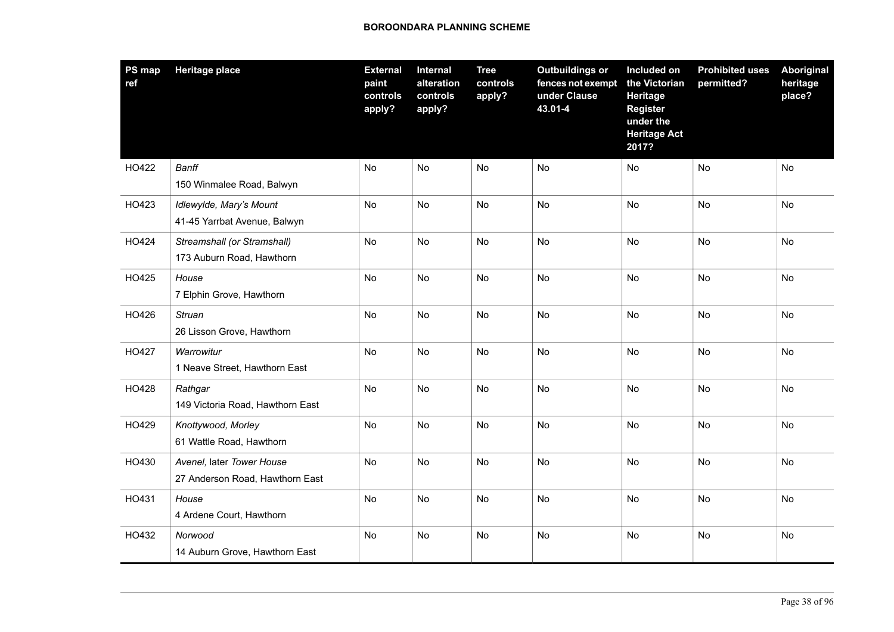| PS map<br>ref | <b>Heritage place</b>                                        | <b>External</b><br>paint<br>controls<br>apply? | Internal<br>alteration<br>controls<br>apply? | <b>Tree</b><br>controls<br>apply? | <b>Outbuildings or</b><br>fences not exempt<br>under Clause<br>43.01-4 | Included on<br>the Victorian<br><b>Heritage</b><br><b>Register</b><br>under the<br><b>Heritage Act</b><br>2017? | <b>Prohibited uses</b><br>permitted? | <b>Aboriginal</b><br>heritage<br>place? |
|---------------|--------------------------------------------------------------|------------------------------------------------|----------------------------------------------|-----------------------------------|------------------------------------------------------------------------|-----------------------------------------------------------------------------------------------------------------|--------------------------------------|-----------------------------------------|
| HO422         | <b>Banff</b><br>150 Winmalee Road, Balwyn                    | No                                             | <b>No</b>                                    | No                                | No                                                                     | No                                                                                                              | No                                   | No                                      |
| HO423         | Idlewylde, Mary's Mount<br>41-45 Yarrbat Avenue, Balwyn      | No                                             | No                                           | No                                | No                                                                     | No                                                                                                              | No                                   | No                                      |
| HO424         | Streamshall (or Stramshall)<br>173 Auburn Road, Hawthorn     | <b>No</b>                                      | <b>No</b>                                    | <b>No</b>                         | <b>No</b>                                                              | <b>No</b>                                                                                                       | <b>No</b>                            | <b>No</b>                               |
| HO425         | House<br>7 Elphin Grove, Hawthorn                            | No                                             | No                                           | No                                | No                                                                     | No                                                                                                              | No                                   | No                                      |
| HO426         | <b>Struan</b><br>26 Lisson Grove, Hawthorn                   | No                                             | <b>No</b>                                    | No                                | <b>No</b>                                                              | <b>No</b>                                                                                                       | <b>No</b>                            | <b>No</b>                               |
| HO427         | Warrowitur<br>1 Neave Street, Hawthorn East                  | No                                             | No                                           | No                                | No                                                                     | <b>No</b>                                                                                                       | No                                   | No                                      |
| HO428         | Rathgar<br>149 Victoria Road, Hawthorn East                  | No                                             | <b>No</b>                                    | <b>No</b>                         | <b>No</b>                                                              | <b>No</b>                                                                                                       | <b>No</b>                            | <b>No</b>                               |
| HO429         | Knottywood, Morley<br>61 Wattle Road, Hawthorn               | No                                             | No                                           | No                                | No                                                                     | <b>No</b>                                                                                                       | No                                   | No                                      |
| HO430         | Avenel, later Tower House<br>27 Anderson Road, Hawthorn East | No                                             | No                                           | No                                | No                                                                     | No                                                                                                              | <b>No</b>                            | No                                      |
| HO431         | House<br>4 Ardene Court, Hawthorn                            | No                                             | No                                           | No                                | No                                                                     | <b>No</b>                                                                                                       | No                                   | No                                      |
| HO432         | Norwood<br>14 Auburn Grove, Hawthorn East                    | No                                             | No                                           | No                                | No                                                                     | No                                                                                                              | No                                   | No                                      |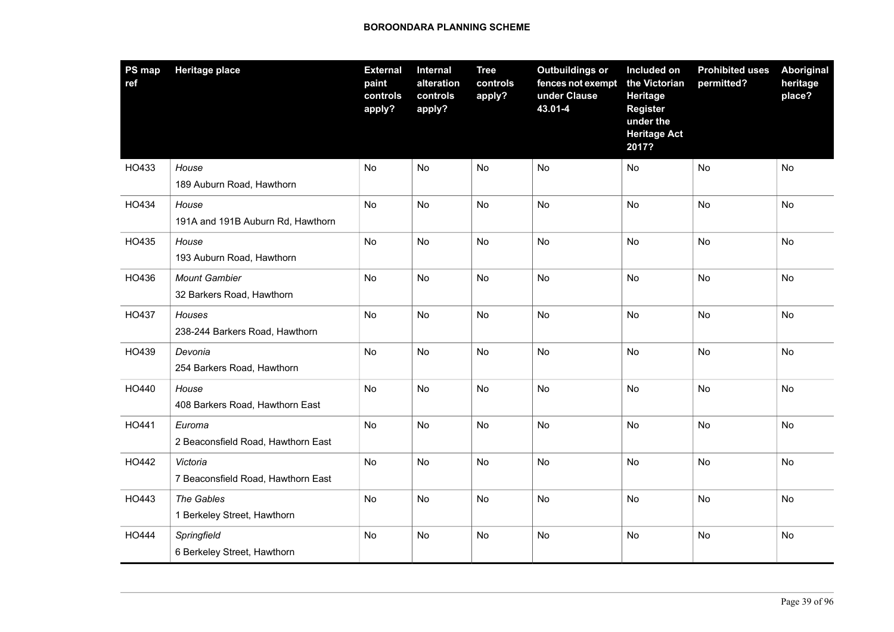| <b>PS map</b><br>ref | <b>Heritage place</b>                             | <b>External</b><br>paint<br>controls<br>apply? | Internal<br>alteration<br>controls<br>apply? | <b>Tree</b><br>controls<br>apply? | <b>Outbuildings or</b><br>fences not exempt<br>under Clause<br>43.01-4 | Included on<br>the Victorian<br>Heritage<br><b>Register</b><br>under the<br><b>Heritage Act</b><br>2017? | <b>Prohibited uses</b><br>permitted? | <b>Aboriginal</b><br>heritage<br>place? |
|----------------------|---------------------------------------------------|------------------------------------------------|----------------------------------------------|-----------------------------------|------------------------------------------------------------------------|----------------------------------------------------------------------------------------------------------|--------------------------------------|-----------------------------------------|
| HO433                | House<br>189 Auburn Road, Hawthorn                | No                                             | <b>No</b>                                    | No                                | No                                                                     | No                                                                                                       | No                                   | No                                      |
| HO434                | House<br>191A and 191B Auburn Rd, Hawthorn        | No                                             | No                                           | No                                | No                                                                     | No                                                                                                       | No                                   | No                                      |
| HO435                | House<br>193 Auburn Road, Hawthorn                | <b>No</b>                                      | <b>No</b>                                    | <b>No</b>                         | <b>No</b>                                                              | <b>No</b>                                                                                                | <b>No</b>                            | <b>No</b>                               |
| HO436                | <b>Mount Gambier</b><br>32 Barkers Road, Hawthorn | No                                             | No                                           | No                                | No                                                                     | No                                                                                                       | No                                   | No                                      |
| HO437                | Houses<br>238-244 Barkers Road, Hawthorn          | No                                             | <b>No</b>                                    | <b>No</b>                         | <b>No</b>                                                              | <b>No</b>                                                                                                | <b>No</b>                            | <b>No</b>                               |
| HO439                | Devonia<br>254 Barkers Road, Hawthorn             | No                                             | No                                           | No                                | No                                                                     | No                                                                                                       | No                                   | No                                      |
| HO440                | House<br>408 Barkers Road, Hawthorn East          | No                                             | No                                           | <b>No</b>                         | <b>No</b>                                                              | <b>No</b>                                                                                                | <b>No</b>                            | <b>No</b>                               |
| HO441                | Euroma<br>2 Beaconsfield Road, Hawthorn East      | No                                             | No                                           | No                                | No                                                                     | No                                                                                                       | No                                   | No                                      |
| HO442                | Victoria<br>7 Beaconsfield Road, Hawthorn East    | No                                             | No                                           | No                                | No                                                                     | No                                                                                                       | <b>No</b>                            | No                                      |
| HO443                | The Gables<br>1 Berkeley Street, Hawthorn         | No                                             | No                                           | No                                | No                                                                     | <b>No</b>                                                                                                | No                                   | No                                      |
| HO444                | Springfield<br>6 Berkeley Street, Hawthorn        | No                                             | No                                           | No                                | No                                                                     | No                                                                                                       | No                                   | No                                      |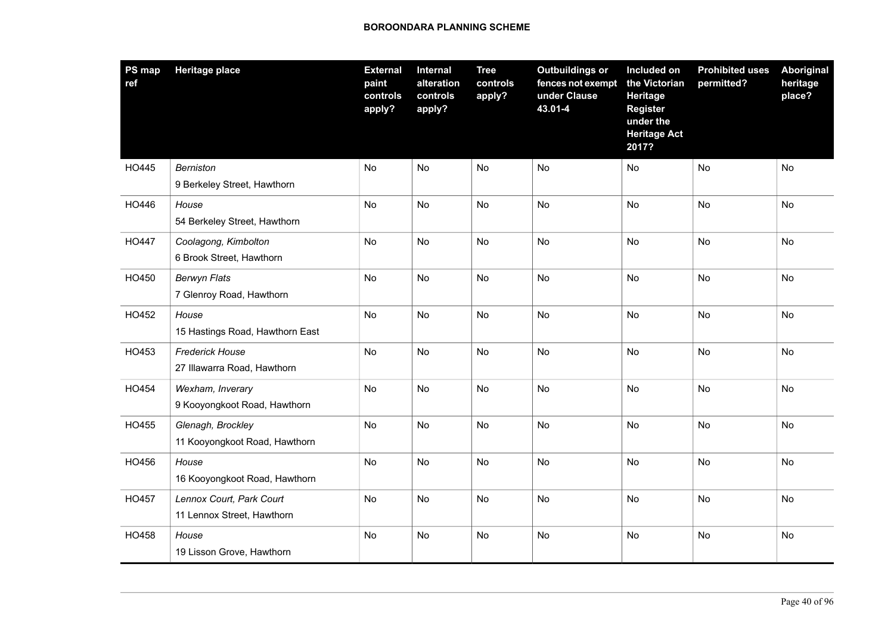| <b>PS</b> map<br>ref | <b>Heritage place</b>                                  | <b>External</b><br>paint<br>controls<br>apply? | Internal<br>alteration<br>controls<br>apply? | <b>Tree</b><br>controls<br>apply? | <b>Outbuildings or</b><br>fences not exempt<br>under Clause<br>43.01-4 | Included on<br>the Victorian<br><b>Heritage</b><br><b>Register</b><br>under the<br><b>Heritage Act</b><br>2017? | <b>Prohibited uses</b><br>permitted? | Aboriginal<br>heritage<br>place? |
|----------------------|--------------------------------------------------------|------------------------------------------------|----------------------------------------------|-----------------------------------|------------------------------------------------------------------------|-----------------------------------------------------------------------------------------------------------------|--------------------------------------|----------------------------------|
| HO445                | <b>Berniston</b><br>9 Berkeley Street, Hawthorn        | No                                             | No                                           | No                                | No                                                                     | No                                                                                                              | No                                   | No                               |
| HO446                | House<br>54 Berkeley Street, Hawthorn                  | No                                             | <b>No</b>                                    | No                                | <b>No</b>                                                              | <b>No</b>                                                                                                       | <b>No</b>                            | <b>No</b>                        |
| HO447                | Coolagong, Kimbolton<br>6 Brook Street, Hawthorn       | No                                             | No                                           | No                                | No                                                                     | No                                                                                                              | <b>No</b>                            | No                               |
| HO450                | <b>Berwyn Flats</b><br>7 Glenroy Road, Hawthorn        | No                                             | <b>No</b>                                    | <b>No</b>                         | <b>No</b>                                                              | <b>No</b>                                                                                                       | <b>No</b>                            | <b>No</b>                        |
| HO452                | House<br>15 Hastings Road, Hawthorn East               | No                                             | No                                           | No                                | No                                                                     | No                                                                                                              | No                                   | No                               |
| HO453                | <b>Frederick House</b><br>27 Illawarra Road, Hawthorn  | No                                             | <b>No</b>                                    | No                                | <b>No</b>                                                              | <b>No</b>                                                                                                       | <b>No</b>                            | No                               |
| HO454                | Wexham, Inverary<br>9 Kooyongkoot Road, Hawthorn       | No                                             | No                                           | No                                | No                                                                     | No                                                                                                              | No                                   | No                               |
| HO455                | Glenagh, Brockley<br>11 Kooyongkoot Road, Hawthorn     | No                                             | No                                           | No                                | <b>No</b>                                                              | <b>No</b>                                                                                                       | <b>No</b>                            | <b>No</b>                        |
| HO456                | House<br>16 Kooyongkoot Road, Hawthorn                 | No                                             | No                                           | No                                | No                                                                     | No                                                                                                              | No                                   | No                               |
| <b>HO457</b>         | Lennox Court, Park Court<br>11 Lennox Street, Hawthorn | No                                             | No                                           | No                                | $\mathsf{No}$                                                          | <b>No</b>                                                                                                       | No                                   | No                               |
| HO458                | House<br>19 Lisson Grove, Hawthorn                     | No                                             | No                                           | No                                | No                                                                     | No                                                                                                              | No                                   | No                               |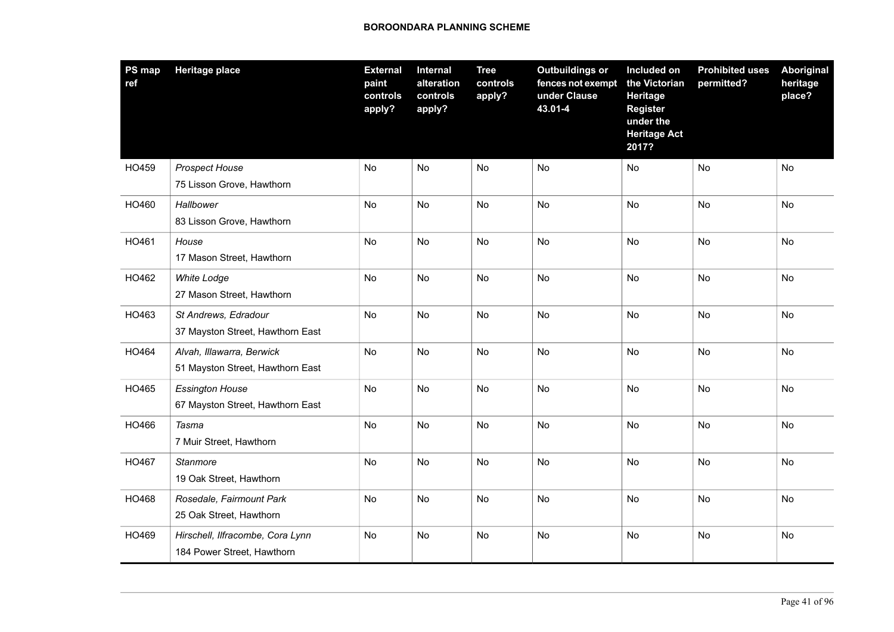| PS map<br>ref | <b>Heritage place</b>                                          | <b>External</b><br>paint<br>controls<br>apply? | <b>Internal</b><br>alteration<br>controls<br>apply? | <b>Tree</b><br>controls<br>apply? | <b>Outbuildings or</b><br>fences not exempt<br>under Clause<br>43.01-4 | Included on<br>the Victorian<br>Heritage<br><b>Register</b><br>under the<br><b>Heritage Act</b><br>2017? | <b>Prohibited uses</b><br>permitted? | Aboriginal<br>heritage<br>place? |
|---------------|----------------------------------------------------------------|------------------------------------------------|-----------------------------------------------------|-----------------------------------|------------------------------------------------------------------------|----------------------------------------------------------------------------------------------------------|--------------------------------------|----------------------------------|
| HO459         | Prospect House<br>75 Lisson Grove, Hawthorn                    | No                                             | <b>No</b>                                           | No                                | No                                                                     | No                                                                                                       | No                                   | No                               |
| HO460         | Hallbower<br>83 Lisson Grove, Hawthorn                         | No                                             | No                                                  | No                                | No                                                                     | No                                                                                                       | No                                   | No                               |
| HO461         | House<br>17 Mason Street, Hawthorn                             | <b>No</b>                                      | <b>No</b>                                           | <b>No</b>                         | <b>No</b>                                                              | <b>No</b>                                                                                                | <b>No</b>                            | <b>No</b>                        |
| HO462         | <b>White Lodge</b><br>27 Mason Street, Hawthorn                | No                                             | No                                                  | No                                | No                                                                     | No                                                                                                       | No                                   | No                               |
| HO463         | St Andrews, Edradour<br>37 Mayston Street, Hawthorn East       | <b>No</b>                                      | <b>No</b>                                           | No                                | <b>No</b>                                                              | <b>No</b>                                                                                                | <b>No</b>                            | <b>No</b>                        |
| HO464         | Alvah, Illawarra, Berwick<br>51 Mayston Street, Hawthorn East  | No                                             | No                                                  | No                                | No                                                                     | <b>No</b>                                                                                                | No                                   | No                               |
| HO465         | <b>Essington House</b><br>67 Mayston Street, Hawthorn East     | No                                             | <b>No</b>                                           | No                                | <b>No</b>                                                              | <b>No</b>                                                                                                | <b>No</b>                            | <b>No</b>                        |
| HO466         | Tasma<br>7 Muir Street, Hawthorn                               | No                                             | No                                                  | No                                | No                                                                     | No                                                                                                       | No                                   | No                               |
| HO467         | Stanmore<br>19 Oak Street, Hawthorn                            | No                                             | No                                                  | No                                | No                                                                     | No                                                                                                       | No                                   | No                               |
| HO468         | Rosedale, Fairmount Park<br>25 Oak Street, Hawthorn            | No                                             | No                                                  | No                                | No                                                                     | <b>No</b>                                                                                                | No                                   | No                               |
| HO469         | Hirschell, Ilfracombe, Cora Lynn<br>184 Power Street, Hawthorn | No                                             | No                                                  | No                                | No                                                                     | No                                                                                                       | No                                   | No                               |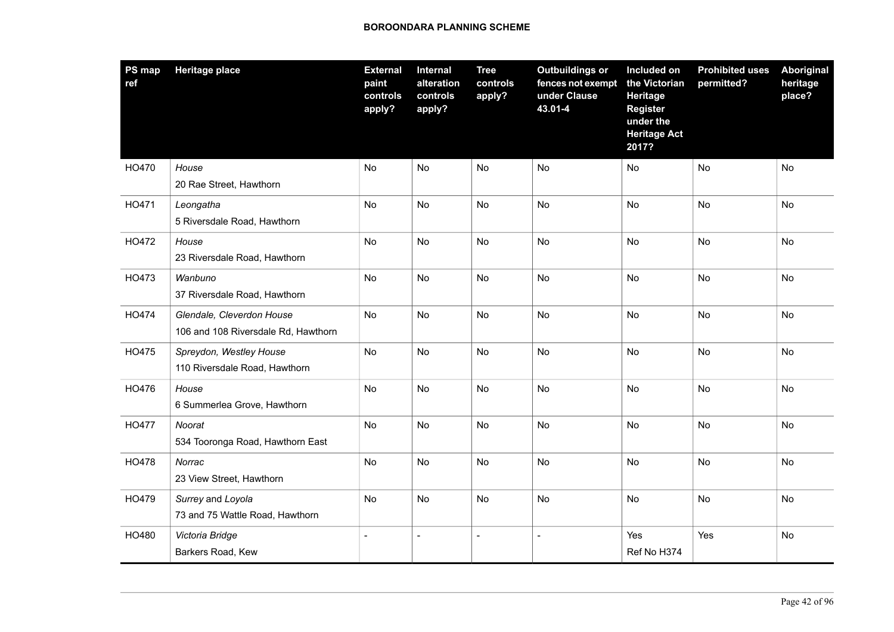| PS map<br>ref | <b>Heritage place</b>                                            | <b>External</b><br>paint<br>controls<br>apply? | Internal<br>alteration<br>controls<br>apply? | <b>Tree</b><br>controls<br>apply? | <b>Outbuildings or</b><br>fences not exempt<br>under Clause<br>43.01-4 | Included on<br>the Victorian<br><b>Heritage</b><br><b>Register</b><br>under the<br><b>Heritage Act</b><br>2017? | <b>Prohibited uses</b><br>permitted? | <b>Aboriginal</b><br>heritage<br>place? |
|---------------|------------------------------------------------------------------|------------------------------------------------|----------------------------------------------|-----------------------------------|------------------------------------------------------------------------|-----------------------------------------------------------------------------------------------------------------|--------------------------------------|-----------------------------------------|
| HO470         | House<br>20 Rae Street, Hawthorn                                 | No                                             | No                                           | No                                | No                                                                     | No                                                                                                              | No                                   | No                                      |
| HO471         | Leongatha<br>5 Riversdale Road, Hawthorn                         | No                                             | <b>No</b>                                    | <b>No</b>                         | <b>No</b>                                                              | <b>No</b>                                                                                                       | <b>No</b>                            | <b>No</b>                               |
| HO472         | House<br>23 Riversdale Road, Hawthorn                            | No                                             | No                                           | No                                | <b>No</b>                                                              | <b>No</b>                                                                                                       | <b>No</b>                            | No                                      |
| HO473         | Wanbuno<br>37 Riversdale Road, Hawthorn                          | No                                             | No                                           | No                                | No                                                                     | No                                                                                                              | No                                   | No                                      |
| HO474         | Glendale, Cleverdon House<br>106 and 108 Riversdale Rd, Hawthorn | No                                             | No                                           | <b>No</b>                         | <b>No</b>                                                              | No                                                                                                              | <b>No</b>                            | <b>No</b>                               |
| HO475         | Spreydon, Westley House<br>110 Riversdale Road, Hawthorn         | No                                             | No                                           | No                                | <b>No</b>                                                              | <b>No</b>                                                                                                       | <b>No</b>                            | No                                      |
| HO476         | House<br>6 Summerlea Grove, Hawthorn                             | No                                             | No                                           | <b>No</b>                         | <b>No</b>                                                              | No                                                                                                              | <b>No</b>                            | No                                      |
| HO477         | Noorat<br>534 Tooronga Road, Hawthorn East                       | No                                             | <b>No</b>                                    | <b>No</b>                         | <b>No</b>                                                              | <b>No</b>                                                                                                       | <b>No</b>                            | <b>No</b>                               |
| HO478         | Norrac<br>23 View Street, Hawthorn                               | No                                             | No                                           | <b>No</b>                         | No                                                                     | No                                                                                                              | <b>No</b>                            | <b>No</b>                               |
| HO479         | Surrey and Loyola<br>73 and 75 Wattle Road, Hawthorn             | No                                             | No                                           | No                                | No                                                                     | <b>No</b>                                                                                                       | No                                   | No                                      |
| HO480         | Victoria Bridge<br>Barkers Road, Kew                             | $\blacksquare$                                 | $\sim$                                       | $\overline{\phantom{a}}$          | $\blacksquare$                                                         | Yes<br>Ref No H374                                                                                              | Yes                                  | No                                      |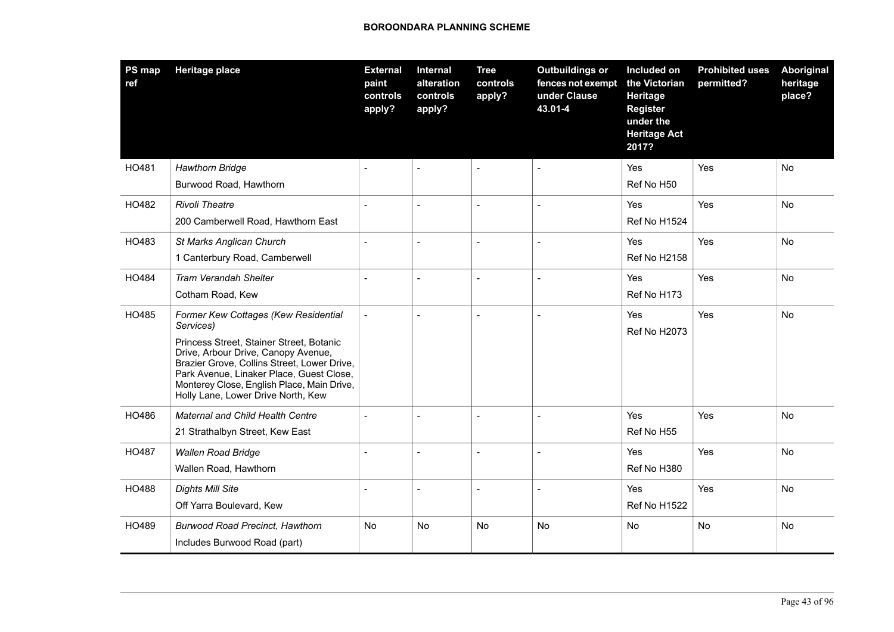| PS map<br>ref | <b>Heritage place</b>                                                                                                                                                                                                                                          | <b>External</b><br>paint<br>controls<br>apply? | Internal<br>alteration<br>controls<br>apply? | <b>Tree</b><br>controls<br>apply? | <b>Outbuildings or</b><br>fences not exempt<br>under Clause<br>43.01-4 | Included on<br>the Victorian<br>Heritage<br><b>Register</b><br>under the<br><b>Heritage Act</b><br>2017? | <b>Prohibited uses</b><br>permitted? | <b>Aboriginal</b><br>heritage<br>place? |
|---------------|----------------------------------------------------------------------------------------------------------------------------------------------------------------------------------------------------------------------------------------------------------------|------------------------------------------------|----------------------------------------------|-----------------------------------|------------------------------------------------------------------------|----------------------------------------------------------------------------------------------------------|--------------------------------------|-----------------------------------------|
| HO481         | <b>Hawthorn Bridge</b>                                                                                                                                                                                                                                         |                                                | $\overline{a}$                               | $\overline{a}$                    |                                                                        | Yes                                                                                                      | Yes                                  | No                                      |
|               | Burwood Road, Hawthorn                                                                                                                                                                                                                                         |                                                |                                              |                                   |                                                                        | Ref No H50                                                                                               |                                      |                                         |
| HO482         | <b>Rivoli Theatre</b>                                                                                                                                                                                                                                          |                                                |                                              | $\overline{a}$                    |                                                                        | Yes                                                                                                      | Yes                                  | No                                      |
|               | 200 Camberwell Road, Hawthorn East                                                                                                                                                                                                                             |                                                |                                              |                                   |                                                                        | Ref No H1524                                                                                             |                                      |                                         |
| HO483         | St Marks Anglican Church                                                                                                                                                                                                                                       | $\overline{a}$                                 | $\overline{a}$                               | $\sim$                            |                                                                        | Yes                                                                                                      | Yes                                  | No                                      |
|               | 1 Canterbury Road, Camberwell                                                                                                                                                                                                                                  |                                                |                                              |                                   |                                                                        | <b>Ref No H2158</b>                                                                                      |                                      |                                         |
| HO484         | <b>Tram Verandah Shelter</b>                                                                                                                                                                                                                                   |                                                |                                              | $\sim$                            |                                                                        | Yes                                                                                                      | Yes                                  | No                                      |
|               | Cotham Road, Kew                                                                                                                                                                                                                                               |                                                |                                              |                                   |                                                                        | Ref No H173                                                                                              |                                      |                                         |
| HO485         | Former Kew Cottages (Kew Residential<br>Services)                                                                                                                                                                                                              |                                                | $\overline{a}$                               | $\overline{\phantom{a}}$          |                                                                        | Yes<br>Ref No H2073                                                                                      | Yes                                  | No                                      |
|               | Princess Street, Stainer Street, Botanic<br>Drive, Arbour Drive, Canopy Avenue,<br>Brazier Grove, Collins Street, Lower Drive,<br>Park Avenue, Linaker Place, Guest Close,<br>Monterey Close, English Place, Main Drive,<br>Holly Lane, Lower Drive North, Kew |                                                |                                              |                                   |                                                                        |                                                                                                          |                                      |                                         |
| HO486         | Maternal and Child Health Centre                                                                                                                                                                                                                               |                                                | $\overline{a}$                               | $\overline{a}$                    |                                                                        | Yes                                                                                                      | Yes                                  | No                                      |
|               | 21 Strathalbyn Street, Kew East                                                                                                                                                                                                                                |                                                |                                              |                                   |                                                                        | Ref No H55                                                                                               |                                      |                                         |
| HO487         | <b>Wallen Road Bridge</b>                                                                                                                                                                                                                                      |                                                | $\overline{a}$                               | $\sim$                            |                                                                        | Yes                                                                                                      | Yes                                  | No                                      |
|               | Wallen Road, Hawthorn                                                                                                                                                                                                                                          |                                                |                                              |                                   |                                                                        | Ref No H380                                                                                              |                                      |                                         |
| HO488         | <b>Dights Mill Site</b>                                                                                                                                                                                                                                        |                                                |                                              | $\overline{\phantom{a}}$          |                                                                        | Yes                                                                                                      | Yes                                  | No                                      |
|               | Off Yarra Boulevard, Kew                                                                                                                                                                                                                                       |                                                |                                              |                                   |                                                                        | Ref No H1522                                                                                             |                                      |                                         |
| HO489         | <b>Burwood Road Precinct, Hawthorn</b>                                                                                                                                                                                                                         | No                                             | No                                           | <b>No</b>                         | <b>No</b>                                                              | <b>No</b>                                                                                                | No                                   | <b>No</b>                               |
|               | Includes Burwood Road (part)                                                                                                                                                                                                                                   |                                                |                                              |                                   |                                                                        |                                                                                                          |                                      |                                         |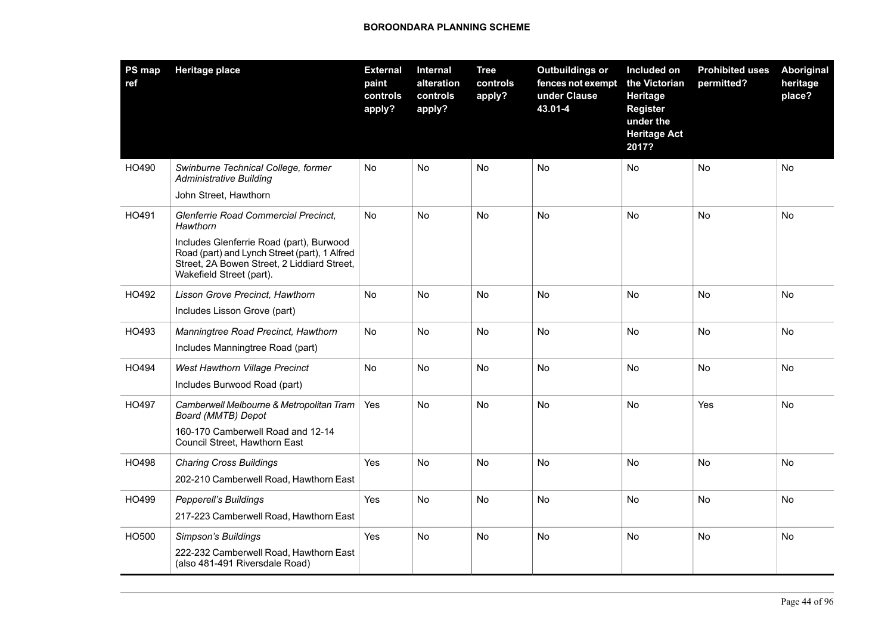| <b>PS map</b><br>ref | <b>Heritage place</b>                                                                                                                                                                                                    | <b>External</b><br>paint<br>controls<br>apply? | <b>Internal</b><br>alteration<br>controls<br>apply? | <b>Tree</b><br>controls<br>apply? | <b>Outbuildings or</b><br>fences not exempt<br>under Clause<br>43.01-4 | Included on<br>the Victorian<br>Heritage<br><b>Register</b><br>under the<br><b>Heritage Act</b><br>2017? | <b>Prohibited uses</b><br>permitted? | <b>Aboriginal</b><br>heritage<br>place? |
|----------------------|--------------------------------------------------------------------------------------------------------------------------------------------------------------------------------------------------------------------------|------------------------------------------------|-----------------------------------------------------|-----------------------------------|------------------------------------------------------------------------|----------------------------------------------------------------------------------------------------------|--------------------------------------|-----------------------------------------|
| HO490                | Swinburne Technical College, former<br><b>Administrative Building</b><br>John Street, Hawthorn                                                                                                                           | No                                             | <b>No</b>                                           | No                                | No                                                                     | No                                                                                                       | No                                   | No                                      |
| HO491                | Glenferrie Road Commercial Precinct.<br>Hawthorn<br>Includes Glenferrie Road (part), Burwood<br>Road (part) and Lynch Street (part), 1 Alfred<br>Street, 2A Bowen Street, 2 Liddiard Street,<br>Wakefield Street (part). | No                                             | <b>No</b>                                           | No                                | No                                                                     | <b>No</b>                                                                                                | <b>No</b>                            | No                                      |
| HO492                | Lisson Grove Precinct, Hawthorn<br>Includes Lisson Grove (part)                                                                                                                                                          | No                                             | No                                                  | No                                | No                                                                     | No                                                                                                       | No                                   | No                                      |
| HO493                | Manningtree Road Precinct, Hawthorn<br>Includes Manningtree Road (part)                                                                                                                                                  | No                                             | <b>No</b>                                           | No                                | <b>No</b>                                                              | <b>No</b>                                                                                                | <b>No</b>                            | <b>No</b>                               |
| HO494                | West Hawthorn Village Precinct<br>Includes Burwood Road (part)                                                                                                                                                           | <b>No</b>                                      | <b>No</b>                                           | No                                | No                                                                     | <b>No</b>                                                                                                | <b>No</b>                            | <b>No</b>                               |
| HO497                | Camberwell Melbourne & Metropolitan Tram<br>Board (MMTB) Depot<br>160-170 Camberwell Road and 12-14<br>Council Street, Hawthorn East                                                                                     | Yes                                            | <b>No</b>                                           | <b>No</b>                         | <b>No</b>                                                              | <b>No</b>                                                                                                | Yes                                  | <b>No</b>                               |
| HO498                | <b>Charing Cross Buildings</b><br>202-210 Camberwell Road, Hawthorn East                                                                                                                                                 | Yes                                            | <b>No</b>                                           | No                                | No                                                                     | <b>No</b>                                                                                                | <b>No</b>                            | <b>No</b>                               |
| HO499                | Pepperell's Buildings<br>217-223 Camberwell Road, Hawthorn East                                                                                                                                                          | Yes                                            | No                                                  | No                                | No                                                                     | No                                                                                                       | No                                   | No                                      |
| HO500                | Simpson's Buildings<br>222-232 Camberwell Road, Hawthorn East<br>(also 481-491 Riversdale Road)                                                                                                                          | Yes                                            | No                                                  | No                                | No                                                                     | No                                                                                                       | No                                   | No                                      |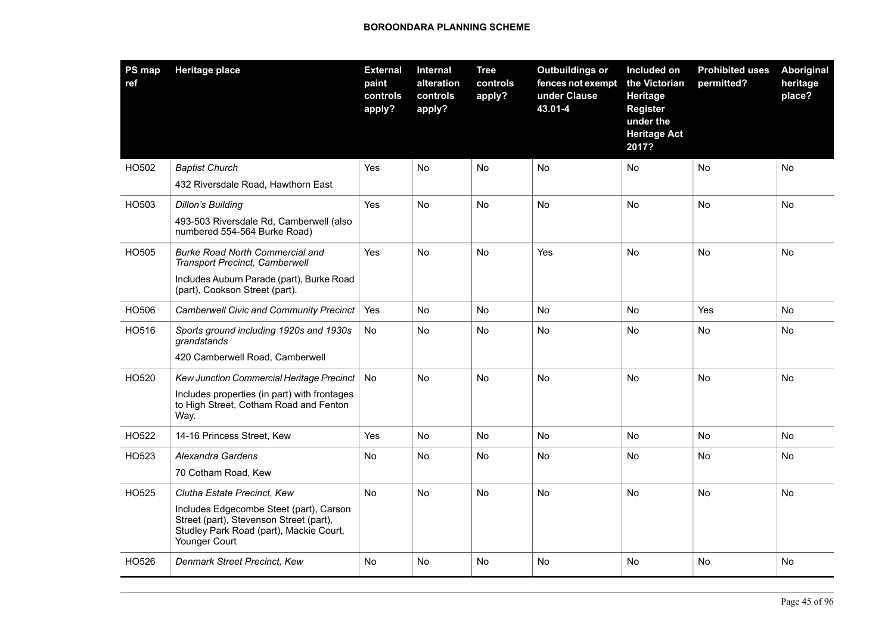| <b>PS map</b><br>ref | <b>Heritage place</b>                                                                                                                          | <b>External</b><br>paint<br>controls<br>apply? | <b>Internal</b><br>alteration<br>controls<br>apply? | <b>Tree</b><br>controls<br>apply? | <b>Outbuildings or</b><br>fences not exempt<br>under Clause<br>43.01-4 | Included on<br>the Victorian<br>Heritage<br><b>Register</b><br>under the<br><b>Heritage Act</b><br>2017? | <b>Prohibited uses</b><br>permitted? | Aboriginal<br>heritage<br>place? |
|----------------------|------------------------------------------------------------------------------------------------------------------------------------------------|------------------------------------------------|-----------------------------------------------------|-----------------------------------|------------------------------------------------------------------------|----------------------------------------------------------------------------------------------------------|--------------------------------------|----------------------------------|
| HO502                | <b>Baptist Church</b>                                                                                                                          | Yes                                            | <b>No</b>                                           | No                                | No                                                                     | No                                                                                                       | No                                   | No                               |
|                      | 432 Riversdale Road, Hawthorn East                                                                                                             |                                                |                                                     |                                   |                                                                        |                                                                                                          |                                      |                                  |
| HO503                | <b>Dillon's Building</b>                                                                                                                       | Yes                                            | No                                                  | No                                | No                                                                     | No                                                                                                       | No                                   | No                               |
|                      | 493-503 Riversdale Rd, Camberwell (also<br>numbered 554-564 Burke Road)                                                                        |                                                |                                                     |                                   |                                                                        |                                                                                                          |                                      |                                  |
| HO505                | <b>Burke Road North Commercial and</b><br><b>Transport Precinct, Camberwell</b>                                                                | <b>Yes</b>                                     | <b>No</b>                                           | <b>No</b>                         | Yes                                                                    | <b>No</b>                                                                                                | <b>No</b>                            | <b>No</b>                        |
|                      | Includes Auburn Parade (part), Burke Road<br>(part), Cookson Street (part).                                                                    |                                                |                                                     |                                   |                                                                        |                                                                                                          |                                      |                                  |
| HO506                | <b>Camberwell Civic and Community Precinct</b>                                                                                                 | Yes                                            | No                                                  | No                                | No                                                                     | No                                                                                                       | Yes                                  | No                               |
| HO516                | Sports ground including 1920s and 1930s<br>grandstands                                                                                         | No                                             | No                                                  | No                                | No                                                                     | No                                                                                                       | No                                   | No                               |
|                      | 420 Camberwell Road, Camberwell                                                                                                                |                                                |                                                     |                                   |                                                                        |                                                                                                          |                                      |                                  |
| HO520                | Kew Junction Commercial Heritage Precinct                                                                                                      | <b>No</b>                                      | No                                                  | <b>No</b>                         | <b>No</b>                                                              | No.                                                                                                      | <b>No</b>                            | No                               |
|                      | Includes properties (in part) with frontages<br>to High Street, Cotham Road and Fenton<br>Way.                                                 |                                                |                                                     |                                   |                                                                        |                                                                                                          |                                      |                                  |
| HO522                | 14-16 Princess Street, Kew                                                                                                                     | Yes                                            | No                                                  | No                                | No                                                                     | No.                                                                                                      | No                                   | No                               |
| HO523                | Alexandra Gardens                                                                                                                              | No                                             | No                                                  | No                                | No                                                                     | No.                                                                                                      | No                                   | No                               |
|                      | 70 Cotham Road, Kew                                                                                                                            |                                                |                                                     |                                   |                                                                        |                                                                                                          |                                      |                                  |
| HO525                | Clutha Estate Precinct, Kew                                                                                                                    | No                                             | No                                                  | No                                | No                                                                     | No                                                                                                       | No                                   | No                               |
|                      | Includes Edgecombe Steet (part), Carson<br>Street (part), Stevenson Street (part),<br>Studley Park Road (part), Mackie Court,<br>Younger Court |                                                |                                                     |                                   |                                                                        |                                                                                                          |                                      |                                  |
| HO526                | Denmark Street Precinct, Kew                                                                                                                   | No                                             | No                                                  | No                                | No                                                                     | No                                                                                                       | No                                   | No                               |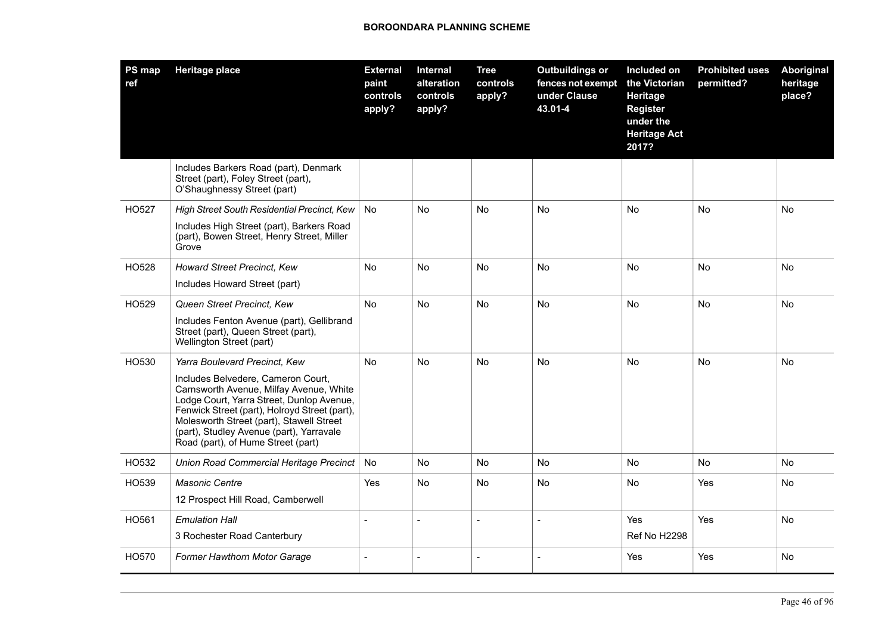| PS map<br>ref | <b>Heritage place</b>                                                                                                                                                                                                                                                                                     | <b>External</b><br>paint<br>controls<br>apply? | Internal<br>alteration<br>controls<br>apply? | <b>Tree</b><br>controls<br>apply? | <b>Outbuildings or</b><br>fences not exempt<br>under Clause<br>43.01-4 | Included on<br>the Victorian<br>Heritage<br><b>Register</b><br>under the<br><b>Heritage Act</b><br>2017? | <b>Prohibited uses</b><br>permitted? | Aboriginal<br>heritage<br>place? |
|---------------|-----------------------------------------------------------------------------------------------------------------------------------------------------------------------------------------------------------------------------------------------------------------------------------------------------------|------------------------------------------------|----------------------------------------------|-----------------------------------|------------------------------------------------------------------------|----------------------------------------------------------------------------------------------------------|--------------------------------------|----------------------------------|
|               | Includes Barkers Road (part), Denmark<br>Street (part), Foley Street (part),<br>O'Shaughnessy Street (part)                                                                                                                                                                                               |                                                |                                              |                                   |                                                                        |                                                                                                          |                                      |                                  |
| HO527         | High Street South Residential Precinct, Kew                                                                                                                                                                                                                                                               | <b>No</b>                                      | <b>No</b>                                    | No                                | <b>No</b>                                                              | No.                                                                                                      | <b>No</b>                            | <b>No</b>                        |
|               | Includes High Street (part), Barkers Road<br>(part), Bowen Street, Henry Street, Miller<br>Grove                                                                                                                                                                                                          |                                                |                                              |                                   |                                                                        |                                                                                                          |                                      |                                  |
| HO528         | Howard Street Precinct, Kew                                                                                                                                                                                                                                                                               | No.                                            | No                                           | No                                | No.                                                                    | No                                                                                                       | No                                   | No                               |
|               | Includes Howard Street (part)                                                                                                                                                                                                                                                                             |                                                |                                              |                                   |                                                                        |                                                                                                          |                                      |                                  |
| HO529         | Queen Street Precinct, Kew                                                                                                                                                                                                                                                                                | <b>No</b>                                      | No                                           | No                                | No                                                                     | No                                                                                                       | No                                   | No                               |
|               | Includes Fenton Avenue (part), Gellibrand<br>Street (part), Queen Street (part),<br>Wellington Street (part)                                                                                                                                                                                              |                                                |                                              |                                   |                                                                        |                                                                                                          |                                      |                                  |
| HO530         | Yarra Boulevard Precinct, Kew                                                                                                                                                                                                                                                                             | <b>No</b>                                      | <b>No</b>                                    | <b>No</b>                         | <b>No</b>                                                              | <b>No</b>                                                                                                | <b>No</b>                            | <b>No</b>                        |
|               | Includes Belvedere, Cameron Court,<br>Carnsworth Avenue, Milfay Avenue, White<br>Lodge Court, Yarra Street, Dunlop Avenue,<br>Fenwick Street (part), Holroyd Street (part),<br>Molesworth Street (part), Stawell Street<br>(part), Studley Avenue (part), Yarravale<br>Road (part), of Hume Street (part) |                                                |                                              |                                   |                                                                        |                                                                                                          |                                      |                                  |
| HO532         | Union Road Commercial Heritage Precinct                                                                                                                                                                                                                                                                   | No                                             | No                                           | No                                | No                                                                     | <b>No</b>                                                                                                | No                                   | No                               |
| HO539         | <b>Masonic Centre</b>                                                                                                                                                                                                                                                                                     | Yes                                            | No                                           | No                                | No.                                                                    | <b>No</b>                                                                                                | Yes                                  | No                               |
|               | 12 Prospect Hill Road, Camberwell                                                                                                                                                                                                                                                                         |                                                |                                              |                                   |                                                                        |                                                                                                          |                                      |                                  |
| HO561         | <b>Emulation Hall</b>                                                                                                                                                                                                                                                                                     | $\overline{a}$                                 | $\overline{a}$                               | $\overline{a}$                    | $\overline{a}$                                                         | Yes                                                                                                      | Yes                                  | No                               |
|               | 3 Rochester Road Canterbury                                                                                                                                                                                                                                                                               |                                                |                                              |                                   |                                                                        | Ref No H2298                                                                                             |                                      |                                  |
| HO570         | Former Hawthorn Motor Garage                                                                                                                                                                                                                                                                              |                                                | L                                            | $\overline{\phantom{a}}$          | $\blacksquare$                                                         | Yes                                                                                                      | Yes                                  | No                               |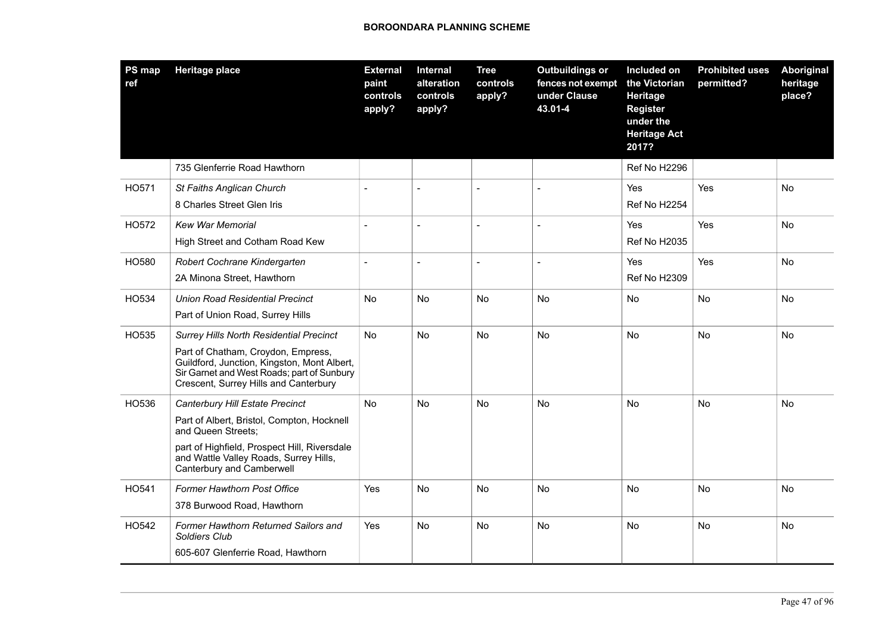| PS map<br>ref | <b>Heritage place</b>                                                                                                                                                                                                      | <b>External</b><br>paint<br>controls<br>apply? | Internal<br>alteration<br>controls<br>apply? | <b>Tree</b><br>controls<br>apply? | <b>Outbuildings or</b><br>fences not exempt<br>under Clause<br>43.01-4 | Included on<br>the Victorian<br>Heritage<br><b>Register</b><br>under the<br><b>Heritage Act</b><br>2017? | <b>Prohibited uses</b><br>permitted? | <b>Aboriginal</b><br>heritage<br>place? |
|---------------|----------------------------------------------------------------------------------------------------------------------------------------------------------------------------------------------------------------------------|------------------------------------------------|----------------------------------------------|-----------------------------------|------------------------------------------------------------------------|----------------------------------------------------------------------------------------------------------|--------------------------------------|-----------------------------------------|
|               | 735 Glenferrie Road Hawthorn                                                                                                                                                                                               |                                                |                                              |                                   |                                                                        | Ref No H2296                                                                                             |                                      |                                         |
| HO571         | St Faiths Anglican Church<br>8 Charles Street Glen Iris                                                                                                                                                                    |                                                |                                              |                                   |                                                                        | Yes<br>Ref No H2254                                                                                      | Yes                                  | No                                      |
| HO572         | <b>Kew War Memorial</b><br>High Street and Cotham Road Kew                                                                                                                                                                 | $\overline{a}$                                 | $\overline{a}$                               | $\overline{a}$                    | $\sim$                                                                 | Yes<br><b>Ref No H2035</b>                                                                               | Yes                                  | No                                      |
| HO580         | Robert Cochrane Kindergarten<br>2A Minona Street, Hawthorn                                                                                                                                                                 |                                                |                                              | $\overline{a}$                    |                                                                        | Yes<br><b>Ref No H2309</b>                                                                               | Yes                                  | No                                      |
| HO534         | <b>Union Road Residential Precinct</b><br>Part of Union Road, Surrey Hills                                                                                                                                                 | No                                             | No                                           | No                                | No                                                                     | No                                                                                                       | No                                   | No                                      |
| HO535         | <b>Surrey Hills North Residential Precinct</b><br>Part of Chatham, Croydon, Empress,<br>Guildford, Junction, Kingston, Mont Albert,<br>Sir Garnet and West Roads; part of Sunbury<br>Crescent, Surrey Hills and Canterbury | No                                             | No                                           | No                                | No                                                                     | No                                                                                                       | No                                   | No.                                     |
| HO536         | Canterbury Hill Estate Precinct<br>Part of Albert, Bristol, Compton, Hocknell<br>and Queen Streets;<br>part of Highfield, Prospect Hill, Riversdale<br>and Wattle Valley Roads, Surrey Hills,<br>Canterbury and Camberwell | No                                             | No                                           | No                                | No                                                                     | No                                                                                                       | No                                   | No                                      |
| HO541         | <b>Former Hawthorn Post Office</b><br>378 Burwood Road, Hawthorn                                                                                                                                                           | Yes                                            | No                                           | <b>No</b>                         | <b>No</b>                                                              | <b>No</b>                                                                                                | <b>No</b>                            | N <sub>o</sub>                          |
| HO542         | Former Hawthorn Returned Sailors and<br>Soldiers Club<br>605-607 Glenferrie Road, Hawthorn                                                                                                                                 | Yes                                            | <b>No</b>                                    | <b>No</b>                         | <b>No</b>                                                              | <b>No</b>                                                                                                | N <sub>o</sub>                       | No.                                     |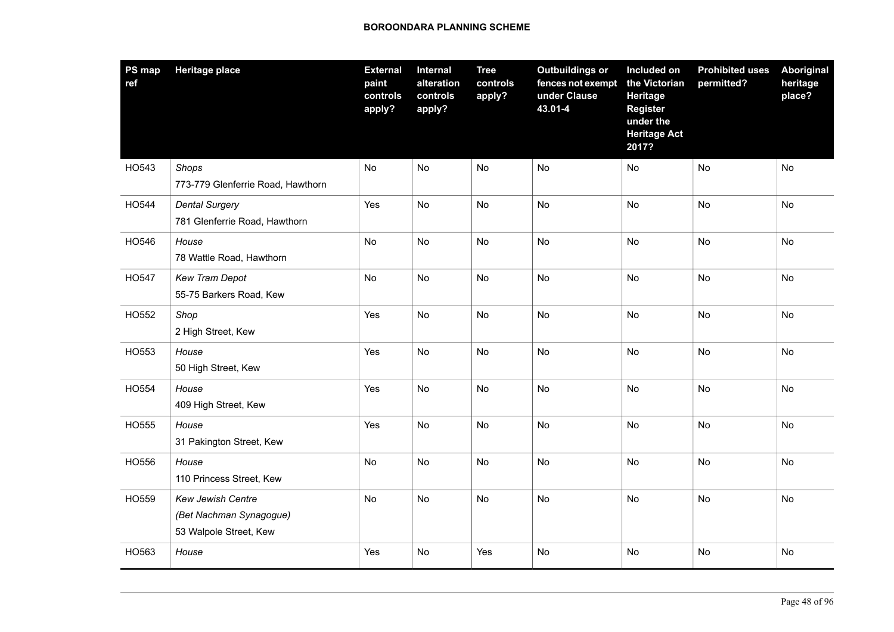| PS map<br>ref | <b>Heritage place</b>                                                  | <b>External</b><br>paint<br>controls<br>apply? | Internal<br>alteration<br>controls<br>apply? | <b>Tree</b><br>controls<br>apply? | <b>Outbuildings or</b><br>fences not exempt<br>under Clause<br>43.01-4 | Included on<br>the Victorian<br><b>Heritage</b><br><b>Register</b><br>under the<br><b>Heritage Act</b><br>2017? | <b>Prohibited uses</b><br>permitted? | Aboriginal<br>heritage<br>place? |
|---------------|------------------------------------------------------------------------|------------------------------------------------|----------------------------------------------|-----------------------------------|------------------------------------------------------------------------|-----------------------------------------------------------------------------------------------------------------|--------------------------------------|----------------------------------|
| HO543         | Shops<br>773-779 Glenferrie Road, Hawthorn                             | No                                             | No                                           | No                                | No                                                                     | No                                                                                                              | No                                   | No                               |
| HO544         | <b>Dental Surgery</b><br>781 Glenferrie Road, Hawthorn                 | Yes                                            | No                                           | <b>No</b>                         | No                                                                     | <b>No</b>                                                                                                       | <b>No</b>                            | <b>No</b>                        |
| HO546         | House<br>78 Wattle Road, Hawthorn                                      | No                                             | No                                           | No                                | No                                                                     | <b>No</b>                                                                                                       | No                                   | No                               |
| HO547         | Kew Tram Depot<br>55-75 Barkers Road, Kew                              | No                                             | No                                           | No                                | No                                                                     | No                                                                                                              | No                                   | No                               |
| HO552         | Shop<br>2 High Street, Kew                                             | Yes                                            | No                                           | No                                | <b>No</b>                                                              | No                                                                                                              | No                                   | No                               |
| HO553         | House<br>50 High Street, Kew                                           | Yes                                            | No                                           | No                                | No                                                                     | No                                                                                                              | <b>No</b>                            | No                               |
| HO554         | House<br>409 High Street, Kew                                          | Yes                                            | No                                           | No                                | No                                                                     | No                                                                                                              | No                                   | No                               |
| HO555         | House<br>31 Pakington Street, Kew                                      | Yes                                            | No                                           | No                                | No                                                                     | No                                                                                                              | No                                   | No                               |
| HO556         | House<br>110 Princess Street, Kew                                      | No                                             | No                                           | No                                | No                                                                     | No                                                                                                              | No                                   | No                               |
| HO559         | Kew Jewish Centre<br>(Bet Nachman Synagogue)<br>53 Walpole Street, Kew | No                                             | No                                           | No                                | No                                                                     | No                                                                                                              | No                                   | No                               |
| HO563         | House                                                                  | Yes                                            | No                                           | Yes                               | No                                                                     | No                                                                                                              | No                                   | No                               |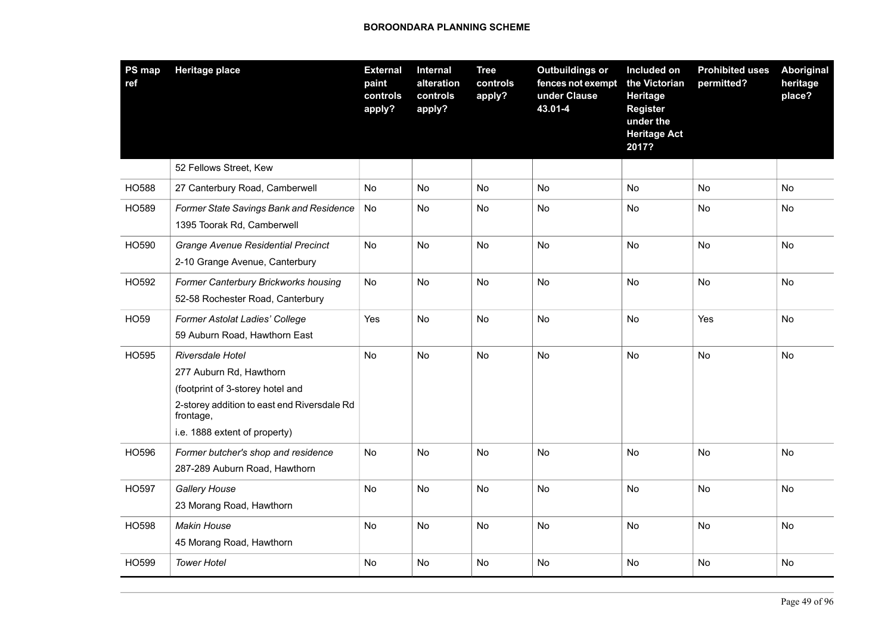| PS map<br>ref | <b>Heritage place</b>                                                                                                                                                        | <b>External</b><br>paint<br>controls<br>apply? | Internal<br>alteration<br>controls<br>apply? | <b>Tree</b><br>controls<br>apply? | <b>Outbuildings or</b><br>fences not exempt<br>under Clause<br>43.01-4 | Included on<br>the Victorian<br>Heritage<br><b>Register</b><br>under the<br><b>Heritage Act</b><br>2017? | <b>Prohibited uses</b><br>permitted? | Aboriginal<br>heritage<br>place? |
|---------------|------------------------------------------------------------------------------------------------------------------------------------------------------------------------------|------------------------------------------------|----------------------------------------------|-----------------------------------|------------------------------------------------------------------------|----------------------------------------------------------------------------------------------------------|--------------------------------------|----------------------------------|
|               | 52 Fellows Street, Kew                                                                                                                                                       |                                                |                                              |                                   |                                                                        |                                                                                                          |                                      |                                  |
| <b>HO588</b>  | 27 Canterbury Road, Camberwell                                                                                                                                               | No                                             | No                                           | No                                | No                                                                     | No                                                                                                       | No                                   | No                               |
| HO589         | Former State Savings Bank and Residence<br>1395 Toorak Rd, Camberwell                                                                                                        | No                                             | No                                           | No                                | <b>No</b>                                                              | No                                                                                                       | No                                   | No                               |
| HO590         | Grange Avenue Residential Precinct<br>2-10 Grange Avenue, Canterbury                                                                                                         | No                                             | No                                           | No                                | No                                                                     | No                                                                                                       | No                                   | No                               |
| HO592         | Former Canterbury Brickworks housing<br>52-58 Rochester Road, Canterbury                                                                                                     | No                                             | No                                           | No                                | No                                                                     | No                                                                                                       | No                                   | No                               |
| <b>HO59</b>   | Former Astolat Ladies' College<br>59 Auburn Road, Hawthorn East                                                                                                              | Yes                                            | No                                           | No                                | <b>No</b>                                                              | No                                                                                                       | Yes                                  | No                               |
| HO595         | Riversdale Hotel<br>277 Auburn Rd, Hawthorn<br>(footprint of 3-storey hotel and<br>2-storey addition to east end Riversdale Rd<br>frontage,<br>i.e. 1888 extent of property) | No                                             | No                                           | No                                | <b>No</b>                                                              | No                                                                                                       | No                                   | No                               |
| HO596         | Former butcher's shop and residence<br>287-289 Auburn Road, Hawthorn                                                                                                         | No                                             | <b>No</b>                                    | No                                | <b>No</b>                                                              | <b>No</b>                                                                                                | <b>No</b>                            | No                               |
| HO597         | <b>Gallery House</b><br>23 Morang Road, Hawthorn                                                                                                                             | No                                             | No                                           | No                                | No                                                                     | No                                                                                                       | No                                   | No                               |
| HO598         | <b>Makin House</b><br>45 Morang Road, Hawthorn                                                                                                                               | No                                             | No                                           | No                                | No                                                                     | No                                                                                                       | No                                   | No                               |
| HO599         | <b>Tower Hotel</b>                                                                                                                                                           | No.                                            | No                                           | No                                | <b>No</b>                                                              | No                                                                                                       | <b>No</b>                            | No.                              |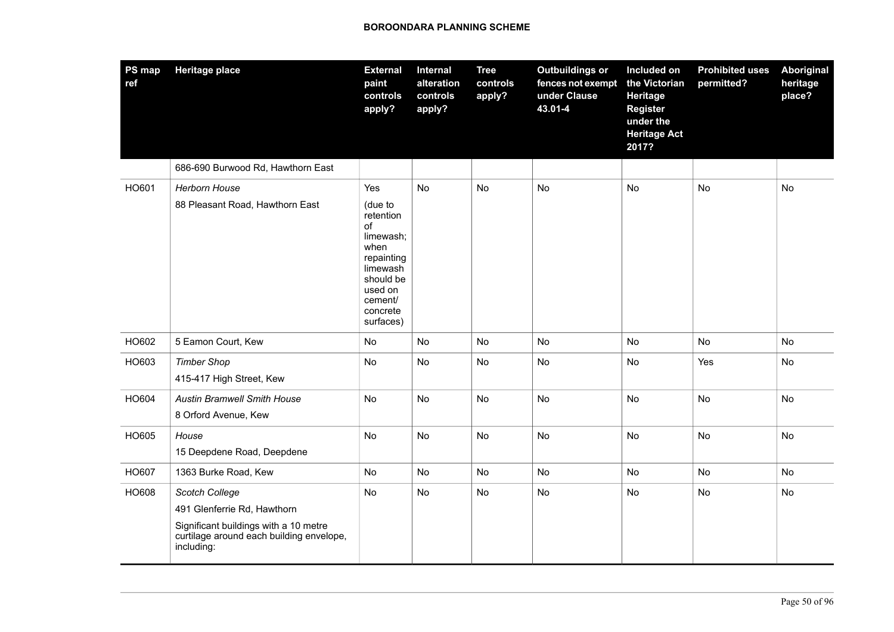| PS map<br>ref | <b>Heritage place</b>                                                                                                                            | <b>External</b><br>paint<br>controls<br>apply?                                                                                               | <b>Internal</b><br>alteration<br>controls<br>apply? | <b>Tree</b><br>controls<br>apply? | <b>Outbuildings or</b><br>fences not exempt<br>under Clause<br>43.01-4 | Included on<br>the Victorian<br><b>Heritage</b><br>Register<br>under the<br><b>Heritage Act</b><br>2017? | <b>Prohibited uses</b><br>permitted? | Aboriginal<br>heritage<br>place? |
|---------------|--------------------------------------------------------------------------------------------------------------------------------------------------|----------------------------------------------------------------------------------------------------------------------------------------------|-----------------------------------------------------|-----------------------------------|------------------------------------------------------------------------|----------------------------------------------------------------------------------------------------------|--------------------------------------|----------------------------------|
|               | 686-690 Burwood Rd, Hawthorn East                                                                                                                |                                                                                                                                              |                                                     |                                   |                                                                        |                                                                                                          |                                      |                                  |
| HO601         | <b>Herborn House</b><br>88 Pleasant Road, Hawthorn East                                                                                          | Yes<br>(due to<br>retention<br>of<br>limewash;<br>when<br>repainting<br>limewash<br>should be<br>used on<br>cement/<br>concrete<br>surfaces) | <b>No</b>                                           | No                                | No                                                                     | No                                                                                                       | <b>No</b>                            | No                               |
| HO602         | 5 Eamon Court, Kew                                                                                                                               | No                                                                                                                                           | No                                                  | No                                | No                                                                     | No                                                                                                       | No                                   | No                               |
| HO603         | <b>Timber Shop</b><br>415-417 High Street, Kew                                                                                                   | No                                                                                                                                           | No                                                  | No                                | No                                                                     | No                                                                                                       | Yes                                  | No                               |
| HO604         | <b>Austin Bramwell Smith House</b><br>8 Orford Avenue, Kew                                                                                       | No                                                                                                                                           | No                                                  | No                                | No                                                                     | No                                                                                                       | <b>No</b>                            | No                               |
| HO605         | House<br>15 Deepdene Road, Deepdene                                                                                                              | No                                                                                                                                           | No                                                  | No                                | No                                                                     | No                                                                                                       | No                                   | No                               |
| HO607         | 1363 Burke Road, Kew                                                                                                                             | No                                                                                                                                           | No                                                  | No                                | <b>No</b>                                                              | No                                                                                                       | No                                   | No                               |
| HO608         | Scotch College<br>491 Glenferrie Rd, Hawthorn<br>Significant buildings with a 10 metre<br>curtilage around each building envelope,<br>including: | No                                                                                                                                           | No                                                  | No                                | No                                                                     | No                                                                                                       | No                                   | No                               |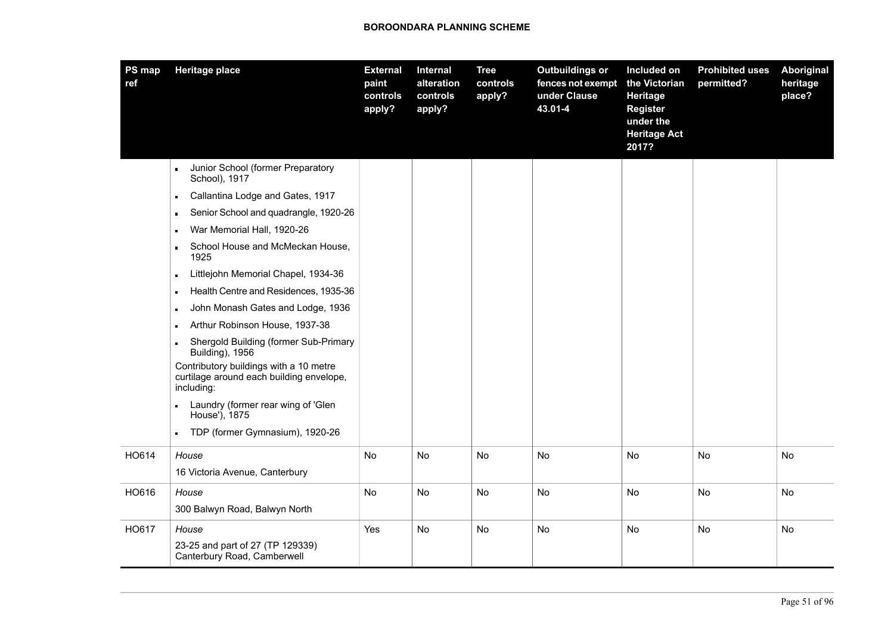| PS map<br>ref | <b>Heritage place</b>                                                                            | <b>External</b><br>paint<br>controls<br>apply? | Internal<br>alteration<br>controls<br>apply? | <b>Tree</b><br>controls<br>apply? | <b>Outbuildings or</b><br>fences not exempt<br>under Clause<br>43.01-4 | Included on<br>the Victorian<br>Heritage<br><b>Register</b><br>under the<br><b>Heritage Act</b><br>2017? | <b>Prohibited uses</b><br>permitted? | <b>Aboriginal</b><br>heritage<br>place? |
|---------------|--------------------------------------------------------------------------------------------------|------------------------------------------------|----------------------------------------------|-----------------------------------|------------------------------------------------------------------------|----------------------------------------------------------------------------------------------------------|--------------------------------------|-----------------------------------------|
|               | Junior School (former Preparatory<br>School), 1917                                               |                                                |                                              |                                   |                                                                        |                                                                                                          |                                      |                                         |
|               | Callantina Lodge and Gates, 1917<br>$\blacksquare$                                               |                                                |                                              |                                   |                                                                        |                                                                                                          |                                      |                                         |
|               | Senior School and quadrangle, 1920-26<br>$\blacksquare$                                          |                                                |                                              |                                   |                                                                        |                                                                                                          |                                      |                                         |
|               | War Memorial Hall, 1920-26<br>$\blacksquare$                                                     |                                                |                                              |                                   |                                                                        |                                                                                                          |                                      |                                         |
|               | School House and McMeckan House,<br>$\blacksquare$<br>1925                                       |                                                |                                              |                                   |                                                                        |                                                                                                          |                                      |                                         |
|               | Littlejohn Memorial Chapel, 1934-36<br>$\blacksquare$                                            |                                                |                                              |                                   |                                                                        |                                                                                                          |                                      |                                         |
|               | Health Centre and Residences, 1935-36                                                            |                                                |                                              |                                   |                                                                        |                                                                                                          |                                      |                                         |
|               | John Monash Gates and Lodge, 1936<br>$\blacksquare$                                              |                                                |                                              |                                   |                                                                        |                                                                                                          |                                      |                                         |
|               | Arthur Robinson House, 1937-38                                                                   |                                                |                                              |                                   |                                                                        |                                                                                                          |                                      |                                         |
|               | Shergold Building (former Sub-Primary<br><b>Building), 1956</b>                                  |                                                |                                              |                                   |                                                                        |                                                                                                          |                                      |                                         |
|               | Contributory buildings with a 10 metre<br>curtilage around each building envelope,<br>including: |                                                |                                              |                                   |                                                                        |                                                                                                          |                                      |                                         |
|               | Laundry (former rear wing of 'Glen<br>House'), 1875                                              |                                                |                                              |                                   |                                                                        |                                                                                                          |                                      |                                         |
|               | TDP (former Gymnasium), 1920-26<br>$\blacksquare$                                                |                                                |                                              |                                   |                                                                        |                                                                                                          |                                      |                                         |
| HO614         | House                                                                                            | No                                             | No                                           | No                                | No                                                                     | No                                                                                                       | No                                   | No                                      |
|               | 16 Victoria Avenue, Canterbury                                                                   |                                                |                                              |                                   |                                                                        |                                                                                                          |                                      |                                         |
| HO616         | House                                                                                            | No                                             | No                                           | No                                | No                                                                     | No                                                                                                       | No                                   | No                                      |
|               | 300 Balwyn Road, Balwyn North                                                                    |                                                |                                              |                                   |                                                                        |                                                                                                          |                                      |                                         |
| HO617         | House<br>23-25 and part of 27 (TP 129339)<br>Canterbury Road, Camberwell                         | Yes                                            | No.                                          | No                                | No                                                                     | No                                                                                                       | No                                   | No                                      |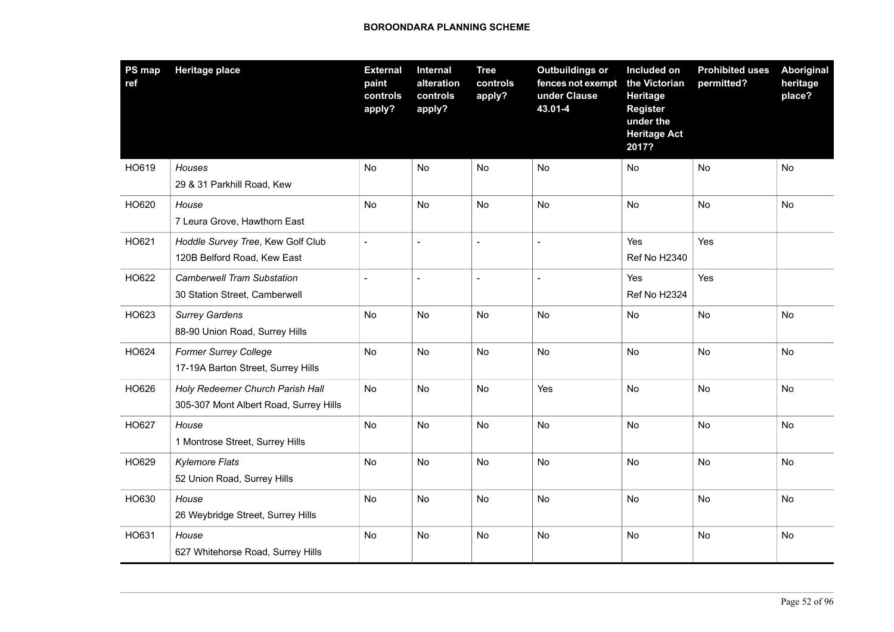| PS map<br>ref | <b>Heritage place</b>                                                      | <b>External</b><br>paint<br>controls<br>apply? | <b>Internal</b><br>alteration<br>controls<br>apply? | <b>Tree</b><br>controls<br>apply? | <b>Outbuildings or</b><br>fences not exempt<br>under Clause<br>43.01-4 | Included on<br>the Victorian<br>Heritage<br><b>Register</b><br>under the<br><b>Heritage Act</b><br>2017? | <b>Prohibited uses</b><br>permitted? | Aboriginal<br>heritage<br>place? |
|---------------|----------------------------------------------------------------------------|------------------------------------------------|-----------------------------------------------------|-----------------------------------|------------------------------------------------------------------------|----------------------------------------------------------------------------------------------------------|--------------------------------------|----------------------------------|
| HO619         | Houses<br>29 & 31 Parkhill Road, Kew                                       | <b>No</b>                                      | <b>No</b>                                           | <b>No</b>                         | No                                                                     | No                                                                                                       | No                                   | No                               |
| HO620         | House<br>7 Leura Grove, Hawthorn East                                      | No                                             | No                                                  | No                                | No                                                                     | No                                                                                                       | No                                   | No                               |
| HO621         | Hoddle Survey Tree, Kew Golf Club<br>120B Belford Road, Kew East           |                                                |                                                     | $\sim$                            |                                                                        | Yes<br><b>Ref No H2340</b>                                                                               | Yes                                  |                                  |
| HO622         | <b>Camberwell Tram Substation</b><br>30 Station Street, Camberwell         | $\blacksquare$                                 | $\overline{a}$                                      | $\blacksquare$                    | $\overline{a}$                                                         | Yes<br>Ref No H2324                                                                                      | Yes                                  |                                  |
| HO623         | <b>Surrey Gardens</b><br>88-90 Union Road, Surrey Hills                    | <b>No</b>                                      | <b>No</b>                                           | No                                | <b>No</b>                                                              | No                                                                                                       | <b>No</b>                            | <b>No</b>                        |
| HO624         | <b>Former Surrey College</b><br>17-19A Barton Street, Surrey Hills         | No                                             | No                                                  | No                                | No                                                                     | No                                                                                                       | No                                   | No                               |
| HO626         | Holy Redeemer Church Parish Hall<br>305-307 Mont Albert Road, Surrey Hills | No                                             | <b>No</b>                                           | <b>No</b>                         | Yes                                                                    | <b>No</b>                                                                                                | <b>No</b>                            | <b>No</b>                        |
| HO627         | House<br>1 Montrose Street, Surrey Hills                                   | No                                             | No                                                  | No                                | No                                                                     | No                                                                                                       | No                                   | No                               |
| HO629         | <b>Kylemore Flats</b><br>52 Union Road, Surrey Hills                       | No                                             | No                                                  | No                                | No                                                                     | No                                                                                                       | No                                   | No                               |
| HO630         | House<br>26 Weybridge Street, Surrey Hills                                 | No                                             | No                                                  | No                                | No                                                                     | No                                                                                                       | No                                   | No                               |
| HO631         | House<br>627 Whitehorse Road, Surrey Hills                                 | No                                             | No                                                  | No                                | No                                                                     | No                                                                                                       | No                                   | No                               |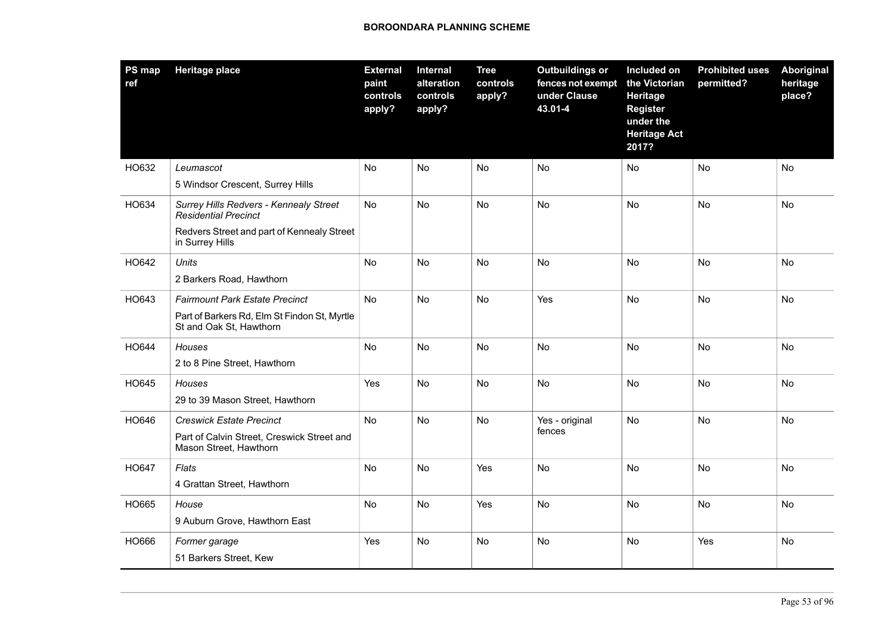| PS map<br>ref | <b>Heritage place</b>                                                                                                                  | <b>External</b><br>paint<br>controls<br>apply? | Internal<br>alteration<br>controls<br>apply? | <b>Tree</b><br>controls<br>apply? | <b>Outbuildings or</b><br>fences not exempt<br>under Clause<br>43.01-4 | Included on<br>the Victorian<br><b>Heritage</b><br><b>Register</b><br>under the<br><b>Heritage Act</b><br>2017? | <b>Prohibited uses</b><br>permitted? | <b>Aboriginal</b><br>heritage<br>place? |
|---------------|----------------------------------------------------------------------------------------------------------------------------------------|------------------------------------------------|----------------------------------------------|-----------------------------------|------------------------------------------------------------------------|-----------------------------------------------------------------------------------------------------------------|--------------------------------------|-----------------------------------------|
| HO632         | Leumascot<br>5 Windsor Crescent, Surrey Hills                                                                                          | No                                             | No                                           | No                                | No                                                                     | No                                                                                                              | No                                   | No                                      |
| HO634         | Surrey Hills Redvers - Kennealy Street<br><b>Residential Precinct</b><br>Redvers Street and part of Kennealy Street<br>in Surrey Hills | No                                             | No                                           | No                                | No                                                                     | No                                                                                                              | No                                   | No                                      |
| HO642         | <b>Units</b><br>2 Barkers Road, Hawthorn                                                                                               | No                                             | <b>No</b>                                    | No                                | No                                                                     | No                                                                                                              | <b>No</b>                            | No                                      |
| HO643         | <b>Fairmount Park Estate Precinct</b><br>Part of Barkers Rd, Elm St Findon St, Myrtle<br>St and Oak St, Hawthorn                       | No                                             | No                                           | No                                | Yes                                                                    | No                                                                                                              | No                                   | No                                      |
| HO644         | Houses<br>2 to 8 Pine Street, Hawthorn                                                                                                 | <b>No</b>                                      | <b>No</b>                                    | <b>No</b>                         | <b>No</b>                                                              | <b>No</b>                                                                                                       | <b>No</b>                            | <b>No</b>                               |
| HO645         | Houses<br>29 to 39 Mason Street, Hawthorn                                                                                              | Yes                                            | <b>No</b>                                    | <b>No</b>                         | <b>No</b>                                                              | <b>No</b>                                                                                                       | No                                   | No                                      |
| HO646         | <b>Creswick Estate Precinct</b><br>Part of Calvin Street, Creswick Street and<br>Mason Street, Hawthorn                                | No                                             | <b>No</b>                                    | <b>No</b>                         | Yes - original<br>fences                                               | No                                                                                                              | <b>No</b>                            | <b>No</b>                               |
| HO647         | Flats<br>4 Grattan Street, Hawthorn                                                                                                    | <b>No</b>                                      | <b>No</b>                                    | Yes                               | No                                                                     | No                                                                                                              | <b>No</b>                            | <b>No</b>                               |
| HO665         | House<br>9 Auburn Grove, Hawthorn East                                                                                                 | No                                             | <b>No</b>                                    | Yes                               | No                                                                     | No                                                                                                              | No                                   | No                                      |
| HO666         | Former garage<br>51 Barkers Street, Kew                                                                                                | Yes                                            | <b>No</b>                                    | <b>No</b>                         | No                                                                     | <b>No</b>                                                                                                       | Yes                                  | No                                      |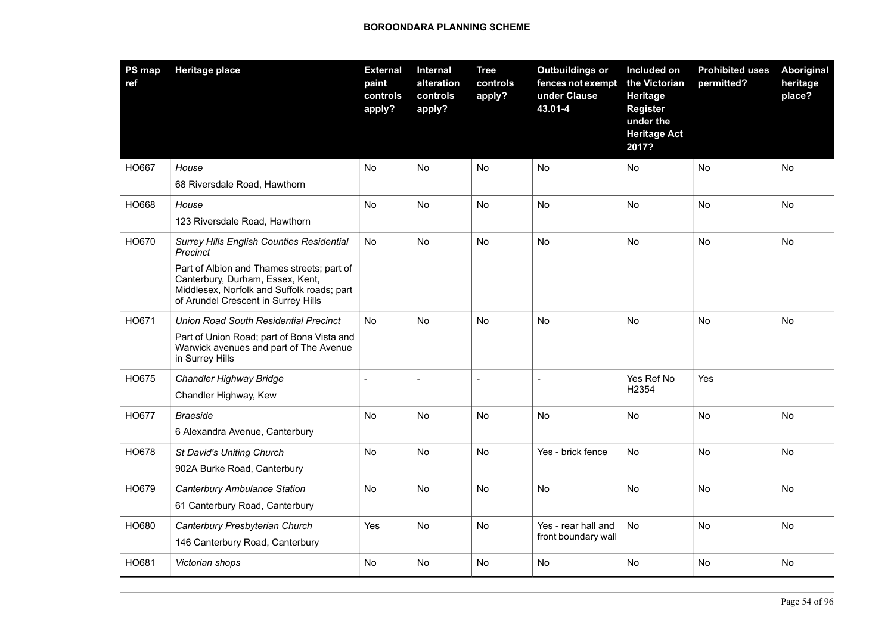| <b>PS map</b><br>ref | <b>Heritage place</b>                                                                                                                                               | <b>External</b><br>paint<br>controls<br>apply? | Internal<br>alteration<br>controls<br>apply? | <b>Tree</b><br>controls<br>apply? | <b>Outbuildings or</b><br>fences not exempt<br>under Clause<br>43.01-4 | Included on<br>the Victorian<br>Heritage<br>Register<br>under the<br><b>Heritage Act</b><br>2017? | <b>Prohibited uses</b><br>permitted? | Aboriginal<br>heritage<br>place? |
|----------------------|---------------------------------------------------------------------------------------------------------------------------------------------------------------------|------------------------------------------------|----------------------------------------------|-----------------------------------|------------------------------------------------------------------------|---------------------------------------------------------------------------------------------------|--------------------------------------|----------------------------------|
| HO667                | House                                                                                                                                                               | No                                             | <b>No</b>                                    | No                                | <b>No</b>                                                              | <b>No</b>                                                                                         | No                                   | No                               |
|                      | 68 Riversdale Road, Hawthorn                                                                                                                                        |                                                |                                              |                                   |                                                                        |                                                                                                   |                                      |                                  |
| HO668                | House                                                                                                                                                               | No                                             | No                                           | No                                | No                                                                     | No                                                                                                | No                                   | No                               |
|                      | 123 Riversdale Road, Hawthorn                                                                                                                                       |                                                |                                              |                                   |                                                                        |                                                                                                   |                                      |                                  |
| HO670                | <b>Surrey Hills English Counties Residential</b><br>Precinct                                                                                                        | No.                                            | <b>No</b>                                    | <b>No</b>                         | <b>No</b>                                                              | <b>No</b>                                                                                         | <b>No</b>                            | No                               |
|                      | Part of Albion and Thames streets; part of<br>Canterbury, Durham, Essex, Kent,<br>Middlesex, Norfolk and Suffolk roads; part<br>of Arundel Crescent in Surrey Hills |                                                |                                              |                                   |                                                                        |                                                                                                   |                                      |                                  |
| HO671                | <b>Union Road South Residential Precinct</b>                                                                                                                        | <b>No</b>                                      | <b>No</b>                                    | <b>No</b>                         | <b>No</b>                                                              | <b>No</b>                                                                                         | <b>No</b>                            | <b>No</b>                        |
|                      | Part of Union Road; part of Bona Vista and<br>Warwick avenues and part of The Avenue<br>in Surrey Hills                                                             |                                                |                                              |                                   |                                                                        |                                                                                                   |                                      |                                  |
| HO675                | Chandler Highway Bridge<br>Chandler Highway, Kew                                                                                                                    | $\blacksquare$                                 |                                              | $\blacksquare$                    |                                                                        | Yes Ref No<br>H2354                                                                               | Yes                                  |                                  |
| HO677                | <b>Braeside</b><br>6 Alexandra Avenue, Canterbury                                                                                                                   | No.                                            | <b>No</b>                                    | No.                               | No                                                                     | No                                                                                                | No                                   | No                               |
| HO678                | St David's Uniting Church<br>902A Burke Road, Canterbury                                                                                                            | No                                             | <b>No</b>                                    | No                                | Yes - brick fence                                                      | No                                                                                                | No                                   | <b>No</b>                        |
| HO679                | Canterbury Ambulance Station                                                                                                                                        | No                                             | No                                           | No                                | No                                                                     | No                                                                                                | No                                   | No                               |
|                      | 61 Canterbury Road, Canterbury                                                                                                                                      |                                                |                                              |                                   |                                                                        |                                                                                                   |                                      |                                  |
| HO680                | Canterbury Presbyterian Church                                                                                                                                      | Yes                                            | <b>No</b>                                    | No                                | Yes - rear hall and                                                    | No                                                                                                | <b>No</b>                            | No                               |
|                      | 146 Canterbury Road, Canterbury                                                                                                                                     |                                                |                                              |                                   | front boundary wall                                                    |                                                                                                   |                                      |                                  |
| HO681                | Victorian shops                                                                                                                                                     | No.                                            | <b>No</b>                                    | <b>No</b>                         | No                                                                     | <b>No</b>                                                                                         | No                                   | No                               |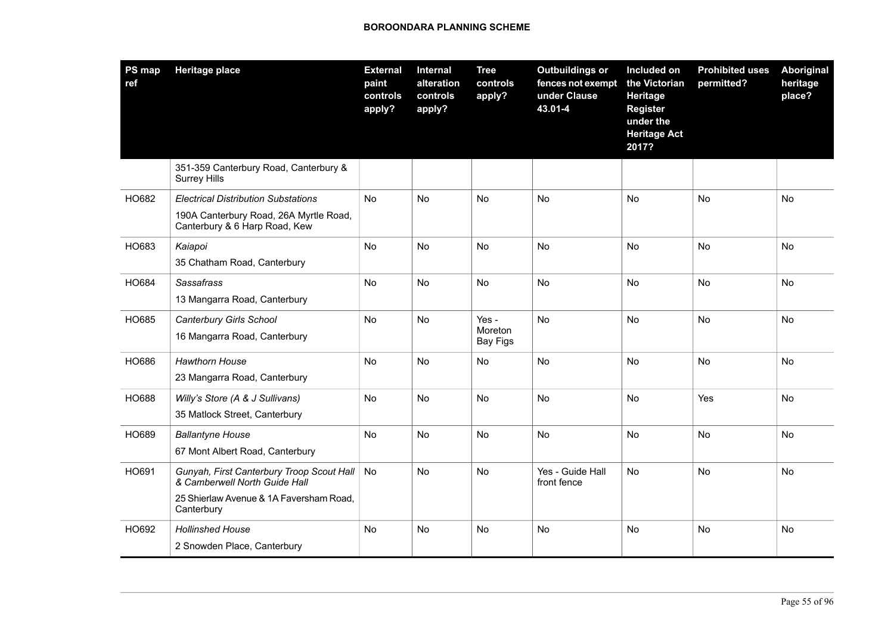| PS map<br>ref | <b>Heritage place</b>                                                                                                               | <b>External</b><br>paint<br>controls<br>apply? | Internal<br>alteration<br>controls<br>apply? | <b>Tree</b><br>controls<br>apply?   | <b>Outbuildings or</b><br>fences not exempt<br>under Clause<br>43.01-4 | Included on<br>the Victorian<br><b>Heritage</b><br><b>Register</b><br>under the<br><b>Heritage Act</b><br>2017? | <b>Prohibited uses</b><br>permitted? | <b>Aboriginal</b><br>heritage<br>place? |
|---------------|-------------------------------------------------------------------------------------------------------------------------------------|------------------------------------------------|----------------------------------------------|-------------------------------------|------------------------------------------------------------------------|-----------------------------------------------------------------------------------------------------------------|--------------------------------------|-----------------------------------------|
|               | 351-359 Canterbury Road, Canterbury &<br><b>Surrey Hills</b>                                                                        |                                                |                                              |                                     |                                                                        |                                                                                                                 |                                      |                                         |
| HO682         | <b>Electrical Distribution Substations</b><br>190A Canterbury Road, 26A Myrtle Road,<br>Canterbury & 6 Harp Road, Kew               | No                                             | No                                           | No                                  | <b>No</b>                                                              | No                                                                                                              | No                                   | No                                      |
| HO683         | Kaiapoi<br>35 Chatham Road, Canterbury                                                                                              | No                                             | No                                           | No                                  | No                                                                     | No                                                                                                              | No                                   | No                                      |
| HO684         | Sassafrass<br>13 Mangarra Road, Canterbury                                                                                          | No                                             | No                                           | No                                  | No                                                                     | No                                                                                                              | No                                   | No                                      |
| HO685         | Canterbury Girls School<br>16 Mangarra Road, Canterbury                                                                             | <b>No</b>                                      | No                                           | Yes -<br>Moreton<br><b>Bay Figs</b> | <b>No</b>                                                              | <b>No</b>                                                                                                       | No                                   | No                                      |
| HO686         | <b>Hawthorn House</b><br>23 Mangarra Road, Canterbury                                                                               | No                                             | No                                           | No                                  | <b>No</b>                                                              | No                                                                                                              | No                                   | <b>No</b>                               |
| HO688         | Willy's Store (A & J Sullivans)<br>35 Matlock Street, Canterbury                                                                    | No                                             | No                                           | No                                  | No                                                                     | No                                                                                                              | Yes                                  | No                                      |
| HO689         | <b>Ballantyne House</b><br>67 Mont Albert Road, Canterbury                                                                          | No                                             | No                                           | No                                  | <b>No</b>                                                              | No                                                                                                              | No                                   | No                                      |
| HO691         | Gunyah, First Canterbury Troop Scout Hall<br>& Camberwell North Guide Hall<br>25 Shierlaw Avenue & 1A Faversham Road,<br>Canterbury | No                                             | No                                           | No                                  | Yes - Guide Hall<br>front fence                                        | No                                                                                                              | No                                   | No                                      |
| HO692         | <b>Hollinshed House</b><br>2 Snowden Place, Canterbury                                                                              | No.                                            | No                                           | No                                  | No                                                                     | No.                                                                                                             | No                                   | No                                      |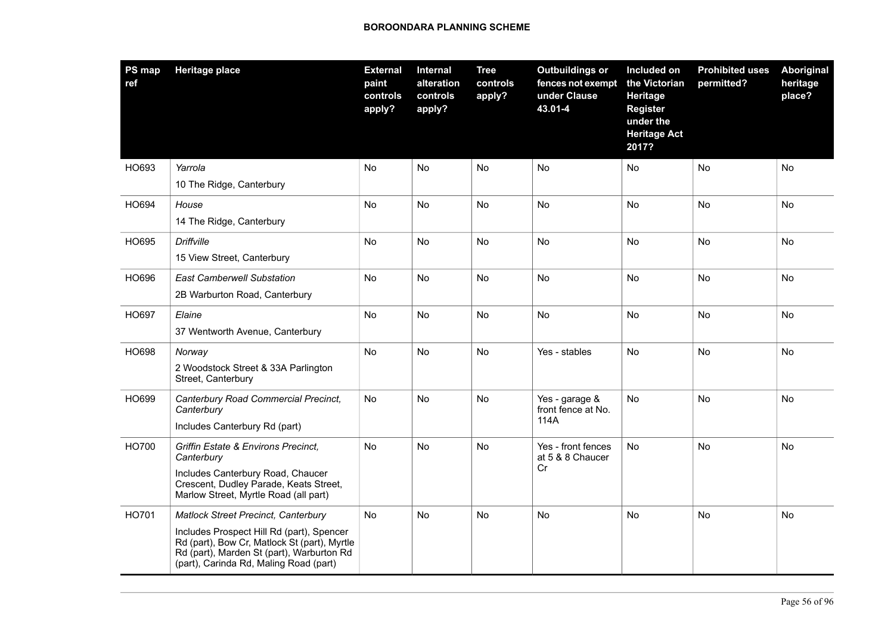| <b>PS map</b><br>ref | <b>Heritage place</b>                                                                                                                                                                                                          | <b>External</b><br>paint<br>controls<br>apply? | Internal<br>alteration<br>controls<br>apply? | <b>Tree</b><br>controls<br>apply? | <b>Outbuildings or</b><br>fences not exempt<br>under Clause<br>43.01-4 | Included on<br>the Victorian<br>Heritage<br><b>Register</b><br>under the<br><b>Heritage Act</b><br>2017? | <b>Prohibited uses</b><br>permitted? | Aboriginal<br>heritage<br>place? |
|----------------------|--------------------------------------------------------------------------------------------------------------------------------------------------------------------------------------------------------------------------------|------------------------------------------------|----------------------------------------------|-----------------------------------|------------------------------------------------------------------------|----------------------------------------------------------------------------------------------------------|--------------------------------------|----------------------------------|
| HO693                | Yarrola                                                                                                                                                                                                                        | No                                             | No                                           | No                                | No                                                                     | No                                                                                                       | <b>No</b>                            | No                               |
|                      | 10 The Ridge, Canterbury                                                                                                                                                                                                       |                                                |                                              |                                   |                                                                        |                                                                                                          |                                      |                                  |
| HO694                | House                                                                                                                                                                                                                          | No                                             | No                                           | <b>No</b>                         | No                                                                     | No                                                                                                       | <b>No</b>                            | No                               |
|                      | 14 The Ridge, Canterbury                                                                                                                                                                                                       |                                                |                                              |                                   |                                                                        |                                                                                                          |                                      |                                  |
| HO695                | <b>Driffville</b><br>15 View Street, Canterbury                                                                                                                                                                                | No                                             | <b>No</b>                                    | No                                | No                                                                     | <b>No</b>                                                                                                | <b>No</b>                            | No                               |
| HO696                | <b>East Camberwell Substation</b><br>2B Warburton Road, Canterbury                                                                                                                                                             | No.                                            | No                                           | No                                | No                                                                     | No                                                                                                       | No                                   | No                               |
| HO697                | Elaine<br>37 Wentworth Avenue, Canterbury                                                                                                                                                                                      | No                                             | No                                           | No                                | No                                                                     | No.                                                                                                      | <b>No</b>                            | No.                              |
| HO698                | Norway<br>2 Woodstock Street & 33A Parlington<br>Street, Canterbury                                                                                                                                                            | No                                             | No                                           | No                                | Yes - stables                                                          | No                                                                                                       | <b>No</b>                            | No                               |
| HO699                | Canterbury Road Commercial Precinct,<br>Canterbury<br>Includes Canterbury Rd (part)                                                                                                                                            | No                                             | No                                           | No                                | Yes - garage &<br>front fence at No.<br>114A                           | No                                                                                                       | No                                   | No                               |
| HO700                | Griffin Estate & Environs Precinct,<br>Canterbury<br>Includes Canterbury Road, Chaucer<br>Crescent, Dudley Parade, Keats Street,<br>Marlow Street, Myrtle Road (all part)                                                      | No                                             | <b>No</b>                                    | No                                | Yes - front fences<br>at 5 & 8 Chaucer<br>Cr                           | No                                                                                                       | <b>No</b>                            | No                               |
| HO701                | <b>Matlock Street Precinct, Canterbury</b><br>Includes Prospect Hill Rd (part), Spencer<br>Rd (part), Bow Cr, Matlock St (part), Myrtle<br>Rd (part), Marden St (part), Warburton Rd<br>(part), Carinda Rd, Maling Road (part) | No                                             | <b>No</b>                                    | No                                | No                                                                     | No                                                                                                       | <b>No</b>                            | No                               |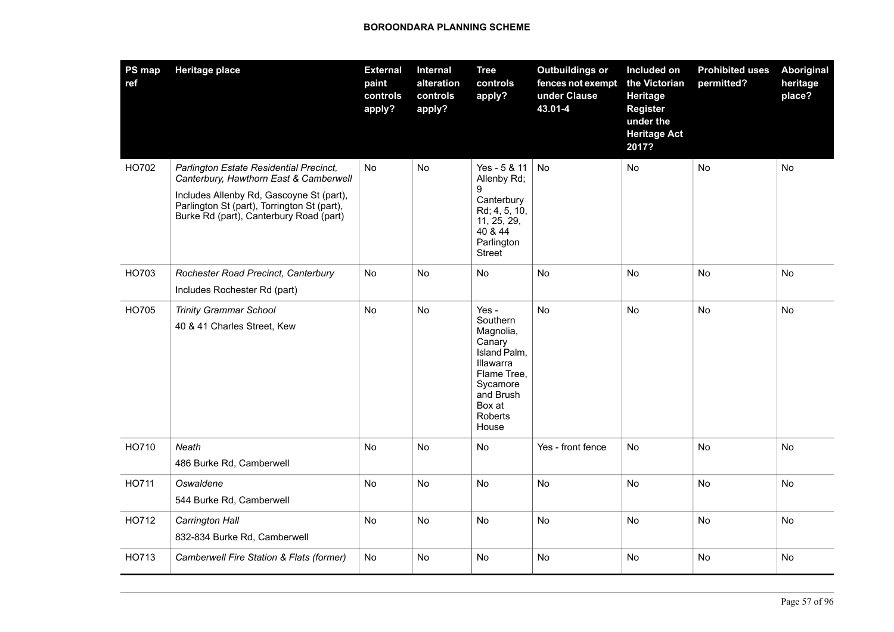| <b>PS map</b><br>ref | <b>Heritage place</b>                                                                                                                                                                                                   | <b>External</b><br>paint<br>controls<br>apply? | <b>Internal</b><br>alteration<br>controls<br>apply? | <b>Tree</b><br>controls<br>apply?                                                                                                           | <b>Outbuildings or</b><br>fences not exempt<br>under Clause<br>43.01-4 | Included on<br>the Victorian<br>Heritage<br><b>Register</b><br>under the<br><b>Heritage Act</b><br>2017? | <b>Prohibited uses</b><br>permitted? | Aboriginal<br>heritage<br>place? |
|----------------------|-------------------------------------------------------------------------------------------------------------------------------------------------------------------------------------------------------------------------|------------------------------------------------|-----------------------------------------------------|---------------------------------------------------------------------------------------------------------------------------------------------|------------------------------------------------------------------------|----------------------------------------------------------------------------------------------------------|--------------------------------------|----------------------------------|
| HO702                | Parlington Estate Residential Precinct,<br>Canterbury, Hawthorn East & Camberwell<br>Includes Allenby Rd, Gascoyne St (part),<br>Parlington St (part), Torrington St (part),<br>Burke Rd (part), Canterbury Road (part) | <b>No</b>                                      | <b>No</b>                                           | Yes - 5 & 11<br>Allenby Rd;<br>9<br>Canterbury<br>Rd; 4, 5, 10,<br>11, 25, 29,<br>40 & 44<br>Parlington<br>Street                           | <b>No</b>                                                              | No                                                                                                       | <b>No</b>                            | <b>No</b>                        |
| HO703                | Rochester Road Precinct, Canterbury<br>Includes Rochester Rd (part)                                                                                                                                                     | No                                             | No                                                  | No                                                                                                                                          | No                                                                     | No                                                                                                       | <b>No</b>                            | No                               |
| HO705                | <b>Trinity Grammar School</b><br>40 & 41 Charles Street, Kew                                                                                                                                                            | No                                             | No                                                  | Yes -<br>Southern<br>Magnolia,<br>Canary<br>Island Palm,<br>Illawarra<br>Flame Tree,<br>Sycamore<br>and Brush<br>Box at<br>Roberts<br>House | No                                                                     | <b>No</b>                                                                                                | No                                   | No                               |
| HO710                | Neath<br>486 Burke Rd, Camberwell                                                                                                                                                                                       | No                                             | No                                                  | No                                                                                                                                          | Yes - front fence                                                      | No                                                                                                       | No                                   | No                               |
| <b>HO711</b>         | Oswaldene<br>544 Burke Rd, Camberwell                                                                                                                                                                                   | No                                             | No                                                  | No                                                                                                                                          | No                                                                     | No                                                                                                       | No                                   | No                               |
| HO712                | Carrington Hall<br>832-834 Burke Rd, Camberwell                                                                                                                                                                         | No                                             | <b>No</b>                                           | <b>No</b>                                                                                                                                   | <b>No</b>                                                              | <b>No</b>                                                                                                | <b>No</b>                            | <b>No</b>                        |
| HO713                | Camberwell Fire Station & Flats (former)                                                                                                                                                                                | No                                             | No                                                  | No                                                                                                                                          | No                                                                     | No                                                                                                       | No                                   | No                               |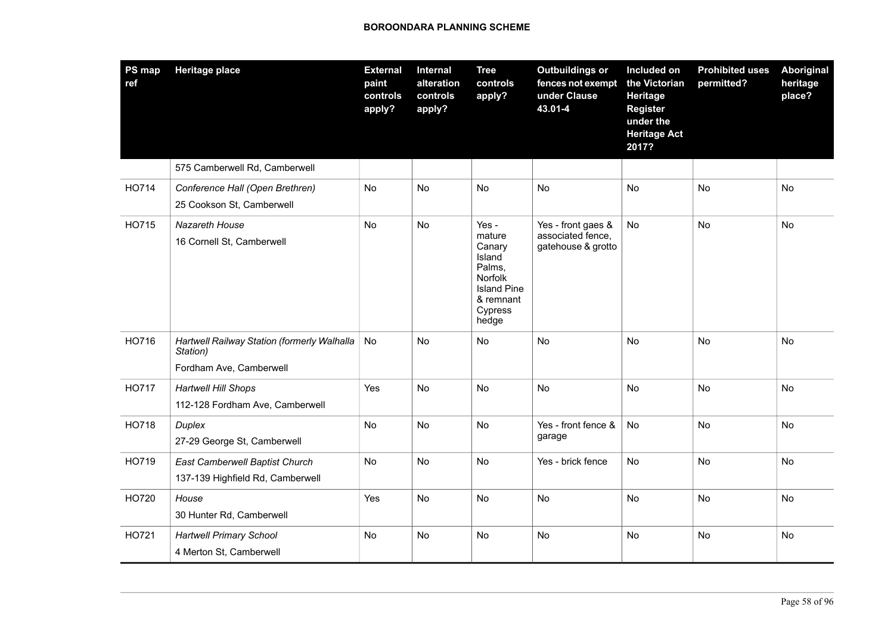| PS map<br>ref | <b>Heritage place</b>                                                              | <b>External</b><br>paint<br>controls<br>apply? | Internal<br>alteration<br>controls<br>apply? | <b>Tree</b><br>controls<br>apply?                                                                               | <b>Outbuildings or</b><br>fences not exempt<br>under Clause<br>43.01-4 | Included on<br>the Victorian<br>Heritage<br><b>Register</b><br>under the<br><b>Heritage Act</b><br>2017? | <b>Prohibited uses</b><br>permitted? | <b>Aboriginal</b><br>heritage<br>place? |
|---------------|------------------------------------------------------------------------------------|------------------------------------------------|----------------------------------------------|-----------------------------------------------------------------------------------------------------------------|------------------------------------------------------------------------|----------------------------------------------------------------------------------------------------------|--------------------------------------|-----------------------------------------|
|               | 575 Camberwell Rd, Camberwell                                                      |                                                |                                              |                                                                                                                 |                                                                        |                                                                                                          |                                      |                                         |
| HO714         | Conference Hall (Open Brethren)<br>25 Cookson St, Camberwell                       | No                                             | No                                           | No                                                                                                              | <b>No</b>                                                              | No                                                                                                       | <b>No</b>                            | No                                      |
| HO715         | <b>Nazareth House</b><br>16 Cornell St, Camberwell                                 | No                                             | No                                           | Yes -<br>mature<br>Canary<br>Island<br>Palms,<br>Norfolk<br><b>Island Pine</b><br>& remnant<br>Cypress<br>hedge | Yes - front gaes &<br>associated fence,<br>gatehouse & grotto          | <b>No</b>                                                                                                | No                                   | No                                      |
| HO716         | Hartwell Railway Station (formerly Walhalla<br>Station)<br>Fordham Ave, Camberwell | No                                             | No                                           | No                                                                                                              | <b>No</b>                                                              | No                                                                                                       | <b>No</b>                            | <b>No</b>                               |
| <b>HO717</b>  | <b>Hartwell Hill Shops</b><br>112-128 Fordham Ave, Camberwell                      | Yes                                            | No                                           | <b>No</b>                                                                                                       | <b>No</b>                                                              | No                                                                                                       | <b>No</b>                            | <b>No</b>                               |
| HO718         | Duplex<br>27-29 George St, Camberwell                                              | No                                             | No                                           | No                                                                                                              | Yes - front fence &<br>garage                                          | No                                                                                                       | No                                   | No                                      |
| HO719         | East Camberwell Baptist Church<br>137-139 Highfield Rd, Camberwell                 | No                                             | No                                           | <b>No</b>                                                                                                       | Yes - brick fence                                                      | <b>No</b>                                                                                                | <b>No</b>                            | <b>No</b>                               |
| HO720         | House<br>30 Hunter Rd, Camberwell                                                  | Yes                                            | No                                           | No                                                                                                              | No                                                                     | No                                                                                                       | No                                   | No                                      |
| HO721         | <b>Hartwell Primary School</b><br>4 Merton St, Camberwell                          | No                                             | No                                           | No                                                                                                              | No                                                                     | No                                                                                                       | No                                   | No                                      |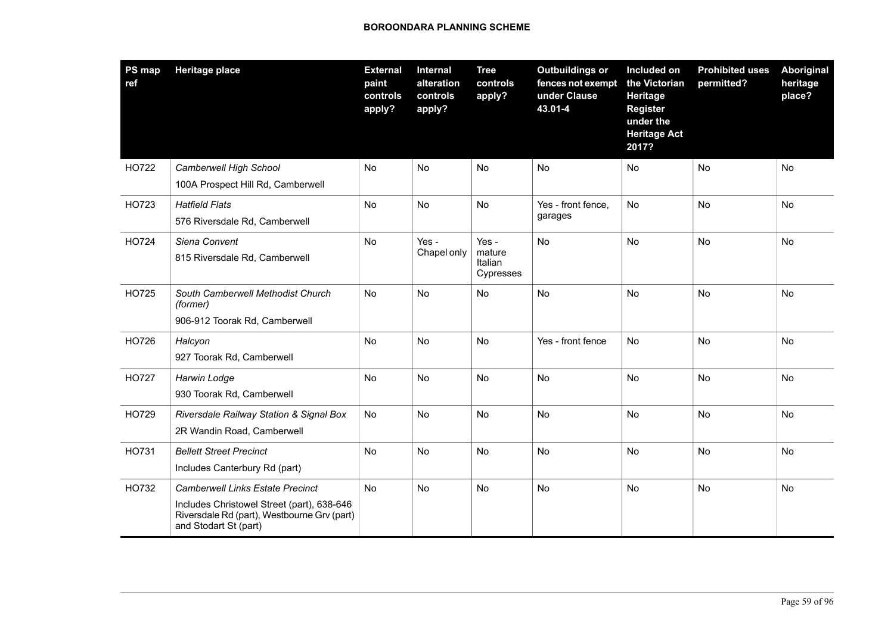| PS map<br>ref | <b>Heritage place</b>                                                                                                                                         | <b>External</b><br>paint<br>controls<br>apply? | Internal<br>alteration<br>controls<br>apply? | <b>Tree</b><br>controls<br>apply?       | <b>Outbuildings or</b><br>fences not exempt<br>under Clause<br>43.01-4 | Included on<br>the Victorian<br>Heritage<br><b>Register</b><br>under the<br><b>Heritage Act</b><br>2017? | <b>Prohibited uses</b><br>permitted? | Aboriginal<br>heritage<br>place? |
|---------------|---------------------------------------------------------------------------------------------------------------------------------------------------------------|------------------------------------------------|----------------------------------------------|-----------------------------------------|------------------------------------------------------------------------|----------------------------------------------------------------------------------------------------------|--------------------------------------|----------------------------------|
| HO722         | Camberwell High School<br>100A Prospect Hill Rd, Camberwell                                                                                                   | No                                             | No                                           | No                                      | No                                                                     | No                                                                                                       | No                                   | <b>No</b>                        |
| HO723         | <b>Hatfield Flats</b><br>576 Riversdale Rd, Camberwell                                                                                                        | No                                             | <b>No</b>                                    | No                                      | Yes - front fence,<br>garages                                          | No                                                                                                       | <b>No</b>                            | <b>No</b>                        |
| HO724         | Siena Convent<br>815 Riversdale Rd, Camberwell                                                                                                                | No                                             | Yes -<br>Chapel only                         | Yes -<br>mature<br>Italian<br>Cypresses | No                                                                     | <b>No</b>                                                                                                | <b>No</b>                            | <b>No</b>                        |
| <b>HO725</b>  | South Camberwell Methodist Church<br>(former)<br>906-912 Toorak Rd, Camberwell                                                                                | <b>No</b>                                      | <b>No</b>                                    | No                                      | <b>No</b>                                                              | <b>No</b>                                                                                                | <b>No</b>                            | <b>No</b>                        |
| HO726         | Halcyon<br>927 Toorak Rd, Camberwell                                                                                                                          | No                                             | No                                           | No                                      | Yes - front fence                                                      | No                                                                                                       | No                                   | No                               |
| <b>HO727</b>  | Harwin Lodge<br>930 Toorak Rd, Camberwell                                                                                                                     | No                                             | No                                           | No                                      | No                                                                     | No                                                                                                       | No                                   | No                               |
| HO729         | Riversdale Railway Station & Signal Box<br>2R Wandin Road, Camberwell                                                                                         | <b>No</b>                                      | No                                           | No                                      | <b>No</b>                                                              | No                                                                                                       | No                                   | No                               |
| HO731         | <b>Bellett Street Precinct</b><br>Includes Canterbury Rd (part)                                                                                               | No                                             | No                                           | No                                      | No                                                                     | No                                                                                                       | No                                   | No                               |
| HO732         | <b>Camberwell Links Estate Precinct</b><br>Includes Christowel Street (part), 638-646<br>Riversdale Rd (part), Westbourne Grv (part)<br>and Stodart St (part) | No                                             | No                                           | No                                      | No                                                                     | No                                                                                                       | <b>No</b>                            | No                               |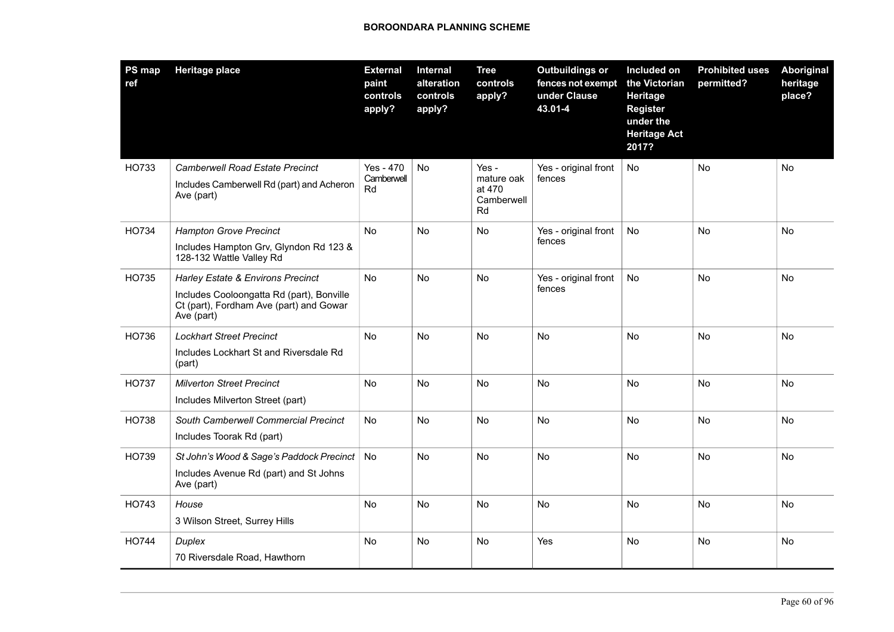| PS map<br>ref | <b>Heritage place</b>                                                                                                                   | <b>External</b><br>paint<br>controls<br>apply? | Internal<br>alteration<br>controls<br>apply? | <b>Tree</b><br>controls<br>apply?                 | <b>Outbuildings or</b><br>fences not exempt<br>under Clause<br>43.01-4 | Included on<br>the Victorian<br>Heritage<br><b>Register</b><br>under the<br><b>Heritage Act</b><br>2017? | <b>Prohibited uses</b><br>permitted? | <b>Aboriginal</b><br>heritage<br>place? |
|---------------|-----------------------------------------------------------------------------------------------------------------------------------------|------------------------------------------------|----------------------------------------------|---------------------------------------------------|------------------------------------------------------------------------|----------------------------------------------------------------------------------------------------------|--------------------------------------|-----------------------------------------|
| HO733         | <b>Camberwell Road Estate Precinct</b><br>Includes Camberwell Rd (part) and Acheron<br>Ave (part)                                       | Yes - 470<br>Camberwell<br>Rd                  | No                                           | Yes -<br>mature oak<br>at 470<br>Camberwell<br>Rd | Yes - original front<br>fences                                         | No                                                                                                       | No                                   | No                                      |
| HO734         | <b>Hampton Grove Precinct</b><br>Includes Hampton Grv, Glyndon Rd 123 &<br>128-132 Wattle Valley Rd                                     | No                                             | No                                           | No                                                | Yes - original front<br>fences                                         | No                                                                                                       | <b>No</b>                            | No                                      |
| HO735         | Harley Estate & Environs Precinct<br>Includes Cooloongatta Rd (part), Bonville<br>Ct (part), Fordham Ave (part) and Gowar<br>Ave (part) | <b>No</b>                                      | No                                           | <b>No</b>                                         | Yes - original front<br>fences                                         | No                                                                                                       | <b>No</b>                            | <b>No</b>                               |
| HO736         | <b>Lockhart Street Precinct</b><br>Includes Lockhart St and Riversdale Rd<br>(part)                                                     | No.                                            | <b>No</b>                                    | <b>No</b>                                         | No                                                                     | <b>No</b>                                                                                                | <b>No</b>                            | <b>No</b>                               |
| <b>HO737</b>  | <b>Milverton Street Precinct</b><br>Includes Milverton Street (part)                                                                    | No                                             | No                                           | No                                                | No                                                                     | No                                                                                                       | No                                   | No                                      |
| <b>HO738</b>  | South Camberwell Commercial Precinct<br>Includes Toorak Rd (part)                                                                       | No                                             | No                                           | <b>No</b>                                         | No                                                                     | <b>No</b>                                                                                                | <b>No</b>                            | <b>No</b>                               |
| HO739         | St John's Wood & Sage's Paddock Precinct<br>Includes Avenue Rd (part) and St Johns<br>Ave (part)                                        | No                                             | No                                           | No                                                | No                                                                     | No                                                                                                       | No                                   | No                                      |
| HO743         | House<br>3 Wilson Street, Surrey Hills                                                                                                  | No                                             | No                                           | No                                                | No                                                                     | No                                                                                                       | No                                   | No                                      |
| <b>HO744</b>  | Duplex<br>70 Riversdale Road, Hawthorn                                                                                                  | No                                             | <b>No</b>                                    | <b>No</b>                                         | Yes                                                                    | <b>No</b>                                                                                                | <b>No</b>                            | No                                      |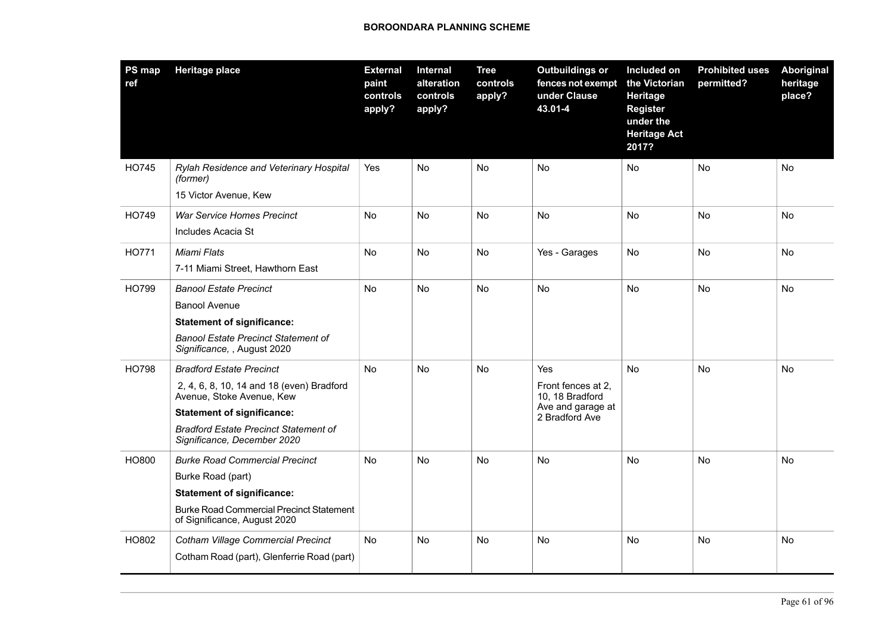| <b>PS map</b><br>ref | <b>Heritage place</b>                                                           | <b>External</b><br>paint<br>controls<br>apply? | <b>Internal</b><br>alteration<br>controls<br>apply? | <b>Tree</b><br>controls<br>apply? | <b>Outbuildings or</b><br>fences not exempt<br>under Clause<br>43.01-4 | Included on<br>the Victorian<br>Heritage<br><b>Register</b><br>under the<br><b>Heritage Act</b><br>2017? | <b>Prohibited uses</b><br>permitted? | <b>Aboriginal</b><br>heritage<br>place? |
|----------------------|---------------------------------------------------------------------------------|------------------------------------------------|-----------------------------------------------------|-----------------------------------|------------------------------------------------------------------------|----------------------------------------------------------------------------------------------------------|--------------------------------------|-----------------------------------------|
| <b>HO745</b>         | Rylah Residence and Veterinary Hospital<br>(former)                             | Yes                                            | No                                                  | No                                | No                                                                     | No                                                                                                       | No                                   | No                                      |
|                      | 15 Victor Avenue, Kew                                                           |                                                |                                                     |                                   |                                                                        |                                                                                                          |                                      |                                         |
| HO749                | <b>War Service Homes Precinct</b>                                               | No                                             | No                                                  | No                                | No                                                                     | No                                                                                                       | <b>No</b>                            | <b>No</b>                               |
|                      | Includes Acacia St                                                              |                                                |                                                     |                                   |                                                                        |                                                                                                          |                                      |                                         |
| <b>HO771</b>         | Miami Flats                                                                     | No                                             | <b>No</b>                                           | No                                | Yes - Garages                                                          | No                                                                                                       | <b>No</b>                            | <b>No</b>                               |
|                      | 7-11 Miami Street, Hawthorn East                                                |                                                |                                                     |                                   |                                                                        |                                                                                                          |                                      |                                         |
| <b>HO799</b>         | <b>Banool Estate Precinct</b>                                                   | <b>No</b>                                      | <b>No</b>                                           | <b>No</b>                         | <b>No</b>                                                              | <b>No</b>                                                                                                | <b>No</b>                            | <b>No</b>                               |
|                      | <b>Banool Avenue</b>                                                            |                                                |                                                     |                                   |                                                                        |                                                                                                          |                                      |                                         |
|                      | <b>Statement of significance:</b>                                               |                                                |                                                     |                                   |                                                                        |                                                                                                          |                                      |                                         |
|                      | <b>Banool Estate Precinct Statement of</b><br>Significance, , August 2020       |                                                |                                                     |                                   |                                                                        |                                                                                                          |                                      |                                         |
| <b>HO798</b>         | <b>Bradford Estate Precinct</b>                                                 | <b>No</b>                                      | <b>No</b>                                           | <b>No</b>                         | Yes                                                                    | <b>No</b>                                                                                                | <b>No</b>                            | <b>No</b>                               |
|                      | 2, 4, 6, 8, 10, 14 and 18 (even) Bradford<br>Avenue, Stoke Avenue, Kew          |                                                |                                                     |                                   | Front fences at 2.<br>10, 18 Bradford                                  |                                                                                                          |                                      |                                         |
|                      | <b>Statement of significance:</b>                                               |                                                |                                                     |                                   | Ave and garage at<br>2 Bradford Ave                                    |                                                                                                          |                                      |                                         |
|                      | <b>Bradford Estate Precinct Statement of</b><br>Significance, December 2020     |                                                |                                                     |                                   |                                                                        |                                                                                                          |                                      |                                         |
| HO800                | <b>Burke Road Commercial Precinct</b>                                           | <b>No</b>                                      | No                                                  | <b>No</b>                         | No                                                                     | No                                                                                                       | <b>No</b>                            | No                                      |
|                      | Burke Road (part)                                                               |                                                |                                                     |                                   |                                                                        |                                                                                                          |                                      |                                         |
|                      | <b>Statement of significance:</b>                                               |                                                |                                                     |                                   |                                                                        |                                                                                                          |                                      |                                         |
|                      | <b>Burke Road Commercial Precinct Statement</b><br>of Significance, August 2020 |                                                |                                                     |                                   |                                                                        |                                                                                                          |                                      |                                         |
| HO802                | <b>Cotham Village Commercial Precinct</b>                                       | No                                             | No                                                  | No                                | No                                                                     | No                                                                                                       | <b>No</b>                            | No                                      |
|                      | Cotham Road (part), Glenferrie Road (part)                                      |                                                |                                                     |                                   |                                                                        |                                                                                                          |                                      |                                         |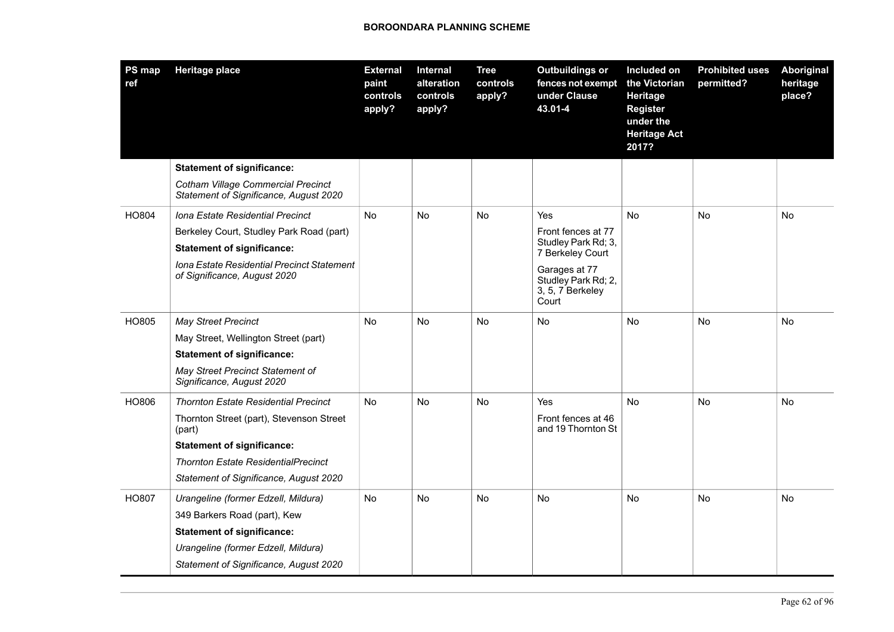| <b>PS map</b><br>ref | Heritage place                                                                      | <b>External</b><br>paint<br>controls<br>apply? | Internal<br>alteration<br>controls<br>apply? | <b>Tree</b><br>controls<br>apply? | <b>Outbuildings or</b><br>fences not exempt<br>under Clause<br>43.01-4 | Included on<br>the Victorian<br>Heritage<br><b>Register</b><br>under the<br><b>Heritage Act</b><br>2017? | <b>Prohibited uses</b><br>permitted? | Aboriginal<br>heritage<br>place? |
|----------------------|-------------------------------------------------------------------------------------|------------------------------------------------|----------------------------------------------|-----------------------------------|------------------------------------------------------------------------|----------------------------------------------------------------------------------------------------------|--------------------------------------|----------------------------------|
|                      | <b>Statement of significance:</b>                                                   |                                                |                                              |                                   |                                                                        |                                                                                                          |                                      |                                  |
|                      | <b>Cotham Village Commercial Precinct</b><br>Statement of Significance, August 2020 |                                                |                                              |                                   |                                                                        |                                                                                                          |                                      |                                  |
| HO804                | Iona Estate Residential Precinct                                                    | <b>No</b>                                      | No                                           | No                                | Yes                                                                    | <b>No</b>                                                                                                | No                                   | No                               |
|                      | Berkeley Court, Studley Park Road (part)                                            |                                                |                                              |                                   | Front fences at 77                                                     |                                                                                                          |                                      |                                  |
|                      | <b>Statement of significance:</b>                                                   |                                                |                                              |                                   | Studley Park Rd; 3,<br>7 Berkeley Court                                |                                                                                                          |                                      |                                  |
|                      | <b>Iona Estate Residential Precinct Statement</b><br>of Significance, August 2020   |                                                |                                              |                                   | Garages at 77<br>Studley Park Rd; 2,<br>3, 5, 7 Berkeley<br>Court      |                                                                                                          |                                      |                                  |
| HO805                | <b>May Street Precinct</b>                                                          | <b>No</b>                                      | <b>No</b>                                    | <b>No</b>                         | <b>No</b>                                                              | <b>No</b>                                                                                                | <b>No</b>                            | <b>No</b>                        |
|                      | May Street, Wellington Street (part)                                                |                                                |                                              |                                   |                                                                        |                                                                                                          |                                      |                                  |
|                      | <b>Statement of significance:</b>                                                   |                                                |                                              |                                   |                                                                        |                                                                                                          |                                      |                                  |
|                      | May Street Precinct Statement of<br>Significance, August 2020                       |                                                |                                              |                                   |                                                                        |                                                                                                          |                                      |                                  |
| HO806                | <b>Thornton Estate Residential Precinct</b>                                         | No                                             | No                                           | No                                | Yes                                                                    | No                                                                                                       | No                                   | No                               |
|                      | Thornton Street (part), Stevenson Street<br>(part)                                  |                                                |                                              |                                   | Front fences at 46<br>and 19 Thornton St                               |                                                                                                          |                                      |                                  |
|                      | <b>Statement of significance:</b>                                                   |                                                |                                              |                                   |                                                                        |                                                                                                          |                                      |                                  |
|                      | <b>Thornton Estate ResidentialPrecinct</b>                                          |                                                |                                              |                                   |                                                                        |                                                                                                          |                                      |                                  |
|                      | Statement of Significance, August 2020                                              |                                                |                                              |                                   |                                                                        |                                                                                                          |                                      |                                  |
| HO807                | Urangeline (former Edzell, Mildura)                                                 | No                                             | No                                           | No                                | No.                                                                    | No.                                                                                                      | No                                   | No                               |
|                      | 349 Barkers Road (part), Kew                                                        |                                                |                                              |                                   |                                                                        |                                                                                                          |                                      |                                  |
|                      | <b>Statement of significance:</b>                                                   |                                                |                                              |                                   |                                                                        |                                                                                                          |                                      |                                  |
|                      | Urangeline (former Edzell, Mildura)                                                 |                                                |                                              |                                   |                                                                        |                                                                                                          |                                      |                                  |
|                      | Statement of Significance, August 2020                                              |                                                |                                              |                                   |                                                                        |                                                                                                          |                                      |                                  |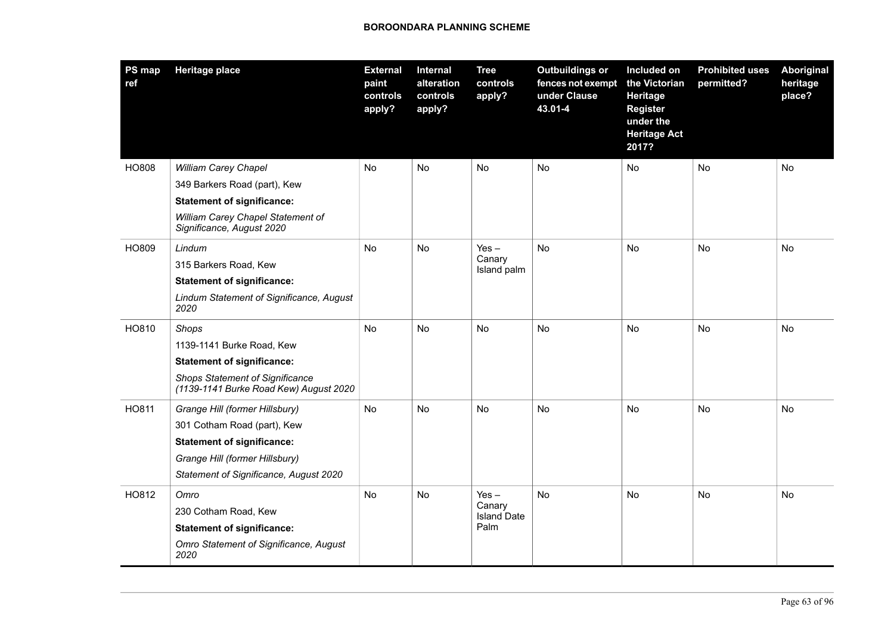| PS map<br>ref | <b>Heritage place</b>                                                            | <b>External</b><br>paint<br>controls<br>apply? | Internal<br>alteration<br>controls<br>apply? | <b>Tree</b><br>controls<br>apply? | <b>Outbuildings or</b><br>fences not exempt<br>under Clause<br>43.01-4 | Included on<br>the Victorian<br>Heritage<br><b>Register</b><br>under the<br><b>Heritage Act</b><br>2017? | <b>Prohibited uses</b><br>permitted? | <b>Aboriginal</b><br>heritage<br>place? |
|---------------|----------------------------------------------------------------------------------|------------------------------------------------|----------------------------------------------|-----------------------------------|------------------------------------------------------------------------|----------------------------------------------------------------------------------------------------------|--------------------------------------|-----------------------------------------|
| HO808         | William Carey Chapel                                                             | No                                             | No                                           | No                                | No                                                                     | No                                                                                                       | No                                   | No                                      |
|               | 349 Barkers Road (part), Kew                                                     |                                                |                                              |                                   |                                                                        |                                                                                                          |                                      |                                         |
|               | <b>Statement of significance:</b>                                                |                                                |                                              |                                   |                                                                        |                                                                                                          |                                      |                                         |
|               | William Carey Chapel Statement of<br>Significance, August 2020                   |                                                |                                              |                                   |                                                                        |                                                                                                          |                                      |                                         |
| HO809         | Lindum                                                                           | No                                             | No                                           | $Yes -$                           | <b>No</b>                                                              | No                                                                                                       | No                                   | No                                      |
|               | 315 Barkers Road, Kew                                                            |                                                |                                              | Canary<br>Island palm             |                                                                        |                                                                                                          |                                      |                                         |
|               | <b>Statement of significance:</b>                                                |                                                |                                              |                                   |                                                                        |                                                                                                          |                                      |                                         |
|               | Lindum Statement of Significance, August<br>2020                                 |                                                |                                              |                                   |                                                                        |                                                                                                          |                                      |                                         |
| HO810         | Shops                                                                            | No                                             | No                                           | No                                | No                                                                     | No                                                                                                       | No                                   | No                                      |
|               | 1139-1141 Burke Road, Kew                                                        |                                                |                                              |                                   |                                                                        |                                                                                                          |                                      |                                         |
|               | <b>Statement of significance:</b>                                                |                                                |                                              |                                   |                                                                        |                                                                                                          |                                      |                                         |
|               | <b>Shops Statement of Significance</b><br>(1139-1141 Burke Road Kew) August 2020 |                                                |                                              |                                   |                                                                        |                                                                                                          |                                      |                                         |
| HO811         | Grange Hill (former Hillsbury)                                                   | No                                             | No                                           | No                                | No                                                                     | No                                                                                                       | No                                   | No                                      |
|               | 301 Cotham Road (part), Kew                                                      |                                                |                                              |                                   |                                                                        |                                                                                                          |                                      |                                         |
|               | <b>Statement of significance:</b>                                                |                                                |                                              |                                   |                                                                        |                                                                                                          |                                      |                                         |
|               | Grange Hill (former Hillsbury)                                                   |                                                |                                              |                                   |                                                                        |                                                                                                          |                                      |                                         |
|               | Statement of Significance, August 2020                                           |                                                |                                              |                                   |                                                                        |                                                                                                          |                                      |                                         |
| HO812         | Omro                                                                             | No                                             | <b>No</b>                                    | $Yes -$                           | <b>No</b>                                                              | <b>No</b>                                                                                                | <b>No</b>                            | No                                      |
|               | 230 Cotham Road, Kew                                                             |                                                |                                              | Canary<br><b>Island Date</b>      |                                                                        |                                                                                                          |                                      |                                         |
|               | <b>Statement of significance:</b>                                                |                                                |                                              | Palm                              |                                                                        |                                                                                                          |                                      |                                         |
|               | Omro Statement of Significance, August<br>2020                                   |                                                |                                              |                                   |                                                                        |                                                                                                          |                                      |                                         |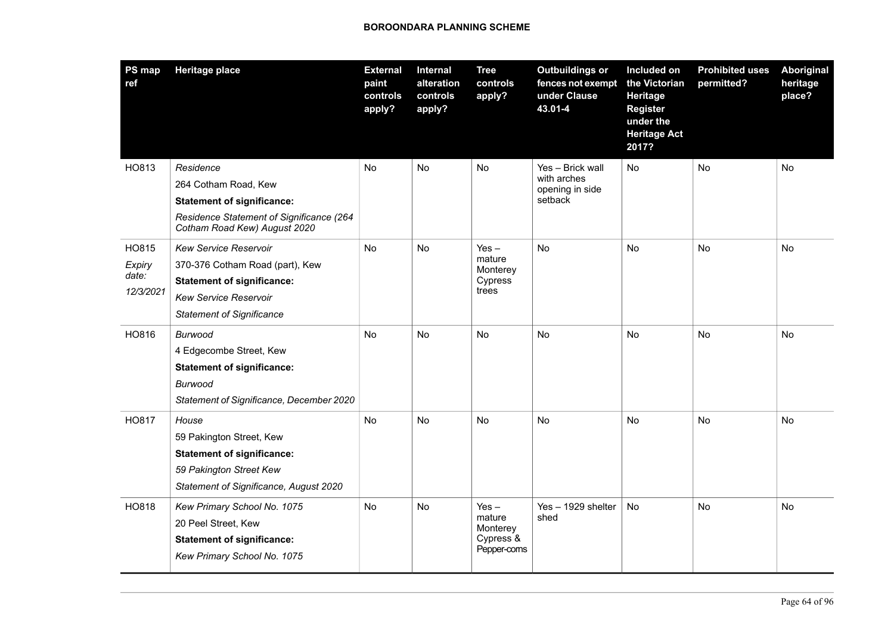| <b>PS map</b><br>ref | Heritage place                                                           | <b>External</b><br>paint<br>controls<br>apply? | Internal<br>alteration<br>controls<br>apply? | <b>Tree</b><br>controls<br>apply? | <b>Outbuildings or</b><br>fences not exempt<br>under Clause<br>43.01-4 | Included on<br>the Victorian<br><b>Heritage</b><br><b>Register</b><br>under the<br><b>Heritage Act</b><br>2017? | <b>Prohibited uses</b><br>permitted? | Aboriginal<br>heritage<br>place? |
|----------------------|--------------------------------------------------------------------------|------------------------------------------------|----------------------------------------------|-----------------------------------|------------------------------------------------------------------------|-----------------------------------------------------------------------------------------------------------------|--------------------------------------|----------------------------------|
| HO813                | Residence                                                                | No                                             | No                                           | No                                | Yes - Brick wall<br>with arches                                        | No                                                                                                              | <b>No</b>                            | No                               |
|                      | 264 Cotham Road, Kew                                                     |                                                |                                              |                                   | opening in side<br>setback                                             |                                                                                                                 |                                      |                                  |
|                      | <b>Statement of significance:</b>                                        |                                                |                                              |                                   |                                                                        |                                                                                                                 |                                      |                                  |
|                      | Residence Statement of Significance (264<br>Cotham Road Kew) August 2020 |                                                |                                              |                                   |                                                                        |                                                                                                                 |                                      |                                  |
| HO815                | Kew Service Reservoir                                                    | No                                             | No                                           | $Yes -$                           | <b>No</b>                                                              | No                                                                                                              | No                                   | No                               |
| Expiry               | 370-376 Cotham Road (part), Kew                                          |                                                |                                              | mature<br>Monterey                |                                                                        |                                                                                                                 |                                      |                                  |
| date:<br>12/3/2021   | <b>Statement of significance:</b>                                        |                                                |                                              | Cypress<br>trees                  |                                                                        |                                                                                                                 |                                      |                                  |
|                      | <b>Kew Service Reservoir</b>                                             |                                                |                                              |                                   |                                                                        |                                                                                                                 |                                      |                                  |
|                      | <b>Statement of Significance</b>                                         |                                                |                                              |                                   |                                                                        |                                                                                                                 |                                      |                                  |
| HO816                | <b>Burwood</b>                                                           | <b>No</b>                                      | No                                           | <b>No</b>                         | <b>No</b>                                                              | <b>No</b>                                                                                                       | <b>No</b>                            | <b>No</b>                        |
|                      | 4 Edgecombe Street, Kew                                                  |                                                |                                              |                                   |                                                                        |                                                                                                                 |                                      |                                  |
|                      | <b>Statement of significance:</b>                                        |                                                |                                              |                                   |                                                                        |                                                                                                                 |                                      |                                  |
|                      | Burwood                                                                  |                                                |                                              |                                   |                                                                        |                                                                                                                 |                                      |                                  |
|                      | Statement of Significance, December 2020                                 |                                                |                                              |                                   |                                                                        |                                                                                                                 |                                      |                                  |
| HO817                | House                                                                    | No                                             | No                                           | No                                | No                                                                     | No                                                                                                              | No                                   | No                               |
|                      | 59 Pakington Street, Kew                                                 |                                                |                                              |                                   |                                                                        |                                                                                                                 |                                      |                                  |
|                      | <b>Statement of significance:</b>                                        |                                                |                                              |                                   |                                                                        |                                                                                                                 |                                      |                                  |
|                      | 59 Pakington Street Kew                                                  |                                                |                                              |                                   |                                                                        |                                                                                                                 |                                      |                                  |
|                      | Statement of Significance, August 2020                                   |                                                |                                              |                                   |                                                                        |                                                                                                                 |                                      |                                  |
| HO818                | Kew Primary School No. 1075                                              | No                                             | No                                           | $Yes -$                           | Yes - 1929 shelter                                                     | No                                                                                                              | <b>No</b>                            | <b>No</b>                        |
|                      | 20 Peel Street, Kew                                                      |                                                |                                              | mature<br>Monterey                | shed                                                                   |                                                                                                                 |                                      |                                  |
|                      | <b>Statement of significance:</b>                                        |                                                |                                              | Cypress &                         |                                                                        |                                                                                                                 |                                      |                                  |
|                      | Kew Primary School No. 1075                                              |                                                |                                              | Pepper-coms                       |                                                                        |                                                                                                                 |                                      |                                  |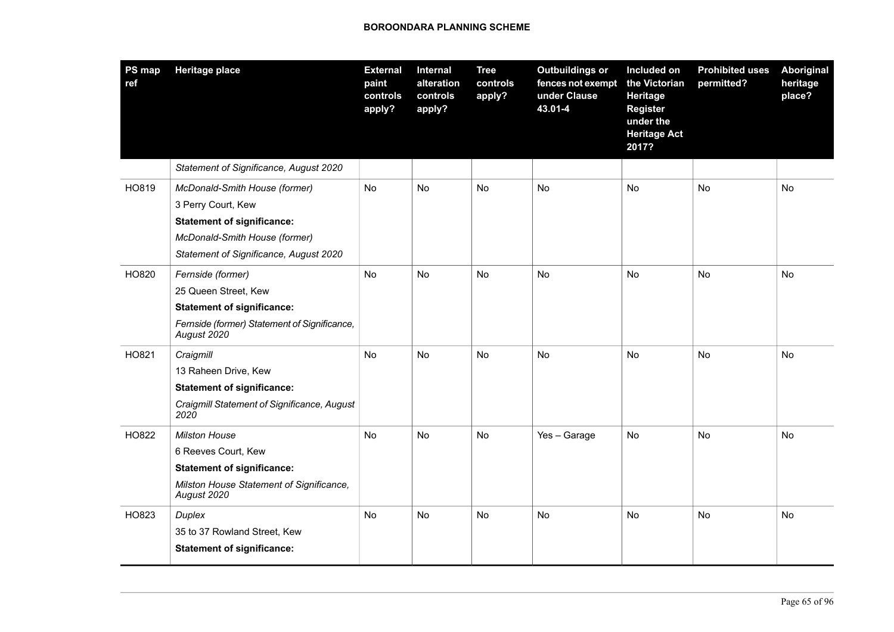| <b>PS map</b><br>ref | <b>Heritage place</b>                                       | <b>External</b><br>paint<br>controls<br>apply? | Internal<br>alteration<br>controls<br>apply? | <b>Tree</b><br>controls<br>apply? | <b>Outbuildings or</b><br>fences not exempt<br>under Clause<br>43.01-4 | Included on<br>the Victorian<br>Heritage<br><b>Register</b><br>under the<br><b>Heritage Act</b><br>2017? | <b>Prohibited uses</b><br>permitted? | Aboriginal<br>heritage<br>place? |
|----------------------|-------------------------------------------------------------|------------------------------------------------|----------------------------------------------|-----------------------------------|------------------------------------------------------------------------|----------------------------------------------------------------------------------------------------------|--------------------------------------|----------------------------------|
|                      | Statement of Significance, August 2020                      |                                                |                                              |                                   |                                                                        |                                                                                                          |                                      |                                  |
| HO819                | McDonald-Smith House (former)                               | No                                             | No                                           | No                                | No                                                                     | No                                                                                                       | <b>No</b>                            | <b>No</b>                        |
|                      | 3 Perry Court, Kew                                          |                                                |                                              |                                   |                                                                        |                                                                                                          |                                      |                                  |
|                      | <b>Statement of significance:</b>                           |                                                |                                              |                                   |                                                                        |                                                                                                          |                                      |                                  |
|                      | McDonald-Smith House (former)                               |                                                |                                              |                                   |                                                                        |                                                                                                          |                                      |                                  |
|                      | Statement of Significance, August 2020                      |                                                |                                              |                                   |                                                                        |                                                                                                          |                                      |                                  |
| HO820                | Fernside (former)                                           | No                                             | No                                           | No                                | <b>No</b>                                                              | No                                                                                                       | <b>No</b>                            | <b>No</b>                        |
|                      | 25 Queen Street, Kew                                        |                                                |                                              |                                   |                                                                        |                                                                                                          |                                      |                                  |
|                      | <b>Statement of significance:</b>                           |                                                |                                              |                                   |                                                                        |                                                                                                          |                                      |                                  |
|                      | Fernside (former) Statement of Significance,<br>August 2020 |                                                |                                              |                                   |                                                                        |                                                                                                          |                                      |                                  |
| HO821                | Craigmill                                                   | No                                             | No                                           | No                                | <b>No</b>                                                              | No                                                                                                       | No                                   | <b>No</b>                        |
|                      | 13 Raheen Drive, Kew                                        |                                                |                                              |                                   |                                                                        |                                                                                                          |                                      |                                  |
|                      | <b>Statement of significance:</b>                           |                                                |                                              |                                   |                                                                        |                                                                                                          |                                      |                                  |
|                      | Craigmill Statement of Significance, August<br>2020         |                                                |                                              |                                   |                                                                        |                                                                                                          |                                      |                                  |
| HO822                | <b>Milston House</b>                                        | No                                             | No                                           | No                                | Yes - Garage                                                           | No                                                                                                       | No                                   | No                               |
|                      | 6 Reeves Court, Kew                                         |                                                |                                              |                                   |                                                                        |                                                                                                          |                                      |                                  |
|                      | <b>Statement of significance:</b>                           |                                                |                                              |                                   |                                                                        |                                                                                                          |                                      |                                  |
|                      | Milston House Statement of Significance,<br>August 2020     |                                                |                                              |                                   |                                                                        |                                                                                                          |                                      |                                  |
| HO823                | Duplex                                                      | No                                             | No                                           | No                                | No                                                                     | <b>No</b>                                                                                                | No                                   | No                               |
|                      | 35 to 37 Rowland Street, Kew                                |                                                |                                              |                                   |                                                                        |                                                                                                          |                                      |                                  |
|                      | <b>Statement of significance:</b>                           |                                                |                                              |                                   |                                                                        |                                                                                                          |                                      |                                  |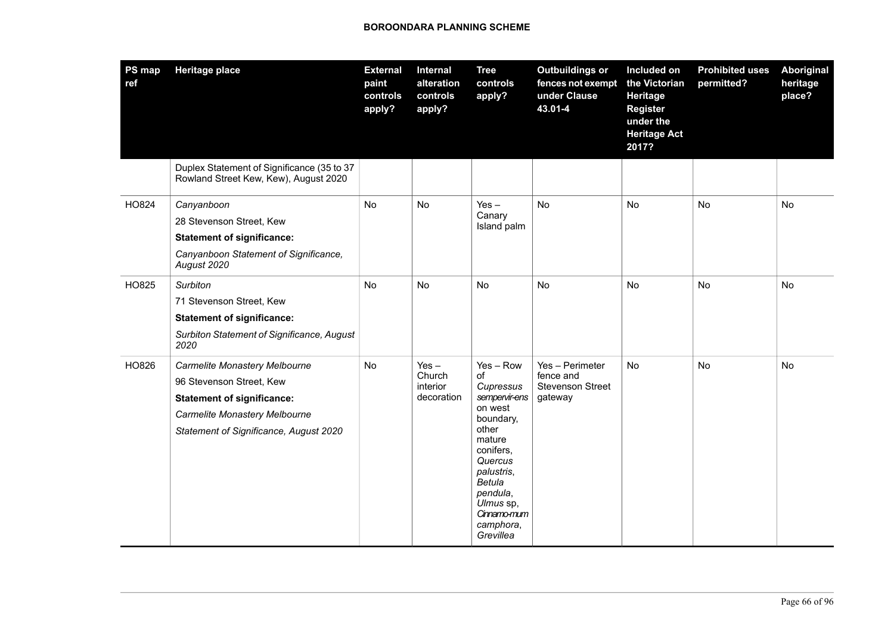| PS map<br>ref | <b>Heritage place</b>                                                                                                                                                     | <b>External</b><br>paint<br>controls<br>apply? | Internal<br>alteration<br>controls<br>apply? | <b>Tree</b><br>controls<br>apply?                                                                                                                                                                            | <b>Outbuildings or</b><br>fences not exempt<br>under Clause<br>43.01-4 | Included on<br>the Victorian<br>Heritage<br><b>Register</b><br>under the<br><b>Heritage Act</b><br>2017? | <b>Prohibited uses</b><br>permitted? | Aboriginal<br>heritage<br>place? |
|---------------|---------------------------------------------------------------------------------------------------------------------------------------------------------------------------|------------------------------------------------|----------------------------------------------|--------------------------------------------------------------------------------------------------------------------------------------------------------------------------------------------------------------|------------------------------------------------------------------------|----------------------------------------------------------------------------------------------------------|--------------------------------------|----------------------------------|
|               | Duplex Statement of Significance (35 to 37<br>Rowland Street Kew, Kew), August 2020                                                                                       |                                                |                                              |                                                                                                                                                                                                              |                                                                        |                                                                                                          |                                      |                                  |
| HO824         | Canyanboon<br>28 Stevenson Street, Kew<br><b>Statement of significance:</b><br>Canyanboon Statement of Significance,<br>August 2020                                       | <b>No</b>                                      | No                                           | $Yes -$<br>Canary<br>Island palm                                                                                                                                                                             | <b>No</b>                                                              | No                                                                                                       | <b>No</b>                            | No                               |
| HO825         | Surbiton<br>71 Stevenson Street, Kew<br><b>Statement of significance:</b><br>Surbiton Statement of Significance, August<br>2020                                           | <b>No</b>                                      | <b>No</b>                                    | No                                                                                                                                                                                                           | <b>No</b>                                                              | No                                                                                                       | <b>No</b>                            | No                               |
| HO826         | Carmelite Monastery Melbourne<br>96 Stevenson Street, Kew<br><b>Statement of significance:</b><br>Carmelite Monastery Melbourne<br>Statement of Significance, August 2020 | No                                             | $Yes -$<br>Church<br>interior<br>decoration  | $Yes - Row$<br>of<br>Cupressus<br>sempervir-ens<br>on west<br>boundary,<br>other<br>mature<br>conifers,<br>Quercus<br>palustris,<br>Betula<br>pendula,<br>Ulmus sp,<br>Cinnamo-mum<br>camphora,<br>Grevillea | Yes - Perimeter<br>fence and<br><b>Stevenson Street</b><br>gateway     | <b>No</b>                                                                                                | <b>No</b>                            | No                               |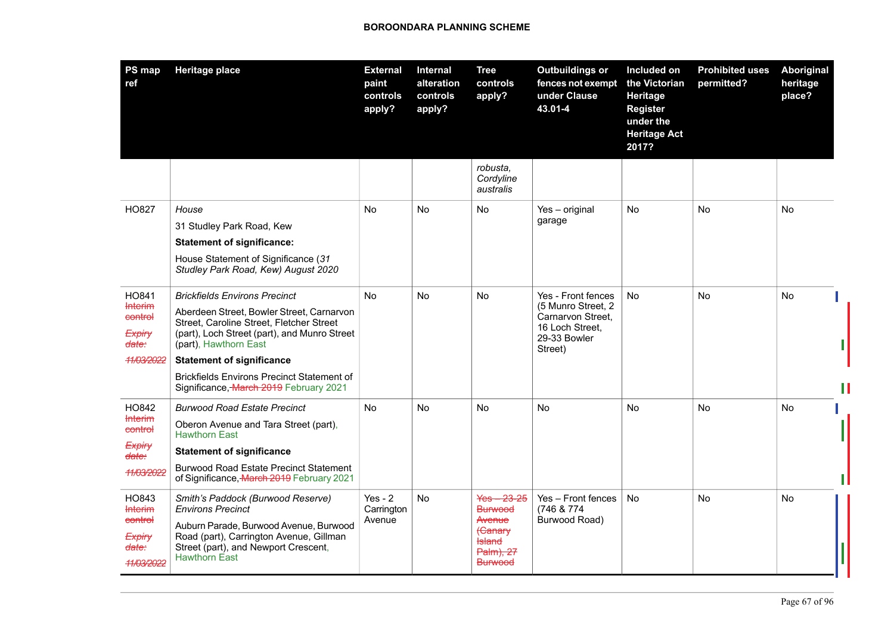| PS map<br>ref                                           | <b>Heritage place</b>                                                                                                                                          | <b>External</b><br>paint<br>controls<br>apply? | Internal<br>alteration<br>controls<br>apply? | <b>Tree</b><br>controls<br>apply?                                                | <b>Outbuildings or</b><br>fences not exempt<br>under Clause<br>43.01-4                | Included on<br>the Victorian<br>Heritage<br><b>Register</b><br>under the<br><b>Heritage Act</b><br>2017? | <b>Prohibited uses</b><br>permitted? | Aboriginal<br>heritage<br>place? |
|---------------------------------------------------------|----------------------------------------------------------------------------------------------------------------------------------------------------------------|------------------------------------------------|----------------------------------------------|----------------------------------------------------------------------------------|---------------------------------------------------------------------------------------|----------------------------------------------------------------------------------------------------------|--------------------------------------|----------------------------------|
|                                                         |                                                                                                                                                                |                                                |                                              | robusta,<br>Cordyline<br>australis                                               |                                                                                       |                                                                                                          |                                      |                                  |
| HO827                                                   | House                                                                                                                                                          | No                                             | <b>No</b>                                    | <b>No</b>                                                                        | Yes - original                                                                        | <b>No</b>                                                                                                | <b>No</b>                            | <b>No</b>                        |
|                                                         | 31 Studley Park Road, Kew                                                                                                                                      |                                                |                                              |                                                                                  | garage                                                                                |                                                                                                          |                                      |                                  |
|                                                         | <b>Statement of significance:</b>                                                                                                                              |                                                |                                              |                                                                                  |                                                                                       |                                                                                                          |                                      |                                  |
|                                                         | House Statement of Significance (31<br>Studley Park Road, Kew) August 2020                                                                                     |                                                |                                              |                                                                                  |                                                                                       |                                                                                                          |                                      |                                  |
| HO841                                                   | <b>Brickfields Environs Precinct</b>                                                                                                                           | No                                             | <b>No</b>                                    | <b>No</b>                                                                        | Yes - Front fences                                                                    | <b>No</b>                                                                                                | <b>No</b>                            | <b>No</b>                        |
| <b>Interim</b><br>control<br>Expiry<br><del>date:</del> | Aberdeen Street, Bowler Street, Carnarvon<br>Street, Caroline Street, Fletcher Street<br>(part), Loch Street (part), and Munro Street<br>(part), Hawthorn East |                                                |                                              |                                                                                  | (5 Munro Street, 2<br>Carnarvon Street,<br>16 Loch Street,<br>29-33 Bowler<br>Street) |                                                                                                          |                                      |                                  |
| 11/03/2022                                              | <b>Statement of significance</b>                                                                                                                               |                                                |                                              |                                                                                  |                                                                                       |                                                                                                          |                                      |                                  |
|                                                         | <b>Brickfields Environs Precinct Statement of</b><br>Significance, March 2019 February 2021                                                                    |                                                |                                              |                                                                                  |                                                                                       |                                                                                                          |                                      |                                  |
| HO842                                                   | <b>Burwood Road Estate Precinct</b>                                                                                                                            | <b>No</b>                                      | <b>No</b>                                    | No                                                                               | <b>No</b>                                                                             | <b>No</b>                                                                                                | <b>No</b>                            | No                               |
| <b>Interim</b><br>control                               | Oberon Avenue and Tara Street (part),<br><b>Hawthorn East</b>                                                                                                  |                                                |                                              |                                                                                  |                                                                                       |                                                                                                          |                                      |                                  |
| Expiry<br><del>date:</del>                              | <b>Statement of significance</b>                                                                                                                               |                                                |                                              |                                                                                  |                                                                                       |                                                                                                          |                                      |                                  |
| 11/03/2022                                              | <b>Burwood Road Estate Precinct Statement</b><br>of Significance, March 2019 February 2021                                                                     |                                                |                                              |                                                                                  |                                                                                       |                                                                                                          |                                      |                                  |
| HO843<br><b>Interim</b>                                 | Smith's Paddock (Burwood Reserve)<br><b>Environs Precinct</b>                                                                                                  | $Yes - 2$<br>Carrington                        | <b>No</b>                                    | $Yes - 23-25$<br><b>Burwood</b>                                                  | Yes - Front fences<br>(746 & 774)                                                     | <b>No</b>                                                                                                | <b>No</b>                            | No                               |
| control<br>Expiry<br><del>date:</del><br>11/03/2022     | Auburn Parade, Burwood Avenue, Burwood<br>Road (part), Carrington Avenue, Gillman<br>Street (part), and Newport Crescent,<br><b>Hawthorn East</b>              | Avenue                                         |                                              | Avenue<br><del>(Canary</del><br><del>Island</del><br>Palm), 27<br><b>Burwood</b> | Burwood Road)                                                                         |                                                                                                          |                                      |                                  |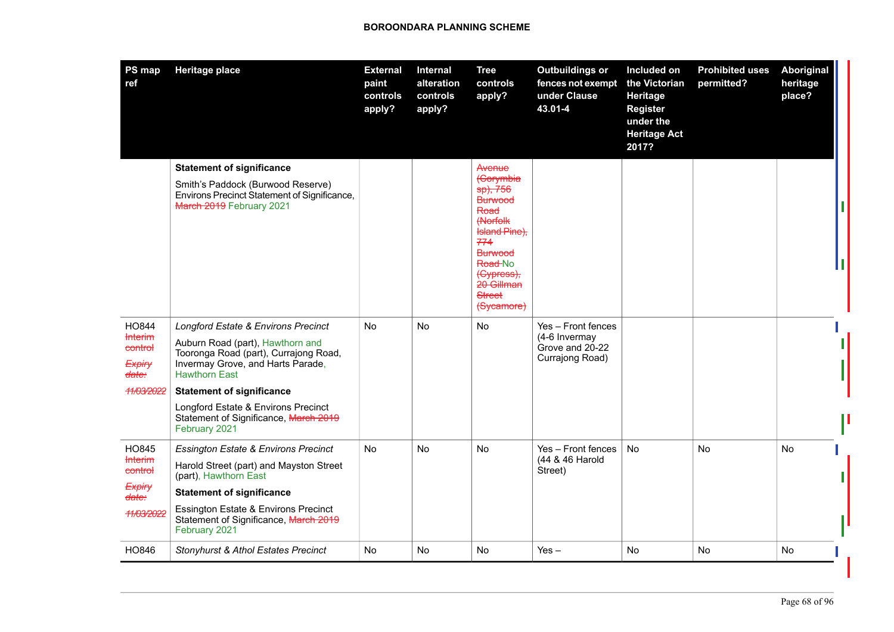| <b>Statement of significance</b><br>Avenue<br>(Corymbia<br>Smith's Paddock (Burwood Reserve)<br>sp), 756<br>Environs Precinct Statement of Significance,<br><b>Burwood</b><br>March 2019 February 2021<br>Road<br><b>(Norfolk</b><br>Island Pine),<br>774<br><b>Burwood</b><br>Road-No<br>(Cypress);<br>20 Gillman<br><b>Street</b><br>(Sycamore)<br>HO844<br>Longford Estate & Environs Precinct<br>No<br><b>No</b><br>No<br>Yes - Front fences<br><b>Interim</b><br>(4-6 Invermay<br>Auburn Road (part), Hawthorn and<br>Grove and 20-22<br>control<br>Tooronga Road (part), Currajong Road,<br>Currajong Road)<br>Invermay Grove, and Harts Parade,<br>Expiry<br><b>Hawthorn East</b><br>date:<br>11/03/2022<br><b>Statement of significance</b><br>Longford Estate & Environs Precinct<br>Statement of Significance, March 2019<br>February 2021<br>HO845<br>No<br>No<br>No<br>Yes - Front fences<br><b>No</b><br>No<br><b>No</b><br><b>Essington Estate &amp; Environs Precinct</b><br>(44 & 46 Harold<br><b>Interim</b><br>Harold Street (part) and Mayston Street<br>control<br>Street)<br>(part), Hawthorn East<br>Expiry<br><b>Statement of significance</b><br><del>date:</del> | PS map<br>ref | <b>Heritage place</b>                | <b>External</b><br>paint<br>controls<br>apply? | Internal<br>alteration<br>controls<br>apply? | <b>Tree</b><br>controls<br>apply? | <b>Outbuildings or</b><br>fences not exempt<br>under Clause<br>43.01-4 | Included on<br>the Victorian<br>Heritage<br><b>Register</b><br>under the<br><b>Heritage Act</b><br>2017? | <b>Prohibited uses</b><br>permitted? | Aboriginal<br>heritage<br>place? |
|-------------------------------------------------------------------------------------------------------------------------------------------------------------------------------------------------------------------------------------------------------------------------------------------------------------------------------------------------------------------------------------------------------------------------------------------------------------------------------------------------------------------------------------------------------------------------------------------------------------------------------------------------------------------------------------------------------------------------------------------------------------------------------------------------------------------------------------------------------------------------------------------------------------------------------------------------------------------------------------------------------------------------------------------------------------------------------------------------------------------------------------------------------------------------------------------|---------------|--------------------------------------|------------------------------------------------|----------------------------------------------|-----------------------------------|------------------------------------------------------------------------|----------------------------------------------------------------------------------------------------------|--------------------------------------|----------------------------------|
|                                                                                                                                                                                                                                                                                                                                                                                                                                                                                                                                                                                                                                                                                                                                                                                                                                                                                                                                                                                                                                                                                                                                                                                           |               |                                      |                                                |                                              |                                   |                                                                        |                                                                                                          |                                      |                                  |
|                                                                                                                                                                                                                                                                                                                                                                                                                                                                                                                                                                                                                                                                                                                                                                                                                                                                                                                                                                                                                                                                                                                                                                                           |               |                                      |                                                |                                              |                                   |                                                                        |                                                                                                          |                                      |                                  |
| 11/03/2022<br>Statement of Significance, March 2019<br>February 2021<br>HO846<br>No<br><b>No</b><br>No<br><b>No</b><br><b>No</b><br><b>No</b><br>Stonyhurst & Athol Estates Precinct<br>$Yes -$                                                                                                                                                                                                                                                                                                                                                                                                                                                                                                                                                                                                                                                                                                                                                                                                                                                                                                                                                                                           |               | Essington Estate & Environs Precinct |                                                |                                              |                                   |                                                                        |                                                                                                          |                                      |                                  |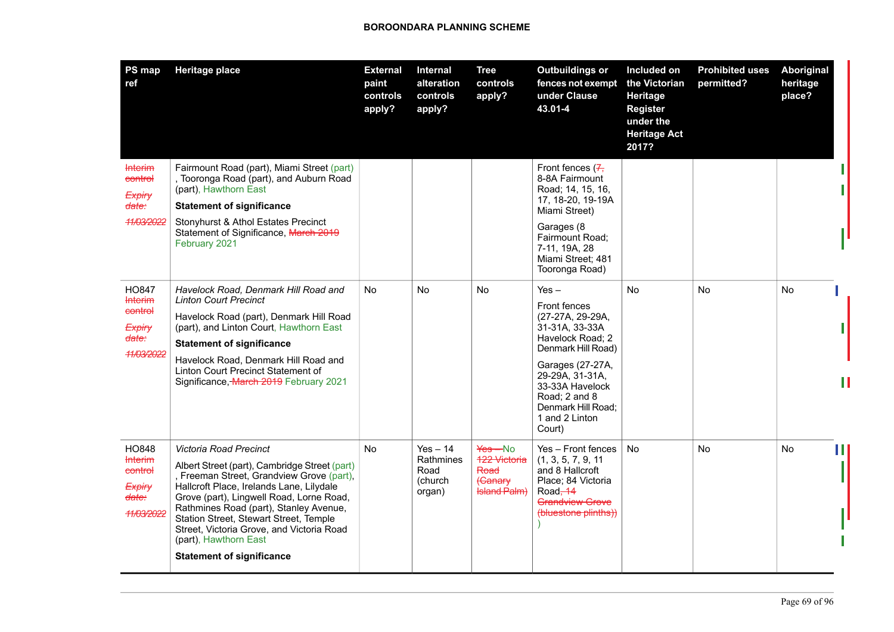| PS map<br>ref                                                                             | <b>Heritage place</b>                                                                                                                                                                                                                                                                                                                                                                                             | <b>External</b><br>paint<br>controls<br>apply? | Internal<br>alteration<br>controls<br>apply?         | Tree<br>controls<br>apply?                                             | <b>Outbuildings or</b><br>fences not exempt<br>under Clause<br>43.01-4                                                                                                                                                                      | Included on<br>the Victorian<br>Heritage<br><b>Register</b><br>under the<br><b>Heritage Act</b><br>2017? | <b>Prohibited uses</b><br>permitted? | Aboriginal<br>heritage<br>place? |
|-------------------------------------------------------------------------------------------|-------------------------------------------------------------------------------------------------------------------------------------------------------------------------------------------------------------------------------------------------------------------------------------------------------------------------------------------------------------------------------------------------------------------|------------------------------------------------|------------------------------------------------------|------------------------------------------------------------------------|---------------------------------------------------------------------------------------------------------------------------------------------------------------------------------------------------------------------------------------------|----------------------------------------------------------------------------------------------------------|--------------------------------------|----------------------------------|
| <b>Interim</b><br>control<br>Expiry<br><del>date:</del><br>11/03/2022                     | Fairmount Road (part), Miami Street (part)<br>, Tooronga Road (part), and Auburn Road<br>(part), Hawthorn East<br><b>Statement of significance</b><br>Stonyhurst & Athol Estates Precinct<br>Statement of Significance, March 2019<br>February 2021                                                                                                                                                               |                                                |                                                      |                                                                        | Front fences $(7, 7)$<br>8-8A Fairmount<br>Road; 14, 15, 16,<br>17, 18-20, 19-19A<br>Miami Street)<br>Garages (8<br>Fairmount Road;<br>7-11, 19A, 28<br>Miami Street; 481<br>Tooronga Road)                                                 |                                                                                                          |                                      |                                  |
| HO847<br><b>Interim</b><br>control<br>Expiry<br><del>date:</del><br><del>11/03/2022</del> | Havelock Road, Denmark Hill Road and<br><b>Linton Court Precinct</b><br>Havelock Road (part), Denmark Hill Road<br>(part), and Linton Court, Hawthorn East<br><b>Statement of significance</b><br>Havelock Road, Denmark Hill Road and<br>Linton Court Precinct Statement of<br>Significance, March 2019 February 2021                                                                                            | <b>No</b>                                      | No                                                   | No                                                                     | $Yes -$<br><b>Front fences</b><br>(27-27A, 29-29A,<br>31-31A, 33-33A<br>Havelock Road; 2<br>Denmark Hill Road)<br>Garages (27-27A,<br>29-29A, 31-31A,<br>33-33A Havelock<br>Road; 2 and 8<br>Denmark Hill Road;<br>1 and 2 Linton<br>Court) | No.                                                                                                      | No                                   | No                               |
| HO848<br><b>Interim</b><br>control<br>Expiry<br><del>date:</del><br>11/03/2022            | <b>Victoria Road Precinct</b><br>Albert Street (part), Cambridge Street (part)<br>, Freeman Street, Grandview Grove (part),<br>Hallcroft Place, Irelands Lane, Lilydale<br>Grove (part), Lingwell Road, Lorne Road,<br>Rathmines Road (part), Stanley Avenue,<br>Station Street, Stewart Street, Temple<br>Street, Victoria Grove, and Victoria Road<br>(part), Hawthorn East<br><b>Statement of significance</b> | No                                             | $Yes - 14$<br>Rathmines<br>Road<br>(church<br>organ) | Yes-No<br><b>122 Victoria</b><br>Road<br>(Canary<br><b>Island Palm</b> | Yes - Front fences<br>(1, 3, 5, 7, 9, 11)<br>and 8 Hallcroft<br>Place; 84 Victoria<br>Road - 14<br>Grandview Grove<br>(bluestone plinths))                                                                                                  | <b>No</b>                                                                                                | No                                   | No                               |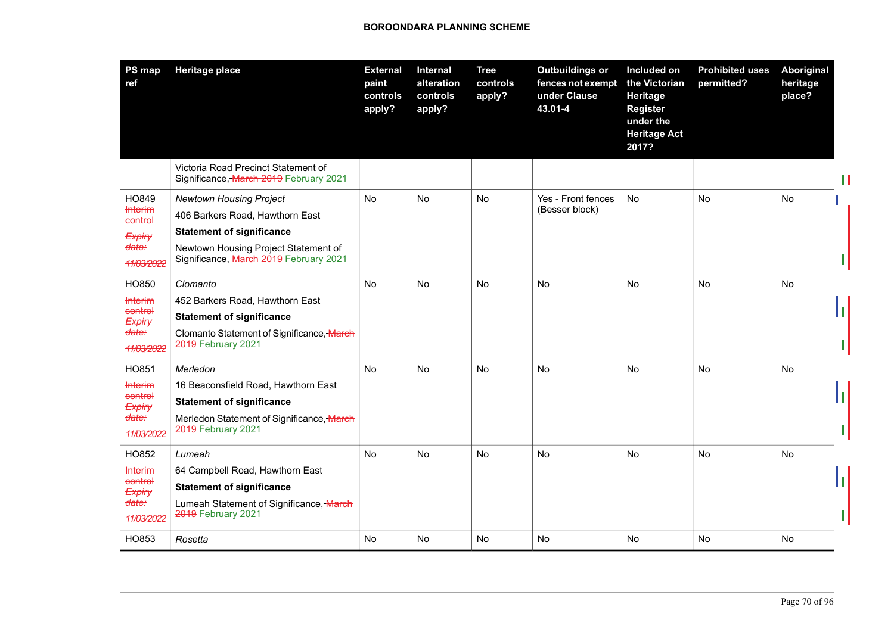| PS map<br>ref                                                                                           | <b>Heritage place</b>                                                                                                                                                                   | <b>External</b><br>paint<br>controls<br>apply? | Internal<br>alteration<br>controls<br>apply? | <b>Tree</b><br>controls<br>apply? | <b>Outbuildings or</b><br>fences not exempt<br>under Clause<br>43.01-4 | Included on<br>the Victorian<br>Heritage<br><b>Register</b><br>under the<br><b>Heritage Act</b><br>2017? | <b>Prohibited uses</b><br>permitted? | Aboriginal<br>heritage<br>place? |  |
|---------------------------------------------------------------------------------------------------------|-----------------------------------------------------------------------------------------------------------------------------------------------------------------------------------------|------------------------------------------------|----------------------------------------------|-----------------------------------|------------------------------------------------------------------------|----------------------------------------------------------------------------------------------------------|--------------------------------------|----------------------------------|--|
|                                                                                                         | Victoria Road Precinct Statement of<br>Significance, March 2019 February 2021                                                                                                           |                                                |                                              |                                   |                                                                        |                                                                                                          |                                      |                                  |  |
| HO849<br><b>Interim</b><br>control<br><i><b>Expiry</b></i><br><del>date:</del><br><del>11/03/2022</del> | <b>Newtown Housing Project</b><br>406 Barkers Road, Hawthorn East<br><b>Statement of significance</b><br>Newtown Housing Project Statement of<br>Significance, March 2019 February 2021 | <b>No</b>                                      | <b>No</b>                                    | No                                | Yes - Front fences<br>(Besser block)                                   | No                                                                                                       | <b>No</b>                            | <b>No</b>                        |  |
| HO850<br><b>Interim</b><br>control<br>Expiry<br><del>date:</del><br><del>11/03/2022</del>               | Clomanto<br>452 Barkers Road, Hawthorn East<br><b>Statement of significance</b><br>Clomanto Statement of Significance, March<br>2019 February 2021                                      | No                                             | No                                           | No                                | No                                                                     | No                                                                                                       | No                                   | No                               |  |
| HO851<br><b>Interim</b><br>control<br>Expiry<br><del>date:</del><br>11/03/2022                          | Merledon<br>16 Beaconsfield Road, Hawthorn East<br><b>Statement of significance</b><br>Merledon Statement of Significance, March<br>2019 February 2021                                  | No                                             | No                                           | No                                | No                                                                     | No                                                                                                       | No                                   | No                               |  |
| HO852<br><b>Interim</b><br>control<br>Expiry<br><del>date:</del><br><del>11/03/2022</del><br>HO853      | Lumeah<br>64 Campbell Road, Hawthorn East<br><b>Statement of significance</b><br>Lumeah Statement of Significance, March<br>2019 February 2021<br>Rosetta                               | <b>No</b><br><b>No</b>                         | No<br>No                                     | <b>No</b><br>No                   | <b>No</b><br>No                                                        | No<br>No                                                                                                 | No<br>No                             | <b>No</b><br>No                  |  |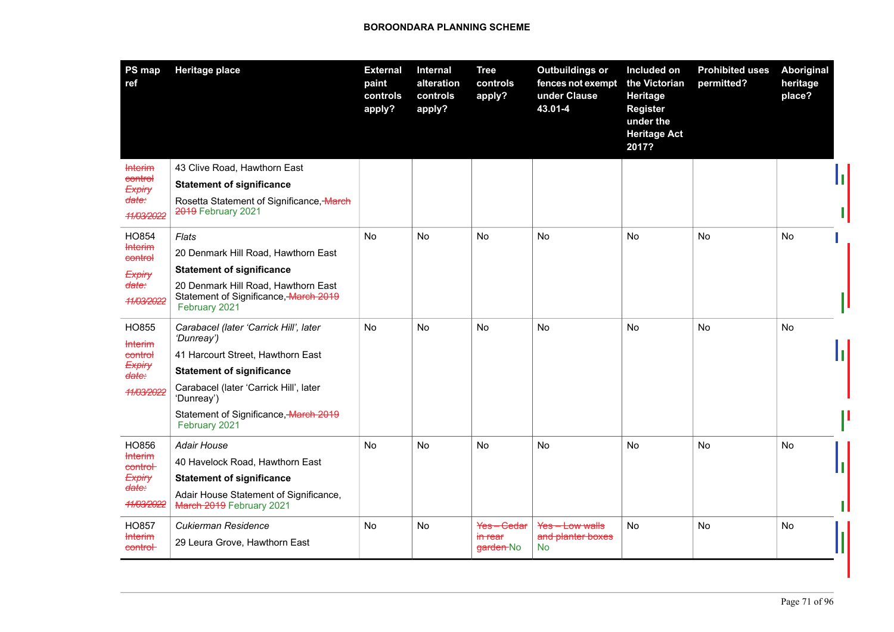| PS map<br>ref                  | <b>Heritage place</b>                                                                         | <b>External</b><br>paint<br>controls<br>apply? | Internal<br>alteration<br>controls<br>apply? | <b>Tree</b><br>controls<br>apply? | <b>Outbuildings or</b><br>fences not exempt<br>under Clause<br>43.01-4 | Included on<br>the Victorian<br><b>Heritage</b><br><b>Register</b><br>under the<br><b>Heritage Act</b><br>2017? | <b>Prohibited uses</b><br>permitted? | <b>Aboriginal</b><br>heritage<br>place? |  |
|--------------------------------|-----------------------------------------------------------------------------------------------|------------------------------------------------|----------------------------------------------|-----------------------------------|------------------------------------------------------------------------|-----------------------------------------------------------------------------------------------------------------|--------------------------------------|-----------------------------------------|--|
| <b>Interim</b><br>control      | 43 Clive Road, Hawthorn East                                                                  |                                                |                                              |                                   |                                                                        |                                                                                                                 |                                      |                                         |  |
| Expiry                         | <b>Statement of significance</b>                                                              |                                                |                                              |                                   |                                                                        |                                                                                                                 |                                      |                                         |  |
| <del>date:</del><br>11/03/2022 | Rosetta Statement of Significance, March<br>2019 February 2021                                |                                                |                                              |                                   |                                                                        |                                                                                                                 |                                      |                                         |  |
| HO854                          | Flats                                                                                         | No                                             | <b>No</b>                                    | No                                | No                                                                     | No                                                                                                              | No                                   | <b>No</b>                               |  |
| <b>Interim</b><br>control      | 20 Denmark Hill Road, Hawthorn East                                                           |                                                |                                              |                                   |                                                                        |                                                                                                                 |                                      |                                         |  |
| Expiry                         | <b>Statement of significance</b>                                                              |                                                |                                              |                                   |                                                                        |                                                                                                                 |                                      |                                         |  |
| <del>date:</del><br>11/03/2022 | 20 Denmark Hill Road, Hawthorn East<br>Statement of Significance, March 2019<br>February 2021 |                                                |                                              |                                   |                                                                        |                                                                                                                 |                                      |                                         |  |
| HO855<br><b>Interim</b>        | Carabacel (later 'Carrick Hill', later<br>'Dunreay')                                          | <b>No</b>                                      | <b>No</b>                                    | <b>No</b>                         | <b>No</b>                                                              | <b>No</b>                                                                                                       | <b>No</b>                            | <b>No</b>                               |  |
| control                        | 41 Harcourt Street, Hawthorn East                                                             |                                                |                                              |                                   |                                                                        |                                                                                                                 |                                      |                                         |  |
| Expiry<br>date:                | <b>Statement of significance</b>                                                              |                                                |                                              |                                   |                                                                        |                                                                                                                 |                                      |                                         |  |
| 11/03/2022                     | Carabacel (later 'Carrick Hill', later<br>'Dunreay')                                          |                                                |                                              |                                   |                                                                        |                                                                                                                 |                                      |                                         |  |
|                                | Statement of Significance, March 2019<br>February 2021                                        |                                                |                                              |                                   |                                                                        |                                                                                                                 |                                      |                                         |  |
| HO856                          | <b>Adair House</b>                                                                            | No                                             | <b>No</b>                                    | No                                | <b>No</b>                                                              | No                                                                                                              | No                                   | No                                      |  |
| <b>Interim</b><br>control-     | 40 Havelock Road, Hawthorn East                                                               |                                                |                                              |                                   |                                                                        |                                                                                                                 |                                      |                                         |  |
| Expiry<br><del>date:</del>     | <b>Statement of significance</b>                                                              |                                                |                                              |                                   |                                                                        |                                                                                                                 |                                      |                                         |  |
| 11/03/2022                     | Adair House Statement of Significance,<br>March 2019 February 2021                            |                                                |                                              |                                   |                                                                        |                                                                                                                 |                                      |                                         |  |
| HO857                          | Cukierman Residence                                                                           | No                                             | No                                           | Yes-Cedar                         | Yes-Low walls                                                          | No                                                                                                              | No                                   | No                                      |  |
| <b>Interim</b><br>control      | 29 Leura Grove, Hawthorn East                                                                 |                                                |                                              | <del>in rear</del><br>garden-No   | and planter boxes<br><b>No</b>                                         |                                                                                                                 |                                      |                                         |  |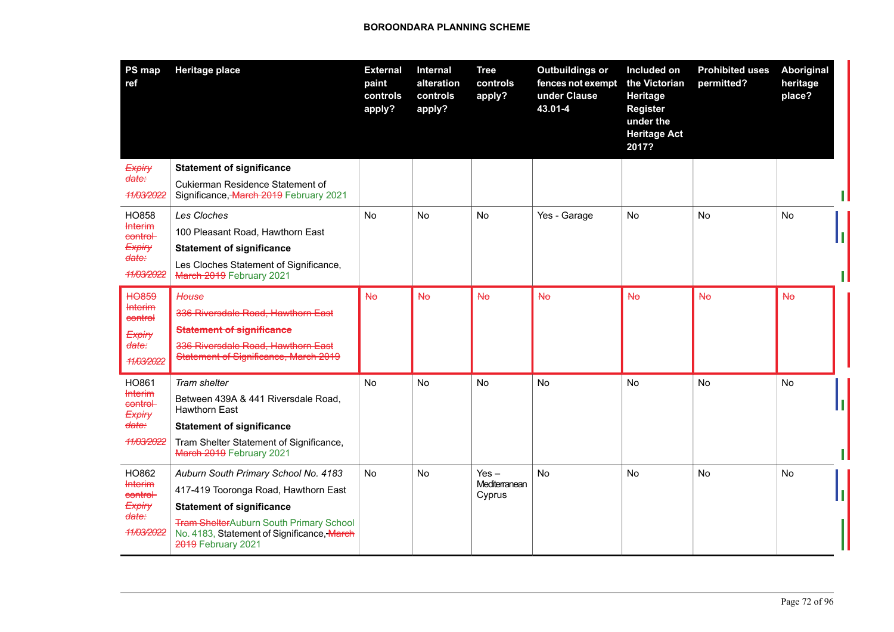| PS map<br>ref                       | <b>Heritage place</b>                                                                                              | <b>External</b><br>paint<br>controls<br>apply? | Internal<br>alteration<br>controls<br>apply? | <b>Tree</b><br>controls<br>apply? | <b>Outbuildings or</b><br>fences not exempt<br>under Clause<br>43.01-4 | Included on<br>the Victorian<br><b>Heritage</b><br><b>Register</b><br>under the<br><b>Heritage Act</b><br>2017? | <b>Prohibited uses</b><br>permitted? | Aboriginal<br>heritage<br>place? |  |
|-------------------------------------|--------------------------------------------------------------------------------------------------------------------|------------------------------------------------|----------------------------------------------|-----------------------------------|------------------------------------------------------------------------|-----------------------------------------------------------------------------------------------------------------|--------------------------------------|----------------------------------|--|
| Expiry<br><del>date:</del>          | <b>Statement of significance</b><br>Cukierman Residence Statement of                                               |                                                |                                              |                                   |                                                                        |                                                                                                                 |                                      |                                  |  |
| 11/03/2022                          | Significance, March 2019 February 2021                                                                             |                                                |                                              |                                   |                                                                        |                                                                                                                 |                                      |                                  |  |
| HO858                               | Les Cloches                                                                                                        | <b>No</b>                                      | No                                           | No.                               | Yes - Garage                                                           | No                                                                                                              | No                                   | No                               |  |
| <b>Interim</b><br>control           | 100 Pleasant Road, Hawthorn East                                                                                   |                                                |                                              |                                   |                                                                        |                                                                                                                 |                                      |                                  |  |
| Expiry<br><del>date:</del>          | <b>Statement of significance</b>                                                                                   |                                                |                                              |                                   |                                                                        |                                                                                                                 |                                      |                                  |  |
| 11/03/2022                          | Les Cloches Statement of Significance,<br>March 2019 February 2021                                                 |                                                |                                              |                                   |                                                                        |                                                                                                                 |                                      |                                  |  |
| <b>HO859</b>                        | House                                                                                                              | <b>No</b>                                      | <b>No</b>                                    | H <sub>o</sub>                    | <b>No</b>                                                              | <b>No</b>                                                                                                       | <b>No</b>                            | H <sub>o</sub>                   |  |
| <b>Interim</b><br>control           | 336 Riversdale Road, Hawthorn East                                                                                 |                                                |                                              |                                   |                                                                        |                                                                                                                 |                                      |                                  |  |
| Expiry                              | <b>Statement of significance</b>                                                                                   |                                                |                                              |                                   |                                                                        |                                                                                                                 |                                      |                                  |  |
| <del>date:</del><br>11/03/2022      | 336 Riversdale Road, Hawthorn East<br>Statement of Significance, March 2019                                        |                                                |                                              |                                   |                                                                        |                                                                                                                 |                                      |                                  |  |
| HO861                               | Tram shelter                                                                                                       | <b>No</b>                                      | <b>No</b>                                    | <b>No</b>                         | No                                                                     | <b>No</b>                                                                                                       | No                                   | No                               |  |
| <b>Interim</b><br>control<br>Expiry | Between 439A & 441 Riversdale Road,<br>Hawthorn East                                                               |                                                |                                              |                                   |                                                                        |                                                                                                                 |                                      |                                  |  |
| date:                               | <b>Statement of significance</b>                                                                                   |                                                |                                              |                                   |                                                                        |                                                                                                                 |                                      |                                  |  |
| 11/03/2022                          | Tram Shelter Statement of Significance,<br>March 2019 February 2021                                                |                                                |                                              |                                   |                                                                        |                                                                                                                 |                                      |                                  |  |
| HO862                               | Auburn South Primary School No. 4183                                                                               | N <sub>o</sub>                                 | <b>No</b>                                    | Yes –                             | <b>No</b>                                                              | <b>No</b>                                                                                                       | <b>No</b>                            | No                               |  |
| <b>Interim</b><br>control           | 417-419 Tooronga Road, Hawthorn East                                                                               |                                                |                                              | Mediterranean<br>Cyprus           |                                                                        |                                                                                                                 |                                      |                                  |  |
| <b>Expiry</b><br><del>date:</del>   | <b>Statement of significance</b>                                                                                   |                                                |                                              |                                   |                                                                        |                                                                                                                 |                                      |                                  |  |
| 11/03/2022                          | <b>Tram ShelterAuburn South Primary School</b><br>No. 4183, Statement of Significance, March<br>2019 February 2021 |                                                |                                              |                                   |                                                                        |                                                                                                                 |                                      |                                  |  |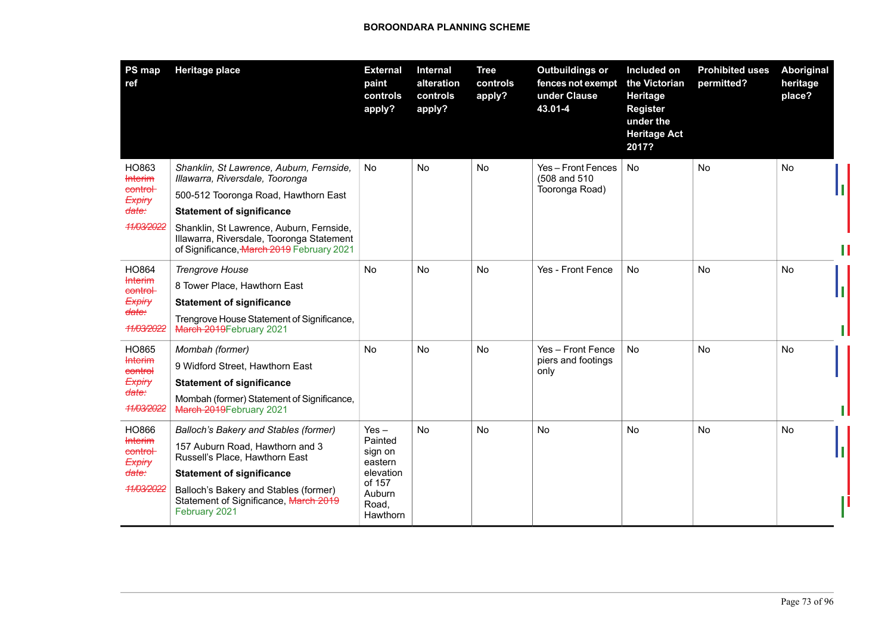| PS map<br>ref                                                                   | <b>Heritage place</b>                                                                                                                                                                                                                                                                         | <b>External</b><br>paint<br>controls<br>apply?                                                 | Internal<br>alteration<br>controls<br>apply? | <b>Tree</b><br>controls<br>apply? | <b>Outbuildings or</b><br>fences not exempt<br>under Clause<br>43.01-4 | Included on<br>the Victorian<br>Heritage<br><b>Register</b><br>under the<br><b>Heritage Act</b><br>2017? | <b>Prohibited uses</b><br>permitted? | Aboriginal<br>heritage<br>place? |
|---------------------------------------------------------------------------------|-----------------------------------------------------------------------------------------------------------------------------------------------------------------------------------------------------------------------------------------------------------------------------------------------|------------------------------------------------------------------------------------------------|----------------------------------------------|-----------------------------------|------------------------------------------------------------------------|----------------------------------------------------------------------------------------------------------|--------------------------------------|----------------------------------|
| HO863<br><b>Interim</b><br>control<br>Expiry<br>date:<br>11/03/2022             | Shanklin, St Lawrence, Auburn, Fernside,<br>Illawarra, Riversdale, Tooronga<br>500-512 Tooronga Road, Hawthorn East<br><b>Statement of significance</b><br>Shanklin, St Lawrence, Auburn, Fernside,<br>Illawarra, Riversdale, Tooronga Statement<br>of Significance, March 2019 February 2021 | No                                                                                             | No                                           | No                                | Yes - Front Fences<br>(508 and 510)<br>Tooronga Road)                  | <b>No</b>                                                                                                | <b>No</b>                            | <b>No</b>                        |
| HO864<br><b>Interim</b><br>control-<br>Expiry<br><del>date:</del><br>11/03/2022 | <b>Trengrove House</b><br>8 Tower Place, Hawthorn East<br><b>Statement of significance</b><br>Trengrove House Statement of Significance,<br>March 2019 February 2021                                                                                                                          | <b>No</b>                                                                                      | <b>No</b>                                    | <b>No</b>                         | Yes - Front Fence                                                      | <b>No</b>                                                                                                | <b>No</b>                            | <b>No</b>                        |
| HO865<br><b>Interim</b><br>control<br>Expiry<br><del>date:</del><br>11/03/2022  | Mombah (former)<br>9 Widford Street, Hawthorn East<br><b>Statement of significance</b><br>Mombah (former) Statement of Significance,<br>March 2019 February 2021                                                                                                                              | No                                                                                             | No                                           | No                                | Yes - Front Fence<br>piers and footings<br>only                        | No                                                                                                       | No                                   | No                               |
| HO866<br><b>Interim</b><br>control-<br>Expiry<br><del>date:</del><br>11/03/2022 | Balloch's Bakery and Stables (former)<br>157 Auburn Road, Hawthorn and 3<br>Russell's Place, Hawthorn East<br><b>Statement of significance</b><br>Balloch's Bakery and Stables (former)<br>Statement of Significance, March 2019<br>February 2021                                             | $Yes -$<br>Painted<br>sign on<br>eastern<br>elevation<br>of 157<br>Auburn<br>Road,<br>Hawthorn | <b>No</b>                                    | <b>No</b>                         | <b>No</b>                                                              | No                                                                                                       | No                                   | No                               |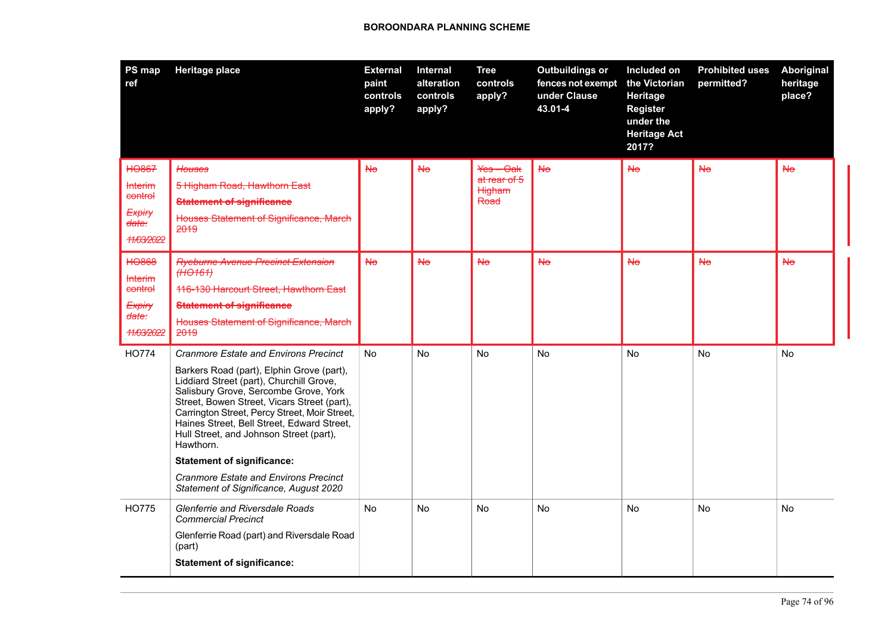| PS map<br>ref                                                                         | <b>Heritage place</b>                                                                                                                                                                                                                                                                                                                                                                                                                                                                                               | <b>External</b><br>paint<br>controls<br>apply? | Internal<br>alteration<br>controls<br>apply? | <b>Tree</b><br>controls<br>apply?             | <b>Outbuildings or</b><br>fences not exempt<br>under Clause<br>43.01-4 | Included on<br>the Victorian<br>Heritage<br><b>Register</b><br>under the<br><b>Heritage Act</b><br>2017? | <b>Prohibited uses</b><br>permitted? | Aboriginal<br>heritage<br>place? |
|---------------------------------------------------------------------------------------|---------------------------------------------------------------------------------------------------------------------------------------------------------------------------------------------------------------------------------------------------------------------------------------------------------------------------------------------------------------------------------------------------------------------------------------------------------------------------------------------------------------------|------------------------------------------------|----------------------------------------------|-----------------------------------------------|------------------------------------------------------------------------|----------------------------------------------------------------------------------------------------------|--------------------------------------|----------------------------------|
| <b>HO867</b><br><b>Interim</b><br>control<br>Expiry<br><del>date:</del><br>11/03/2022 | <b>Houses</b><br>5 Higham Road, Hawthorn East<br><b>Statement of significance</b><br>Houses Statement of Significance, March<br>2019                                                                                                                                                                                                                                                                                                                                                                                | H <sub>o</sub>                                 | <b>No</b>                                    | $Yes - Oak$<br>at rear of 5<br>Higham<br>Road | H <sub>o</sub>                                                         | H <sub>o</sub>                                                                                           | H <sub>o</sub>                       | <b>No</b>                        |
| <b>HO868</b><br><b>Interim</b><br>control<br>Expiry<br>date:<br>11/03/2022            | <b>Ryeburne Avenue Precinct Extension</b><br>(HO161)<br>116-130 Harcourt Street, Hawthorn East<br><b>Statement of significance</b><br>Houses Statement of Significance, March<br>2019                                                                                                                                                                                                                                                                                                                               | <b>No</b>                                      | <b>No</b>                                    | H <sub>o</sub>                                | H <sub>o</sub>                                                         | H <sub>o</sub>                                                                                           | H <sub>o</sub>                       | <b>No</b>                        |
| <b>HO774</b>                                                                          | <b>Cranmore Estate and Environs Precinct</b><br>Barkers Road (part), Elphin Grove (part),<br>Liddiard Street (part), Churchill Grove,<br>Salisbury Grove, Sercombe Grove, York<br>Street, Bowen Street, Vicars Street (part),<br>Carrington Street, Percy Street, Moir Street,<br>Haines Street, Bell Street, Edward Street,<br>Hull Street, and Johnson Street (part),<br>Hawthorn.<br><b>Statement of significance:</b><br><b>Cranmore Estate and Environs Precinct</b><br>Statement of Significance, August 2020 | <b>No</b>                                      | <b>No</b>                                    | <b>No</b>                                     | <b>No</b>                                                              | <b>No</b>                                                                                                | <b>No</b>                            | <b>No</b>                        |
| <b>HO775</b>                                                                          | <b>Glenferrie and Riversdale Roads</b><br><b>Commercial Precinct</b><br>Glenferrie Road (part) and Riversdale Road<br>(part)<br><b>Statement of significance:</b>                                                                                                                                                                                                                                                                                                                                                   | No                                             | No                                           | No                                            | No                                                                     | No                                                                                                       | No                                   | <b>No</b>                        |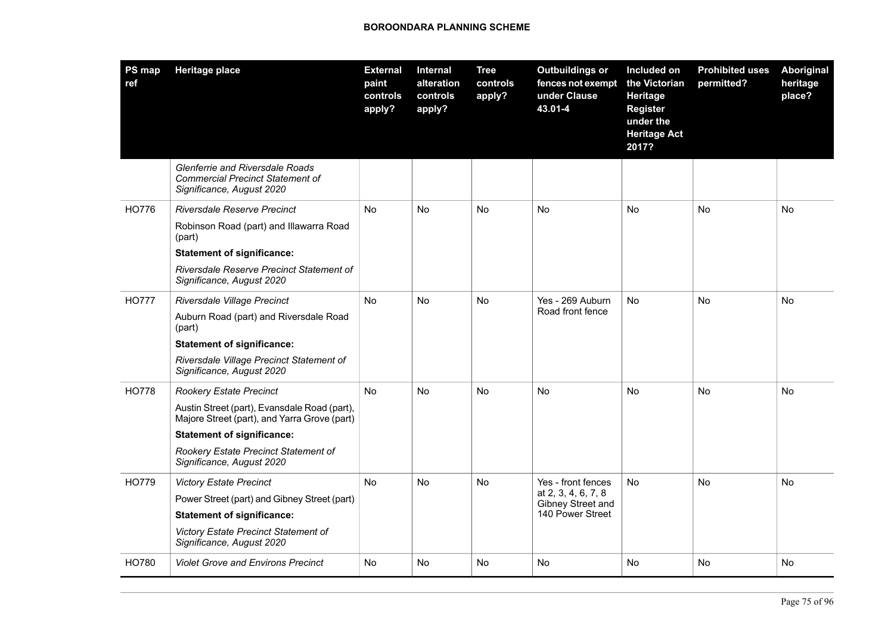| PS map<br>ref | <b>Heritage place</b>                                                                                   | <b>External</b><br>paint<br>controls<br>apply? | Internal<br>alteration<br>controls<br>apply? | <b>Tree</b><br>controls<br>apply? | <b>Outbuildings or</b><br>fences not exempt<br>under Clause<br>43.01-4 | Included on<br>the Victorian<br>Heritage<br><b>Register</b><br>under the<br><b>Heritage Act</b><br>2017? | <b>Prohibited uses</b><br>permitted? | <b>Aboriginal</b><br>heritage<br>place? |
|---------------|---------------------------------------------------------------------------------------------------------|------------------------------------------------|----------------------------------------------|-----------------------------------|------------------------------------------------------------------------|----------------------------------------------------------------------------------------------------------|--------------------------------------|-----------------------------------------|
|               | Glenferrie and Riversdale Roads<br><b>Commercial Precinct Statement of</b><br>Significance, August 2020 |                                                |                                              |                                   |                                                                        |                                                                                                          |                                      |                                         |
| HO776         | Riversdale Reserve Precinct                                                                             | No                                             | No                                           | No                                | <b>No</b>                                                              | No                                                                                                       | No                                   | No                                      |
|               | Robinson Road (part) and Illawarra Road<br>(part)                                                       |                                                |                                              |                                   |                                                                        |                                                                                                          |                                      |                                         |
|               | <b>Statement of significance:</b>                                                                       |                                                |                                              |                                   |                                                                        |                                                                                                          |                                      |                                         |
|               | Riversdale Reserve Precinct Statement of<br>Significance, August 2020                                   |                                                |                                              |                                   |                                                                        |                                                                                                          |                                      |                                         |
| <b>HO777</b>  | Riversdale Village Precinct                                                                             | <b>No</b>                                      | <b>No</b>                                    | No                                | Yes - 269 Auburn                                                       | <b>No</b>                                                                                                | <b>No</b>                            | No                                      |
|               | Auburn Road (part) and Riversdale Road<br>(part)                                                        |                                                |                                              |                                   | Road front fence                                                       |                                                                                                          |                                      |                                         |
|               | <b>Statement of significance:</b>                                                                       |                                                |                                              |                                   |                                                                        |                                                                                                          |                                      |                                         |
|               | Riversdale Village Precinct Statement of<br>Significance, August 2020                                   |                                                |                                              |                                   |                                                                        |                                                                                                          |                                      |                                         |
| <b>HO778</b>  | <b>Rookery Estate Precinct</b>                                                                          | <b>No</b>                                      | No                                           | <b>No</b>                         | <b>No</b>                                                              | <b>No</b>                                                                                                | <b>No</b>                            | <b>No</b>                               |
|               | Austin Street (part), Evansdale Road (part),<br>Majore Street (part), and Yarra Grove (part)            |                                                |                                              |                                   |                                                                        |                                                                                                          |                                      |                                         |
|               | <b>Statement of significance:</b>                                                                       |                                                |                                              |                                   |                                                                        |                                                                                                          |                                      |                                         |
|               | Rookery Estate Precinct Statement of<br>Significance, August 2020                                       |                                                |                                              |                                   |                                                                        |                                                                                                          |                                      |                                         |
| <b>HO779</b>  | <b>Victory Estate Precinct</b>                                                                          | <b>No</b>                                      | <b>No</b>                                    | No                                | Yes - front fences                                                     | <b>No</b>                                                                                                | <b>No</b>                            | No                                      |
|               | Power Street (part) and Gibney Street (part)                                                            |                                                |                                              |                                   | at 2, 3, 4, 6, 7, 8<br>Gibney Street and                               |                                                                                                          |                                      |                                         |
|               | <b>Statement of significance:</b>                                                                       |                                                |                                              |                                   | 140 Power Street                                                       |                                                                                                          |                                      |                                         |
|               | Victory Estate Precinct Statement of<br>Significance, August 2020                                       |                                                |                                              |                                   |                                                                        |                                                                                                          |                                      |                                         |
| HO780         | <b>Violet Grove and Environs Precinct</b>                                                               | No                                             | No.                                          | No                                | No                                                                     | No                                                                                                       | No                                   | No                                      |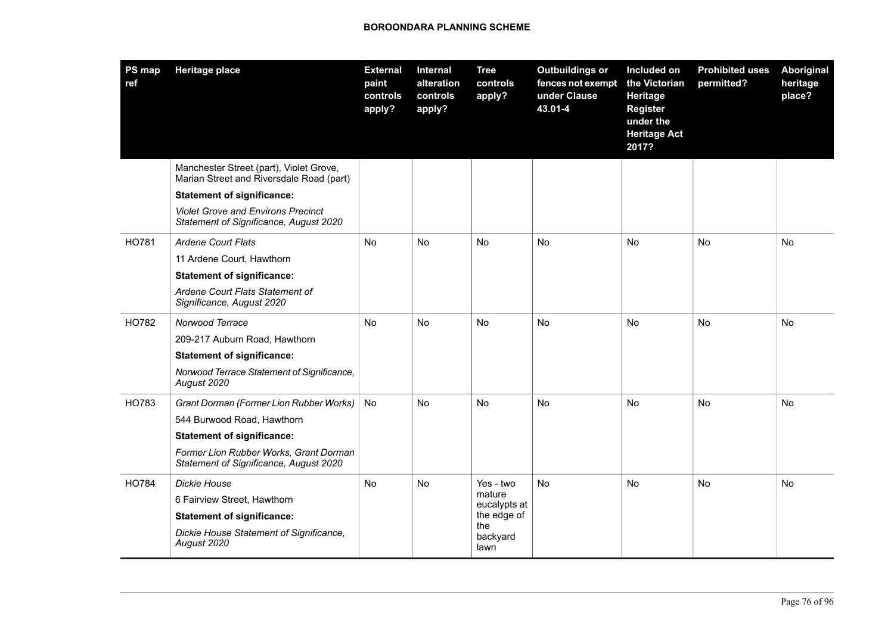| <b>PS map</b><br>ref | <b>Heritage place</b>                                                               | <b>External</b><br>paint<br>controls<br>apply? | Internal<br>alteration<br>controls<br>apply? | <b>Tree</b><br>controls<br>apply? | <b>Outbuildings or</b><br>fences not exempt<br>under Clause<br>43.01-4 | Included on<br>the Victorian<br>Heritage<br><b>Register</b><br>under the<br><b>Heritage Act</b><br>2017? | <b>Prohibited uses</b><br>permitted? | <b>Aboriginal</b><br>heritage<br>place? |
|----------------------|-------------------------------------------------------------------------------------|------------------------------------------------|----------------------------------------------|-----------------------------------|------------------------------------------------------------------------|----------------------------------------------------------------------------------------------------------|--------------------------------------|-----------------------------------------|
|                      | Manchester Street (part), Violet Grove,<br>Marian Street and Riversdale Road (part) |                                                |                                              |                                   |                                                                        |                                                                                                          |                                      |                                         |
|                      | <b>Statement of significance:</b>                                                   |                                                |                                              |                                   |                                                                        |                                                                                                          |                                      |                                         |
|                      | <b>Violet Grove and Environs Precinct</b><br>Statement of Significance, August 2020 |                                                |                                              |                                   |                                                                        |                                                                                                          |                                      |                                         |
| <b>HO781</b>         | <b>Ardene Court Flats</b>                                                           | No                                             | <b>No</b>                                    | No                                | <b>No</b>                                                              | No                                                                                                       | <b>No</b>                            | No                                      |
|                      | 11 Ardene Court, Hawthorn                                                           |                                                |                                              |                                   |                                                                        |                                                                                                          |                                      |                                         |
|                      | <b>Statement of significance:</b>                                                   |                                                |                                              |                                   |                                                                        |                                                                                                          |                                      |                                         |
|                      | Ardene Court Flats Statement of<br>Significance, August 2020                        |                                                |                                              |                                   |                                                                        |                                                                                                          |                                      |                                         |
| HO782                | Norwood Terrace                                                                     | <b>No</b>                                      | No                                           | No                                | No                                                                     | No                                                                                                       | No                                   | No                                      |
|                      | 209-217 Auburn Road, Hawthorn                                                       |                                                |                                              |                                   |                                                                        |                                                                                                          |                                      |                                         |
|                      | <b>Statement of significance:</b>                                                   |                                                |                                              |                                   |                                                                        |                                                                                                          |                                      |                                         |
|                      | Norwood Terrace Statement of Significance,<br>August 2020                           |                                                |                                              |                                   |                                                                        |                                                                                                          |                                      |                                         |
| HO783                | Grant Dorman (Former Lion Rubber Works)                                             | No                                             | No                                           | No                                | No                                                                     | No                                                                                                       | No                                   | No                                      |
|                      | 544 Burwood Road, Hawthorn                                                          |                                                |                                              |                                   |                                                                        |                                                                                                          |                                      |                                         |
|                      | <b>Statement of significance:</b>                                                   |                                                |                                              |                                   |                                                                        |                                                                                                          |                                      |                                         |
|                      | Former Lion Rubber Works, Grant Dorman<br>Statement of Significance, August 2020    |                                                |                                              |                                   |                                                                        |                                                                                                          |                                      |                                         |
| HO784                | Dickie House                                                                        | No                                             | No                                           | Yes - two                         | No                                                                     | No.                                                                                                      | No                                   | No                                      |
|                      | 6 Fairview Street, Hawthorn                                                         |                                                |                                              | mature<br>eucalypts at            |                                                                        |                                                                                                          |                                      |                                         |
|                      | <b>Statement of significance:</b>                                                   |                                                |                                              | the edge of                       |                                                                        |                                                                                                          |                                      |                                         |
|                      | Dickie House Statement of Significance,<br>August 2020                              |                                                |                                              | the<br>backyard<br>lawn           |                                                                        |                                                                                                          |                                      |                                         |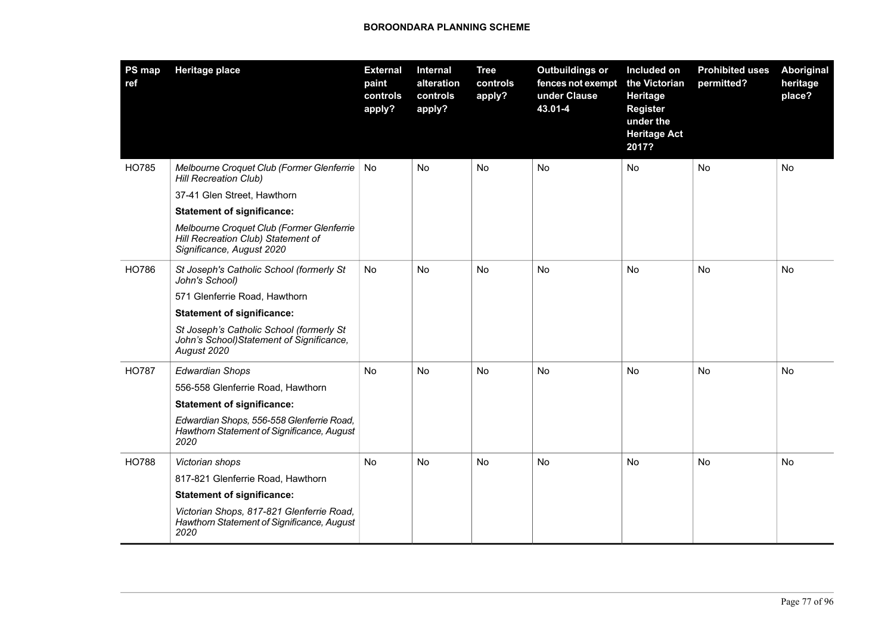| <b>PS map</b><br>ref | <b>Heritage place</b>                                                                                        | <b>External</b><br>paint<br>controls<br>apply? | Internal<br>alteration<br>controls<br>apply? | <b>Tree</b><br>controls<br>apply? | <b>Outbuildings or</b><br>fences not exempt<br>under Clause<br>43.01-4 | Included on<br>the Victorian<br>Heritage<br><b>Register</b><br>under the<br><b>Heritage Act</b><br>2017? | <b>Prohibited uses</b><br>permitted? | Aboriginal<br>heritage<br>place? |
|----------------------|--------------------------------------------------------------------------------------------------------------|------------------------------------------------|----------------------------------------------|-----------------------------------|------------------------------------------------------------------------|----------------------------------------------------------------------------------------------------------|--------------------------------------|----------------------------------|
| HO785                | Melbourne Croquet Club (Former Glenferrie<br><b>Hill Recreation Club)</b>                                    | No.                                            | <b>No</b>                                    | No                                | <b>No</b>                                                              | <b>No</b>                                                                                                | <b>No</b>                            | No                               |
|                      | 37-41 Glen Street, Hawthorn                                                                                  |                                                |                                              |                                   |                                                                        |                                                                                                          |                                      |                                  |
|                      | <b>Statement of significance:</b>                                                                            |                                                |                                              |                                   |                                                                        |                                                                                                          |                                      |                                  |
|                      | Melbourne Croquet Club (Former Glenferrie<br>Hill Recreation Club) Statement of<br>Significance, August 2020 |                                                |                                              |                                   |                                                                        |                                                                                                          |                                      |                                  |
| HO786                | St Joseph's Catholic School (formerly St<br>John's School)                                                   | <b>No</b>                                      | <b>No</b>                                    | <b>No</b>                         | No                                                                     | <b>No</b>                                                                                                | No                                   | No                               |
|                      | 571 Glenferrie Road, Hawthorn                                                                                |                                                |                                              |                                   |                                                                        |                                                                                                          |                                      |                                  |
|                      | <b>Statement of significance:</b>                                                                            |                                                |                                              |                                   |                                                                        |                                                                                                          |                                      |                                  |
|                      | St Joseph's Catholic School (formerly St<br>John's School) Statement of Significance,<br>August 2020         |                                                |                                              |                                   |                                                                        |                                                                                                          |                                      |                                  |
| <b>HO787</b>         | <b>Edwardian Shops</b>                                                                                       | <b>No</b>                                      | <b>No</b>                                    | No                                | No                                                                     | <b>No</b>                                                                                                | <b>No</b>                            | No                               |
|                      | 556-558 Glenferrie Road, Hawthorn                                                                            |                                                |                                              |                                   |                                                                        |                                                                                                          |                                      |                                  |
|                      | <b>Statement of significance:</b>                                                                            |                                                |                                              |                                   |                                                                        |                                                                                                          |                                      |                                  |
|                      | Edwardian Shops, 556-558 Glenferrie Road,<br>Hawthorn Statement of Significance, August<br>2020              |                                                |                                              |                                   |                                                                        |                                                                                                          |                                      |                                  |
| <b>HO788</b>         | Victorian shops                                                                                              | <b>No</b>                                      | <b>No</b>                                    | <b>No</b>                         | <b>No</b>                                                              | <b>No</b>                                                                                                | <b>No</b>                            | <b>No</b>                        |
|                      | 817-821 Glenferrie Road, Hawthorn                                                                            |                                                |                                              |                                   |                                                                        |                                                                                                          |                                      |                                  |
|                      | <b>Statement of significance:</b>                                                                            |                                                |                                              |                                   |                                                                        |                                                                                                          |                                      |                                  |
|                      | Victorian Shops, 817-821 Glenferrie Road,<br>Hawthorn Statement of Significance, August<br>2020              |                                                |                                              |                                   |                                                                        |                                                                                                          |                                      |                                  |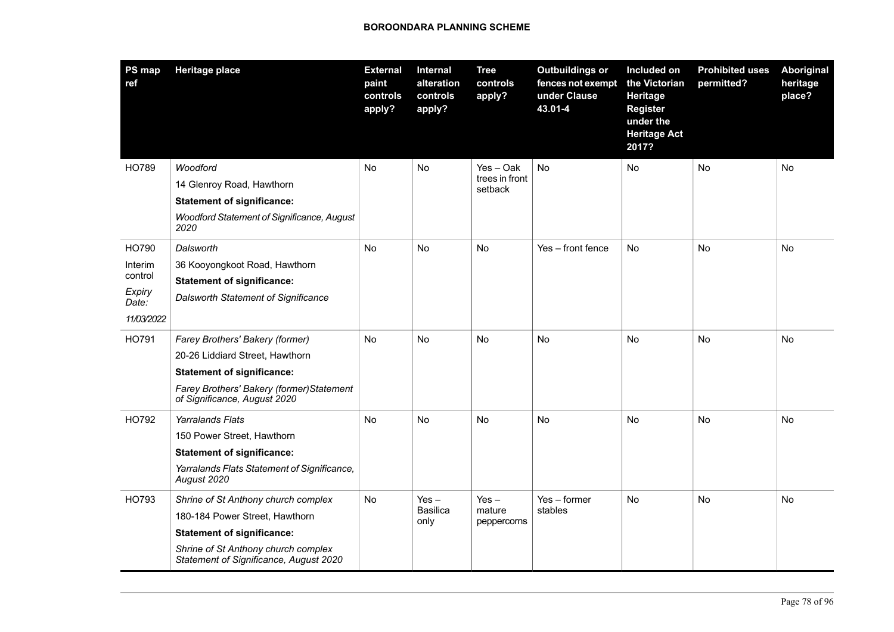| PS map<br>ref   | <b>Heritage place</b>                                                         | <b>External</b><br>paint<br>controls<br>apply? | Internal<br>alteration<br>controls<br>apply? | <b>Tree</b><br>controls<br>apply? | <b>Outbuildings or</b><br>fences not exempt<br>under Clause<br>43.01-4 | Included on<br>the Victorian<br>Heritage<br><b>Register</b><br>under the<br><b>Heritage Act</b><br>2017? | <b>Prohibited uses</b><br>permitted? | Aboriginal<br>heritage<br>place? |
|-----------------|-------------------------------------------------------------------------------|------------------------------------------------|----------------------------------------------|-----------------------------------|------------------------------------------------------------------------|----------------------------------------------------------------------------------------------------------|--------------------------------------|----------------------------------|
| HO789           | Woodford                                                                      | No                                             | No                                           | Yes-Oak                           | <b>No</b>                                                              | No                                                                                                       | <b>No</b>                            | No                               |
|                 | 14 Glenroy Road, Hawthorn                                                     |                                                |                                              | trees in front<br>setback         |                                                                        |                                                                                                          |                                      |                                  |
|                 | <b>Statement of significance:</b>                                             |                                                |                                              |                                   |                                                                        |                                                                                                          |                                      |                                  |
|                 | Woodford Statement of Significance, August<br>2020                            |                                                |                                              |                                   |                                                                        |                                                                                                          |                                      |                                  |
| HO790           | Dalsworth                                                                     | No                                             | <b>No</b>                                    | No                                | Yes - front fence                                                      | <b>No</b>                                                                                                | No                                   | No                               |
| Interim         | 36 Kooyongkoot Road, Hawthorn                                                 |                                                |                                              |                                   |                                                                        |                                                                                                          |                                      |                                  |
| control         | <b>Statement of significance:</b>                                             |                                                |                                              |                                   |                                                                        |                                                                                                          |                                      |                                  |
| Expiry<br>Date: | Dalsworth Statement of Significance                                           |                                                |                                              |                                   |                                                                        |                                                                                                          |                                      |                                  |
| 11/03/2022      |                                                                               |                                                |                                              |                                   |                                                                        |                                                                                                          |                                      |                                  |
| HO791           | Farey Brothers' Bakery (former)                                               | No                                             | No                                           | No                                | No                                                                     | No                                                                                                       | No                                   | No                               |
|                 | 20-26 Liddiard Street, Hawthorn                                               |                                                |                                              |                                   |                                                                        |                                                                                                          |                                      |                                  |
|                 | <b>Statement of significance:</b>                                             |                                                |                                              |                                   |                                                                        |                                                                                                          |                                      |                                  |
|                 | Farey Brothers' Bakery (former) Statement<br>of Significance, August 2020     |                                                |                                              |                                   |                                                                        |                                                                                                          |                                      |                                  |
| HO792           | Yarralands Flats                                                              | No                                             | No                                           | No                                | No                                                                     | No                                                                                                       | No                                   | No                               |
|                 | 150 Power Street, Hawthorn                                                    |                                                |                                              |                                   |                                                                        |                                                                                                          |                                      |                                  |
|                 | <b>Statement of significance:</b>                                             |                                                |                                              |                                   |                                                                        |                                                                                                          |                                      |                                  |
|                 | Yarralands Flats Statement of Significance,<br>August 2020                    |                                                |                                              |                                   |                                                                        |                                                                                                          |                                      |                                  |
| HO793           | Shrine of St Anthony church complex                                           | No                                             | $Yes -$                                      | $Yes -$                           | $Yes - former$                                                         | No                                                                                                       | No                                   | No                               |
|                 | 180-184 Power Street, Hawthorn                                                |                                                | <b>Basilica</b><br>only                      | mature<br>peppercorns             | stables                                                                |                                                                                                          |                                      |                                  |
|                 | <b>Statement of significance:</b>                                             |                                                |                                              |                                   |                                                                        |                                                                                                          |                                      |                                  |
|                 | Shrine of St Anthony church complex<br>Statement of Significance, August 2020 |                                                |                                              |                                   |                                                                        |                                                                                                          |                                      |                                  |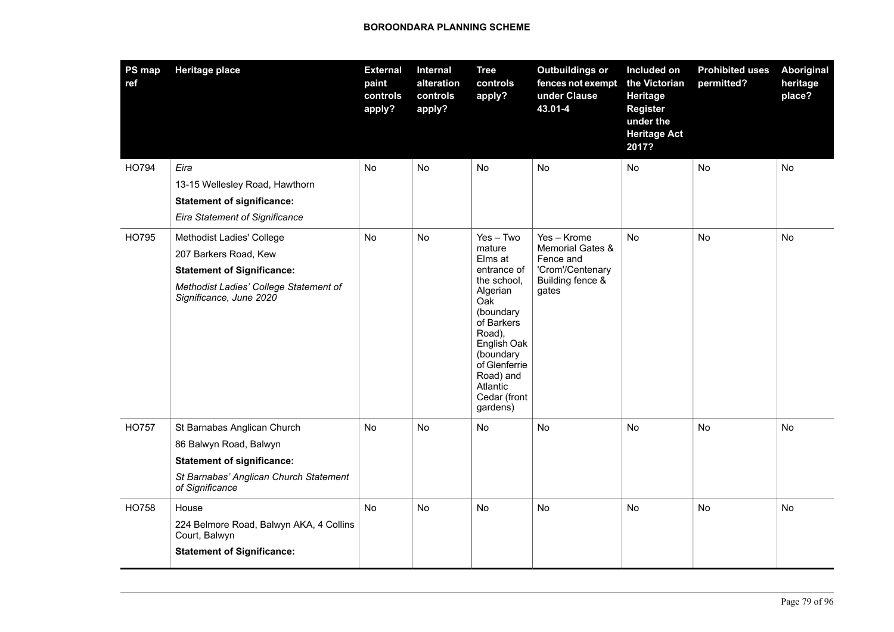| PS map<br>ref | <b>Heritage place</b>                                                                                                                                        | <b>External</b><br>paint<br>controls<br>apply? | Internal<br>alteration<br>controls<br>apply? | <b>Tree</b><br>controls<br>apply?                                                                                                                                                                                        | <b>Outbuildings or</b><br>fences not exempt<br>under Clause<br>43.01-4                        | Included on<br>the Victorian<br>Heritage<br><b>Register</b><br>under the<br><b>Heritage Act</b><br>2017? | <b>Prohibited uses</b><br>permitted? | <b>Aboriginal</b><br>heritage<br>place? |
|---------------|--------------------------------------------------------------------------------------------------------------------------------------------------------------|------------------------------------------------|----------------------------------------------|--------------------------------------------------------------------------------------------------------------------------------------------------------------------------------------------------------------------------|-----------------------------------------------------------------------------------------------|----------------------------------------------------------------------------------------------------------|--------------------------------------|-----------------------------------------|
| HO794         | Eira<br>13-15 Wellesley Road, Hawthorn<br><b>Statement of significance:</b><br><b>Eira Statement of Significance</b>                                         | No                                             | No.                                          | No                                                                                                                                                                                                                       | No                                                                                            | <b>No</b>                                                                                                | No                                   | No                                      |
| HO795         | Methodist Ladies' College<br>207 Barkers Road, Kew<br><b>Statement of Significance:</b><br>Methodist Ladies' College Statement of<br>Significance, June 2020 | No                                             | No                                           | $Yes - Two$<br>mature<br>Elms at<br>entrance of<br>the school.<br>Algerian<br>Oak<br>(boundary<br>of Barkers<br>Road),<br>English Oak<br>(boundary<br>of Glenferrie<br>Road) and<br>Atlantic<br>Cedar (front<br>gardens) | Yes - Krome<br>Memorial Gates &<br>Fence and<br>'Crom'/Centenary<br>Building fence &<br>gates | No                                                                                                       | No                                   | No                                      |
| <b>HO757</b>  | St Barnabas Anglican Church<br>86 Balwyn Road, Balwyn<br><b>Statement of significance:</b><br>St Barnabas' Anglican Church Statement<br>of Significance      | No                                             | No                                           | No                                                                                                                                                                                                                       | No                                                                                            | No                                                                                                       | No                                   | No                                      |
| HO758         | House<br>224 Belmore Road, Balwyn AKA, 4 Collins<br>Court, Balwyn<br><b>Statement of Significance:</b>                                                       | No                                             | No                                           | No                                                                                                                                                                                                                       | No                                                                                            | No                                                                                                       | No                                   | No                                      |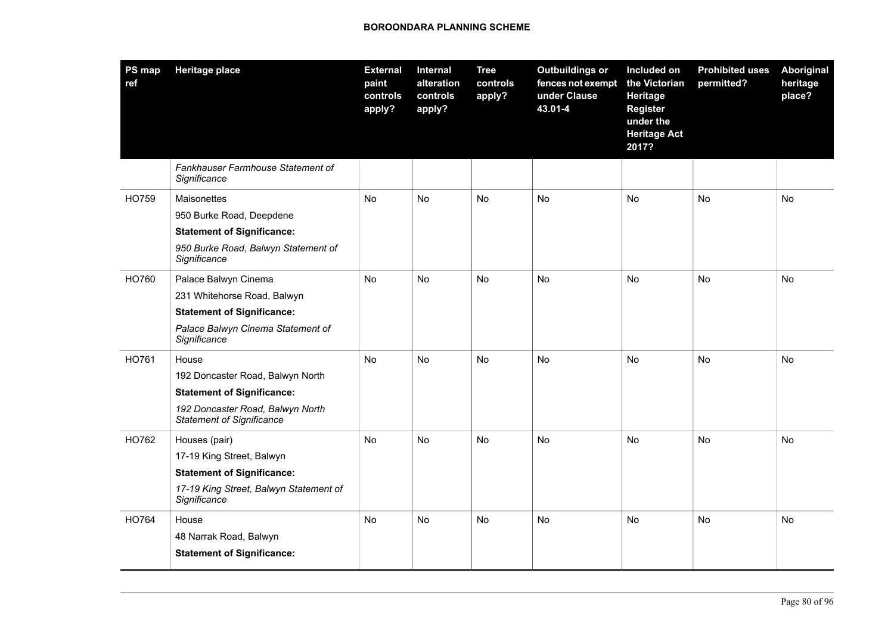| <b>PS map</b><br>ref | <b>Heritage place</b>                                                | <b>External</b><br>paint<br>controls<br>apply? | Internal<br>alteration<br>controls<br>apply? | <b>Tree</b><br>controls<br>apply? | <b>Outbuildings or</b><br>fences not exempt<br>under Clause<br>43.01-4 | Included on<br>the Victorian<br>Heritage<br><b>Register</b><br>under the<br><b>Heritage Act</b><br>2017? | <b>Prohibited uses</b><br>permitted? | <b>Aboriginal</b><br>heritage<br>place? |
|----------------------|----------------------------------------------------------------------|------------------------------------------------|----------------------------------------------|-----------------------------------|------------------------------------------------------------------------|----------------------------------------------------------------------------------------------------------|--------------------------------------|-----------------------------------------|
|                      | Fankhauser Farmhouse Statement of<br>Significance                    |                                                |                                              |                                   |                                                                        |                                                                                                          |                                      |                                         |
| HO759                | Maisonettes                                                          | No                                             | No                                           | No                                | No                                                                     | No                                                                                                       | No                                   | No                                      |
|                      | 950 Burke Road, Deepdene                                             |                                                |                                              |                                   |                                                                        |                                                                                                          |                                      |                                         |
|                      | <b>Statement of Significance:</b>                                    |                                                |                                              |                                   |                                                                        |                                                                                                          |                                      |                                         |
|                      | 950 Burke Road, Balwyn Statement of<br>Significance                  |                                                |                                              |                                   |                                                                        |                                                                                                          |                                      |                                         |
| HO760                | Palace Balwyn Cinema                                                 | No                                             | No                                           | No                                | No.                                                                    | <b>No</b>                                                                                                | <b>No</b>                            | <b>No</b>                               |
|                      | 231 Whitehorse Road, Balwyn                                          |                                                |                                              |                                   |                                                                        |                                                                                                          |                                      |                                         |
|                      | <b>Statement of Significance:</b>                                    |                                                |                                              |                                   |                                                                        |                                                                                                          |                                      |                                         |
|                      | Palace Balwyn Cinema Statement of<br>Significance                    |                                                |                                              |                                   |                                                                        |                                                                                                          |                                      |                                         |
| HO761                | House                                                                | No                                             | No                                           | No                                | No                                                                     | No                                                                                                       | No                                   | No                                      |
|                      | 192 Doncaster Road, Balwyn North                                     |                                                |                                              |                                   |                                                                        |                                                                                                          |                                      |                                         |
|                      | <b>Statement of Significance:</b>                                    |                                                |                                              |                                   |                                                                        |                                                                                                          |                                      |                                         |
|                      | 192 Doncaster Road, Balwyn North<br><b>Statement of Significance</b> |                                                |                                              |                                   |                                                                        |                                                                                                          |                                      |                                         |
| HO762                | Houses (pair)                                                        | <b>No</b>                                      | No                                           | No                                | <b>No</b>                                                              | No.                                                                                                      | No                                   | No                                      |
|                      | 17-19 King Street, Balwyn                                            |                                                |                                              |                                   |                                                                        |                                                                                                          |                                      |                                         |
|                      | <b>Statement of Significance:</b>                                    |                                                |                                              |                                   |                                                                        |                                                                                                          |                                      |                                         |
|                      | 17-19 King Street, Balwyn Statement of<br>Significance               |                                                |                                              |                                   |                                                                        |                                                                                                          |                                      |                                         |
| HO764                | House                                                                | No                                             | <b>No</b>                                    | No                                | <b>No</b>                                                              | <b>No</b>                                                                                                | <b>No</b>                            | No                                      |
|                      | 48 Narrak Road, Balwyn                                               |                                                |                                              |                                   |                                                                        |                                                                                                          |                                      |                                         |
|                      | <b>Statement of Significance:</b>                                    |                                                |                                              |                                   |                                                                        |                                                                                                          |                                      |                                         |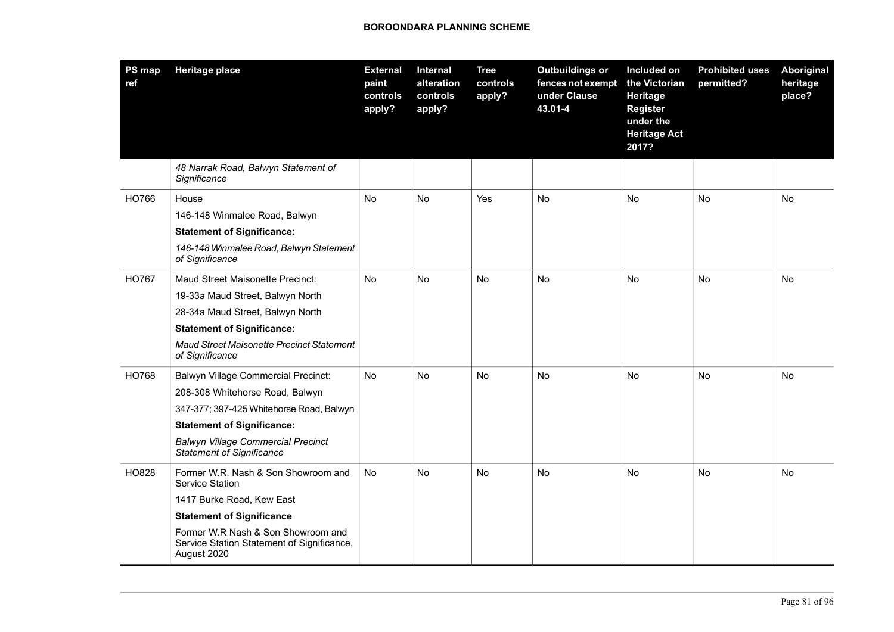| PS map<br>ref | <b>Heritage place</b>                                                                           | <b>External</b><br>paint<br>controls<br>apply? | Internal<br>alteration<br>controls<br>apply? | <b>Tree</b><br>controls<br>apply? | <b>Outbuildings or</b><br>fences not exempt<br>under Clause<br>43.01-4 | Included on<br>the Victorian<br>Heritage<br><b>Register</b><br>under the<br><b>Heritage Act</b><br>2017? | <b>Prohibited uses</b><br>permitted? | Aboriginal<br>heritage<br>place? |
|---------------|-------------------------------------------------------------------------------------------------|------------------------------------------------|----------------------------------------------|-----------------------------------|------------------------------------------------------------------------|----------------------------------------------------------------------------------------------------------|--------------------------------------|----------------------------------|
|               | 48 Narrak Road, Balwyn Statement of<br>Significance                                             |                                                |                                              |                                   |                                                                        |                                                                                                          |                                      |                                  |
| HO766         | House                                                                                           | No                                             | No                                           | Yes                               | <b>No</b>                                                              | No                                                                                                       | <b>No</b>                            | <b>No</b>                        |
|               | 146-148 Winmalee Road, Balwyn                                                                   |                                                |                                              |                                   |                                                                        |                                                                                                          |                                      |                                  |
|               | <b>Statement of Significance:</b>                                                               |                                                |                                              |                                   |                                                                        |                                                                                                          |                                      |                                  |
|               | 146-148 Winmalee Road, Balwyn Statement<br>of Significance                                      |                                                |                                              |                                   |                                                                        |                                                                                                          |                                      |                                  |
| <b>HO767</b>  | Maud Street Maisonette Precinct:                                                                | No                                             | No                                           | No                                | No                                                                     | No                                                                                                       | No                                   | No                               |
|               | 19-33a Maud Street, Balwyn North                                                                |                                                |                                              |                                   |                                                                        |                                                                                                          |                                      |                                  |
|               | 28-34a Maud Street, Balwyn North                                                                |                                                |                                              |                                   |                                                                        |                                                                                                          |                                      |                                  |
|               | <b>Statement of Significance:</b>                                                               |                                                |                                              |                                   |                                                                        |                                                                                                          |                                      |                                  |
|               | Maud Street Maisonette Precinct Statement<br>of Significance                                    |                                                |                                              |                                   |                                                                        |                                                                                                          |                                      |                                  |
| HO768         | <b>Balwyn Village Commercial Precinct:</b>                                                      | No                                             | No                                           | No                                | No                                                                     | No                                                                                                       | No                                   | No                               |
|               | 208-308 Whitehorse Road, Balwyn                                                                 |                                                |                                              |                                   |                                                                        |                                                                                                          |                                      |                                  |
|               | 347-377; 397-425 Whitehorse Road, Balwyn                                                        |                                                |                                              |                                   |                                                                        |                                                                                                          |                                      |                                  |
|               | <b>Statement of Significance:</b>                                                               |                                                |                                              |                                   |                                                                        |                                                                                                          |                                      |                                  |
|               | <b>Balwyn Village Commercial Precinct</b><br><b>Statement of Significance</b>                   |                                                |                                              |                                   |                                                                        |                                                                                                          |                                      |                                  |
| HO828         | Former W.R. Nash & Son Showroom and<br>Service Station                                          | No                                             | No                                           | No                                | <b>No</b>                                                              | No                                                                                                       | No                                   | No                               |
|               | 1417 Burke Road, Kew East                                                                       |                                                |                                              |                                   |                                                                        |                                                                                                          |                                      |                                  |
|               | <b>Statement of Significance</b>                                                                |                                                |                                              |                                   |                                                                        |                                                                                                          |                                      |                                  |
|               | Former W.R Nash & Son Showroom and<br>Service Station Statement of Significance,<br>August 2020 |                                                |                                              |                                   |                                                                        |                                                                                                          |                                      |                                  |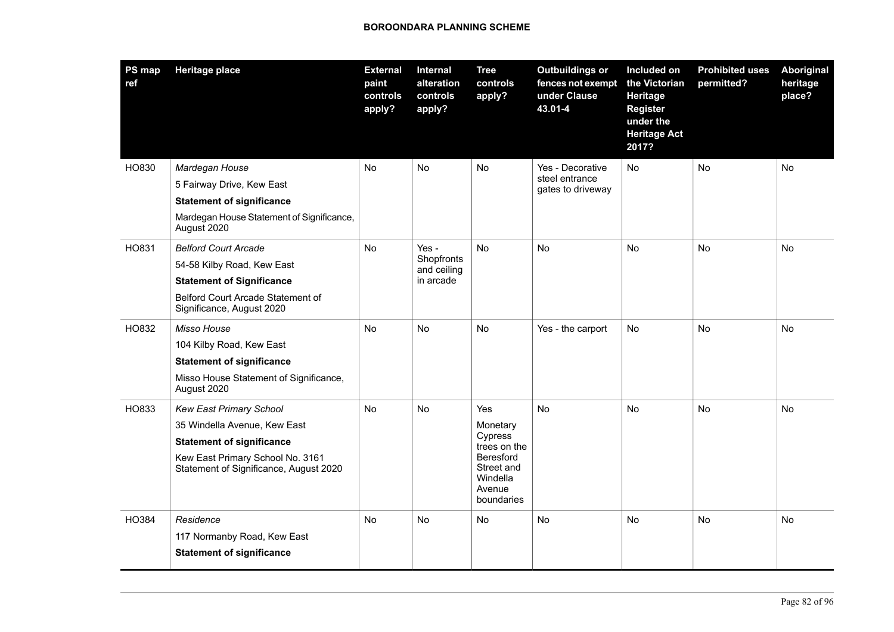| PS map<br>ref | <b>Heritage place</b>                                                      | <b>External</b><br>paint<br>controls<br>apply? | Internal<br>alteration<br>controls<br>apply? | <b>Tree</b><br>controls<br>apply?                                  | <b>Outbuildings or</b><br>fences not exempt<br>under Clause<br>43.01-4 | Included on<br>the Victorian<br>Heritage<br><b>Register</b><br>under the<br><b>Heritage Act</b><br>2017? | <b>Prohibited uses</b><br>permitted? | <b>Aboriginal</b><br>heritage<br>place? |
|---------------|----------------------------------------------------------------------------|------------------------------------------------|----------------------------------------------|--------------------------------------------------------------------|------------------------------------------------------------------------|----------------------------------------------------------------------------------------------------------|--------------------------------------|-----------------------------------------|
| HO830         | Mardegan House                                                             | No                                             | No                                           | No                                                                 | Yes - Decorative                                                       | No                                                                                                       | No                                   | No                                      |
|               | 5 Fairway Drive, Kew East                                                  |                                                |                                              |                                                                    | steel entrance<br>gates to driveway                                    |                                                                                                          |                                      |                                         |
|               | <b>Statement of significance</b>                                           |                                                |                                              |                                                                    |                                                                        |                                                                                                          |                                      |                                         |
|               | Mardegan House Statement of Significance,<br>August 2020                   |                                                |                                              |                                                                    |                                                                        |                                                                                                          |                                      |                                         |
| HO831         | <b>Belford Court Arcade</b>                                                | No                                             | Yes -                                        | No<br><b>No</b>                                                    |                                                                        | <b>No</b>                                                                                                | No                                   | No                                      |
|               | 54-58 Kilby Road, Kew East                                                 |                                                | Shopfronts<br>and ceiling<br>in arcade       |                                                                    |                                                                        |                                                                                                          |                                      |                                         |
|               | <b>Statement of Significance</b>                                           |                                                |                                              |                                                                    |                                                                        |                                                                                                          |                                      |                                         |
|               | Belford Court Arcade Statement of<br>Significance, August 2020             |                                                |                                              |                                                                    |                                                                        |                                                                                                          |                                      |                                         |
| HO832         | Misso House                                                                | No                                             | No                                           | No                                                                 | Yes - the carport                                                      | No                                                                                                       | No                                   | No                                      |
|               | 104 Kilby Road, Kew East                                                   |                                                |                                              |                                                                    |                                                                        |                                                                                                          |                                      |                                         |
|               | <b>Statement of significance</b>                                           |                                                |                                              |                                                                    |                                                                        |                                                                                                          |                                      |                                         |
|               | Misso House Statement of Significance,<br>August 2020                      |                                                |                                              |                                                                    |                                                                        |                                                                                                          |                                      |                                         |
| HO833         | <b>Kew East Primary School</b>                                             | No                                             | No                                           | Yes                                                                | <b>No</b>                                                              | <b>No</b>                                                                                                | No                                   | No                                      |
|               | 35 Windella Avenue, Kew East                                               |                                                |                                              | Monetary                                                           |                                                                        |                                                                                                          |                                      |                                         |
|               | <b>Statement of significance</b>                                           |                                                |                                              | Cypress<br>trees on the                                            |                                                                        |                                                                                                          |                                      |                                         |
|               | Kew East Primary School No. 3161<br>Statement of Significance, August 2020 |                                                |                                              | <b>Beresford</b><br>Street and<br>Windella<br>Avenue<br>boundaries |                                                                        |                                                                                                          |                                      |                                         |
| HO384         | Residence                                                                  | No                                             | No                                           | No                                                                 | No                                                                     | No                                                                                                       | No                                   | No                                      |
|               | 117 Normanby Road, Kew East                                                |                                                |                                              |                                                                    |                                                                        |                                                                                                          |                                      |                                         |
|               | <b>Statement of significance</b>                                           |                                                |                                              |                                                                    |                                                                        |                                                                                                          |                                      |                                         |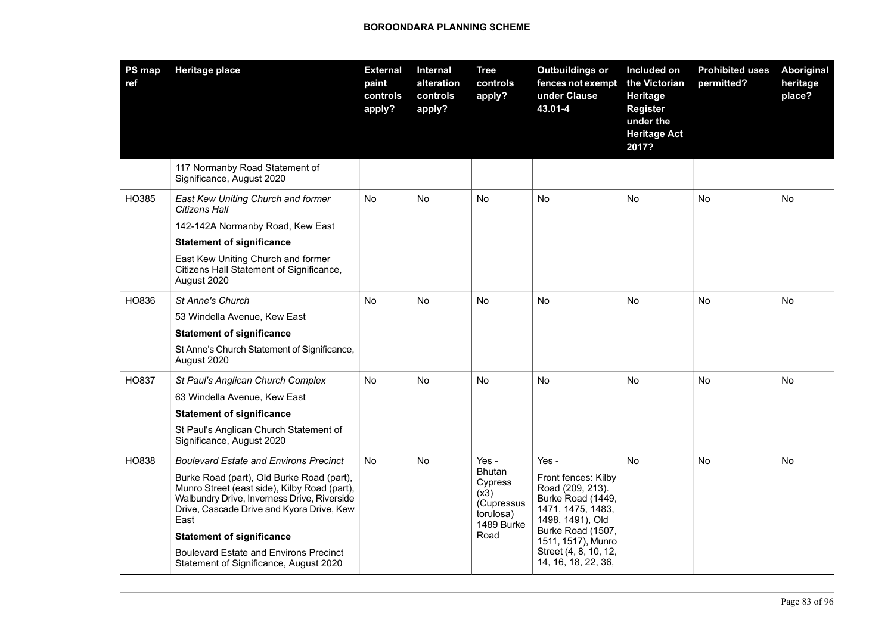| PS map<br>ref | <b>Heritage place</b>                                                                                                                                                                                                             | <b>External</b><br>paint<br>controls<br>apply? | Internal<br>alteration<br>controls<br>apply? | <b>Tree</b><br>controls<br>apply?                                                 | <b>Outbuildings or</b><br>fences not exempt<br>under Clause<br>43.01-4                                                                           | Included on<br>the Victorian<br>Heritage<br><b>Register</b><br>under the<br><b>Heritage Act</b><br>2017? | <b>Prohibited uses</b><br>permitted? | <b>Aboriginal</b><br>heritage<br>place? |
|---------------|-----------------------------------------------------------------------------------------------------------------------------------------------------------------------------------------------------------------------------------|------------------------------------------------|----------------------------------------------|-----------------------------------------------------------------------------------|--------------------------------------------------------------------------------------------------------------------------------------------------|----------------------------------------------------------------------------------------------------------|--------------------------------------|-----------------------------------------|
|               | 117 Normanby Road Statement of<br>Significance, August 2020                                                                                                                                                                       |                                                |                                              |                                                                                   |                                                                                                                                                  |                                                                                                          |                                      |                                         |
| HO385         | East Kew Uniting Church and former<br>Citizens Hall                                                                                                                                                                               | No                                             | No                                           | No                                                                                | <b>No</b>                                                                                                                                        | No                                                                                                       | No                                   | No                                      |
|               | 142-142A Normanby Road, Kew East                                                                                                                                                                                                  |                                                |                                              |                                                                                   |                                                                                                                                                  |                                                                                                          |                                      |                                         |
|               | <b>Statement of significance</b>                                                                                                                                                                                                  |                                                |                                              |                                                                                   |                                                                                                                                                  |                                                                                                          |                                      |                                         |
|               | East Kew Uniting Church and former<br>Citizens Hall Statement of Significance,<br>August 2020                                                                                                                                     |                                                |                                              |                                                                                   |                                                                                                                                                  |                                                                                                          |                                      |                                         |
| HO836         | <b>St Anne's Church</b>                                                                                                                                                                                                           | No                                             | No                                           | No                                                                                | <b>No</b>                                                                                                                                        | No                                                                                                       | <b>No</b>                            | No                                      |
|               | 53 Windella Avenue, Kew East                                                                                                                                                                                                      |                                                |                                              |                                                                                   |                                                                                                                                                  |                                                                                                          |                                      |                                         |
|               | <b>Statement of significance</b>                                                                                                                                                                                                  |                                                |                                              |                                                                                   |                                                                                                                                                  |                                                                                                          |                                      |                                         |
|               | St Anne's Church Statement of Significance,<br>August 2020                                                                                                                                                                        |                                                |                                              |                                                                                   |                                                                                                                                                  |                                                                                                          |                                      |                                         |
| HO837         | St Paul's Anglican Church Complex                                                                                                                                                                                                 | No                                             | No                                           | No                                                                                | <b>No</b>                                                                                                                                        | No                                                                                                       | No                                   | No                                      |
|               | 63 Windella Avenue, Kew East                                                                                                                                                                                                      |                                                |                                              |                                                                                   |                                                                                                                                                  |                                                                                                          |                                      |                                         |
|               | <b>Statement of significance</b>                                                                                                                                                                                                  |                                                |                                              |                                                                                   |                                                                                                                                                  |                                                                                                          |                                      |                                         |
|               | St Paul's Anglican Church Statement of<br>Significance, August 2020                                                                                                                                                               |                                                |                                              |                                                                                   |                                                                                                                                                  |                                                                                                          |                                      |                                         |
| HO838         | <b>Boulevard Estate and Environs Precinct</b>                                                                                                                                                                                     | <b>No</b>                                      | No                                           | Yes -                                                                             | Yes -                                                                                                                                            | <b>No</b>                                                                                                | <b>No</b>                            | No                                      |
|               | Burke Road (part), Old Burke Road (part),<br>Munro Street (east side), Kilby Road (part),<br>Walbundry Drive, Inverness Drive, Riverside<br>Drive, Cascade Drive and Kyora Drive, Kew<br>East<br><b>Statement of significance</b> |                                                |                                              | <b>Bhutan</b><br>Cypress<br>(x3)<br>(Cupressus<br>torulosa)<br>1489 Burke<br>Road | Front fences: Kilby<br>Road (209, 213).<br>Burke Road (1449,<br>1471, 1475, 1483,<br>1498, 1491), Old<br>Burke Road (1507,<br>1511, 1517), Munro |                                                                                                          |                                      |                                         |
|               | <b>Boulevard Estate and Environs Precinct</b><br>Statement of Significance, August 2020                                                                                                                                           |                                                |                                              |                                                                                   | Street (4, 8, 10, 12,<br>14, 16, 18, 22, 36,                                                                                                     |                                                                                                          |                                      |                                         |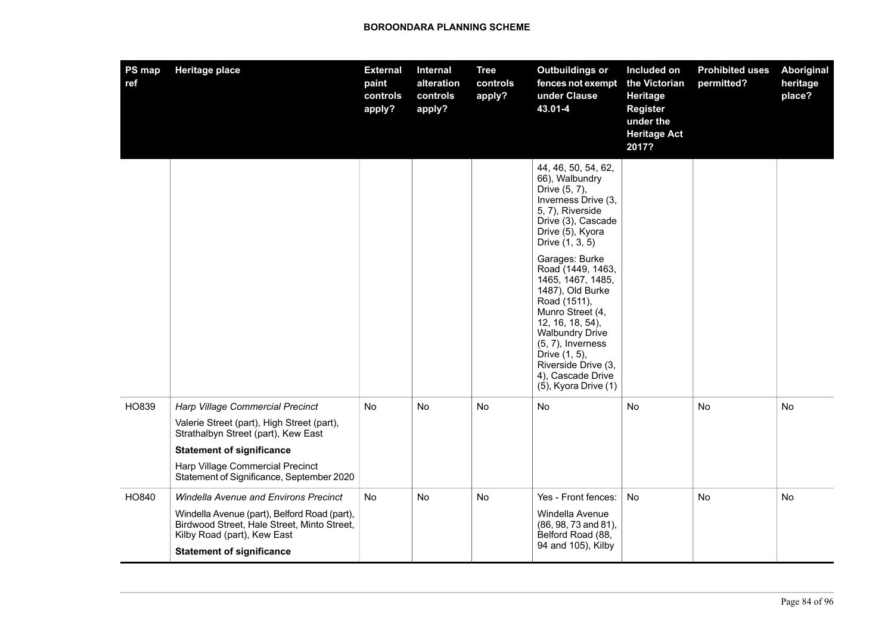| <b>PS map</b><br>ref. | <b>Heritage place</b>                                                                                                      | <b>External</b><br>paint<br>controls<br>apply? | Internal<br>alteration<br>controls<br>apply? | <b>Tree</b><br>controls<br>apply? | <b>Outbuildings or</b><br>fences not exempt<br>under Clause<br>43.01-4                                                                                                                                                                                                      | Included on<br>the Victorian<br>Heritage<br><b>Register</b><br>under the<br><b>Heritage Act</b><br>2017? | <b>Prohibited uses</b><br>permitted? | <b>Aboriginal</b><br>heritage<br>place? |
|-----------------------|----------------------------------------------------------------------------------------------------------------------------|------------------------------------------------|----------------------------------------------|-----------------------------------|-----------------------------------------------------------------------------------------------------------------------------------------------------------------------------------------------------------------------------------------------------------------------------|----------------------------------------------------------------------------------------------------------|--------------------------------------|-----------------------------------------|
|                       |                                                                                                                            |                                                |                                              |                                   | 44, 46, 50, 54, 62,<br>66), Walbundry<br>Drive (5, 7),<br>Inverness Drive (3,<br>5, 7), Riverside<br>Drive (3), Cascade<br>Drive (5), Kyora<br>Drive (1, 3, 5)                                                                                                              |                                                                                                          |                                      |                                         |
|                       |                                                                                                                            |                                                |                                              |                                   | Garages: Burke<br>Road (1449, 1463,<br>1465, 1467, 1485,<br>1487), Old Burke<br>Road (1511),<br>Munro Street (4,<br>12, 16, 18, 54),<br><b>Walbundry Drive</b><br>$(5, 7)$ , Inverness<br>Drive (1, 5),<br>Riverside Drive (3,<br>4), Cascade Drive<br>(5), Kyora Drive (1) |                                                                                                          |                                      |                                         |
| HO839                 | Harp Village Commercial Precinct<br>Valerie Street (part), High Street (part),<br>Strathalbyn Street (part), Kew East      | No                                             | No                                           | No                                | No                                                                                                                                                                                                                                                                          | No                                                                                                       | No                                   | No                                      |
|                       | <b>Statement of significance</b>                                                                                           |                                                |                                              |                                   |                                                                                                                                                                                                                                                                             |                                                                                                          |                                      |                                         |
|                       | Harp Village Commercial Precinct<br>Statement of Significance, September 2020                                              |                                                |                                              |                                   |                                                                                                                                                                                                                                                                             |                                                                                                          |                                      |                                         |
| HO840                 | <b>Windella Avenue and Environs Precinct</b>                                                                               | <b>No</b>                                      | <b>No</b>                                    | No.                               | Yes - Front fences:                                                                                                                                                                                                                                                         | No                                                                                                       | No                                   | No                                      |
|                       | Windella Avenue (part), Belford Road (part),<br>Birdwood Street, Hale Street, Minto Street,<br>Kilby Road (part), Kew East |                                                |                                              |                                   | Windella Avenue<br>(86, 98, 73 and 81),<br>Belford Road (88,                                                                                                                                                                                                                |                                                                                                          |                                      |                                         |
|                       | <b>Statement of significance</b>                                                                                           |                                                |                                              |                                   | 94 and 105), Kilby                                                                                                                                                                                                                                                          |                                                                                                          |                                      |                                         |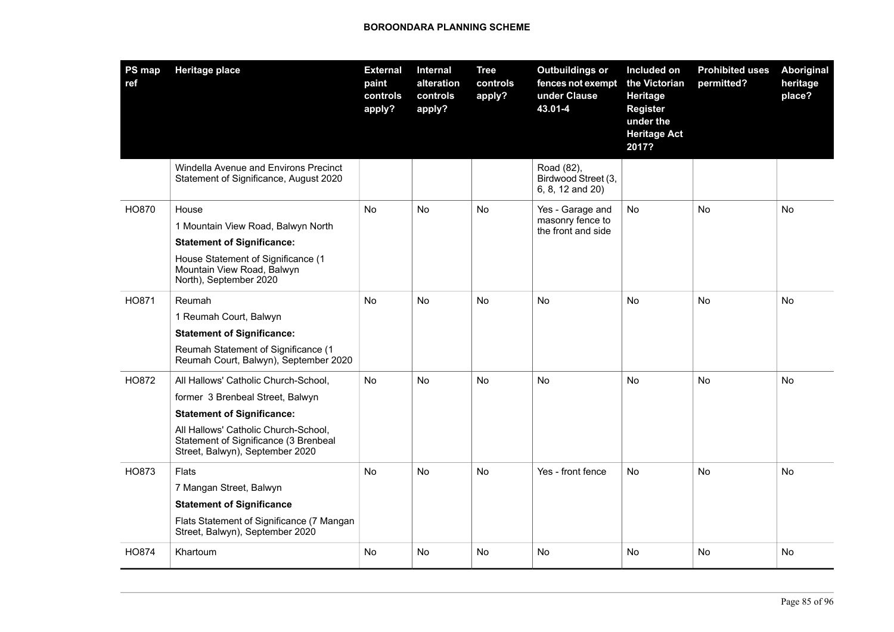| <b>PS map</b><br>ref | <b>Heritage place</b>                                                                                                                                                                                                             | <b>External</b><br>paint<br>controls<br>apply? | <b>Internal</b><br>alteration<br>controls<br>apply? | <b>Tree</b><br>controls<br>apply? | <b>Outbuildings or</b><br>fences not exempt<br>under Clause<br>43.01-4 | Included on<br>the Victorian<br>Heritage<br><b>Register</b><br>under the<br><b>Heritage Act</b><br>2017? | <b>Prohibited uses</b><br>permitted? | Aboriginal<br>heritage<br>place? |
|----------------------|-----------------------------------------------------------------------------------------------------------------------------------------------------------------------------------------------------------------------------------|------------------------------------------------|-----------------------------------------------------|-----------------------------------|------------------------------------------------------------------------|----------------------------------------------------------------------------------------------------------|--------------------------------------|----------------------------------|
|                      | Windella Avenue and Environs Precinct<br>Statement of Significance, August 2020                                                                                                                                                   |                                                |                                                     |                                   | Road (82),<br>Birdwood Street (3,<br>6, 8, 12 and 20)                  |                                                                                                          |                                      |                                  |
| HO870                | House<br>1 Mountain View Road, Balwyn North<br><b>Statement of Significance:</b><br>House Statement of Significance (1<br>Mountain View Road, Balwyn<br>North), September 2020                                                    | No                                             | <b>No</b>                                           | No                                | Yes - Garage and<br>masonry fence to<br>the front and side             | No                                                                                                       | <b>No</b>                            | No                               |
| HO871                | Reumah<br>1 Reumah Court, Balwyn<br><b>Statement of Significance:</b><br>Reumah Statement of Significance (1<br>Reumah Court, Balwyn), September 2020                                                                             | No                                             | No                                                  | No                                | <b>No</b>                                                              | No                                                                                                       | No                                   | No                               |
| HO872                | All Hallows' Catholic Church-School,<br>former 3 Brenbeal Street, Balwyn<br><b>Statement of Significance:</b><br>All Hallows' Catholic Church-School,<br>Statement of Significance (3 Brenbeal<br>Street, Balwyn), September 2020 | No                                             | No                                                  | No                                | No                                                                     | No                                                                                                       | No                                   | No                               |
| HO873                | Flats<br>7 Mangan Street, Balwyn<br><b>Statement of Significance</b><br>Flats Statement of Significance (7 Mangan<br>Street, Balwyn), September 2020                                                                              | No                                             | No                                                  | No                                | Yes - front fence                                                      | No                                                                                                       | No                                   | No                               |
| HO874                | Khartoum                                                                                                                                                                                                                          | No                                             | No                                                  | No                                | <b>No</b>                                                              | No                                                                                                       | No                                   | No                               |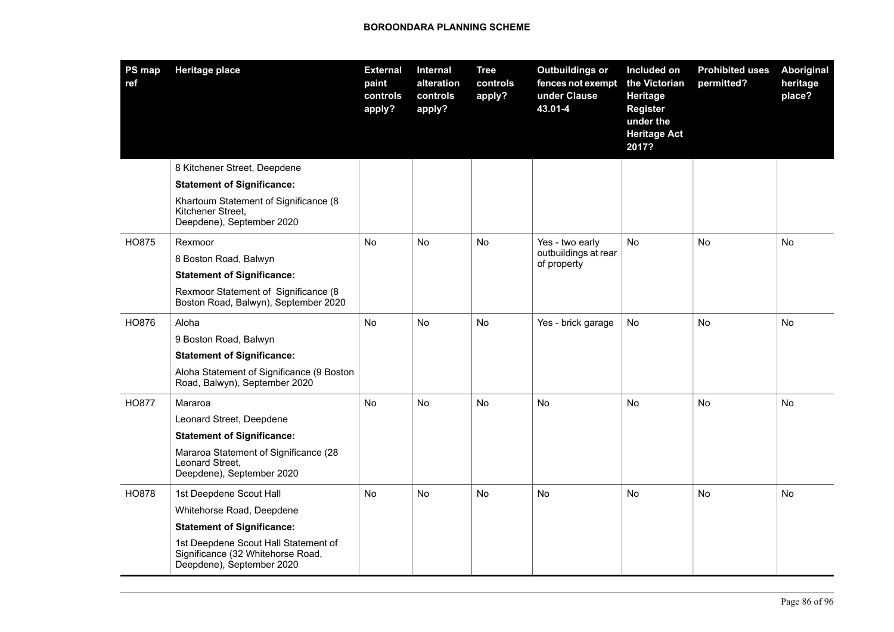| PS map<br>ref | <b>Heritage place</b>                                                                                  | <b>External</b><br>paint<br>controls<br>apply? | <b>Internal</b><br>alteration<br>controls<br>apply? | <b>Tree</b><br>controls<br>apply? | <b>Outbuildings or</b><br>fences not exempt<br>under Clause<br>43.01-4 | Included on<br>the Victorian<br>Heritage<br><b>Register</b><br>under the<br><b>Heritage Act</b><br>2017? | <b>Prohibited uses</b><br>permitted? | <b>Aboriginal</b><br>heritage<br>place? |
|---------------|--------------------------------------------------------------------------------------------------------|------------------------------------------------|-----------------------------------------------------|-----------------------------------|------------------------------------------------------------------------|----------------------------------------------------------------------------------------------------------|--------------------------------------|-----------------------------------------|
|               | 8 Kitchener Street, Deepdene                                                                           |                                                |                                                     |                                   |                                                                        |                                                                                                          |                                      |                                         |
|               | <b>Statement of Significance:</b>                                                                      |                                                |                                                     |                                   |                                                                        |                                                                                                          |                                      |                                         |
|               | Khartoum Statement of Significance (8<br>Kitchener Street,<br>Deepdene), September 2020                |                                                |                                                     |                                   |                                                                        |                                                                                                          |                                      |                                         |
| HO875         | Rexmoor                                                                                                | <b>No</b>                                      | <b>No</b>                                           | No                                | Yes - two early                                                        | <b>No</b>                                                                                                | <b>No</b>                            | <b>No</b>                               |
|               | 8 Boston Road, Balwyn                                                                                  |                                                |                                                     |                                   | outbuildings at rear<br>of property                                    |                                                                                                          |                                      |                                         |
|               | <b>Statement of Significance:</b>                                                                      |                                                |                                                     |                                   |                                                                        |                                                                                                          |                                      |                                         |
|               | Rexmoor Statement of Significance (8<br>Boston Road, Balwyn), September 2020                           |                                                |                                                     |                                   |                                                                        |                                                                                                          |                                      |                                         |
| HO876         | Aloha                                                                                                  | No                                             | No                                                  | No                                | Yes - brick garage                                                     | No                                                                                                       | No                                   | No                                      |
|               | 9 Boston Road, Balwyn                                                                                  |                                                |                                                     |                                   |                                                                        |                                                                                                          |                                      |                                         |
|               | <b>Statement of Significance:</b>                                                                      |                                                |                                                     |                                   |                                                                        |                                                                                                          |                                      |                                         |
|               | Aloha Statement of Significance (9 Boston<br>Road, Balwyn), September 2020                             |                                                |                                                     |                                   |                                                                        |                                                                                                          |                                      |                                         |
| <b>HO877</b>  | Mararoa                                                                                                | No.                                            | No                                                  | No                                | No                                                                     | No                                                                                                       | No                                   | No                                      |
|               | Leonard Street, Deepdene                                                                               |                                                |                                                     |                                   |                                                                        |                                                                                                          |                                      |                                         |
|               | <b>Statement of Significance:</b>                                                                      |                                                |                                                     |                                   |                                                                        |                                                                                                          |                                      |                                         |
|               | Mararoa Statement of Significance (28<br>Leonard Street,<br>Deepdene), September 2020                  |                                                |                                                     |                                   |                                                                        |                                                                                                          |                                      |                                         |
| <b>HO878</b>  | 1st Deepdene Scout Hall                                                                                | <b>No</b>                                      | <b>No</b>                                           | <b>No</b>                         | <b>No</b>                                                              | <b>No</b>                                                                                                | <b>No</b>                            | <b>No</b>                               |
|               | Whitehorse Road, Deepdene                                                                              |                                                |                                                     |                                   |                                                                        |                                                                                                          |                                      |                                         |
|               | <b>Statement of Significance:</b>                                                                      |                                                |                                                     |                                   |                                                                        |                                                                                                          |                                      |                                         |
|               | 1st Deepdene Scout Hall Statement of<br>Significance (32 Whitehorse Road,<br>Deepdene), September 2020 |                                                |                                                     |                                   |                                                                        |                                                                                                          |                                      |                                         |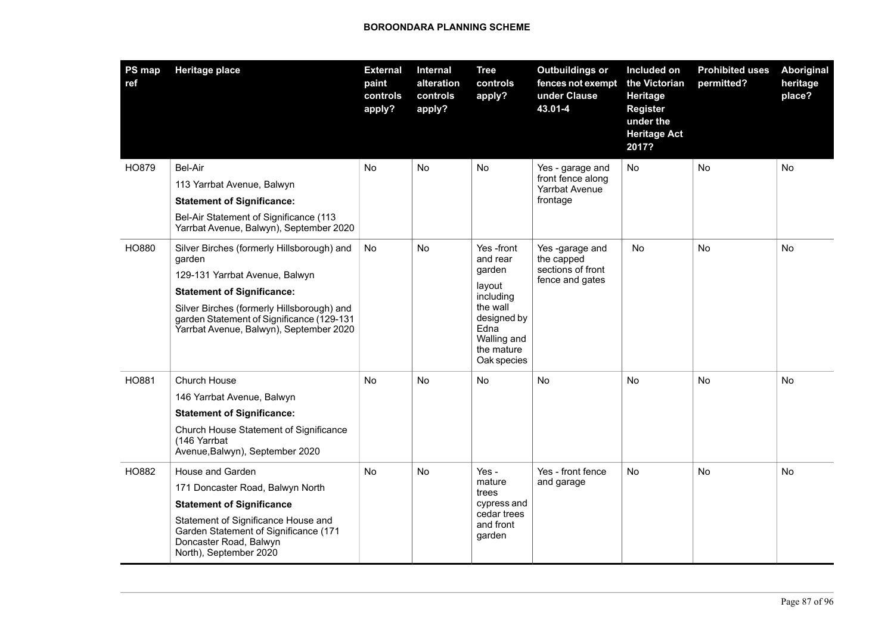| PS map<br>ref | <b>Heritage place</b>                                                                                                              | <b>External</b><br>paint<br>controls<br>apply? | Internal<br>alteration<br>controls<br>apply? | <b>Tree</b><br>controls<br>apply?                                                                            | <b>Outbuildings or</b><br>fences not exempt<br>under Clause<br>43.01-4 | Included on<br>the Victorian<br>Heritage<br>Register<br>under the<br><b>Heritage Act</b><br>2017? | <b>Prohibited uses</b><br>permitted? | Aboriginal<br>heritage<br>place? |
|---------------|------------------------------------------------------------------------------------------------------------------------------------|------------------------------------------------|----------------------------------------------|--------------------------------------------------------------------------------------------------------------|------------------------------------------------------------------------|---------------------------------------------------------------------------------------------------|--------------------------------------|----------------------------------|
| HO879         | Bel-Air                                                                                                                            | No                                             | No                                           | No                                                                                                           | Yes - garage and                                                       | No                                                                                                | No                                   | No                               |
|               | 113 Yarrbat Avenue, Balwyn                                                                                                         |                                                |                                              |                                                                                                              | front fence along<br>Yarrbat Avenue                                    |                                                                                                   |                                      |                                  |
|               | <b>Statement of Significance:</b>                                                                                                  |                                                |                                              |                                                                                                              | frontage                                                               |                                                                                                   |                                      |                                  |
|               | Bel-Air Statement of Significance (113<br>Yarrbat Avenue, Balwyn), September 2020                                                  |                                                |                                              |                                                                                                              |                                                                        |                                                                                                   |                                      |                                  |
| HO880         | Silver Birches (formerly Hillsborough) and<br>garden                                                                               | No                                             | No                                           | Yes -front<br>and rear                                                                                       | Yes -garage and<br>the capped<br>sections of front<br>fence and gates  | No                                                                                                | <b>No</b>                            | No                               |
|               | 129-131 Yarrbat Avenue, Balwyn                                                                                                     |                                                |                                              | garden<br>layout<br>including<br>the wall<br>designed by<br>Edna<br>Walling and<br>the mature<br>Oak species |                                                                        |                                                                                                   |                                      |                                  |
|               | <b>Statement of Significance:</b>                                                                                                  |                                                |                                              |                                                                                                              |                                                                        |                                                                                                   |                                      |                                  |
|               | Silver Birches (formerly Hillsborough) and<br>garden Statement of Significance (129-131<br>Yarrbat Avenue, Balwyn), September 2020 |                                                |                                              |                                                                                                              |                                                                        |                                                                                                   |                                      |                                  |
| HO881         | Church House                                                                                                                       | No                                             | <b>No</b>                                    | No                                                                                                           | <b>No</b>                                                              | <b>No</b>                                                                                         | <b>No</b>                            | No                               |
|               | 146 Yarrbat Avenue, Balwyn                                                                                                         |                                                |                                              |                                                                                                              |                                                                        |                                                                                                   |                                      |                                  |
|               | <b>Statement of Significance:</b>                                                                                                  |                                                |                                              |                                                                                                              |                                                                        |                                                                                                   |                                      |                                  |
|               | Church House Statement of Significance<br>(146 Yarrbat<br>Avenue, Balwyn), September 2020                                          |                                                |                                              |                                                                                                              |                                                                        |                                                                                                   |                                      |                                  |
| HO882         | House and Garden                                                                                                                   | No                                             | No                                           | Yes -                                                                                                        | Yes - front fence                                                      | No                                                                                                | No                                   | No                               |
|               | 171 Doncaster Road, Balwyn North                                                                                                   |                                                |                                              | mature<br>trees                                                                                              | and garage                                                             |                                                                                                   |                                      |                                  |
|               | <b>Statement of Significance</b>                                                                                                   |                                                |                                              | cypress and                                                                                                  |                                                                        |                                                                                                   |                                      |                                  |
|               | Statement of Significance House and<br>Garden Statement of Significance (171<br>Doncaster Road, Balwyn<br>North), September 2020   |                                                |                                              | cedar trees<br>and front<br>garden                                                                           |                                                                        |                                                                                                   |                                      |                                  |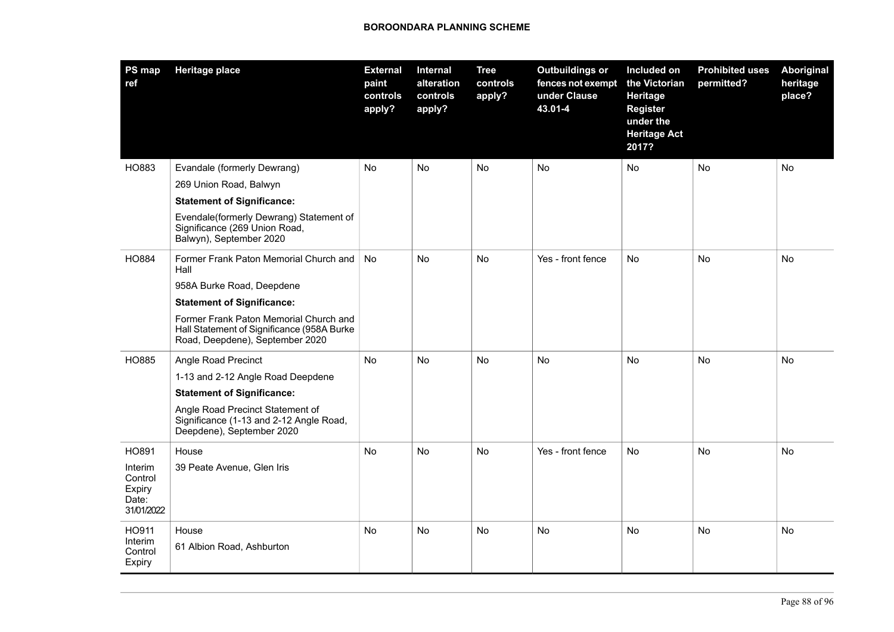| <b>PS map</b><br>ref                                | <b>Heritage place</b>                                                                                                   | <b>External</b><br>paint<br>controls<br>apply? | Internal<br>alteration<br>controls<br>apply? | <b>Tree</b><br>controls<br>apply? | <b>Outbuildings or</b><br>fences not exempt<br>under Clause<br>43.01-4 | Included on<br>the Victorian<br>Heritage<br><b>Register</b><br>under the<br><b>Heritage Act</b><br>2017? | <b>Prohibited uses</b><br>permitted? | Aboriginal<br>heritage<br>place? |
|-----------------------------------------------------|-------------------------------------------------------------------------------------------------------------------------|------------------------------------------------|----------------------------------------------|-----------------------------------|------------------------------------------------------------------------|----------------------------------------------------------------------------------------------------------|--------------------------------------|----------------------------------|
| HO883                                               | Evandale (formerly Dewrang)                                                                                             | No                                             | No.                                          | No                                | <b>No</b>                                                              | No                                                                                                       | <b>No</b>                            | No                               |
|                                                     | 269 Union Road, Balwyn                                                                                                  |                                                |                                              |                                   |                                                                        |                                                                                                          |                                      |                                  |
|                                                     | <b>Statement of Significance:</b>                                                                                       |                                                |                                              |                                   |                                                                        |                                                                                                          |                                      |                                  |
|                                                     | Evendale(formerly Dewrang) Statement of<br>Significance (269 Union Road,<br>Balwyn), September 2020                     |                                                |                                              |                                   |                                                                        |                                                                                                          |                                      |                                  |
| HO884                                               | Former Frank Paton Memorial Church and<br>Hall                                                                          | <b>No</b>                                      | <b>No</b>                                    | No                                | Yes - front fence                                                      | <b>No</b>                                                                                                | <b>No</b>                            | <b>No</b>                        |
|                                                     | 958A Burke Road, Deepdene                                                                                               |                                                |                                              |                                   |                                                                        |                                                                                                          |                                      |                                  |
|                                                     | <b>Statement of Significance:</b>                                                                                       |                                                |                                              |                                   |                                                                        |                                                                                                          |                                      |                                  |
|                                                     | Former Frank Paton Memorial Church and<br>Hall Statement of Significance (958A Burke<br>Road, Deepdene), September 2020 |                                                |                                              |                                   |                                                                        |                                                                                                          |                                      |                                  |
| HO885                                               | Angle Road Precinct                                                                                                     | No                                             | No                                           | No                                | <b>No</b>                                                              | <b>No</b>                                                                                                | <b>No</b>                            | No                               |
|                                                     | 1-13 and 2-12 Angle Road Deepdene                                                                                       |                                                |                                              |                                   |                                                                        |                                                                                                          |                                      |                                  |
|                                                     | <b>Statement of Significance:</b>                                                                                       |                                                |                                              |                                   |                                                                        |                                                                                                          |                                      |                                  |
|                                                     | Angle Road Precinct Statement of<br>Significance (1-13 and 2-12 Angle Road,<br>Deepdene), September 2020                |                                                |                                              |                                   |                                                                        |                                                                                                          |                                      |                                  |
| HO891                                               | House                                                                                                                   | No                                             | No.                                          | No                                | Yes - front fence                                                      | <b>No</b>                                                                                                | No                                   | No                               |
| Interim<br>Control<br>Expiry<br>Date:<br>31/01/2022 | 39 Peate Avenue, Glen Iris                                                                                              |                                                |                                              |                                   |                                                                        |                                                                                                          |                                      |                                  |
| HO911<br>Interim<br>Control<br>Expiry               | House<br>61 Albion Road, Ashburton                                                                                      | No                                             | No.                                          | No                                | No                                                                     | No                                                                                                       | No                                   | No                               |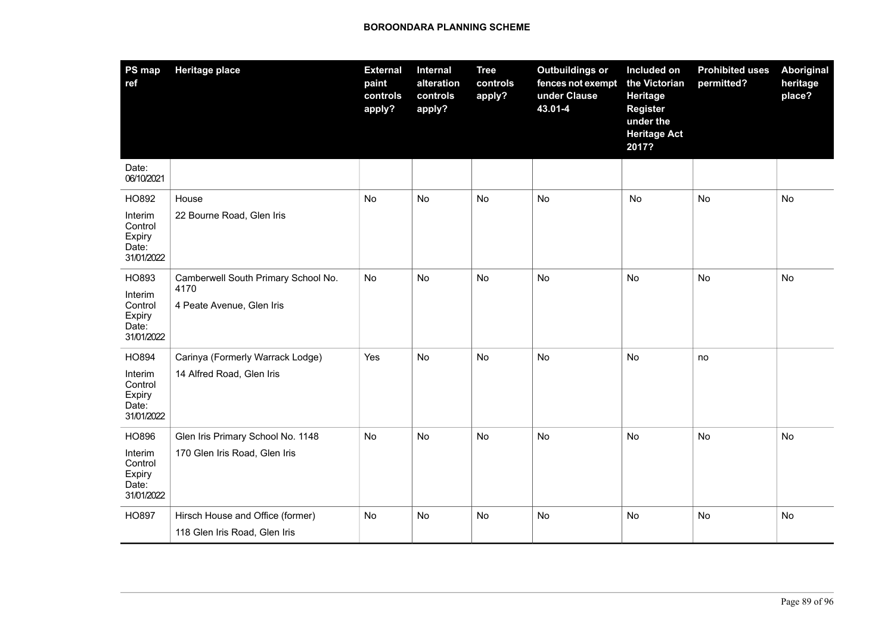| <b>PS map</b><br>ref                                         | <b>Heritage place</b>                                                    | <b>External</b><br>paint<br>controls<br>apply? | Internal<br>alteration<br>controls<br>apply? | <b>Tree</b><br>controls<br>apply? | <b>Outbuildings or</b><br>fences not exempt<br>under Clause<br>43.01-4 | Included on<br>the Victorian<br>Heritage<br><b>Register</b><br>under the<br><b>Heritage Act</b><br>2017? | <b>Prohibited uses</b><br>permitted? | <b>Aboriginal</b><br>heritage<br>place? |
|--------------------------------------------------------------|--------------------------------------------------------------------------|------------------------------------------------|----------------------------------------------|-----------------------------------|------------------------------------------------------------------------|----------------------------------------------------------------------------------------------------------|--------------------------------------|-----------------------------------------|
| Date:<br>06/10/2021                                          |                                                                          |                                                |                                              |                                   |                                                                        |                                                                                                          |                                      |                                         |
| HO892<br>Interim<br>Control<br>Expiry<br>Date:<br>31/01/2022 | House<br>22 Bourne Road, Glen Iris                                       | No                                             | <b>No</b>                                    | No                                | <b>No</b>                                                              | <b>No</b>                                                                                                | <b>No</b>                            | <b>No</b>                               |
| HO893<br>Interim<br>Control<br>Expiry<br>Date:<br>31/01/2022 | Camberwell South Primary School No.<br>4170<br>4 Peate Avenue, Glen Iris | No                                             | <b>No</b>                                    | No                                | <b>No</b>                                                              | <b>No</b>                                                                                                | No                                   | No                                      |
| HO894<br>Interim<br>Control<br>Expiry<br>Date:<br>31/01/2022 | Carinya (Formerly Warrack Lodge)<br>14 Alfred Road, Glen Iris            | Yes                                            | No                                           | No                                | No                                                                     | No                                                                                                       | no                                   |                                         |
| HO896<br>Interim<br>Control<br>Expiry<br>Date:<br>31/01/2022 | Glen Iris Primary School No. 1148<br>170 Glen Iris Road, Glen Iris       | No                                             | No                                           | No                                | No                                                                     | No                                                                                                       | <b>No</b>                            | No                                      |
| HO897                                                        | Hirsch House and Office (former)<br>118 Glen Iris Road, Glen Iris        | No                                             | <b>No</b>                                    | No                                | No                                                                     | No                                                                                                       | <b>No</b>                            | No                                      |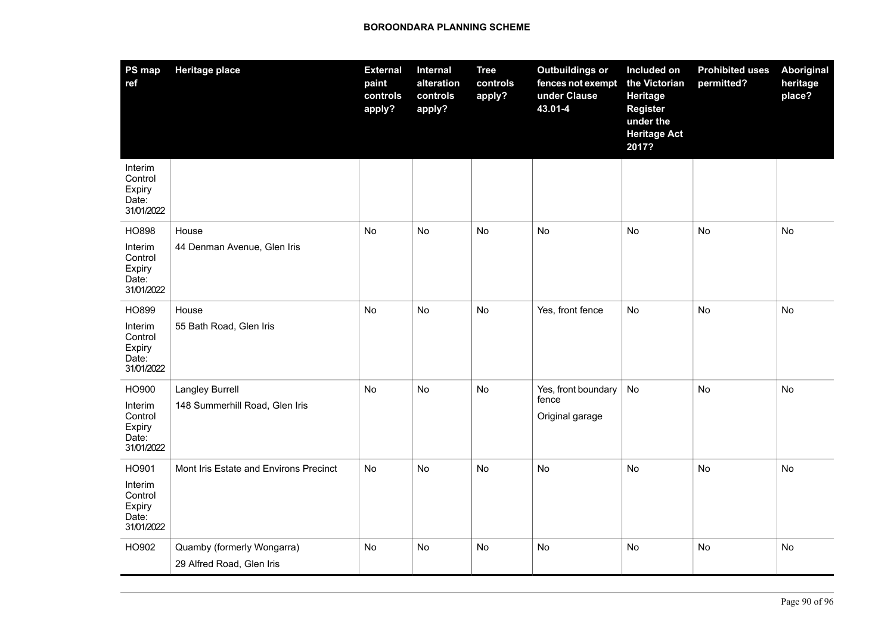| <b>PS map</b><br>ref                                | <b>Heritage place</b>                  | <b>External</b><br>paint<br>controls<br>apply? | Internal<br>alteration<br>controls<br>apply? | <b>Tree</b><br>controls<br>apply? | <b>Outbuildings or</b><br>fences not exempt<br>under Clause<br>43.01-4 | Included on<br>the Victorian<br>Heritage<br><b>Register</b><br>under the<br><b>Heritage Act</b><br>2017? | <b>Prohibited uses</b><br>permitted? | Aboriginal<br>heritage<br>place? |
|-----------------------------------------------------|----------------------------------------|------------------------------------------------|----------------------------------------------|-----------------------------------|------------------------------------------------------------------------|----------------------------------------------------------------------------------------------------------|--------------------------------------|----------------------------------|
| Interim<br>Control<br>Expiry<br>Date:<br>31/01/2022 |                                        |                                                |                                              |                                   |                                                                        |                                                                                                          |                                      |                                  |
| <b>HO898</b>                                        | House                                  | No                                             | No                                           | No                                | No                                                                     | No                                                                                                       | No                                   | No                               |
| Interim<br>Control<br>Expiry<br>Date:<br>31/01/2022 | 44 Denman Avenue, Glen Iris            |                                                |                                              |                                   |                                                                        |                                                                                                          |                                      |                                  |
| HO899                                               | House                                  | No                                             | No                                           | No                                | Yes, front fence                                                       | No                                                                                                       | No                                   | No                               |
| Interim<br>Control<br>Expiry<br>Date:<br>31/01/2022 | 55 Bath Road, Glen Iris                |                                                |                                              |                                   |                                                                        |                                                                                                          |                                      |                                  |
| HO900                                               | Langley Burrell                        | No                                             | <b>No</b>                                    | No                                | Yes, front boundary<br>fence                                           | No                                                                                                       | <b>No</b>                            | No                               |
| Interim<br>Control<br>Expiry<br>Date:<br>31/01/2022 | 148 Summerhill Road, Glen Iris         |                                                |                                              |                                   | Original garage                                                        |                                                                                                          |                                      |                                  |
| HO901                                               | Mont Iris Estate and Environs Precinct | No                                             | No                                           | No                                | <b>No</b>                                                              | No                                                                                                       | <b>No</b>                            | No                               |
| Interim<br>Control<br>Expiry<br>Date:<br>31/01/2022 |                                        |                                                |                                              |                                   |                                                                        |                                                                                                          |                                      |                                  |
| HO902                                               | Quamby (formerly Wongarra)             | No                                             | No                                           | No                                | No                                                                     | No                                                                                                       | No                                   | No                               |
|                                                     | 29 Alfred Road, Glen Iris              |                                                |                                              |                                   |                                                                        |                                                                                                          |                                      |                                  |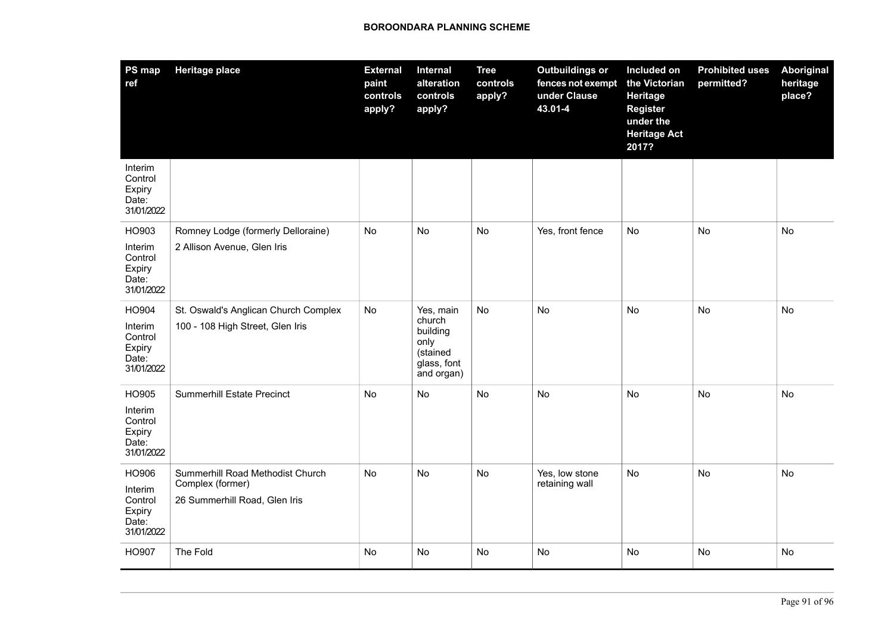| PS map<br>ref                                                | <b>Heritage place</b>                                                                 | <b>External</b><br>paint<br>controls<br>apply? | Internal<br>alteration<br>controls<br>apply?                                     | <b>Tree</b><br>controls<br>apply? | <b>Outbuildings or</b><br>fences not exempt<br>under Clause<br>43.01-4 | Included on<br>the Victorian<br>Heritage<br><b>Register</b><br>under the<br><b>Heritage Act</b><br>2017? | <b>Prohibited uses</b><br>permitted? | Aboriginal<br>heritage<br>place? |
|--------------------------------------------------------------|---------------------------------------------------------------------------------------|------------------------------------------------|----------------------------------------------------------------------------------|-----------------------------------|------------------------------------------------------------------------|----------------------------------------------------------------------------------------------------------|--------------------------------------|----------------------------------|
| Interim<br>Control<br>Expiry<br>Date:<br>31/01/2022          |                                                                                       |                                                |                                                                                  |                                   |                                                                        |                                                                                                          |                                      |                                  |
| HO903<br>Interim<br>Control<br>Expiry<br>Date:<br>31/01/2022 | Romney Lodge (formerly Delloraine)<br>2 Allison Avenue, Glen Iris                     | No                                             | No                                                                               | No                                | Yes, front fence                                                       | No                                                                                                       | <b>No</b>                            | No                               |
| HO904<br>Interim<br>Control<br>Expiry<br>Date:<br>31/01/2022 | St. Oswald's Anglican Church Complex<br>100 - 108 High Street, Glen Iris              | <b>No</b>                                      | Yes, main<br>church<br>building<br>only<br>(stained<br>glass, font<br>and organ) | No                                | No                                                                     | No                                                                                                       | No                                   | No                               |
| HO905<br>Interim<br>Control<br>Expiry<br>Date:<br>31/01/2022 | <b>Summerhill Estate Precinct</b>                                                     | <b>No</b>                                      | No                                                                               | <b>No</b>                         | No                                                                     | No                                                                                                       | <b>No</b>                            | No                               |
| HO906<br>Interim<br>Control<br>Expiry<br>Date:<br>31/01/2022 | Summerhill Road Methodist Church<br>Complex (former)<br>26 Summerhill Road, Glen Iris | No                                             | <b>No</b>                                                                        | <b>No</b>                         | Yes, low stone<br>retaining wall                                       | No                                                                                                       | <b>No</b>                            | <b>No</b>                        |
| HO907                                                        | The Fold                                                                              | No                                             | No                                                                               | No                                | No                                                                     | No                                                                                                       | No                                   | No                               |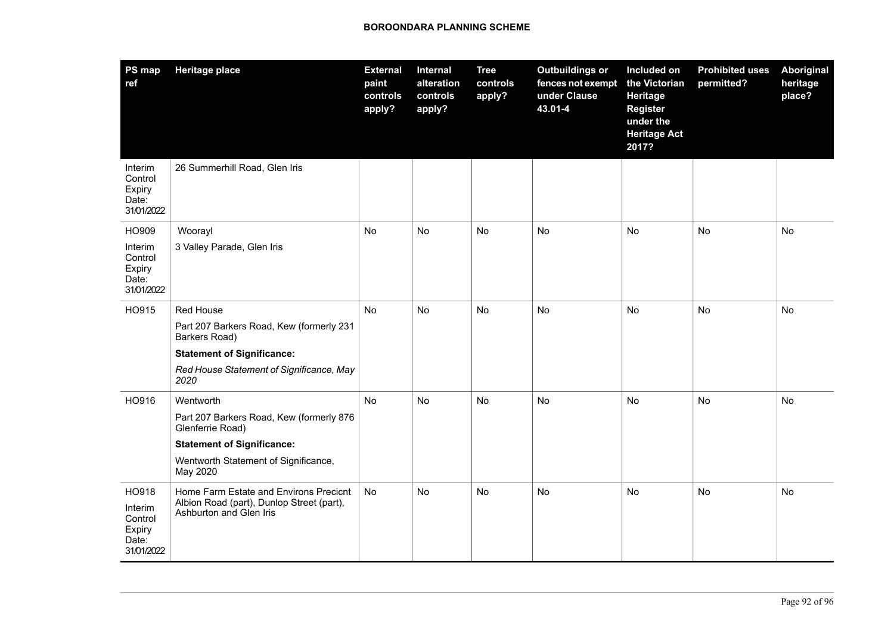| PS map<br>ref                                                | <b>Heritage place</b>                                                                                          | <b>External</b><br>paint<br>controls<br>apply? | Internal<br>alteration<br>controls<br>apply? | <b>Tree</b><br>controls<br>apply? | <b>Outbuildings or</b><br>fences not exempt<br>under Clause<br>43.01-4 | Included on<br>the Victorian<br><b>Heritage</b><br><b>Register</b><br>under the<br><b>Heritage Act</b><br>2017? | <b>Prohibited uses</b><br>permitted? | Aboriginal<br>heritage<br>place? |
|--------------------------------------------------------------|----------------------------------------------------------------------------------------------------------------|------------------------------------------------|----------------------------------------------|-----------------------------------|------------------------------------------------------------------------|-----------------------------------------------------------------------------------------------------------------|--------------------------------------|----------------------------------|
| Interim<br>Control<br>Expiry<br>Date:<br>31/01/2022          | 26 Summerhill Road, Glen Iris                                                                                  |                                                |                                              |                                   |                                                                        |                                                                                                                 |                                      |                                  |
| HO909                                                        | Woorayl                                                                                                        | No                                             | No                                           | No                                | No                                                                     | No                                                                                                              | No                                   | No                               |
| Interim<br>Control<br>Expiry<br>Date:<br>31/01/2022          | 3 Valley Parade, Glen Iris                                                                                     |                                                |                                              |                                   |                                                                        |                                                                                                                 |                                      |                                  |
| HO915                                                        | <b>Red House</b>                                                                                               | No                                             | <b>No</b>                                    | No                                | <b>No</b>                                                              | <b>No</b>                                                                                                       | <b>No</b>                            | <b>No</b>                        |
|                                                              | Part 207 Barkers Road, Kew (formerly 231<br>Barkers Road)                                                      |                                                |                                              |                                   |                                                                        |                                                                                                                 |                                      |                                  |
|                                                              | <b>Statement of Significance:</b>                                                                              |                                                |                                              |                                   |                                                                        |                                                                                                                 |                                      |                                  |
|                                                              | Red House Statement of Significance, May<br>2020                                                               |                                                |                                              |                                   |                                                                        |                                                                                                                 |                                      |                                  |
| HO916                                                        | Wentworth                                                                                                      | No                                             | No                                           | No                                | <b>No</b>                                                              | No                                                                                                              | <b>No</b>                            | No                               |
|                                                              | Part 207 Barkers Road, Kew (formerly 876<br>Glenferrie Road)                                                   |                                                |                                              |                                   |                                                                        |                                                                                                                 |                                      |                                  |
|                                                              | <b>Statement of Significance:</b>                                                                              |                                                |                                              |                                   |                                                                        |                                                                                                                 |                                      |                                  |
|                                                              | Wentworth Statement of Significance,<br>May 2020                                                               |                                                |                                              |                                   |                                                                        |                                                                                                                 |                                      |                                  |
| HO918<br>Interim<br>Control<br>Expiry<br>Date:<br>31/01/2022 | Home Farm Estate and Environs Precicnt<br>Albion Road (part), Dunlop Street (part),<br>Ashburton and Glen Iris | No                                             | No                                           | No                                | No                                                                     | No                                                                                                              | No                                   | No                               |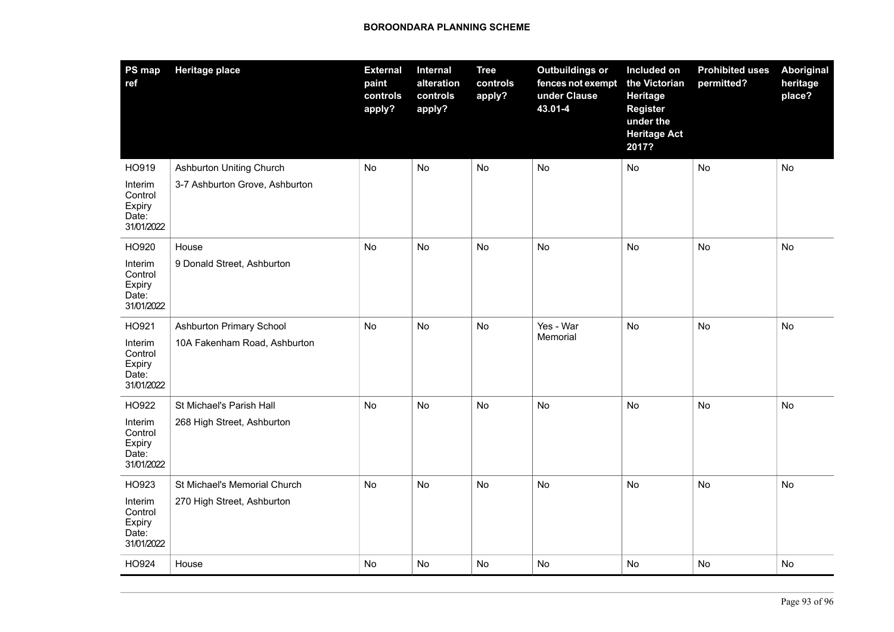| PS map<br>ref                                       | <b>Heritage place</b>          | <b>External</b><br>paint<br>controls<br>apply? | Internal<br>alteration<br>controls<br>apply? | <b>Tree</b><br>controls<br>apply? | <b>Outbuildings or</b><br>fences not exempt<br>under Clause<br>43.01-4 | Included on<br>the Victorian<br>Heritage<br><b>Register</b><br>under the<br><b>Heritage Act</b><br>2017? | <b>Prohibited uses</b><br>permitted? | Aboriginal<br>heritage<br>place? |
|-----------------------------------------------------|--------------------------------|------------------------------------------------|----------------------------------------------|-----------------------------------|------------------------------------------------------------------------|----------------------------------------------------------------------------------------------------------|--------------------------------------|----------------------------------|
| HO919                                               | Ashburton Uniting Church       | No                                             | No                                           | <b>No</b>                         | <b>No</b>                                                              | No                                                                                                       | No                                   | No                               |
| Interim<br>Control<br>Expiry<br>Date:<br>31/01/2022 | 3-7 Ashburton Grove, Ashburton |                                                |                                              |                                   |                                                                        |                                                                                                          |                                      |                                  |
| HO920                                               | House                          | No                                             | No                                           | <b>No</b>                         | <b>No</b>                                                              | No                                                                                                       | No                                   | No                               |
| Interim<br>Control<br>Expiry<br>Date:<br>31/01/2022 | 9 Donald Street, Ashburton     |                                                |                                              |                                   |                                                                        |                                                                                                          |                                      |                                  |
| HO921                                               | Ashburton Primary School       | No                                             | No                                           | No                                | Yes - War                                                              | No                                                                                                       | <b>No</b>                            | No                               |
| Interim<br>Control<br>Expiry<br>Date:<br>31/01/2022 | 10A Fakenham Road, Ashburton   |                                                |                                              |                                   | Memorial                                                               |                                                                                                          |                                      |                                  |
| HO922                                               | St Michael's Parish Hall       | No                                             | No                                           | No                                | No                                                                     | No                                                                                                       | No                                   | <b>No</b>                        |
| Interim<br>Control<br>Expiry<br>Date:<br>31/01/2022 | 268 High Street, Ashburton     |                                                |                                              |                                   |                                                                        |                                                                                                          |                                      |                                  |
| HO923                                               | St Michael's Memorial Church   | No                                             | <b>No</b>                                    | <b>No</b>                         | No                                                                     | No                                                                                                       | No                                   | No                               |
| Interim<br>Control<br>Expiry<br>Date:<br>31/01/2022 | 270 High Street, Ashburton     |                                                |                                              |                                   |                                                                        |                                                                                                          |                                      |                                  |
| HO924                                               | House                          | No                                             | No                                           | <b>No</b>                         | No                                                                     | No                                                                                                       | No                                   | No                               |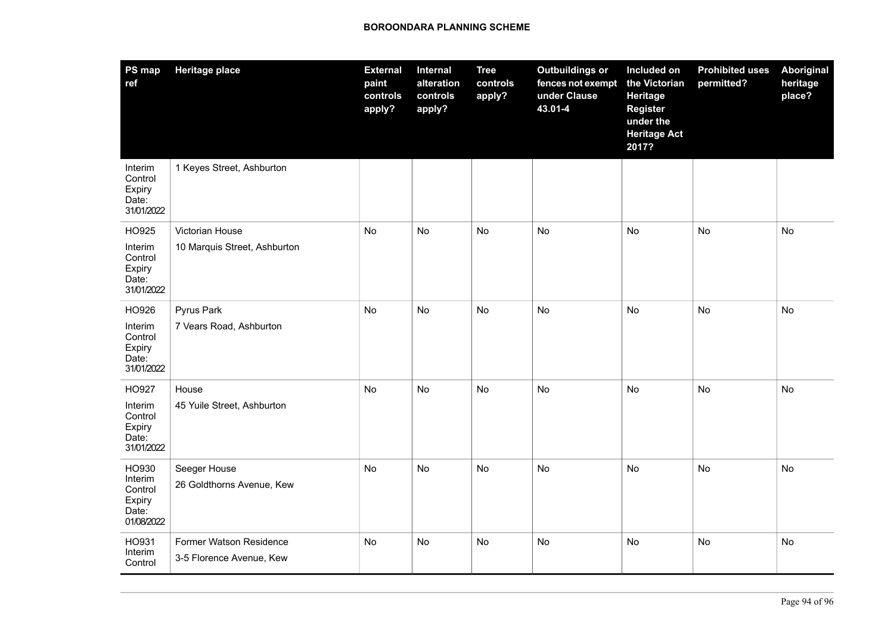| PS map<br>ref                                                | <b>Heritage place</b>                               | <b>External</b><br>paint<br>controls<br>apply? | <b>Internal</b><br>alteration<br>controls<br>apply? | <b>Tree</b><br>controls<br>apply? | <b>Outbuildings or</b><br>fences not exempt<br>under Clause<br>43.01-4 | Included on<br>the Victorian<br>Heritage<br><b>Register</b><br>under the<br><b>Heritage Act</b><br>2017? | <b>Prohibited uses</b><br>permitted? | <b>Aboriginal</b><br>heritage<br>place? |
|--------------------------------------------------------------|-----------------------------------------------------|------------------------------------------------|-----------------------------------------------------|-----------------------------------|------------------------------------------------------------------------|----------------------------------------------------------------------------------------------------------|--------------------------------------|-----------------------------------------|
| Interim<br>Control<br>Expiry<br>Date:<br>31/01/2022          | 1 Keyes Street, Ashburton                           |                                                |                                                     |                                   |                                                                        |                                                                                                          |                                      |                                         |
| HO925<br>Interim<br>Control<br>Expiry<br>Date:<br>31/01/2022 | Victorian House<br>10 Marquis Street, Ashburton     | No                                             | No                                                  | <b>No</b>                         | <b>No</b>                                                              | No                                                                                                       | <b>No</b>                            | <b>No</b>                               |
| HO926<br>Interim<br>Control<br>Expiry<br>Date:<br>31/01/2022 | Pyrus Park<br>7 Vears Road, Ashburton               | <b>No</b>                                      | <b>No</b>                                           | No                                | <b>No</b>                                                              | <b>No</b>                                                                                                | <b>No</b>                            | <b>No</b>                               |
| HO927<br>Interim<br>Control<br>Expiry<br>Date:<br>31/01/2022 | House<br>45 Yuile Street, Ashburton                 | No                                             | No                                                  | No                                | No                                                                     | No                                                                                                       | No                                   | <b>No</b>                               |
| HO930<br>Interim<br>Control<br>Expiry<br>Date:<br>01/08/2022 | Seeger House<br>26 Goldthorns Avenue, Kew           | No                                             | No                                                  | No                                | <b>No</b>                                                              | No                                                                                                       | No                                   | <b>No</b>                               |
| HO931<br>Interim<br>Control                                  | Former Watson Residence<br>3-5 Florence Avenue, Kew | No                                             | No                                                  | No                                | No                                                                     | No                                                                                                       | <b>No</b>                            | <b>No</b>                               |